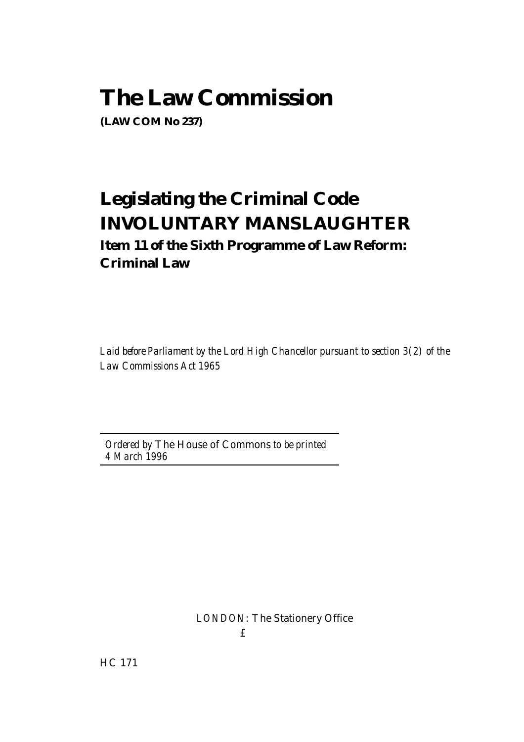# **The Law Commission**

**(LAW COM No 237)**

**Criminal Law**

## **Legislating the Criminal Code INVOLUNTARY MANSLAUGHTER Item 11 of the Sixth Programme of Law Reform:**

*Laid before Parliament by the Lord High Chancellor pursuant to section 3(2) of the Law Commissions Act 1965*

*Ordered by* The House of Commons *to be printed 4 March 1996*

> *LONDON:* The Stationery Office £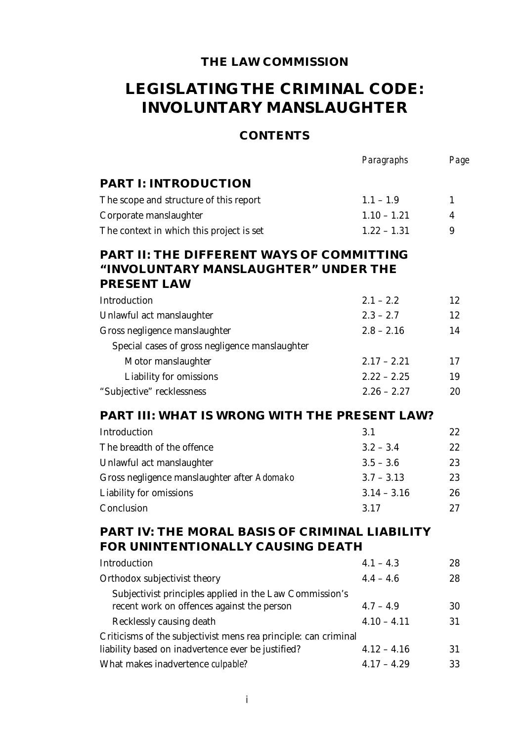### **THE LAW COMMISSION**

### **LEGISLATING THE CRIMINAL CODE: INVOLUNTARY MANSLAUGHTER**

### **CONTENTS**

|                                                                 | Paragraphs    | Page         |
|-----------------------------------------------------------------|---------------|--------------|
| <b>PART I: INTRODUCTION</b>                                     |               |              |
| The scope and structure of this report                          | $1.1 - 1.9$   | $\mathbf{1}$ |
| Corporate manslaughter                                          | $1.10 - 1.21$ | 4            |
| The context in which this project is set                        | $1.22 - 1.31$ | 9            |
| <b>PART II: THE DIFFERENT WAYS OF COMMITTING</b>                |               |              |
| "INVOLUNTARY MANSLAUGHTER" UNDER THE                            |               |              |
| <b>PRESENT LAW</b>                                              |               |              |
| Introduction                                                    | $2.1 - 2.2$   | 12           |
| Unlawful act manslaughter                                       | $2.3 - 2.7$   | 12           |
| Gross negligence manslaughter                                   | $2.8 - 2.16$  | 14           |
| Special cases of gross negligence manslaughter                  |               |              |
| Motor manslaughter                                              | $2.17 - 2.21$ | 17           |
| Liability for omissions                                         | $2.22 - 2.25$ | 19           |
| "Subjective" recklessness                                       | $2.26 - 2.27$ | 20           |
| <b>PART III: WHAT IS WRONG WITH THE PRESENT LAW?</b>            |               |              |
| Introduction                                                    | 3.1           | 22           |
| The breadth of the offence                                      | $3.2 - 3.4$   | 22           |
| Unlawful act manslaughter                                       | $3.5 - 3.6$   | 23           |
| Gross negligence manslaughter after Adomako                     | $3.7 - 3.13$  | 23           |
| Liability for omissions                                         | $3.14 - 3.16$ | 26           |
| Conclusion                                                      | 3.17          | 27           |
| <b>PART IV: THE MORAL BASIS OF CRIMINAL LIABILITY</b>           |               |              |
| FOR UNINTENTIONALLY CAUSING DEATH                               |               |              |
| Introduction                                                    | $4.1 - 4.3$   | 28           |
| Orthodox subjectivist theory                                    | $4.4 - 4.6$   | 28           |
| Subjectivist principles applied in the Law Commission's         |               |              |
| recent work on offences against the person                      | $4.7 - 4.9$   | 30           |
| Recklessly causing death                                        | $4.10 - 4.11$ | 31           |
| Criticisms of the subjectivist mens rea principle: can criminal |               |              |
| liability based on inadvertence ever be justified?              | $4.12 - 4.16$ | 31           |
| What makes inadvertence culpable?                               | $4.17 - 4.29$ | 33           |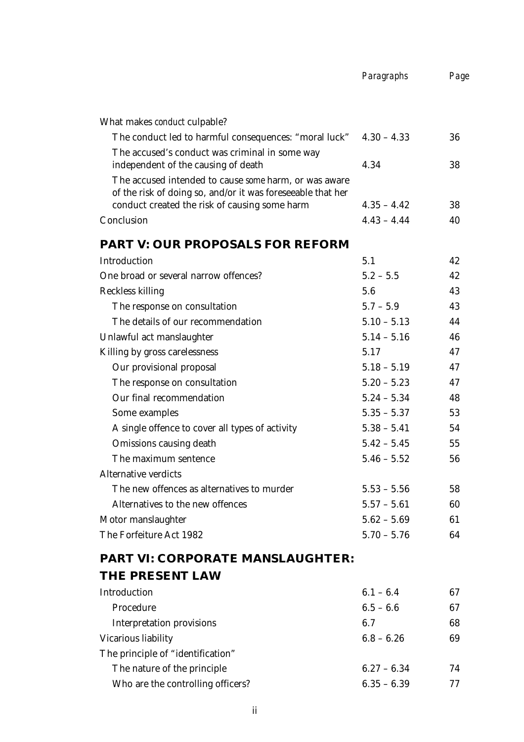| What makes <i>conduct</i> culpable?                                                                          |               |    |
|--------------------------------------------------------------------------------------------------------------|---------------|----|
| The conduct led to harmful consequences: "moral luck"                                                        | $4.30 - 4.33$ | 36 |
| The accused's conduct was criminal in some way                                                               |               |    |
| independent of the causing of death                                                                          | 4.34          | 38 |
| The accused intended to cause some harm, or was aware                                                        |               |    |
| of the risk of doing so, and/or it was foreseeable that her<br>conduct created the risk of causing some harm | $4.35 - 4.42$ | 38 |
| Conclusion                                                                                                   | $4.43 - 4.44$ | 40 |
| PART V: OUR PROPOSALS FOR REFORM                                                                             |               |    |
| Introduction                                                                                                 | 5.1           | 42 |
| One broad or several narrow offences?                                                                        | $5.2 - 5.5$   | 42 |
| <b>Reckless killing</b>                                                                                      | 5.6           | 43 |
| The response on consultation                                                                                 | $5.7 - 5.9$   | 43 |
| The details of our recommendation                                                                            | $5.10 - 5.13$ | 44 |
| Unlawful act manslaughter                                                                                    | $5.14 - 5.16$ | 46 |
| Killing by gross carelessness                                                                                | 5.17          | 47 |
| Our provisional proposal                                                                                     | $5.18 - 5.19$ | 47 |
| The response on consultation                                                                                 | $5.20 - 5.23$ | 47 |
| Our final recommendation                                                                                     | $5.24 - 5.34$ | 48 |
| Some examples                                                                                                | $5.35 - 5.37$ | 53 |
| A single offence to cover all types of activity                                                              | $5.38 - 5.41$ | 54 |
| Omissions causing death                                                                                      | $5.42 - 5.45$ | 55 |
| The maximum sentence                                                                                         | $5.46 - 5.52$ | 56 |
| Alternative verdicts                                                                                         |               |    |
| The new offences as alternatives to murder                                                                   | $5.53 - 5.56$ | 58 |
| Alternatives to the new offences                                                                             | $5.57 - 5.61$ | 60 |
| Motor manslaughter                                                                                           | $5.62 - 5.69$ | 61 |
| The Forfeiture Act 1982                                                                                      | $5.70 - 5.76$ | 64 |
| <b>PART VI: CORPORATE MANSLAUGHTER:</b>                                                                      |               |    |
| <b>THE PRESENT LAW</b>                                                                                       |               |    |
| Introduction                                                                                                 | $6.1 - 6.4$   | 67 |
| Procedure                                                                                                    | $6.5 - 6.6$   | 67 |
| <b>Interpretation provisions</b>                                                                             | 6.7           | 68 |
| Vicarious liability                                                                                          | $6.8 - 6.26$  | 69 |
| The principle of "identification"                                                                            |               |    |
| The nature of the principle                                                                                  | $6.27 - 6.34$ | 74 |
| Who are the controlling officers?                                                                            | $6.35 - 6.39$ | 77 |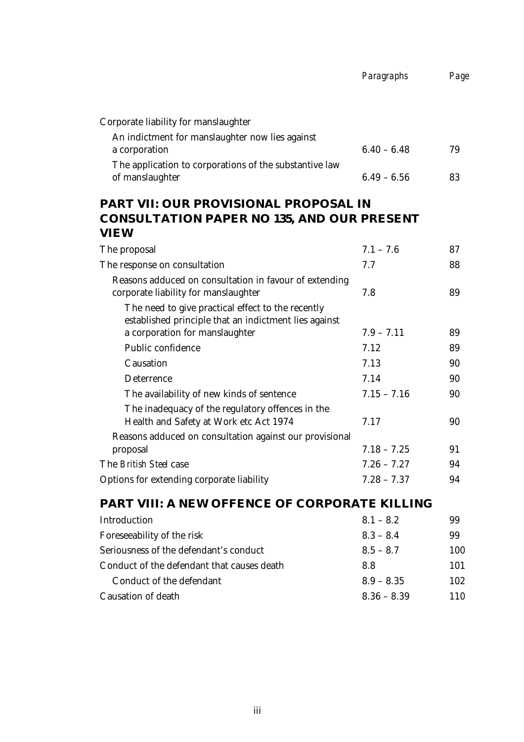|                                                                                                            | Paragraphs    | Page |
|------------------------------------------------------------------------------------------------------------|---------------|------|
|                                                                                                            |               |      |
| Corporate liability for manslaughter                                                                       |               |      |
| An indictment for manslaughter now lies against<br>a corporation                                           | $6.40 - 6.48$ | 79   |
| The application to corporations of the substantive law<br>of manslaughter                                  | $6.49 - 6.56$ | 83   |
| <b>PART VII: OUR PROVISIONAL PROPOSAL IN</b>                                                               |               |      |
| <b>CONSULTATION PAPER NO 135, AND OUR PRESENT</b>                                                          |               |      |
| <b>VIEW</b>                                                                                                |               |      |
| The proposal                                                                                               | $7.1 - 7.6$   | 87   |
| The response on consultation                                                                               | 7.7           | 88   |
| Reasons adduced on consultation in favour of extending<br>corporate liability for manslaughter             | 7.8           | 89   |
| The need to give practical effect to the recently<br>established principle that an indictment lies against |               |      |
| a corporation for manslaughter                                                                             | $7.9 - 7.11$  | 89   |
| Public confidence                                                                                          | 7.12          | 89   |
| Causation                                                                                                  | 7.13          | 90   |
| Deterrence                                                                                                 | 7.14          | 90   |
| The availability of new kinds of sentence                                                                  | $7.15 - 7.16$ | 90   |
| The inadequacy of the regulatory offences in the<br>Health and Safety at Work etc Act 1974                 | 7.17          | 90   |
| Reasons adduced on consultation against our provisional                                                    |               |      |
| proposal                                                                                                   | $7.18 - 7.25$ | 91   |
| The British Steel case                                                                                     | $7.26 - 7.27$ | 94   |
| Options for extending corporate liability                                                                  | $7.28 - 7.37$ | 94   |
| <b>PART VIII: A NEW OFFENCE OF CORPORATE KILLING</b>                                                       |               |      |
| Introduction                                                                                               | $8.1 - 8.2$   | 99   |
| Foreseeability of the risk                                                                                 | $8.3 - 8.4$   | 99   |
| Seriousness of the defendant's conduct                                                                     | $8.5 - 8.7$   | 100  |
| Conduct of the defendant that causes death                                                                 | 8.8           | 101  |
| Conduct of the defendant                                                                                   | $8.9 - 8.35$  | 102  |
| <b>Causation of death</b>                                                                                  | $8.36 - 8.39$ | 110  |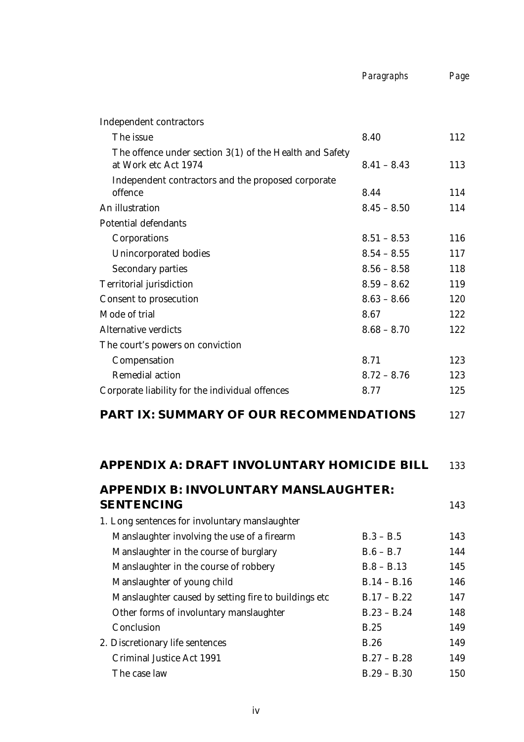| Independent contractors                                    |               |     |
|------------------------------------------------------------|---------------|-----|
| The issue                                                  | 8.40          | 112 |
| The offence under section 3(1) of the Health and Safety    |               |     |
| at Work etc Act 1974                                       | $8.41 - 8.43$ | 113 |
| Independent contractors and the proposed corporate         |               |     |
| offence                                                    | 8.44          | 114 |
| An illustration                                            | $8.45 - 8.50$ | 114 |
| <b>Potential defendants</b>                                |               |     |
| Corporations                                               | $8.51 - 8.53$ | 116 |
| Unincorporated bodies                                      | $8.54 - 8.55$ | 117 |
| <b>Secondary parties</b>                                   | $8.56 - 8.58$ | 118 |
| <b>Territorial jurisdiction</b>                            | $8.59 - 8.62$ | 119 |
| Consent to prosecution                                     | $8.63 - 8.66$ | 120 |
| Mode of trial                                              | 8.67          | 122 |
| <b>Alternative verdicts</b>                                | $8.68 - 8.70$ | 122 |
| The court's powers on conviction                           |               |     |
| Compensation                                               | 8.71          | 123 |
| <b>Remedial action</b>                                     | $8.72 - 8.76$ | 123 |
| Corporate liability for the individual offences            | 8.77          | 125 |
| <b>PART IX: SUMMARY OF OUR RECOMMENDATIONS</b>             |               | 127 |
| APPENDIX A: DRAFT INVOLUNTARY HOMICIDE BILL                |               | 133 |
| APPENDIX B: INVOLUNTARY MANSLAUGHTER:<br><b>SENTENCING</b> |               |     |
|                                                            |               | 143 |
| 1. Long sentences for involuntary manslaughter             |               |     |
| Manslaughter involving the use of a firearm                | $B.3 - B.5$   | 143 |
| Manslaughter in the course of burglary                     | $B.6 - B.7$   | 144 |
| Manslaughter in the course of robbery                      | $B.8 - B.13$  | 145 |
| Manslaughter of young child                                | $B.14 - B.16$ | 146 |
| Manslaughter caused by setting fire to buildings etc       | $B.17 - B.22$ | 147 |
| Other forms of involuntary manslaughter                    | $B.23 - B.24$ | 148 |
| Conclusion                                                 | <b>B.25</b>   | 149 |
| 2. Discretionary life sentences                            | <b>B.26</b>   | 149 |
| Criminal Justice Act 1991                                  | $B.27 - B.28$ | 149 |

The case law B.29 – B.30 150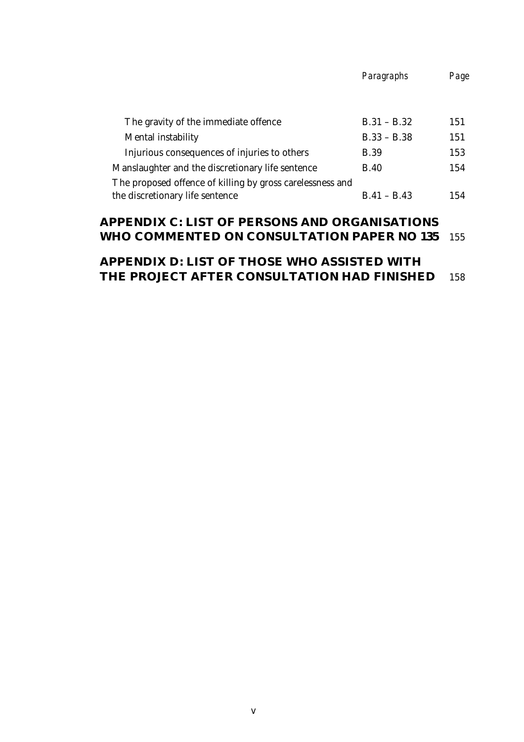*Paragraphs Page*

| The gravity of the immediate offence                                                         | $B.31 - B.32$ | 151 |
|----------------------------------------------------------------------------------------------|---------------|-----|
| Mental instability                                                                           | $B.33 - B.38$ | 151 |
| Injurious consequences of injuries to others                                                 | <b>B.39</b>   | 153 |
| Manslaughter and the discretionary life sentence                                             | <b>B.40</b>   | 154 |
| The proposed offence of killing by gross carelessness and<br>the discretionary life sentence | $B.41 - B.43$ | 154 |

### **APPENDIX C: LIST OF PERSONS AND ORGANISATIONS WHO COMMENTED ON CONSULTATION PAPER NO 135** 155

### **APPENDIX D: LIST OF THOSE WHO ASSISTED WITH THE PROJECT AFTER CONSULTATION HAD FINISHED** 158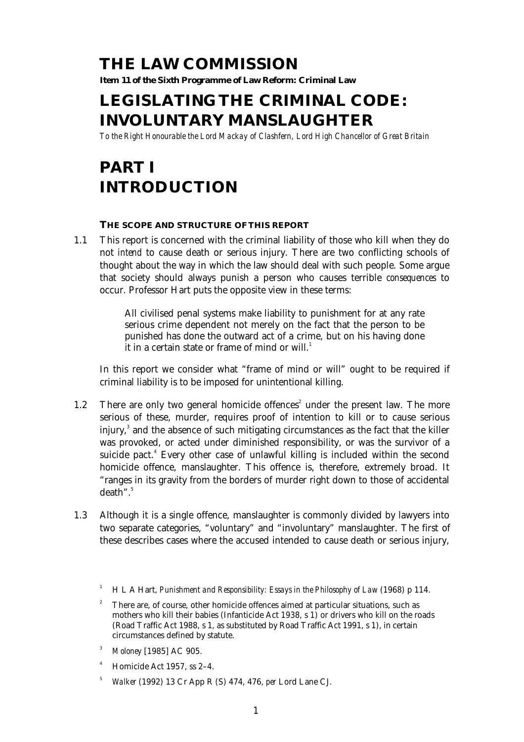## **THE LAW COMMISSION**

**Item 11 of the Sixth Programme of Law Reform: Criminal Law**

### **LEGISLATING THE CRIMINAL CODE: INVOLUNTARY MANSLAUGHTER**

*To the Right Honourable the Lord Mackay of Clashfern, Lord High Chancellor of Great Britain*

## **PART I INTRODUCTION**

#### **THE SCOPE AND STRUCTURE OF THIS REPORT**

 1.1 This report is concerned with the criminal liability of those who kill when they do not *intend* to cause death or serious injury. There are two conflicting schools of thought about the way in which the law should deal with such people. Some argue that society should always punish a person who causes terrible *consequences* to occur. Professor Hart puts the opposite view in these terms:

> All civilised penal systems make liability to punishment for at any rate serious crime dependent not merely on the fact that the person to be punished has done the outward act of a crime, but on his having done it in a certain state or frame of mind or will.<sup>1</sup>

In this report we consider what "frame of mind or will" ought to be required if criminal liability is to be imposed for unintentional killing.

- 1.2 There are only two general homicide offences<sup>2</sup> under the present law. The more serious of these, murder, requires proof of intention to kill or to cause serious injury, $^{\rm 3}$  and the absence of such mitigating circumstances as the fact that the killer was provoked, or acted under diminished responsibility, or was the survivor of a suicide pact.<sup>4</sup> Every other case of unlawful killing is included within the second homicide offence, manslaughter. This offence is, therefore, extremely broad. It "ranges in its gravity from the borders of murder right down to those of accidental death". 5
	- 1.3 Although it is a single offence, manslaughter is commonly divided by lawyers into two separate categories, "voluntary" and "involuntary" manslaughter. The first of these describes cases where the accused intended to cause death or serious injury,

- <sup>4</sup> Homicide Act 1957, ss  $2-4$ .
- <sup>5</sup> *Walker* (1992) 13 Cr App R (S) 474, 476, *per* Lord Lane CJ.

<sup>1</sup> H L A Hart, *Punishment and Responsibility: Essays in the Philosophy of Law* (1968) p 114.

<sup>2</sup> There are, of course, other homicide offences aimed at particular situations, such as mothers who kill their babies (Infanticide Act 1938, s 1) or drivers who kill on the roads (Road Traffic Act 1988, s 1, as substituted by Road Traffic Act 1991, s 1), in certain circumstances defined by statute.

<sup>3</sup> *Moloney* [1985] AC 905.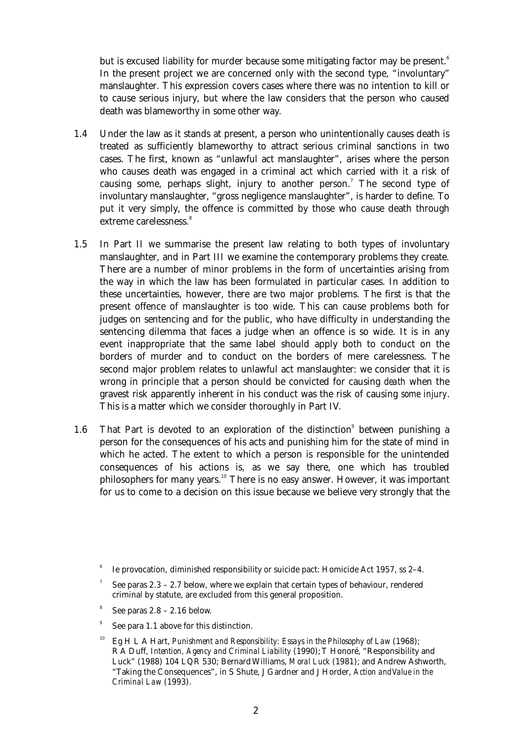but is excused liability for murder because some mitigating factor may be present.<sup>6</sup> In the present project we are concerned only with the second type, "involuntary" manslaughter. This expression covers cases where there was no intention to kill or to cause serious injury, but where the law considers that the person who caused death was blameworthy in some other way.

- 1.4 Under the law as it stands at present, a person who unintentionally causes death is treated as sufficiently blameworthy to attract serious criminal sanctions in two cases. The first, known as "unlawful act manslaughter", arises where the person who causes death was engaged in a criminal act which carried with it a risk of causing some, perhaps slight, injury to another person.<sup>7</sup> The second type of involuntary manslaughter, "gross negligence manslaughter", is harder to define. To put it very simply, the offence is committed by those who cause death through extreme carelessness.<sup>8</sup>
- 1.5 In Part II we summarise the present law relating to both types of involuntary manslaughter, and in Part III we examine the contemporary problems they create. There are a number of minor problems in the form of uncertainties arising from the way in which the law has been formulated in particular cases. In addition to these uncertainties, however, there are two major problems. The first is that the present offence of manslaughter is too wide. This can cause problems both for judges on sentencing and for the public, who have difficulty in understanding the sentencing dilemma that faces a judge when an offence is so wide. It is in any event inappropriate that the same label should apply both to conduct on the borders of murder and to conduct on the borders of mere carelessness. The second major problem relates to unlawful act manslaughter: we consider that it is wrong in principle that a person should be convicted for causing *death* when the gravest risk apparently inherent in his conduct was the risk of causing *some injury*. This is a matter which we consider thoroughly in Part IV.
- 1.6 That Part is devoted to an exploration of the distinction<sup>9</sup> between punishing a person for the consequences of his acts and punishing him for the state of mind in which he acted. The extent to which a person is responsible for the unintended consequences of his actions is, as we say there, one which has troubled philosophers for many years.<sup>10</sup> There is no easy answer. However, it was important for us to come to a decision on this issue because we believe very strongly that the

9 See para 1.1 above for this distinction.

<sup>6</sup> Ie provocation, diminished responsibility or suicide pact: Homicide Act 1957, ss 2–4.

<sup>7</sup> See paras 2.3 – 2.7 below, where we explain that certain types of behaviour, rendered criminal by statute, are excluded from this general proposition.

<sup>8</sup> See paras 2.8 – 2.16 below.

<sup>10</sup> Eg H L A Hart, *Punishment and Responsibility: Essays in the Philosophy of Law* (1968); R A Duff, *Intention, Agency and Criminal Liability* (1990); T Honoré, "Responsibility and Luck" (1988) 104 LQR 530; Bernard Williams, *Moral Luck* (1981); and Andrew Ashworth, "Taking the Consequences", in S Shute, J Gardner and J Horder, *Action and Value in the Criminal Law* (1993).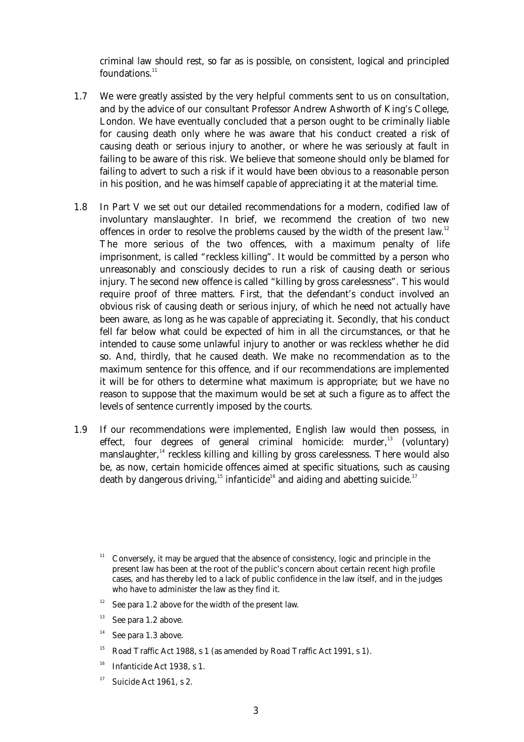criminal law should rest, so far as is possible, on consistent, logical and principled  $four$ dations. $11$ 

- 1.7 We were greatly assisted by the very helpful comments sent to us on consultation, and by the advice of our consultant Professor Andrew Ashworth of King's College, London. We have eventually concluded that a person ought to be criminally liable for causing death only where he was aware that his conduct created a risk of causing death or serious injury to another, or where he was seriously at fault in failing to be aware of this risk. We believe that someone should only be blamed for failing to advert to such a risk if it would have been *obvious* to a reasonable person in his position, and he was himself *capable* of appreciating it at the material time.
- 1.8 In Part V we set out our detailed recommendations for a modern, codified law of involuntary manslaughter. In brief, we recommend the creation of *two* new offences in order to resolve the problems caused by the width of the present law.<sup>12</sup> The more serious of the two offences, with a maximum penalty of life imprisonment, is called "reckless killing". It would be committed by a person who unreasonably and consciously decides to run a risk of causing death or serious injury. The second new offence is called "killing by gross carelessness". This would require proof of three matters. First, that the defendant's conduct involved an obvious risk of causing death or serious injury, of which he need not actually have been aware, as long as he was *capable* of appreciating it. Secondly, that his conduct fell far below what could be expected of him in all the circumstances, or that he intended to cause some unlawful injury to another or was reckless whether he did so. And, thirdly, that he caused death. We make no recommendation as to the maximum sentence for this offence, and if our recommendations are implemented it will be for others to determine what maximum is appropriate; but we have no reason to suppose that the maximum would be set at such a figure as to affect the levels of sentence currently imposed by the courts.
- 1.9 If our recommendations were implemented, English law would then possess, in effect, four degrees of general criminal homicide: murder, $13$  (voluntary) manslaughter,<sup>14</sup> reckless killing and killing by gross carelessness. There would also be, as now, certain homicide offences aimed at specific situations, such as causing death by dangerous driving,<sup>15</sup> infanticide<sup>16</sup> and aiding and abetting suicide.<sup>17</sup>

- $12$  See para 1.2 above for the width of the present law.
- $13$  See para 1.2 above.

- <sup>15</sup> Road Traffic Act 1988, s 1 (as amended by Road Traffic Act 1991, s 1).
- $16$  Infanticide Act 1938, s 1.
- $17$  Suicide Act 1961, s 2.

<sup>&</sup>lt;sup>11</sup> Conversely, it may be argued that the absence of consistency, logic and principle in the present law has been at the root of the public's concern about certain recent high profile cases, and has thereby led to a lack of public confidence in the law itself, and in the judges who have to administer the law as they find it.

 $14$  See para 1.3 above.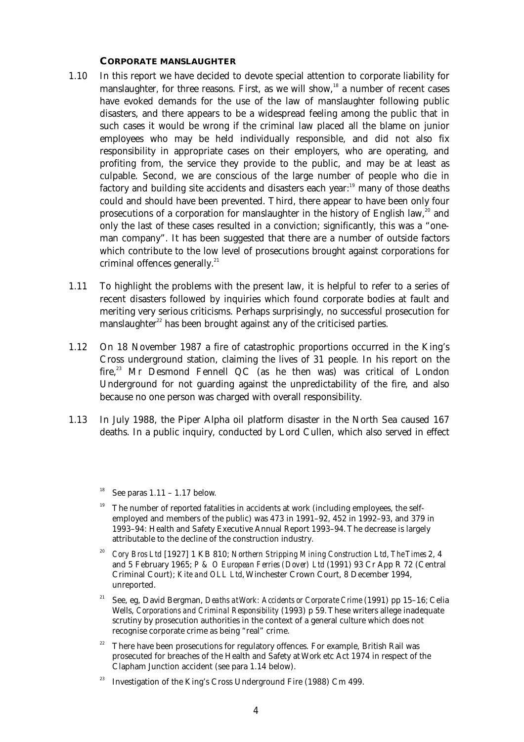#### **CORPORATE MANSLAUGHTER**

- 1.10 In this report we have decided to devote special attention to corporate liability for manslaughter, for three reasons. First, as we will show,<sup>18</sup> a number of recent cases have evoked demands for the use of the law of manslaughter following public disasters, and there appears to be a widespread feeling among the public that in such cases it would be wrong if the criminal law placed all the blame on junior employees who may be held individually responsible, and did not also fix responsibility in appropriate cases on their employers, who are operating, and profiting from, the service they provide to the public, and may be at least as culpable. Second, we are conscious of the large number of people who die in factory and building site accidents and disasters each year: $19$  many of those deaths could and should have been prevented. Third, there appear to have been only four prosecutions of a corporation for manslaughter in the history of English law, $^{20}$  and only the last of these cases resulted in a conviction; significantly, this was a "oneman company". It has been suggested that there are a number of outside factors which contribute to the low level of prosecutions brought against corporations for criminal offences generally.<sup>21</sup>
- 1.11 To highlight the problems with the present law, it is helpful to refer to a series of recent disasters followed by inquiries which found corporate bodies at fault and meriting very serious criticisms. Perhaps surprisingly, no successful prosecution for manslaughter<sup>22</sup> has been brought against any of the criticised parties.
- 1.12 On 18 November 1987 a fire of catastrophic proportions occurred in the King's Cross underground station, claiming the lives of 31 people. In his report on the fire,<sup>23</sup> Mr Desmond Fennell QC (as he then was) was critical of London Underground for not guarding against the unpredictability of the fire, and also because no one person was charged with overall responsibility.
- 1.13 In July 1988, the Piper Alpha oil platform disaster in the North Sea caused 167 deaths. In a public inquiry, conducted by Lord Cullen, which also served in effect

See paras  $1.11 - 1.17$  below.

- The number of reported fatalities in accidents at work (including employees, the selfemployed and members of the public) was 473 in 1991–92, 452 in 1992–93, and 379 in 1993–94: Health and Safety Executive Annual Report 1993–94. The decrease is largely attributable to the decline of the construction industry.
- <sup>20</sup> *Cory Bros Ltd* [1927] 1 KB 810; *Northern Stripping Mining Construction Ltd*, *The Times* 2, 4 and 5 February 1965; *P & O European Ferries (Dover) Ltd* (1991) 93 Cr App R 72 (Central Criminal Court); *Kite and OLL Ltd*, Winchester Crown Court, 8 December 1994, unreported.
- <sup>21</sup> See, eg, David Bergman, *Deaths at Work: Accidents or Corporate Crime* (1991) pp 15-16; Celia Wells, *Corporations and Criminal Responsibility* (1993) p 59. These writers allege inadequate scrutiny by prosecution authorities in the context of a general culture which does not recognise corporate crime as being "real" crime.
- $22$  There have been prosecutions for regulatory offences. For example, British Rail was prosecuted for breaches of the Health and Safety at Work etc Act 1974 in respect of the Clapham Junction accident (see para 1.14 below).
- <sup>23</sup> Investigation of the King's Cross Underground Fire (1988) Cm 499.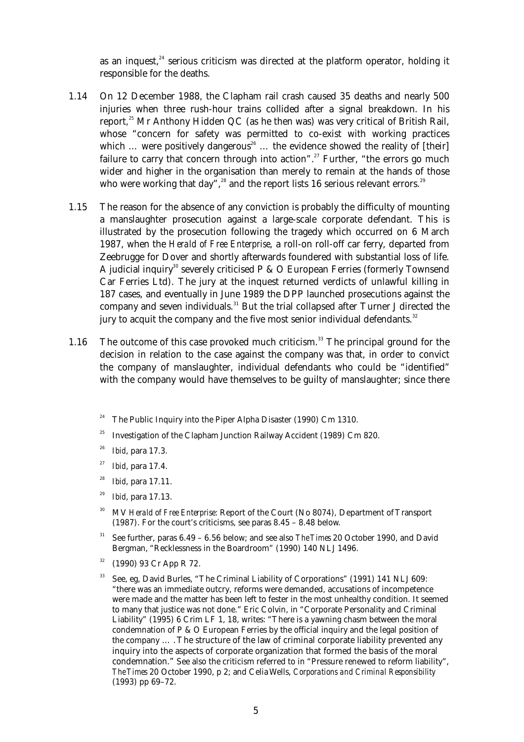as an inquest, $^{24}$  serious criticism was directed at the platform operator, holding it responsible for the deaths.

- 1.14 On 12 December 1988, the Clapham rail crash caused 35 deaths and nearly 500 injuries when three rush-hour trains collided after a signal breakdown. In his report*, <sup>25</sup>* Mr Anthony Hidden QC (as he then was) was very critical of British Rail, whose "concern for safety was permitted to co-exist with working practices which  $\ldots$  were positively dangerous<sup>26</sup>  $\ldots$  the evidence showed the reality of [their] failure to carry that concern through into action".<sup>27</sup> Further, "the errors go much wider and higher in the organisation than merely to remain at the hands of those who were working that day", $^\mathrm{28}$  and the report lists 16 serious relevant errors. $^\mathrm{29}$
- 1.15 The reason for the absence of any conviction is probably the difficulty of mounting a manslaughter prosecution against a large-scale corporate defendant. This is illustrated by the prosecution following the tragedy which occurred on 6 March 1987, when the *Herald of Free Enterprise*, a roll-on roll-off car ferry, departed from Zeebrugge for Dover and shortly afterwards foundered with substantial loss of life. A judicial inquiry<sup>30</sup> severely criticised P & O European Ferries (formerly Townsend Car Ferries Ltd). The jury at the inquest returned verdicts of unlawful killing in 187 cases, and eventually in June 1989 the DPP launched prosecutions against the company and seven individuals.<sup>31</sup> But the trial collapsed after Turner J directed the jury to acquit the company and the five most senior individual defendants.<sup>32</sup>
- 1.16 The outcome of this case provoked much criticism.<sup>33</sup> The principal ground for the decision in relation to the case against the company was that, in order to convict the company of manslaughter, individual defendants who could be "identified" with the company would have themselves to be guilty of manslaughter; since there
	- <sup>24</sup> The Public Inquiry into the Piper Alpha Disaster (1990) Cm 1310.
	- <sup>25</sup> Investigation of the Clapham Junction Railway Accident (1989) Cm 820.
	- <sup>26</sup> *Ibid*, para 17.3.
	- <sup>27</sup> *Ibid*, para 17.4.
	- <sup>28</sup> *Ibid*, para 17.11.
	- <sup>29</sup> *Ibid*, para 17.13.
	- <sup>30</sup> MV *Herald of Free Enterprise*: Report of the Court (No 8074)*,* Department of Transport (1987). For the court's criticisms, see paras 8.45 – 8.48 below.
	- <sup>31</sup> See further, paras 6.49 6.56 below; and see also *The Times* 20 October 1990, and David Bergman, "Recklessness in the Boardroom" (1990) 140 NLJ 1496.
	- $32$  (1990) 93 Cr App R 72.
	- <sup>33</sup> See, eg, David Burles, "The Criminal Liability of Corporations" (1991) 141 NLJ 609: "there was an immediate outcry, reforms were demanded, accusations of incompetence were made and the matter has been left to fester in the most unhealthy condition. It seemed to many that justice was not done." Eric Colvin, in "Corporate Personality and Criminal Liability" (1995) 6 Crim LF 1, 18, writes: "There is a yawning chasm between the moral condemnation of P & O European Ferries by the official inquiry and the legal position of the company … . The structure of the law of criminal corporate liability prevented any inquiry into the aspects of corporate organization that formed the basis of the moral condemnation." See also the criticism referred to in "Pressure renewed to reform liability", *The Times* 20 October 1990, p 2; and Celia Wells, *Corporations and Criminal Responsibility* (1993) pp 69–72.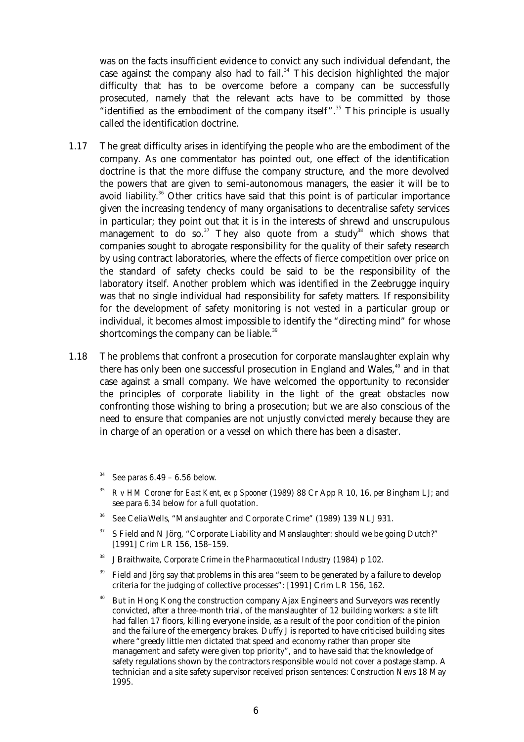was on the facts insufficient evidence to convict any such individual defendant, the case against the company also had to fail.<sup>34</sup> This decision highlighted the major difficulty that has to be overcome before a company can be successfully prosecuted, namely that the relevant acts have to be committed by those "identified as the embodiment of the company itself".<sup>35</sup> This principle is usually called the identification doctrine.

- 1.17 The great difficulty arises in identifying the people who are the embodiment of the company. As one commentator has pointed out, one effect of the identification doctrine is that the more diffuse the company structure, and the more devolved the powers that are given to semi-autonomous managers, the easier it will be to avoid liability. $36$  Other critics have said that this point is of particular importance given the increasing tendency of many organisations to decentralise safety services in particular; they point out that it is in the interests of shrewd and unscrupulous management to do so. $37$  They also quote from a study $38$  which shows that companies sought to abrogate responsibility for the quality of their safety research by using contract laboratories, where the effects of fierce competition over price on the standard of safety checks could be said to be the responsibility of the laboratory itself. Another problem which was identified in the Zeebrugge inquiry was that no single individual had responsibility for safety matters. If responsibility for the development of safety monitoring is not vested in a particular group or individual, it becomes almost impossible to identify the "directing mind" for whose shortcomings the company can be liable. $39$
- 1.18 The problems that confront a prosecution for corporate manslaughter explain why there has only been one successful prosecution in England and Wales,<sup>40</sup> and in that case against a small company. We have welcomed the opportunity to reconsider the principles of corporate liability in the light of the great obstacles now confronting those wishing to bring a prosecution; but we are also conscious of the need to ensure that companies are not unjustly convicted merely because they are in charge of an operation or a vessel on which there has been a disaster.
	- $34$  See paras  $6.49 6.56$  below.
	- <sup>35</sup> *R v HM Coroner for East Kent, ex p Spooner* (1989) 88 Cr App R 10, 16, *per* Bingham LJ; and see para 6.34 below for a full quotation.
	- <sup>36</sup> See Celia Wells. "Manslaughter and Corporate Crime" (1989) 139 NLJ 931.
	- <sup>37</sup> S Field and N Jörg, "Corporate Liability and Manslaughter: should we be going Dutch?" [1991] Crim LR 156, 158-159.
	- <sup>38</sup> J Braithwaite, *Corporate Crime in the Pharmaceutical Industry* (1984) p 102.
	- <sup>39</sup> Field and Jörg say that problems in this area "seem to be generated by a failure to develop criteria for the judging of collective processes": [1991] Crim LR 156, 162.
	- But in Hong Kong the construction company Ajax Engineers and Surveyors was recently convicted, after a three-month trial, of the manslaughter of 12 building workers: a site lift had fallen 17 floors, killing everyone inside, as a result of the poor condition of the pinion and the failure of the emergency brakes. Duffy J is reported to have criticised building sites where "greedy little men dictated that speed and economy rather than proper site management and safety were given top priority", and to have said that the knowledge of safety regulations shown by the contractors responsible would not cover a postage stamp. A technician and a site safety supervisor received prison sentences: *Construction News* 18 May 1995.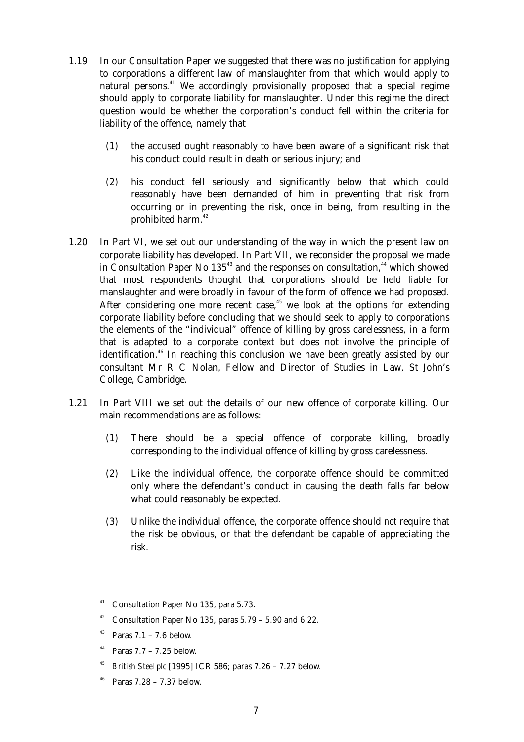- 1.19 In our Consultation Paper we suggested that there was no justification for applying to corporations a different law of manslaughter from that which would apply to natural persons.<sup>41</sup> We accordingly provisionally proposed that a special regime should apply to corporate liability for manslaughter. Under this regime the direct question would be whether the corporation's conduct fell within the criteria for liability of the offence, namely that
	- (1) the accused ought reasonably to have been aware of a significant risk that his conduct could result in death or serious injury; and
	- (2) his conduct fell seriously and significantly below that which could reasonably have been demanded of him in preventing that risk from occurring or in preventing the risk, once in being, from resulting in the prohibited harm.<sup>42</sup>
- 1.20 In Part VI, we set out our understanding of the way in which the present law on corporate liability has developed. In Part VII, we reconsider the proposal we made in Consultation Paper No  $135^{43}$  and the responses on consultation,  $44$  which showed that most respondents thought that corporations should be held liable for manslaughter and were broadly in favour of the form of offence we had proposed. After considering one more recent case,  $45$  we look at the options for extending corporate liability before concluding that we should seek to apply to corporations the elements of the "individual" offence of killing by gross carelessness, in a form that is adapted to a corporate context but does not involve the principle of identification.<sup>46</sup> In reaching this conclusion we have been greatly assisted by our consultant Mr R C Nolan, Fellow and Director of Studies in Law, St John's College, Cambridge.
- 1.21 In Part VIII we set out the details of our new offence of corporate killing. Our main recommendations are as follows:
	- (1) There should be a special offence of corporate killing, broadly corresponding to the individual offence of killing by gross carelessness.
	- (2) Like the individual offence, the corporate offence should be committed only where the defendant's conduct in causing the death falls far below what could reasonably be expected.
	- (3) Unlike the individual offence, the corporate offence should *not* require that the risk be obvious, or that the defendant be capable of appreciating the risk.

- <sup>45</sup> *British Steel plc* [1995] ICR 586; paras 7.26 7.27 below.
- $46$  Paras  $7.28 7.37$  below.

Consultation Paper No 135, para 5.73.

<sup>&</sup>lt;sup>42</sup> Consultation Paper No 135, paras  $5.79 - 5.90$  and  $6.22$ .

 $43$  Paras  $7.1 - 7.6$  below.

 $44$  Paras  $7.7 - 7.25$  below.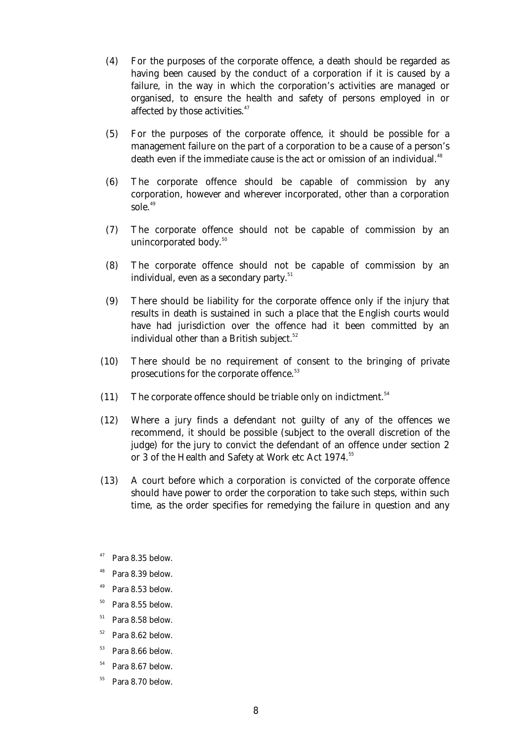- (4) For the purposes of the corporate offence, a death should be regarded as having been caused by the conduct of a corporation if it is caused by a failure, in the way in which the corporation's activities are managed or organised, to ensure the health and safety of persons employed in or affected by those activities.<sup>47</sup>
- (5) For the purposes of the corporate offence, it should be possible for a management failure on the part of a corporation to be a cause of a person's death even if the immediate cause is the act or omission of an individual.<sup>48</sup>
- (6) The corporate offence should be capable of commission by any corporation, however and wherever incorporated, other than a corporation sole. $49$
- (7) The corporate offence should not be capable of commission by an unincorporated body.<sup>50</sup>
- (8) The corporate offence should not be capable of commission by an individual, even as a secondary party. $51$
- (9) There should be liability for the corporate offence only if the injury that results in death is sustained in such a place that the English courts would have had jurisdiction over the offence had it been committed by an individual other than a British subject. $52$
- (10) There should be no requirement of consent to the bringing of private prosecutions for the corporate offence.<sup>53</sup>
- (11) The corporate offence should be triable only on indictment.<sup>54</sup>
- (12) Where a jury finds a defendant not guilty of any of the offences we recommend, it should be possible (subject to the overall discretion of the judge) for the jury to convict the defendant of an offence under section 2 or 3 of the Health and Safety at Work etc Act 1974.<sup>55</sup>
- (13) A court before which a corporation is convicted of the corporate offence should have power to order the corporation to take such steps, within such time, as the order specifies for remedying the failure in question and any
- $47$  Para 8.35 below.
- <sup>48</sup> Para 8.39 below.
- $49$  Para 8.53 below.
- $50$  Para 8.55 below.
- $51$  Para 8.58 below.
- $52$  Para 8.62 below.
- <sup>53</sup> Para 8.66 below.
- <sup>54</sup> Para 8.67 below.
- $55$  Para 8.70 below.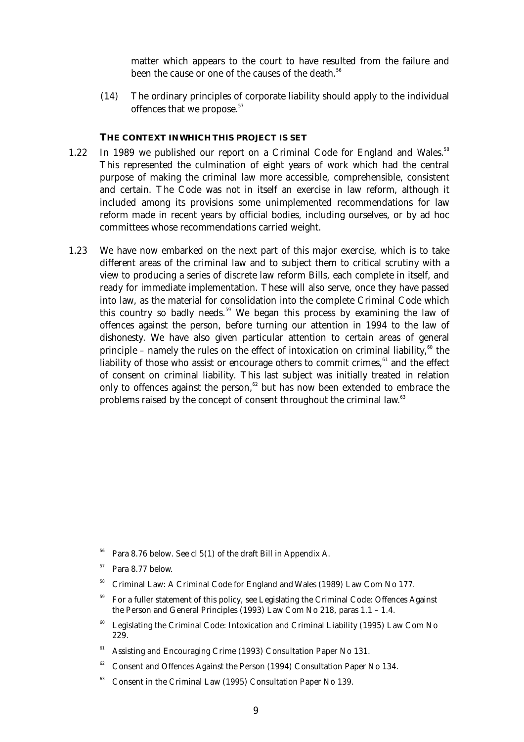matter which appears to the court to have resulted from the failure and been the cause or one of the causes of the death.<sup>56</sup>

 (14) The ordinary principles of corporate liability should apply to the individual offences that we propose.<sup>57</sup>

#### **THE CONTEXT IN WHICH THIS PROJECT IS SET**

- 1.22 In 1989 we published our report on a Criminal Code for England and Wales.<sup>58</sup> This represented the culmination of eight years of work which had the central purpose of making the criminal law more accessible, comprehensible, consistent and certain. The Code was not in itself an exercise in law reform, although it included among its provisions some unimplemented recommendations for law reform made in recent years by official bodies, including ourselves, or by ad hoc committees whose recommendations carried weight.
- 1.23 We have now embarked on the next part of this major exercise, which is to take different areas of the criminal law and to subject them to critical scrutiny with a view to producing a series of discrete law reform Bills, each complete in itself, and ready for immediate implementation. These will also serve, once they have passed into law, as the material for consolidation into the complete Criminal Code which this country so badly needs.<sup>59</sup> We began this process by examining the law of offences against the person, before turning our attention in 1994 to the law of dishonesty. We have also given particular attention to certain areas of general principle – namely the rules on the effect of intoxication on criminal liability, $60$  the liability of those who assist or encourage others to commit crimes, $61$  and the effect of consent on criminal liability. This last subject was initially treated in relation only to offences against the person, $62$  but has now been extended to embrace the problems raised by the concept of consent throughout the criminal law.<sup>63</sup>

- <sup>58</sup> Criminal Law: A Criminal Code for England and Wales (1989) Law Com No 177.
- <sup>59</sup> For a fuller statement of this policy, see Legislating the Criminal Code: Offences Against the Person and General Principles (1993) Law Com No 218, paras 1.1 – 1.4.
- $60$  Legislating the Criminal Code: Intoxication and Criminal Liability (1995) Law Com No 229.
- $61$  Assisting and Encouraging Crime (1993) Consultation Paper No 131.
- $62$  Consent and Offences Against the Person (1994) Consultation Paper No 134.
- <sup>63</sup> Consent in the Criminal Law (1995) Consultation Paper No 139.

<sup>56</sup> Para 8.76 below. See cl 5(1) of the draft Bill in Appendix A.

<sup>57</sup> Para 8.77 below.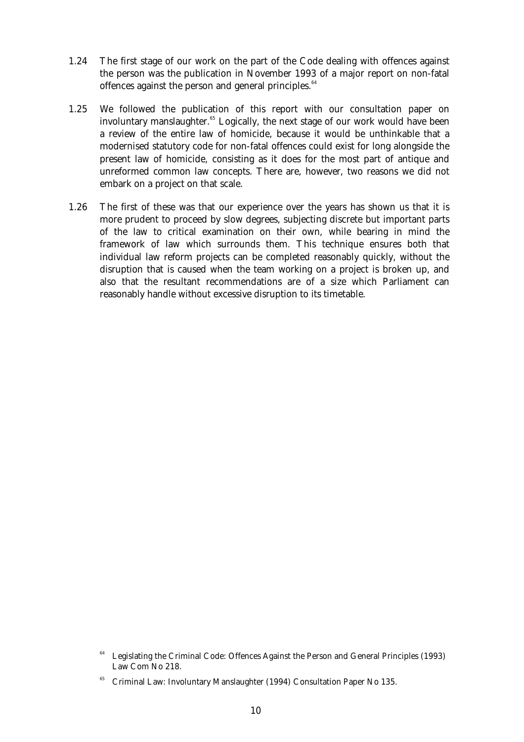- 1.24 The first stage of our work on the part of the Code dealing with offences against the person was the publication in November 1993 of a major report on non-fatal offences against the person and general principles. $64$
- 1.25 We followed the publication of this report with our consultation paper on involuntary manslaughter. $65$  Logically, the next stage of our work would have been a review of the entire law of homicide, because it would be unthinkable that a modernised statutory code for non-fatal offences could exist for long alongside the present law of homicide, consisting as it does for the most part of antique and unreformed common law concepts. There are, however, two reasons we did not embark on a project on that scale.
- 1.26 The first of these was that our experience over the years has shown us that it is more prudent to proceed by slow degrees, subjecting discrete but important parts of the law to critical examination on their own, while bearing in mind the framework of law which surrounds them. This technique ensures both that individual law reform projects can be completed reasonably quickly, without the disruption that is caused when the team working on a project is broken up, and also that the resultant recommendations are of a size which Parliament can reasonably handle without excessive disruption to its timetable.

<sup>64</sup> Legislating the Criminal Code: Offences Against the Person and General Principles (1993) Law Com No 218.

<sup>65</sup> Criminal Law: Involuntary Manslaughter (1994) Consultation Paper No 135.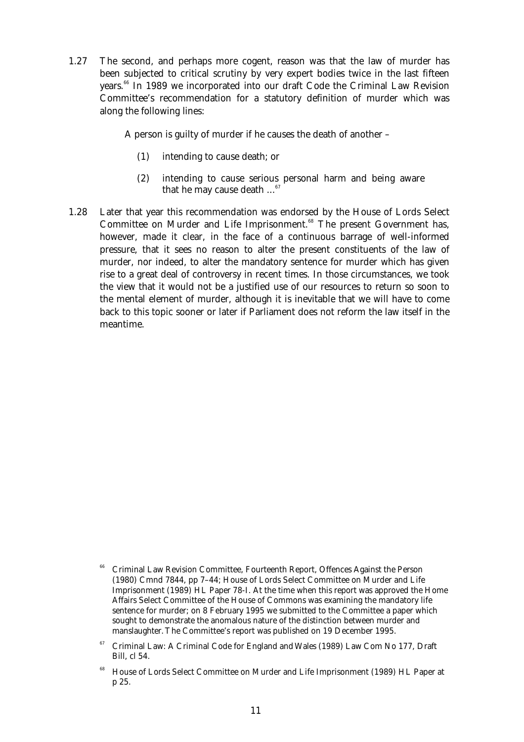1.27 The second, and perhaps more cogent, reason was that the law of murder has been subjected to critical scrutiny by very expert bodies twice in the last fifteen years. <sup>66</sup> In 1989 we incorporated into our draft Code the Criminal Law Revision Committee's recommendation for a statutory definition of murder which was along the following lines:

A person is guilty of murder if he causes the death of another –

- (1) intending to cause death; or
- (2) intending to cause serious personal harm and being aware that he may cause death  $\ldots$ <sup>67</sup>
- 1.28 Later that year this recommendation was endorsed by the House of Lords Select Committee on Murder and Life Imprisonment.<sup>68</sup> The present Government has, however, made it clear, in the face of a continuous barrage of well-informed pressure, that it sees no reason to alter the present constituents of the law of murder, nor indeed, to alter the mandatory sentence for murder which has given rise to a great deal of controversy in recent times. In those circumstances, we took the view that it would not be a justified use of our resources to return so soon to the mental element of murder, although it is inevitable that we will have to come back to this topic sooner or later if Parliament does not reform the law itself in the meantime.

<sup>66</sup> Criminal Law Revision Committee, Fourteenth Report, Offences Against the Person (1980) Cmnd 7844, pp 7–44; House of Lords Select Committee on Murder and Life Imprisonment (1989) HL Paper 78-I. At the time when this report was approved the Home Affairs Select Committee of the House of Commons was examining the mandatory life sentence for murder; on 8 February 1995 we submitted to the Committee a paper which sought to demonstrate the anomalous nature of the distinction between murder and manslaughter. The Committee's report was published on 19 December 1995.

 $67$  Criminal Law: A Criminal Code for England and Wales (1989) Law Com No 177, Draft Bill, cl 54.

<sup>68</sup> House of Lords Select Committee on Murder and Life Imprisonment (1989) HL Paper at p 25.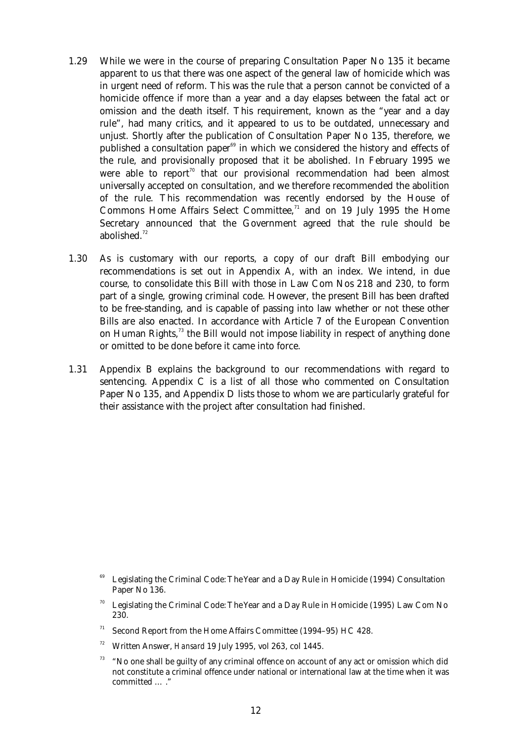- 1.29 While we were in the course of preparing Consultation Paper No 135 it became apparent to us that there was one aspect of the general law of homicide which was in urgent need of reform. This was the rule that a person cannot be convicted of a homicide offence if more than a year and a day elapses between the fatal act or omission and the death itself. This requirement, known as the "year and a day rule", had many critics, and it appeared to us to be outdated, unnecessary and unjust. Shortly after the publication of Consultation Paper No 135, therefore, we published a consultation paper<sup>69</sup> in which we considered the history and effects of the rule, and provisionally proposed that it be abolished. In February 1995 we were able to  $\operatorname{report}^{\tau_0}$  that our provisional recommendation had been almost universally accepted on consultation, and we therefore recommended the abolition of the rule. This recommendation was recently endorsed by the House of Commons Home Affairs Select Committee, $71$  and on 19 July 1995 the Home Secretary announced that the Government agreed that the rule should be abolished. $72$
- 1.30 As is customary with our reports, a copy of our draft Bill embodying our recommendations is set out in Appendix A, with an index. We intend, in due course, to consolidate this Bill with those in Law Com Nos 218 and 230, to form part of a single, growing criminal code. However, the present Bill has been drafted to be free-standing, and is capable of passing into law whether or not these other Bills are also enacted. In accordance with Article 7 of the European Convention on Human Rights,<sup>73</sup> the Bill would not impose liability in respect of anything done or omitted to be done before it came into force.
- 1.31 Appendix B explains the background to our recommendations with regard to sentencing. Appendix C is a list of all those who commented on Consultation Paper No 135, and Appendix D lists those to whom we are particularly grateful for their assistance with the project after consultation had finished.

Legislating the Criminal Code: The Year and a Day Rule in Homicide (1994) Consultation Paper No 136.

Legislating the Criminal Code: The Year and a Day Rule in Homicide (1995) Law Com No 230.

 $71$  Second Report from the Home Affairs Committee (1994–95) HC 428.

<sup>72</sup> Written Answer, *Hansard* 19 July 1995, vol 263, col 1445.

 $73$  "No one shall be guilty of any criminal offence on account of any act or omission which did not constitute a criminal offence under national or international law at the time when it was committed … ."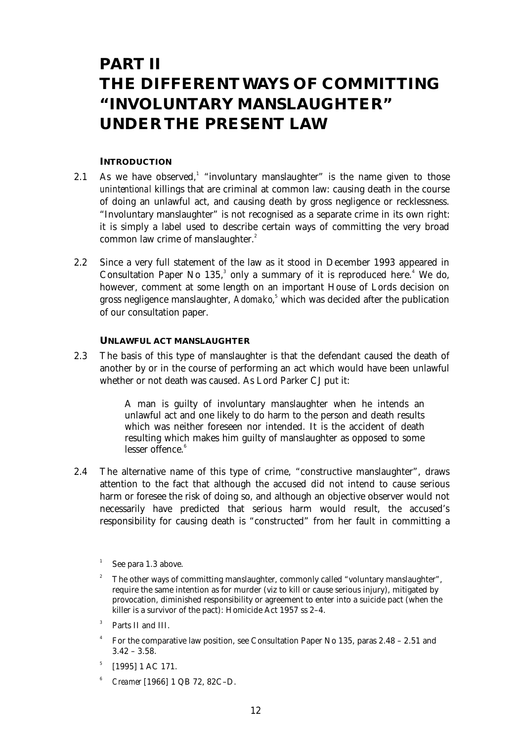## **PART II THE DIFFERENT WAYS OF COMMITTING "INVOLUNTARY MANSLAUGHTER" UNDER THE PRESENT LAW**

#### **INTRODUCTION**

- 2.1 As we have observed,<sup>1</sup> "involuntary manslaughter" is the name given to those *unintentional* killings that are criminal at common law: causing death in the course of doing an unlawful act, and causing death by gross negligence or recklessness. "Involuntary manslaughter" is not recognised as a separate crime in its own right: it is simply a label used to describe certain ways of committing the very broad common law crime of manslaughter.<sup>2</sup>
	- 2.2 Since a very full statement of the law as it stood in December 1993 appeared in Consultation Paper No  $135<sup>3</sup>$  only a summary of it is reproduced here.<sup>4</sup> We do, however, comment at some length on an important House of Lords decision on gross negligence manslaughter, *Adomako*,<sup>5</sup> which was decided after the publication of our consultation paper.

#### **UNLAWFUL ACT MANSLAUGHTER**

 2.3 The basis of this type of manslaughter is that the defendant caused the death of another by or in the course of performing an act which would have been unlawful whether or not death was caused. As Lord Parker CJ put it:

> A man is guilty of involuntary manslaughter when he intends an unlawful act and one likely to do harm to the person and death results which was neither foreseen nor intended. It is the accident of death resulting which makes him guilty of manslaughter as opposed to some lesser offence.<sup>6</sup>

- 2.4 The alternative name of this type of crime, "constructive manslaughter", draws attention to the fact that although the accused did not intend to cause serious harm or foresee the risk of doing so, and although an objective observer would not necessarily have predicted that serious harm would result, the accused's responsibility for causing death is "constructed" from her fault in committing a
	- 1 See para 1.3 above.
	- The other ways of committing manslaughter, commonly called "voluntary manslaughter", require the same intention as for murder (viz to kill or cause serious injury), mitigated by provocation, diminished responsibility or agreement to enter into a suicide pact (when the killer is a survivor of the pact): Homicide Act 1957 ss 2–4.
	- 3 Parts II and III.
	- 4 For the comparative law position, see Consultation Paper No 135, paras 2.48 – 2.51 and  $3.42 - 3.58$ .
	- 5 [1995] 1 AC 171.
	- <sup>6</sup> *Creamer* [1966] 1 QB 72, 82C–D.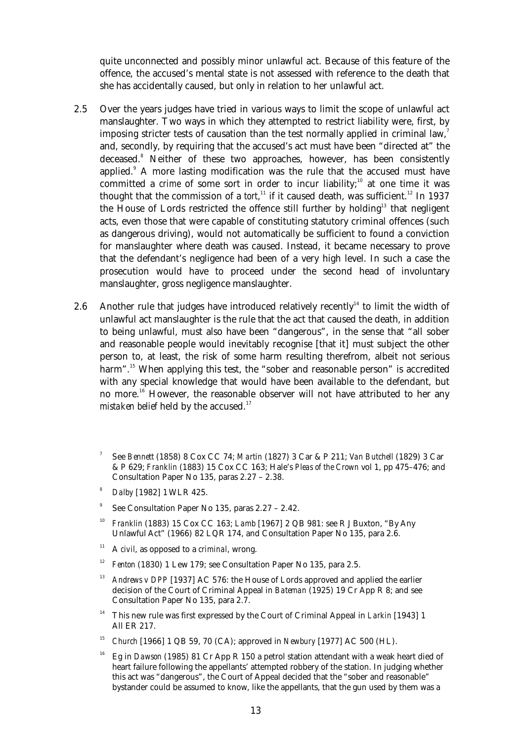quite unconnected and possibly minor unlawful act. Because of this feature of the offence, the accused's mental state is not assessed with reference to the death that she has accidentally caused, but only in relation to her unlawful act.

- 2.5 Over the years judges have tried in various ways to limit the scope of unlawful act manslaughter. Two ways in which they attempted to restrict liability were, first, by imposing stricter tests of causation than the test normally applied in criminal law,<sup>7</sup> and, secondly, by requiring that the accused's act must have been "directed at" the deceased.<sup>8</sup> Neither of these two approaches, however, has been consistently applied.<sup>9</sup> A more lasting modification was the rule that the accused must have committed a *crime* of some sort in order to incur liability;<sup>10</sup> at one time it was thought that the commission of a *tort*,<sup>11</sup> if it caused death, was sufficient.<sup>12</sup> In 1937 the House of Lords restricted the offence still further by holding<sup>13</sup> that negligent acts, even those that were capable of constituting statutory criminal offences (such as dangerous driving), would not automatically be sufficient to found a conviction for manslaughter where death was caused. Instead, it became necessary to prove that the defendant's negligence had been of a very high level. In such a case the prosecution would have to proceed under the second head of involuntary manslaughter, gross negligence manslaughter.
- 2.6 Another rule that judges have introduced relatively recently<sup>14</sup> to limit the width of unlawful act manslaughter is the rule that the act that caused the death, in addition to being unlawful, must also have been "dangerous", in the sense that "all sober and reasonable people would inevitably recognise [that it] must subject the other person to, at least, the risk of some harm resulting therefrom, albeit not serious harm".<sup>15</sup> When applying this test, the "sober and reasonable person" is accredited with any special knowledge that would have been available to the defendant, but no more.<sup>16</sup> However, the reasonable observer will not have attributed to her any *mistaken belief* held by the accused.<sup>17</sup>
	- 7 See *Bennett* (1858) 8 Cox CC 74; *Martin* (1827) 3 Car & P 211; *Van Butchell* (1829) 3 Car & P 629; *Franklin* (1883) 15 Cox CC 163; Hale's *Pleas of the Crown* vol 1, pp 475–476; and Consultation Paper No 135, paras 2.27 – 2.38.
	- <sup>8</sup> *Dalby* [1982] 1 WLR 425.
	- 9 See Consultation Paper No 135, paras 2.27 – 2.42.
	- <sup>10</sup> *Franklin* (1883) 15 Cox CC 163; *Lamb* [1967] 2 QB 981: see R J Buxton, "By Any Unlawful Act" (1966) 82 LQR 174, and Consultation Paper No 135, para 2.6.
	- <sup>11</sup> A *civil*, as opposed to a *criminal*, wrong.
	- <sup>12</sup> *Fenton* (1830) 1 Lew 179; see Consultation Paper No 135, para 2.5.
	- <sup>13</sup> *Andrews v DPP* [1937] AC 576: the House of Lords approved and applied the earlier decision of the Court of Criminal Appeal in *Bateman* (1925) 19 Cr App R 8; and see Consultation Paper No 135, para 2.7.
	- <sup>14</sup> This new rule was first expressed by the Court of Criminal Appeal in *Larkin* [1943] 1 All ER 217.
	- <sup>15</sup> *Church* [1966] 1 QB 59, 70 (CA); approved in *Newbury* [1977] AC 500 (HL).
	- <sup>16</sup> Eg in *Dawson* (1985) 81 Cr App R 150 a petrol station attendant with a weak heart died of heart failure following the appellants' attempted robbery of the station. In judging whether this act was "dangerous", the Court of Appeal decided that the "sober and reasonable" bystander could be assumed to know, like the appellants, that the gun used by them was a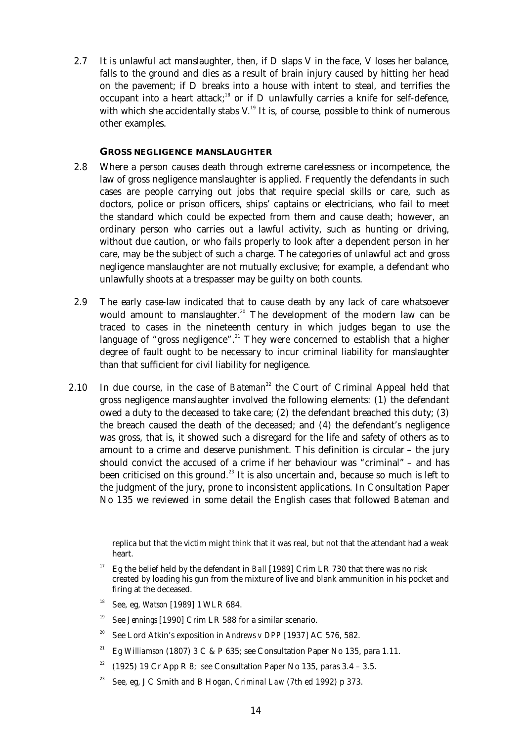2.7 It is unlawful act manslaughter, then, if D slaps V in the face, V loses her balance, falls to the ground and dies as a result of brain injury caused by hitting her head on the pavement; if D breaks into a house with intent to steal, and terrifies the occupant into a heart attack;<sup>18</sup> or if  $D$  unlawfully carries a knife for self-defence, with which she accidentally stabs  $V<sup>19</sup>$  It is, of course, possible to think of numerous other examples.

#### **GROSS NEGLIGENCE MANSLAUGHTER**

- 2.8 Where a person causes death through extreme carelessness or incompetence, the law of gross negligence manslaughter is applied. Frequently the defendants in such cases are people carrying out jobs that require special skills or care, such as doctors, police or prison officers, ships' captains or electricians, who fail to meet the standard which could be expected from them and cause death; however, an ordinary person who carries out a lawful activity, such as hunting or driving, without due caution, or who fails properly to look after a dependent person in her care, may be the subject of such a charge. The categories of unlawful act and gross negligence manslaughter are not mutually exclusive; for example, a defendant who unlawfully shoots at a trespasser may be guilty on both counts.
- 2.9 The early case-law indicated that to cause death by any lack of care whatsoever would amount to manslaughter.<sup>20</sup> The development of the modern law can be traced to cases in the nineteenth century in which judges began to use the language of "gross negligence".<sup>21</sup> They were concerned to establish that a higher degree of fault ought to be necessary to incur criminal liability for manslaughter than that sufficient for civil liability for negligence.
- 2.10 In due course, in the case of *Bateman*<sup>22</sup> the Court of Criminal Appeal held that gross negligence manslaughter involved the following elements: (1) the defendant owed a duty to the deceased to take care; (2) the defendant breached this duty; (3) the breach caused the death of the deceased; and (4) the defendant's negligence was gross, that is, it showed such a disregard for the life and safety of others as to amount to a crime and deserve punishment. This definition is circular – the jury should convict the accused of a crime if her behaviour was "criminal" – and has been criticised on this ground.<sup>23</sup> It is also uncertain and, because so much is left to the judgment of the jury, prone to inconsistent applications. In Consultation Paper No 135 we reviewed in some detail the English cases that followed *Bateman* and

replica but that the victim might think that it was real, but not that the attendant had a weak heart.

- <sup>18</sup> See, eg, *Watson* [1989] 1 WLR 684.
- <sup>19</sup> See *Jennings* [1990] Crim LR 588 for a similar scenario.
- <sup>20</sup> See Lord Atkin's exposition in *Andrews v DPP* [1937] AC 576, 582.
- <sup>21</sup> Eg *Williamson* (1807) 3 C & P 635; see Consultation Paper No 135, para 1.11.
- <sup>22</sup> (1925) 19 Cr App R 8; see Consultation Paper No 135, paras  $3.4 3.5$ .
- <sup>23</sup> See, eg, J C Smith and B Hogan, *Criminal Law* (7th ed 1992) p 373.

<sup>17</sup> Eg the belief held by the defendant in *Ball* [1989] Crim LR 730 that there was no risk created by loading his gun from the mixture of live and blank ammunition in his pocket and firing at the deceased.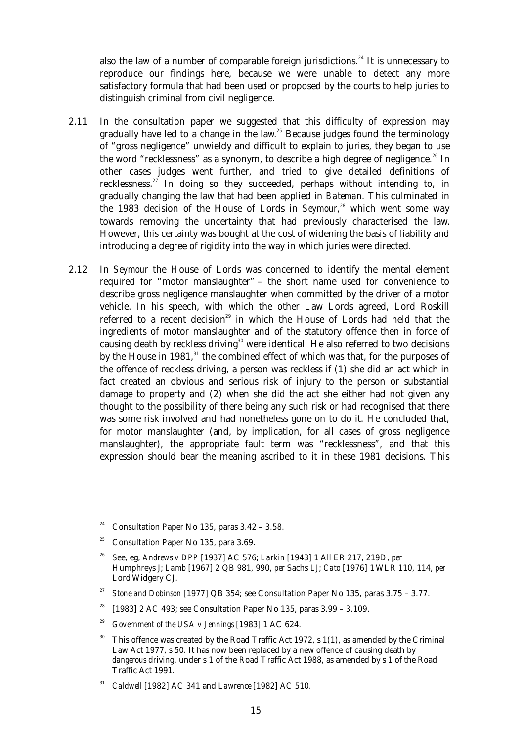also the law of a number of comparable foreign jurisdictions.<sup>24</sup> It is unnecessary to reproduce our findings here, because we were unable to detect any more satisfactory formula that had been used or proposed by the courts to help juries to distinguish criminal from civil negligence.

- 2.11 In the consultation paper we suggested that this difficulty of expression may gradually have led to a change in the law. <sup>25</sup> Because judges found the terminology of "gross negligence" unwieldy and difficult to explain to juries, they began to use the word "recklessness" as a synonym, to describe a high degree of negligence.<sup>26</sup> In other cases judges went further, and tried to give detailed definitions of recklessness. $27$  In doing so they succeeded, perhaps without intending to, in gradually changing the law that had been applied in *Bateman*. This culminated in the 1983 decision of the House of Lords in *Seymour*,<sup>28</sup> which went some way towards removing the uncertainty that had previously characterised the law. However, this certainty was bought at the cost of widening the basis of liability and introducing a degree of rigidity into the way in which juries were directed.
- 2.12 In *Seymour* the House of Lords was concerned to identify the mental element required for "motor manslaughter" – the short name used for convenience to describe gross negligence manslaughter when committed by the driver of a motor vehicle. In his speech, with which the other Law Lords agreed, Lord Roskill referred to a recent decision<sup>29</sup> in which the House of Lords had held that the ingredients of motor manslaughter and of the statutory offence then in force of causing death by reckless driving<sup>30</sup> were identical. He also referred to two decisions by the House in  $1981$ ,<sup>31</sup> the combined effect of which was that, for the purposes of the offence of reckless driving, a person was reckless if (1) she did an act which in fact created an obvious and serious risk of injury to the person or substantial damage to property and (2) when she did the act she either had not given any thought to the possibility of there being any such risk or had recognised that there was some risk involved and had nonetheless gone on to do it. He concluded that, for motor manslaughter (and, by implication, for all cases of gross negligence manslaughter), the appropriate fault term was "recklessness", and that this expression should bear the meaning ascribed to it in these 1981 decisions. This

- <sup>27</sup> *Stone and Dobinson* [1977] QB 354; see Consultation Paper No 135, paras 3.75 3.77.
- <sup>28</sup> [1983] 2 AC 493; see Consultation Paper No 135, paras  $3.99 3.109$ .
- <sup>29</sup> *Government of the USA v Jennings* [1983] 1 AC 624.
- This offence was created by the Road Traffic Act 1972, s 1(1), as amended by the Criminal Law Act 1977, s 50. It has now been replaced by a new offence of causing death by *dangerous* driving, under s 1 of the Road Traffic Act 1988, as amended by s 1 of the Road Traffic Act 1991.

Consultation Paper No 135, paras  $3.42 - 3.58$ .

<sup>&</sup>lt;sup>25</sup> Consultation Paper No 135, para 3.69.

<sup>26</sup> See, eg, *Andrews v DPP* [1937] AC 576; *Larkin* [1943] 1 All ER 217, 219D, *per* Humphreys J; *Lamb* [1967] 2 QB 981, 990, *per* Sachs LJ; *Cato* [1976] 1 WLR 110, 114, *per* Lord Widgery CJ.

<sup>31</sup> *Caldwell* [1982] AC 341 and *Lawrence* [1982] AC 510.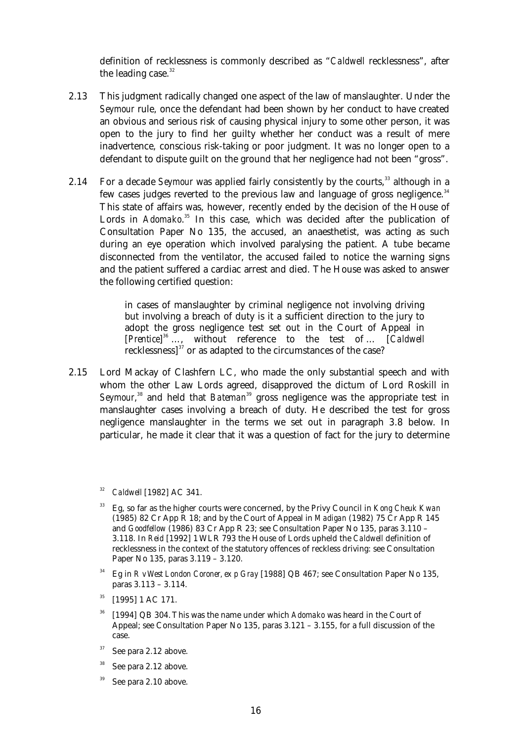definition of recklessness is commonly described as "*Caldwell* recklessness", after the leading case. $32$ 

- 2.13 This judgment radically changed one aspect of the law of manslaughter. Under the *Seymour* rule, once the defendant had been shown by her conduct to have created an obvious and serious risk of causing physical injury to some other person, it was open to the jury to find her guilty whether her conduct was a result of mere inadvertence, conscious risk-taking or poor judgment. It was no longer open to a defendant to dispute guilt on the ground that her negligence had not been "gross".
- 2.14 For a decade *Seymour* was applied fairly consistently by the courts,<sup>33</sup> although in a few cases judges reverted to the previous law and language of gross negligence. $34$ This state of affairs was, however, recently ended by the decision of the House of Lords in *Adomako*.<sup>35</sup> In this case, which was decided after the publication of Consultation Paper No 135, the accused, an anaesthetist, was acting as such during an eye operation which involved paralysing the patient. A tube became disconnected from the ventilator, the accused failed to notice the warning signs and the patient suffered a cardiac arrest and died. The House was asked to answer the following certified question:

in cases of manslaughter by criminal negligence not involving driving but involving a breach of duty is it a sufficient direction to the jury to adopt the gross negligence test set out in the Court of Appeal in [*Prentice*] 36 …, without reference to the test of … [*Caldwell*  $recklessness]$ <sup>37</sup> or as adapted to the circumstances of the case?

 2.15 Lord Mackay of Clashfern LC, who made the only substantial speech and with whom the other Law Lords agreed, disapproved the dictum of Lord Roskill in Seymour,<sup>38</sup> and held that *Bateman*<sup>39</sup> gross negligence was the appropriate test in manslaughter cases involving a breach of duty. He described the test for gross negligence manslaughter in the terms we set out in paragraph 3.8 below. In particular, he made it clear that it was a question of fact for the jury to determine

- <sup>33</sup> Eg, so far as the higher courts were concerned, by the Privy Council in *Kong Cheuk Kwan* (1985) 82 Cr App R 18; and by the Court of Appeal in *Madigan* (1982) 75 Cr App R 145 and *Goodfellow* (1986) 83 Cr App R 23; see Consultation Paper No 135, paras 3.110 – 3.118. In *Reid* [1992] 1 WLR 793 the House of Lords upheld the *Caldwell* definition of recklessness in the context of the statutory offences of reckless driving: see Consultation Paper No 135, paras 3.119 – 3.120.
- <sup>34</sup> Eg in *R v West London Coroner, ex p Gray* [1988] QB 467; see Consultation Paper No 135, paras 3.113 – 3.114.
- $35$  [1995] 1 AC 171.
- <sup>36</sup> [1994] QB 304. This was the name under which *Adomako* was heard in the Court of Appeal; see Consultation Paper No 135, paras 3.121 – 3.155, for a full discussion of the case.
- $37$  See para 2.12 above.
- $38$  See para 2.12 above.
- See para 2.10 above.

<sup>32</sup> *Caldwell* [1982] AC 341.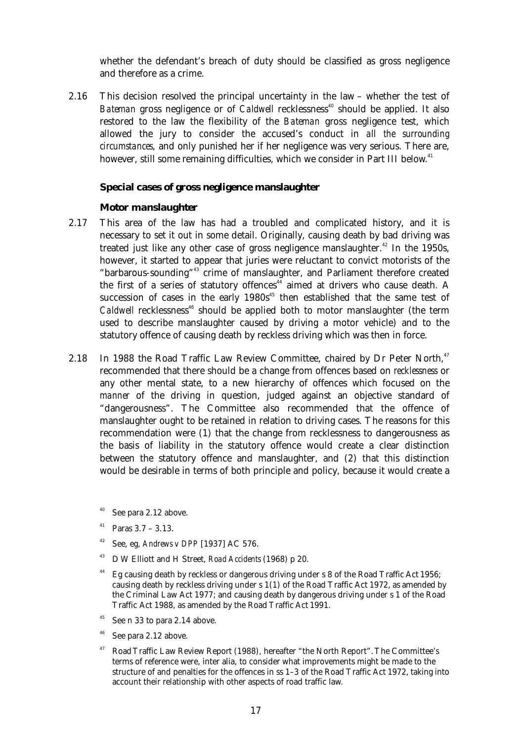whether the defendant's breach of duty should be classified as gross negligence and therefore as a crime.

 2.16 This decision resolved the principal uncertainty in the law – whether the test of *Bateman* gross negligence or of *Caldwell* recklessness<sup>40</sup> should be applied. It also restored to the law the flexibility of the *Bateman* gross negligence test, which allowed the jury to consider the accused's conduct in *all the surrounding circumstances*, and only punished her if her negligence was very serious. There are, however, still some remaining difficulties, which we consider in Part III below.<sup>41</sup>

#### **Special cases of gross negligence manslaughter**

#### *Motor manslaughter*

- 2.17 This area of the law has had a troubled and complicated history, and it is necessary to set it out in some detail. Originally, causing death by bad driving was treated just like any other case of gross negligence manslaughter.<sup>42</sup> In the 1950s, however, it started to appear that juries were reluctant to convict motorists of the "barbarous-sounding"<sup>43</sup> crime of manslaughter, and Parliament therefore created the first of a series of statutory offences $44$  aimed at drivers who cause death. A succession of cases in the early  $1980s<sup>45</sup>$  then established that the same test of *Caldwell* recklessness<sup>46</sup> should be applied both to motor manslaughter (the term used to describe manslaughter caused by driving a motor vehicle) and to the statutory offence of causing death by reckless driving which was then in force.
- 2.18 In 1988 the Road Traffic Law Review Committee, chaired by Dr Peter North.<sup>47</sup> recommended that there should be a change from offences based on *recklessness* or any other mental state, to a new hierarchy of offences which focused on the *manner* of the driving in question, judged against an objective standard of "dangerousness". The Committee also recommended that the offence of manslaughter ought to be retained in relation to driving cases. The reasons for this recommendation were (1) that the change from recklessness to dangerousness as the basis of liability in the statutory offence would create a clear distinction between the statutory offence and manslaughter, and (2) that this distinction would be desirable in terms of both principle and policy, because it would create a

- <sup>41</sup> Paras  $3.7 3.13$ .
- <sup>42</sup> See, eg, *Andrews v DPP* [1937] AC 576.
- <sup>43</sup> D W Elliott and H Street, *Road Accidents* (1968) p 20.
- <sup>44</sup> Eg causing death by reckless or dangerous driving under s 8 of the Road Traffic Act 1956; causing death by reckless driving under s 1(1) of the Road Traffic Act 1972, as amended by the Criminal Law Act 1977; and causing death by dangerous driving under s 1 of the Road Traffic Act 1988, as amended by the Road Traffic Act 1991.
- See n 33 to para 2.14 above.
- $46$  See para 2.12 above.
- <sup>47</sup> Road Traffic Law Review Report (1988), hereafter "the North Report". The Committee's terms of reference were, inter alia, to consider what improvements might be made to the structure of and penalties for the offences in ss 1–3 of the Road Traffic Act 1972, taking into account their relationship with other aspects of road traffic law.

See para 2.12 above.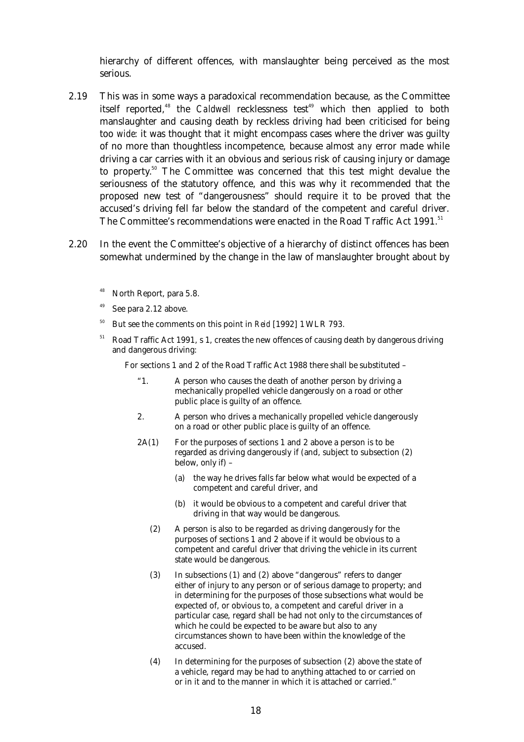hierarchy of different offences, with manslaughter being perceived as the most serious.

- 2.19 This was in some ways a paradoxical recommendation because, as the Committee itself reported,<sup>48</sup> the *Caldwell* recklessness test<sup>49</sup> which then applied to both manslaughter and causing death by reckless driving had been criticised for being too *wide*: it was thought that it might encompass cases where the driver was guilty of no more than thoughtless incompetence, because almost *any* error made while driving a car carries with it an obvious and serious risk of causing injury or damage to property.<sup>50</sup> The Committee was concerned that this test might devalue the seriousness of the statutory offence, and this was why it recommended that the proposed new test of "dangerousness" should require it to be proved that the accused's driving fell *far* below the standard of the competent and careful driver. The Committee's recommendations were enacted in the Road Traffic Act 1991.<sup>51</sup>
- 2.20 In the event the Committee's objective of a hierarchy of distinct offences has been somewhat undermined by the change in the law of manslaughter brought about by
	- <sup>48</sup> North Report, para 5.8.
	- $49$  See para 2.12 above.
	- <sup>50</sup> But see the comments on this point in *Reid* [1992] 1 WLR 793.
	- $51$  Road Traffic Act 1991, s 1, creates the new offences of causing death by dangerous driving and dangerous driving:

For sections 1 and 2 of the Road Traffic Act 1988 there shall be substituted –

- "1. A person who causes the death of another person by driving a mechanically propelled vehicle dangerously on a road or other public place is guilty of an offence.
- 2. A person who drives a mechanically propelled vehicle dangerously on a road or other public place is guilty of an offence.
- $2A(1)$  For the purposes of sections 1 and 2 above a person is to be regarded as driving dangerously if (and, subject to subsection (2) below, only if) –
	- (a) the way he drives falls far below what would be expected of a competent and careful driver, and
	- (b) it would be obvious to a competent and careful driver that driving in that way would be dangerous.
	- (2) A person is also to be regarded as driving dangerously for the purposes of sections 1 and 2 above if it would be obvious to a competent and careful driver that driving the vehicle in its current state would be dangerous.
	- (3) In subsections (1) and (2) above "dangerous" refers to danger either of injury to any person or of serious damage to property; and in determining for the purposes of those subsections what would be expected of, or obvious to, a competent and careful driver in a particular case, regard shall be had not only to the circumstances of which he could be expected to be aware but also to any circumstances shown to have been within the knowledge of the accused.
	- (4) In determining for the purposes of subsection (2) above the state of a vehicle, regard may be had to anything attached to or carried on or in it and to the manner in which it is attached or carried."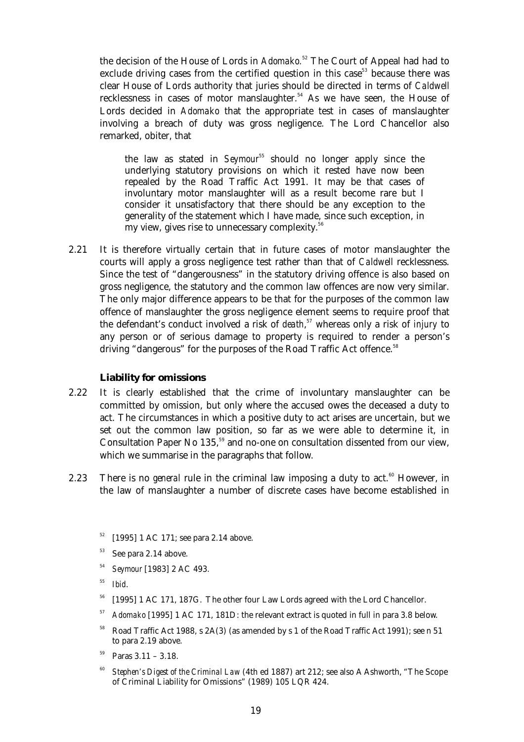the decision of the House of Lords in *Adomako.*<sup>52</sup> The Court of Appeal had had to exclude driving cases from the certified question in this case<sup>53</sup> because there was clear House of Lords authority that juries should be directed in terms of *Caldwell* recklessness in cases of motor manslaughter.<sup>54</sup> As we have seen, the House of Lords decided in *Adomako* that the appropriate test in cases of manslaughter involving a breach of duty was gross negligence. The Lord Chancellor also remarked, obiter, that

the law as stated in *Seymour*<sup>55</sup> should no longer apply since the underlying statutory provisions on which it rested have now been repealed by the Road Traffic Act 1991. It may be that cases of involuntary motor manslaughter will as a result become rare but I consider it unsatisfactory that there should be any exception to the generality of the statement which I have made, since such exception, in my view, gives rise to unnecessary complexity.<sup>56</sup>

 2.21 It is therefore virtually certain that in future cases of motor manslaughter the courts will apply a gross negligence test rather than that of *Caldwell* recklessness. Since the test of "dangerousness" in the statutory driving offence is also based on gross negligence, the statutory and the common law offences are now very similar. The only major difference appears to be that for the purposes of the common law offence of manslaughter the gross negligence element seems to require proof that the defendant's conduct involved a risk of *death*, <sup>57</sup> whereas only a risk of *injury* to any person or of serious damage to property is required to render a person's driving "dangerous" for the purposes of the Road Traffic Act offence.<sup>58</sup>

#### *Liability for omissions*

- 2.22 It is clearly established that the crime of involuntary manslaughter can be committed by omission, but only where the accused owes the deceased a duty to act. The circumstances in which a positive duty to act arises are uncertain, but we set out the common law position, so far as we were able to determine it, in Consultation Paper No  $135$ <sup>59</sup> and no-one on consultation dissented from our view, which we summarise in the paragraphs that follow.
- 2.23 There is no *general* rule in the criminal law imposing a duty to act.<sup>60</sup> However, in the law of manslaughter a number of discrete cases have become established in
	- $52$  [1995] 1 AC 171; see para 2.14 above.
	- $53$  See para 2.14 above.
	- <sup>54</sup> *Seymour* [1983] 2 AC 493.
	- <sup>55</sup> *Ibid*.
	- <sup>56</sup> [1995] 1 AC 171, 187G. The other four Law Lords agreed with the Lord Chancellor.
	- <sup>57</sup> *Adomako* [1995] 1 AC 171, 181D: the relevant extract is quoted in full in para 3.8 below.
	- <sup>58</sup> Road Traffic Act 1988, s 2A(3) (as amended by s 1 of the Road Traffic Act 1991); see n 51 to para 2.19 above.
	- $59$  Paras 3.11 3.18.
	- <sup>60</sup> *Stephen's Digest of the Criminal Law* (4th ed 1887) art 212; see also A Ashworth, "The Scope of Criminal Liability for Omissions" (1989) 105 LQR 424.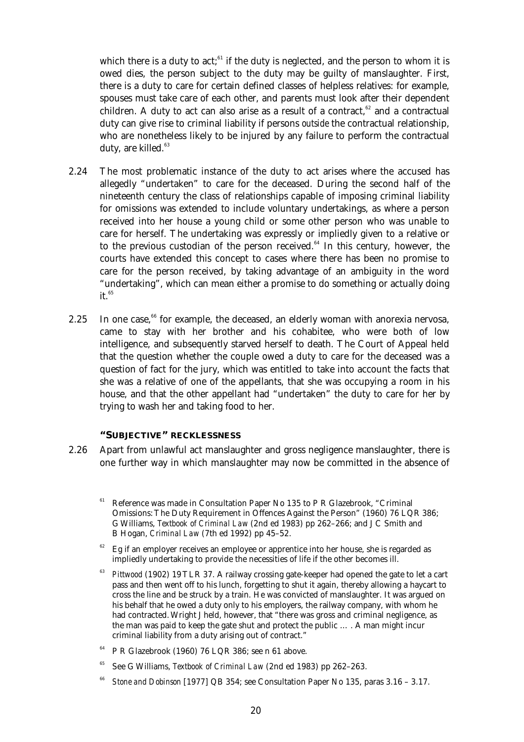which there is a duty to act; $61$  if the duty is neglected, and the person to whom it is owed dies, the person subject to the duty may be guilty of manslaughter. First, there is a duty to care for certain defined classes of helpless relatives: for example, spouses must take care of each other, and parents must look after their dependent children. A duty to act can also arise as a result of a contract,<sup>62</sup> and a contractual duty can give rise to criminal liability if persons *outside* the contractual relationship, who are nonetheless likely to be injured by any failure to perform the contractual duty, are killed. $63$ 

- 2.24 The most problematic instance of the duty to act arises where the accused has allegedly "undertaken" to care for the deceased. During the second half of the nineteenth century the class of relationships capable of imposing criminal liability for omissions was extended to include voluntary undertakings, as where a person received into her house a young child or some other person who was unable to care for herself. The undertaking was expressly or impliedly given to a relative or to the previous custodian of the person received. $64$  In this century, however, the courts have extended this concept to cases where there has been no promise to care for the person received, by taking advantage of an ambiguity in the word "undertaking", which can mean either a promise to do something or actually doing  $i$ <sup>65</sup>
- $2.25$  In one case.<sup>66</sup> for example, the deceased, an elderly woman with anorexia nervosa, came to stay with her brother and his cohabitee, who were both of low intelligence, and subsequently starved herself to death. The Court of Appeal held that the question whether the couple owed a duty to care for the deceased was a question of fact for the jury, which was entitled to take into account the facts that she was a relative of one of the appellants, that she was occupying a room in his house, and that the other appellant had "undertaken" the duty to care for her by trying to wash her and taking food to her.

#### **"SUBJECTIVE" RECKLESSNESS**

- 2.26 Apart from unlawful act manslaughter and gross negligence manslaughter, there is one further way in which manslaughter may now be committed in the absence of
	- $61$  Reference was made in Consultation Paper No 135 to P R Glazebrook, "Criminal Omissions: The Duty Requirement in Offences Against the Person" (1960) 76 LQR 386; G Williams, *Textbook of Criminal Law* (2nd ed 1983) pp 262–266; and J C Smith and B Hogan, *Criminal Law* (7th ed 1992) pp 45–52.
	- $62$  Eg if an employer receives an employee or apprentice into her house, she is regarded as impliedly undertaking to provide the necessities of life if the other becomes ill.
	- <sup>63</sup> *Pittwood* (1902) 19 TLR 37. A railway crossing gate-keeper had opened the gate to let a cart pass and then went off to his lunch, forgetting to shut it again, thereby allowing a haycart to cross the line and be struck by a train. He was convicted of manslaughter. It was argued on his behalf that he owed a duty only to his employers, the railway company, with whom he had contracted. Wright J held, however, that "there was gross and criminal negligence, as the man was paid to keep the gate shut and protect the public … . A man might incur criminal liability from a duty arising out of contract."
	- $64$  P R Glazebrook (1960) 76 LQR 386; see n 61 above.
	- <sup>65</sup> See G Williams, *Textbook of Criminal Law* (2nd ed 1983) pp 262–263.
	- <sup>66</sup> *Stone and Dobinson* [1977] QB 354; see Consultation Paper No 135, paras 3.16 3.17.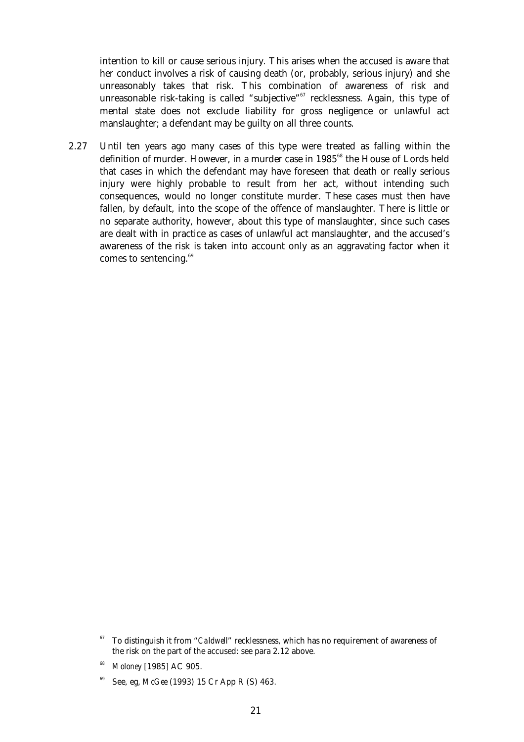intention to kill or cause serious injury. This arises when the accused is aware that her conduct involves a risk of causing death (or, probably, serious injury) and she unreasonably takes that risk. This combination of awareness of risk and unreasonable risk-taking is called "subjective"<sup>67</sup> recklessness. Again, this type of mental state does not exclude liability for gross negligence or unlawful act manslaughter; a defendant may be guilty on all three counts.

 2.27 Until ten years ago many cases of this type were treated as falling within the definition of murder. However, in a murder case in 1985<sup>68</sup> the House of Lords held that cases in which the defendant may have foreseen that death or really serious injury were highly probable to result from her act, without intending such consequences, would no longer constitute murder. These cases must then have fallen, by default, into the scope of the offence of manslaughter. There is little or no separate authority, however, about this type of manslaughter, since such cases are dealt with in practice as cases of unlawful act manslaughter, and the accused's awareness of the risk is taken into account only as an aggravating factor when it comes to sentencing. $69$ 

<sup>&</sup>lt;sup>67</sup> To distinguish it from "*Caldwell*" recklessness, which has no requirement of awareness of the risk on the part of the accused: see para 2.12 above.

<sup>68</sup> *Moloney* [1985] AC 905.

<sup>69</sup> See, eg, *McGee* (1993) 15 Cr App R (S) 463.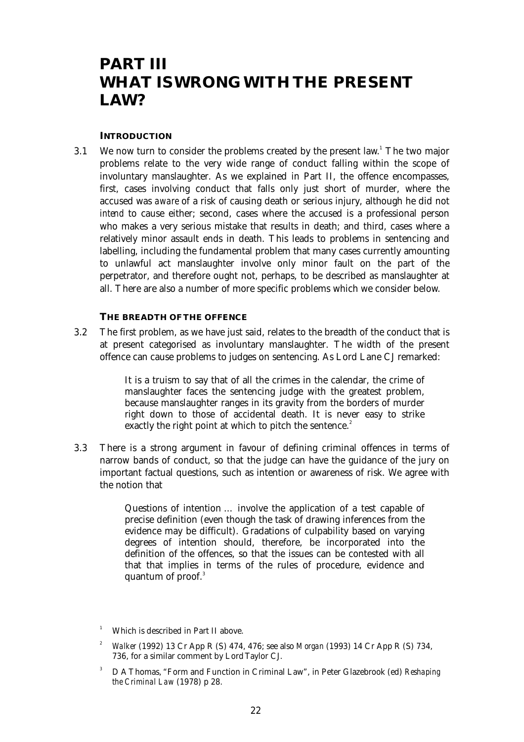### **PART III WHAT IS WRONG WITH THE PRESENT LAW?**

#### **INTRODUCTION**

3.1 We now turn to consider the problems created by the present law.<sup>1</sup> The two major problems relate to the very wide range of conduct falling within the scope of involuntary manslaughter. As we explained in Part II, the offence encompasses, first, cases involving conduct that falls only just short of murder, where the accused was *aware* of a risk of causing death or serious injury, although he did not *intend* to cause either; second, cases where the accused is a professional person who makes a very serious mistake that results in death; and third, cases where a relatively minor assault ends in death. This leads to problems in sentencing and labelling, including the fundamental problem that many cases currently amounting to unlawful act manslaughter involve only minor fault on the part of the perpetrator, and therefore ought not, perhaps, to be described as manslaughter at all. There are also a number of more specific problems which we consider below.

#### **THE BREADTH OF THE OFFENCE**

 3.2 The first problem, as we have just said, relates to the breadth of the conduct that is at present categorised as involuntary manslaughter. The width of the present offence can cause problems to judges on sentencing. As Lord Lane CJ remarked:

> It is a truism to say that of all the crimes in the calendar, the crime of manslaughter faces the sentencing judge with the greatest problem, because manslaughter ranges in its gravity from the borders of murder right down to those of accidental death. It is never easy to strike exactly the right point at which to pitch the sentence.<sup>2</sup>

 3.3 There is a strong argument in favour of defining criminal offences in terms of narrow bands of conduct, so that the judge can have the guidance of the jury on important factual questions, such as intention or awareness of risk. We agree with the notion that

> Questions of intention … involve the application of a test capable of precise definition (even though the task of drawing inferences from the evidence may be difficult). Gradations of culpability based on varying degrees of intention should, therefore, be incorporated into the definition of the offences, so that the issues can be contested with all that that implies in terms of the rules of procedure, evidence and quantum of  $proof.<sup>3</sup>$

<sup>3</sup> D A Thomas, "Form and Function in Criminal Law", in Peter Glazebrook (ed) *Reshaping the Criminal Law* (1978) p 28.

Which is described in Part II above.

<sup>2</sup> *Walker* (1992) 13 Cr App R (S) 474, 476; see also *Morgan* (1993) 14 Cr App R (S) 734, 736, for a similar comment by Lord Taylor CJ.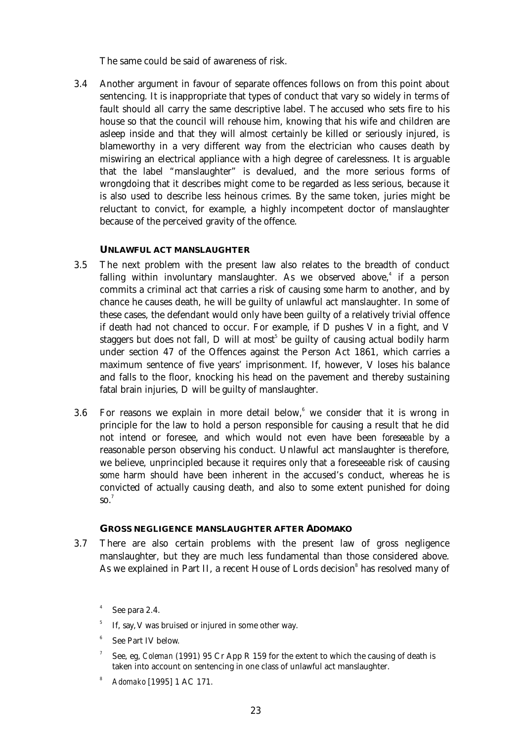The same could be said of awareness of risk.

 3.4 Another argument in favour of separate offences follows on from this point about sentencing. It is inappropriate that types of conduct that vary so widely in terms of fault should all carry the same descriptive label. The accused who sets fire to his house so that the council will rehouse him, knowing that his wife and children are asleep inside and that they will almost certainly be killed or seriously injured, is blameworthy in a very different way from the electrician who causes death by miswiring an electrical appliance with a high degree of carelessness. It is arguable that the label "manslaughter" is devalued, and the more serious forms of wrongdoing that it describes might come to be regarded as less serious, because it is also used to describe less heinous crimes. By the same token, juries might be reluctant to convict, for example, a highly incompetent doctor of manslaughter because of the perceived gravity of the offence.

#### **UNLAWFUL ACT MANSLAUGHTER**

- 3.5 The next problem with the present law also relates to the breadth of conduct falling within involuntary manslaughter. As we observed above, $^4$  if a person commits a criminal act that carries a risk of causing *some* harm to another, and by chance he causes death, he will be guilty of unlawful act manslaughter. In some of these cases, the defendant would only have been guilty of a relatively trivial offence if death had not chanced to occur. For example, if D pushes V in a fight, and V staggers but does not fall, D will at most $5$  be guilty of causing actual bodily harm under section 47 of the Offences against the Person Act 1861, which carries a maximum sentence of five years' imprisonment. If, however, V loses his balance and falls to the floor, knocking his head on the pavement and thereby sustaining fatal brain injuries, D will be guilty of manslaughter.
- $3.6$  For reasons we explain in more detail below,  $6$  we consider that it is wrong in principle for the law to hold a person responsible for causing a result that he did not intend or foresee, and which would not even have been *foreseeable* by a reasonable person observing his conduct. Unlawful act manslaughter is therefore, we believe, unprincipled because it requires only that a foreseeable risk of causing *some* harm should have been inherent in the accused's conduct, whereas he is convicted of actually causing death, and also to some extent punished for doing  $\text{so.}^7$

#### **GROSS NEGLIGENCE MANSLAUGHTER AFTER** *ADOMAKO*

 3.7 There are also certain problems with the present law of gross negligence manslaughter, but they are much less fundamental than those considered above. As we explained in Part II, a recent House of Lords decision $^{\text{s}}$  has resolved many of

- 5 If, say, V was bruised or injured in some other way.
- 6 See Part IV below.
- 7 See, eg, *Coleman* (1991) 95 Cr App R 159 for the extent to which the causing of death is taken into account on sentencing in one class of unlawful act manslaughter.
- <sup>8</sup> *Adomako* [1995] 1 AC 171.

<sup>4</sup> See para 2.4.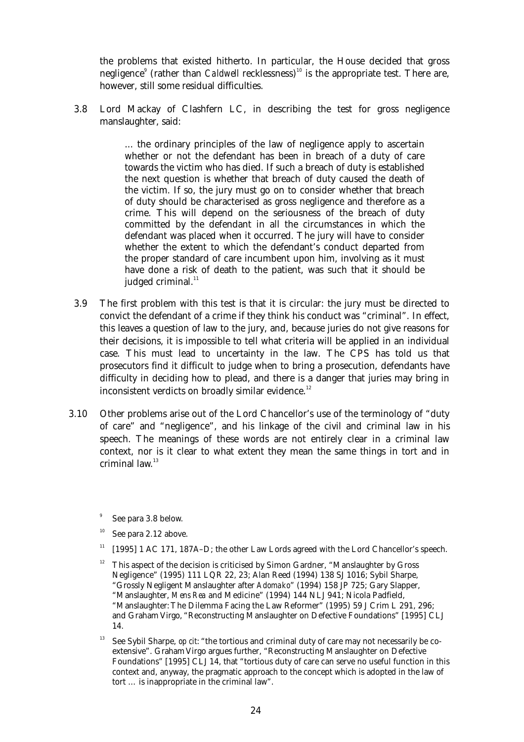the problems that existed hitherto. In particular, the House decided that gross negligence<sup>9</sup> (rather than *Caldwell* recklessness)<sup>10</sup> is the appropriate test. There are, however, still some residual difficulties.

 3.8 Lord Mackay of Clashfern LC, in describing the test for gross negligence manslaughter, said:

> ... the ordinary principles of the law of negligence apply to ascertain whether or not the defendant has been in breach of a duty of care towards the victim who has died. If such a breach of duty is established the next question is whether that breach of duty caused the death of the victim. If so, the jury must go on to consider whether that breach of duty should be characterised as gross negligence and therefore as a crime. This will depend on the seriousness of the breach of duty committed by the defendant in all the circumstances in which the defendant was placed when it occurred. The jury will have to consider whether the extent to which the defendant's conduct departed from the proper standard of care incumbent upon him, involving as it must have done a risk of death to the patient, was such that it should be judged criminal.<sup>11</sup>

- 3.9 The first problem with this test is that it is circular: the jury must be directed to convict the defendant of a crime if they think his conduct was "criminal". In effect, this leaves a question of law to the jury, and, because juries do not give reasons for their decisions, it is impossible to tell what criteria will be applied in an individual case. This must lead to uncertainty in the law. The CPS has told us that prosecutors find it difficult to judge when to bring a prosecution, defendants have difficulty in deciding how to plead, and there is a danger that juries may bring in inconsistent verdicts on broadly similar evidence.<sup>12</sup>
- 3.10 Other problems arise out of the Lord Chancellor's use of the terminology of "duty of care" and "negligence", and his linkage of the civil and criminal law in his speech. The meanings of these words are not entirely clear in a criminal law context, nor is it clear to what extent they mean the same things in tort and in criminal law. 13
	- 9 See para 3.8 below.
	- $10$  See para 2.12 above.
	- $11$  [1995] 1 AC 171, 187A–D; the other Law Lords agreed with the Lord Chancellor's speech.
	- <sup>12</sup> This aspect of the decision is criticised by Simon Gardner, "Manslaughter by Gross" Negligence" (1995) 111 LQR 22, 23; Alan Reed (1994) 138 SJ 1016; Sybil Sharpe, "Grossly Negligent Manslaughter after *Adomako*" (1994) 158 JP 725; Gary Slapper, "Manslaughter, *Mens Rea* and Medicine" (1994) 144 NLJ 941; Nicola Padfield, "Manslaughter: The Dilemma Facing the Law Reformer" (1995) 59 J Crim L 291, 296; and Graham Virgo, "Reconstructing Manslaughter on Defective Foundations" [1995] CLJ 14.
	- <sup>13</sup> See Sybil Sharpe, *op cit*: "the tortious and criminal duty of care may not necessarily be coextensive". Graham Virgo argues further, "Reconstructing Manslaughter on Defective Foundations" [1995] CLJ 14, that "tortious duty of care can serve no useful function in this context and, anyway, the pragmatic approach to the concept which is adopted in the law of tort … is inappropriate in the criminal law".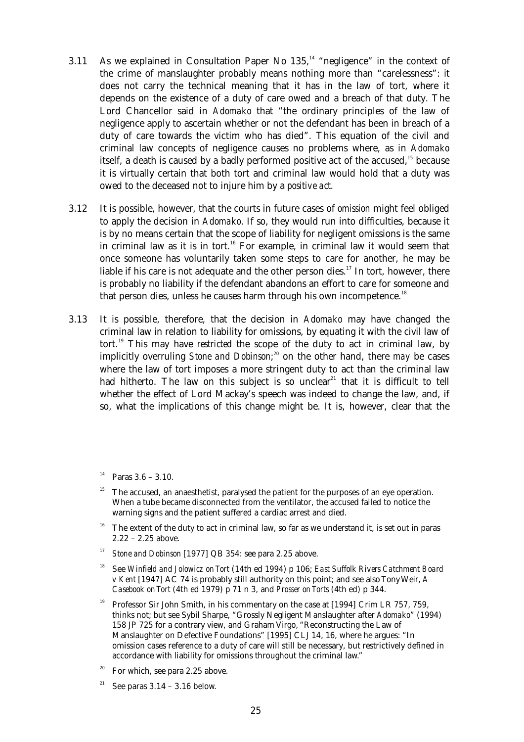- 3.11 As we explained in Consultation Paper No  $135<sup>14</sup>$  "negligence" in the context of the crime of manslaughter probably means nothing more than "carelessness": it does not carry the technical meaning that it has in the law of tort, where it depends on the existence of a duty of care owed and a breach of that duty. The Lord Chancellor said in *Adomako* that "the ordinary principles of the law of negligence apply to ascertain whether or not the defendant has been in breach of a duty of care towards the victim who has died". This equation of the civil and criminal law concepts of negligence causes no problems where, as in *Adomako* itself, a death is caused by a badly performed positive act of the accused.<sup>15</sup> because it is virtually certain that both tort and criminal law would hold that a duty was owed to the deceased not to injure him by a *positive act*.
- 3.12 It is possible, however, that the courts in future cases of *omission* might feel obliged to apply the decision in *Adomako*. If so, they would run into difficulties, because it is by no means certain that the scope of liability for negligent omissions is the same in criminal law as it is in tort.<sup>16</sup> For example, in criminal law it would seem that once someone has voluntarily taken some steps to care for another, he may be liable if his care is not adequate and the other person dies.<sup>17</sup> In tort, however, there is probably no liability if the defendant abandons an effort to care for someone and that person dies, unless he causes harm through his own incompetence.<sup>18</sup>
- 3.13 It is possible, therefore, that the decision in *Adomako* may have changed the criminal law in relation to liability for omissions, by equating it with the civil law of tort.<sup>19</sup> This may have *restricted* the scope of the duty to act in criminal law, by implicitly overruling *Stone and Dobinson*;<sup>20</sup> on the other hand, there *may* be cases where the law of tort imposes a more stringent duty to act than the criminal law had hitherto. The law on this subject is so unclear<sup>21</sup> that it is difficult to tell whether the effect of Lord Mackay's speech was indeed to change the law, and, if so, what the implications of this change might be. It is, however, clear that the

Paras  $3.6 - 3.10$ .

- <sup>15</sup> The accused, an anaesthetist, paralysed the patient for the purposes of an eye operation. When a tube became disconnected from the ventilator, the accused failed to notice the warning signs and the patient suffered a cardiac arrest and died.
- $16$  The extent of the duty to act in criminal law, so far as we understand it, is set out in paras 2.22 – 2.25 above.
- <sup>17</sup> *Stone and Dobinson* [1977] QB 354: see para 2.25 above.
- <sup>18</sup> See *Winfield and Jolowicz on Tort* (14th ed 1994) p 106; *East Suffolk Rivers Catchment Board v Kent* [1947] AC 74 is probably still authority on this point; and see also Tony Weir, *A Casebook on Tort* (4th ed 1979) p 71 n 3, and *Prosser on Torts* (4th ed) p 344.
- <sup>19</sup> Professor Sir John Smith, in his commentary on the case at [1994] Crim LR 757, 759, thinks not; but see Sybil Sharpe, "Grossly Negligent Manslaughter after *Adomako*" (1994) 158 JP 725 for a contrary view, and Graham Virgo, "Reconstructing the Law of Manslaughter on Defective Foundations" [1995] CLJ 14, 16, where he argues: "In omission cases reference to a duty of care will still be necessary, but restrictively defined in accordance with liability for omissions throughout the criminal law."
- $20$  For which, see para 2.25 above.
- <sup>21</sup> See paras  $3.14 3.16$  below.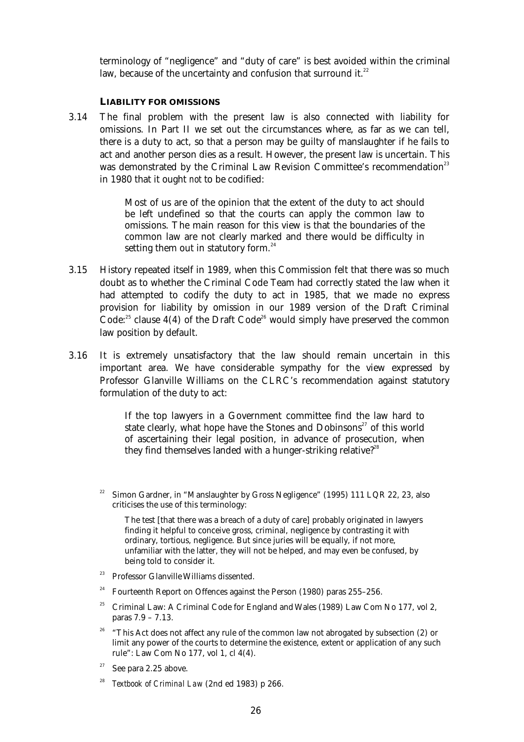terminology of "negligence" and "duty of care" is best avoided within the criminal law, because of the uncertainty and confusion that surround it. $^{22}$ 

#### **LIABILITY FOR OMISSIONS**

 3.14 The final problem with the present law is also connected with liability for omissions. In Part II we set out the circumstances where, as far as we can tell, there is a duty to act, so that a person may be guilty of manslaughter if he fails to act and another person dies as a result. However, the present law is uncertain. This was demonstrated by the Criminal Law Revision Committee's recommendation<sup>23</sup> in 1980 that it ought *not* to be codified:

> Most of us are of the opinion that the extent of the duty to act should be left undefined so that the courts can apply the common law to omissions. The main reason for this view is that the boundaries of the common law are not clearly marked and there would be difficulty in setting them out in statutory form.<sup>24</sup>

- 3.15 History repeated itself in 1989, when this Commission felt that there was so much doubt as to whether the Criminal Code Team had correctly stated the law when it had attempted to codify the duty to act in 1985, that we made no express provision for liability by omission in our 1989 version of the Draft Criminal Code:<sup>25</sup> clause 4(4) of the Draft Code<sup>26</sup> would simply have preserved the common law position by default.
- 3.16 It is extremely unsatisfactory that the law should remain uncertain in this important area. We have considerable sympathy for the view expressed by Professor Glanville Williams on the CLRC's recommendation against statutory formulation of the duty to act:

If the top lawyers in a Government committee find the law hard to state clearly, what hope have the Stones and Dobinsons<sup>27</sup> of this world of ascertaining their legal position, in advance of prosecution, when they find themselves landed with a hunger-striking relative?<sup>28</sup>

<sup>22</sup> Simon Gardner, in "Manslaughter by Gross Negligence" (1995) 111 LQR 22, 23, also criticises the use of this terminology:

The test [that there was a breach of a duty of care] probably originated in lawyers finding it helpful to conceive gross, criminal, negligence by contrasting it with ordinary, tortious, negligence. But since juries will be equally, if not more, unfamiliar with the latter, they will not be helped, and may even be confused, by being told to consider it.

- <sup>23</sup> Professor Glanville Williams dissented.
- <sup>24</sup> Fourteenth Report on Offences against the Person (1980) paras  $255-256$ .
- <sup>25</sup> Criminal Law: A Criminal Code for England and Wales (1989) Law Com No 177, vol 2, paras 7.9 – 7.13.
- <sup>26</sup> "This Act does not affect any rule of the common law not abrogated by subsection (2) or limit any power of the courts to determine the existence, extent or application of any such rule": Law Com No 177, vol 1, cl 4(4).
- $27$  See para 2.25 above.
- <sup>28</sup> *Textbook of Criminal Law* (2nd ed 1983) p 266.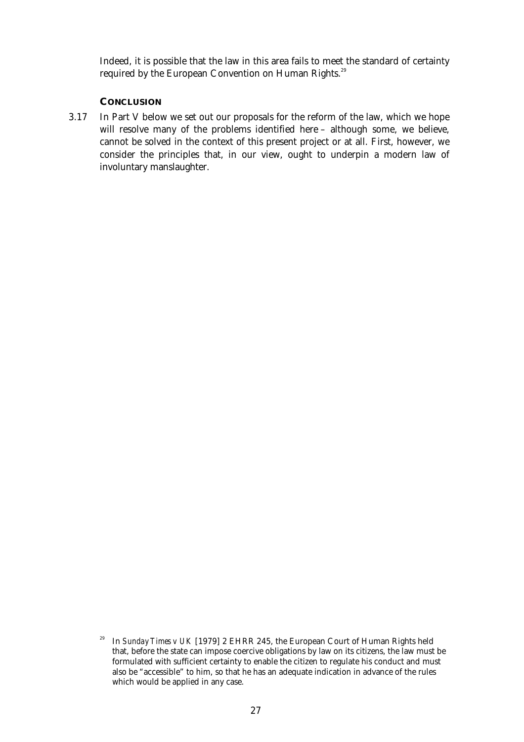Indeed, it is possible that the law in this area fails to meet the standard of certainty required by the European Convention on Human Rights.<sup>29</sup>

#### **CONCLUSION**

 3.17 In Part V below we set out our proposals for the reform of the law, which we hope will resolve many of the problems identified here – although some, we believe, cannot be solved in the context of this present project or at all. First, however, we consider the principles that, in our view, ought to underpin a modern law of involuntary manslaughter.

<sup>&</sup>lt;sup>29</sup> In *Sunday Times v UK* [1979] 2 EHRR 245, the European Court of Human Rights held that, before the state can impose coercive obligations by law on its citizens, the law must be formulated with sufficient certainty to enable the citizen to regulate his conduct and must also be "accessible" to him, so that he has an adequate indication in advance of the rules which would be applied in any case.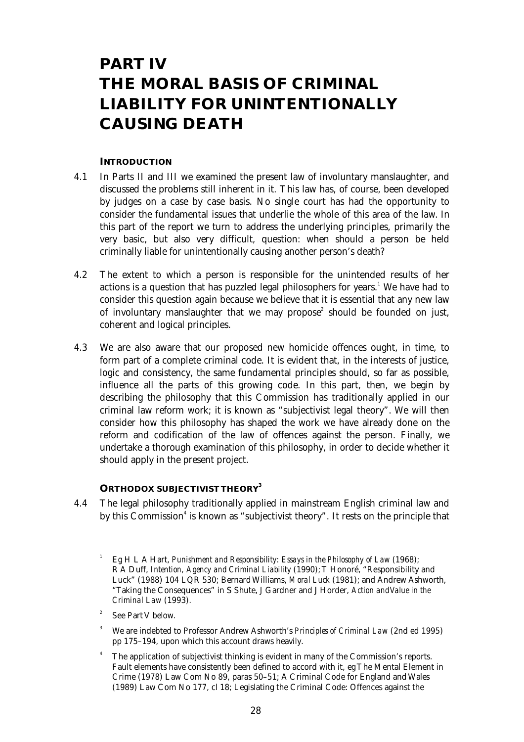## **PART IV THE MORAL BASIS OF CRIMINAL LIABILITY FOR UNINTENTIONALLY CAUSING DEATH**

#### **INTRODUCTION**

- 4.1 In Parts II and III we examined the present law of involuntary manslaughter, and discussed the problems still inherent in it. This law has, of course, been developed by judges on a case by case basis. No single court has had the opportunity to consider the fundamental issues that underlie the whole of this area of the law. In this part of the report we turn to address the underlying principles, primarily the very basic, but also very difficult, question: when should a person be held criminally liable for unintentionally causing another person's death?
- 4.2 The extent to which a person is responsible for the unintended results of her actions is a question that has puzzled legal philosophers for years. $^{\rm 1}$  We have had to consider this question again because we believe that it is essential that any new law of involuntary manslaughter that we may propose<sup>2</sup> should be founded on just, coherent and logical principles.
- 4.3 We are also aware that our proposed new homicide offences ought, in time, to form part of a complete criminal code. It is evident that, in the interests of justice, logic and consistency, the same fundamental principles should, so far as possible, influence all the parts of this growing code. In this part, then, we begin by describing the philosophy that this Commission has traditionally applied in our criminal law reform work; it is known as "subjectivist legal theory". We will then consider how this philosophy has shaped the work we have already done on the reform and codification of the law of offences against the person. Finally, we undertake a thorough examination of this philosophy, in order to decide whether it should apply in the present project.

#### **ORTHODOX SUBJECTIVIST THEORY<sup>3</sup>**

 4.4 The legal philosophy traditionally applied in mainstream English criminal law and by this Commission<sup>4</sup> is known as "subjectivist theory". It rests on the principle that

- 2 See Part V below.
- <sup>3</sup> We are indebted to Professor Andrew Ashworth's *Principles of Criminal Law* (2nd ed 1995) pp 175–194, upon which this account draws heavily.
- <sup>4</sup> The application of subjectivist thinking is evident in many of the Commission's reports. Fault elements have consistently been defined to accord with it, eg The Mental Element in Crime (1978) Law Com No 89, paras 50–51; A Criminal Code for England and Wales (1989) Law Com No 177, cl 18; Legislating the Criminal Code: Offences against the

<sup>1</sup> Eg H L A Hart, *Punishment and Responsibility: Essays in the Philosophy of Law* (1968); R A Duff, *Intention, Agency and Criminal Liability* (1990); T Honoré, "Responsibility and Luck" (1988) 104 LQR 530; Bernard Williams, *Moral Luck* (1981); and Andrew Ashworth, "Taking the Consequences" in S Shute, J Gardner and J Horder, *Action and Value in the Criminal Law* (1993).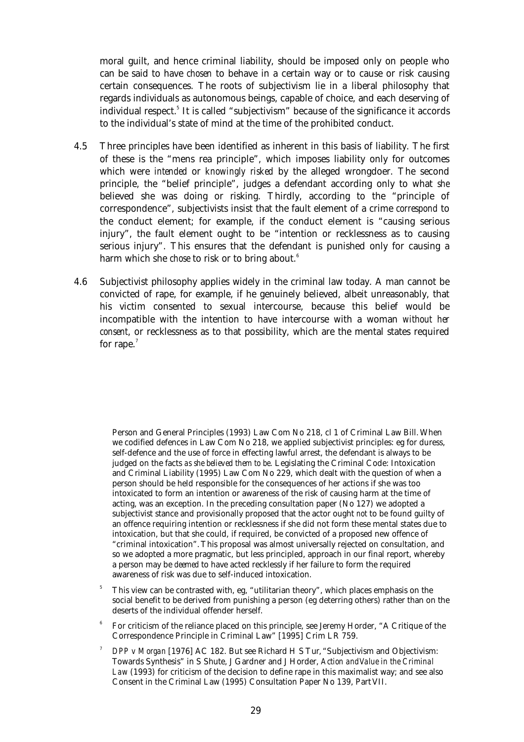moral guilt, and hence criminal liability, should be imposed only on people who can be said to have *chosen* to behave in a certain way or to cause or risk causing certain consequences. The roots of subjectivism lie in a liberal philosophy that regards individuals as autonomous beings, capable of choice, and each deserving of individual respect.<sup>5</sup> It is called "subjectivism" because of the significance it accords to the individual's state of mind at the time of the prohibited conduct.

- 4.5 Three principles have been identified as inherent in this basis of liability. The first of these is the "mens rea principle", which imposes liability only for outcomes which were *intended* or *knowingly risked* by the alleged wrongdoer. The second principle, the "belief principle", judges a defendant according only to what *she* believed she was doing or risking. Thirdly, according to the "principle of correspondence", subjectivists insist that the fault element of a crime *correspond* to the conduct element; for example, if the conduct element is "causing serious injury", the fault element ought to be "intention or recklessness as to causing serious injury". This ensures that the defendant is punished only for causing a harm which she *chose* to risk or to bring about.<sup>6</sup>
- 4.6 Subjectivist philosophy applies widely in the criminal law today. A man cannot be convicted of rape, for example, if he genuinely believed, albeit unreasonably, that his victim consented to sexual intercourse, because this belief would be incompatible with the intention to have intercourse with a woman *without her consent*, or recklessness as to that possibility, which are the mental states required for rape. $<sup>7</sup>$ </sup>

Person and General Principles (1993) Law Com No 218, cl 1 of Criminal Law Bill. When we codified defences in Law Com No 218, we applied subjectivist principles: eg for duress, self-defence and the use of force in effecting lawful arrest, the defendant is always to be judged on the facts *as she believed them to be*. Legislating the Criminal Code: Intoxication and Criminal Liability (1995) Law Com No 229, which dealt with the question of when a person should be held responsible for the consequences of her actions if she was too intoxicated to form an intention or awareness of the risk of causing harm at the time of acting, was an exception. In the preceding consultation paper (No 127) we adopted a subjectivist stance and provisionally proposed that the actor ought *not* to be found guilty of an offence requiring intention or recklessness if she did not form these mental states due to intoxication, but that she could, if required, be convicted of a proposed new offence of "criminal intoxication". This proposal was almost universally rejected on consultation, and so we adopted a more pragmatic, but less principled, approach in our final report, whereby a person may be *deemed* to have acted recklessly if her failure to form the required awareness of risk was due to self-induced intoxication.

- This view can be contrasted with, eg, "utilitarian theory", which places emphasis on the social benefit to be derived from punishing a person (eg deterring others) rather than on the deserts of the individual offender herself.
- 6 For criticism of the reliance placed on this principle, see Jeremy Horder, "A Critique of the Correspondence Principle in Criminal Law" [1995] Crim LR 759.
- <sup>7</sup> *DPP v Morgan* [1976] AC 182. But see Richard H S Tur, "Subjectivism and Objectivism: Towards Synthesis" in S Shute, J Gardner and J Horder, *Action and Value in the Criminal Law* (1993) for criticism of the decision to define rape in this maximalist way; and see also Consent in the Criminal Law (1995) Consultation Paper No 139, Part VII.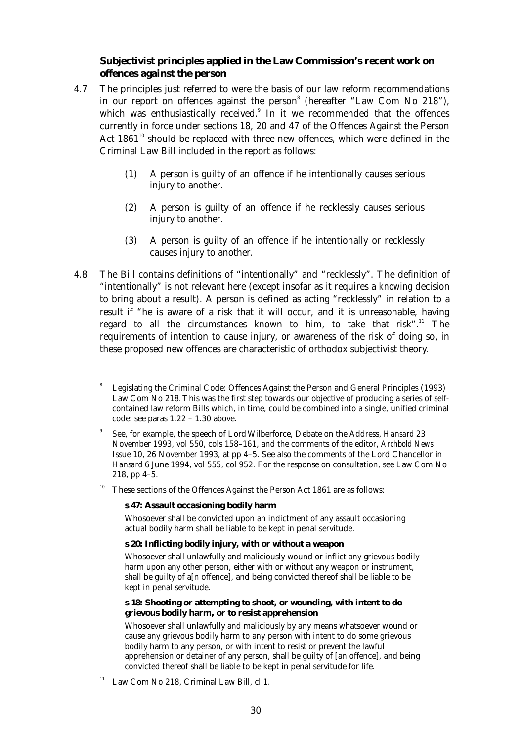# **Subjectivist principles applied in the Law Commission's recent work on offences against the person**

- 4.7 The principles just referred to were the basis of our law reform recommendations in our report on offences against the person<sup>8</sup> (hereafter "Law Com No 218"), which was enthusiastically received. $^{\circ}$  In it we recommended that the offences currently in force under sections 18, 20 and 47 of the Offences Against the Person Act  $1861^{10}$  should be replaced with three new offences, which were defined in the Criminal Law Bill included in the report as follows:
	- (1) A person is guilty of an offence if he intentionally causes serious injury to another.
	- (2) A person is guilty of an offence if he recklessly causes serious injury to another.
	- (3) A person is guilty of an offence if he intentionally or recklessly causes injury to another.
- 4.8 The Bill contains definitions of "intentionally" and "recklessly". The definition of "intentionally" is not relevant here (except insofar as it requires a *knowing* decision to bring about a result). A person is defined as acting "recklessly" in relation to a result if "he is aware of a risk that it will occur, and it is unreasonable, having regard to all the circumstances known to him, to take that risk".<sup>11</sup> The requirements of intention to cause injury, or awareness of the risk of doing so, in these proposed new offences are characteristic of orthodox subjectivist theory.
	- <sup>8</sup> Legislating the Criminal Code: Offences Against the Person and General Principles (1993) Law Com No 218. This was the first step towards our objective of producing a series of selfcontained law reform Bills which, in time, could be combined into a single, unified criminal code: see paras 1.22 – 1.30 above.
	- 9 See, for example, the speech of Lord Wilberforce, Debate on the Address, *Hansard* 23 November 1993, vol 550, cols 158–161, and the comments of the editor, *Archbold News* Issue 10, 26 November 1993, at pp 4–5. See also the comments of the Lord Chancellor in *Hansard* 6 June 1994, vol 555, col 952. For the response on consultation, see Law Com No 218, pp 4–5.
	- $10$  These sections of the Offences Against the Person Act 1861 are as follows:

#### **s 47: Assault occasioning bodily harm**

Whosoever shall be convicted upon an indictment of any assault occasioning actual bodily harm shall be liable to be kept in penal servitude.

#### **s 20: Inflicting bodily injury, with or without a weapon**

Whosoever shall unlawfully and maliciously wound or inflict any grievous bodily harm upon any other person, either with or without any weapon or instrument, shall be guilty of a[n offence], and being convicted thereof shall be liable to be kept in penal servitude.

#### **s 18: Shooting or attempting to shoot, or wounding, with intent to do grievous bodily harm, or to resist apprehension**

Whosoever shall unlawfully and maliciously by any means whatsoever wound or cause any grievous bodily harm to any person with intent to do some grievous bodily harm to any person, or with intent to resist or prevent the lawful apprehension or detainer of any person, shall be guilty of [an offence], and being convicted thereof shall be liable to be kept in penal servitude for life.

 $11$  Law Com No 218, Criminal Law Bill, cl 1.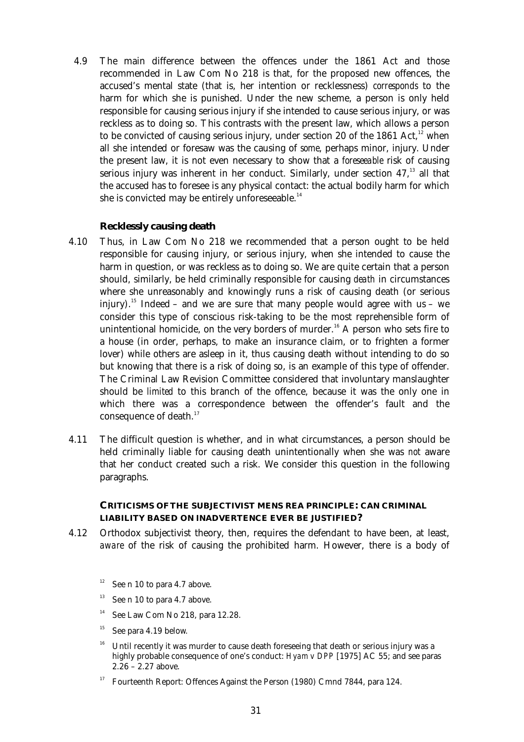4.9 The main difference between the offences under the 1861 Act and those recommended in Law Com No 218 is that, for the proposed new offences, the accused's mental state (that is, her intention or recklessness) *corresponds* to the harm for which she is punished. Under the new scheme, a person is only held responsible for causing serious injury if she intended to cause serious injury, or was reckless as to doing so. This contrasts with the present law, which allows a person to be convicted of causing serious injury, under section 20 of the  $1861$  Act,<sup>12</sup> when all she intended or foresaw was the causing of *some*, perhaps minor, injury. Under the present law, it is not even necessary to show that a *foreseeable* risk of causing serious injury was inherent in her conduct. Similarly, under section  $47<sup>13</sup>$  all that the accused has to foresee is any physical contact: the actual bodily harm for which she is convicted may be entirely unforeseeable.<sup>14</sup>

# **Recklessly causing death**

- 4.10 Thus, in Law Com No 218 we recommended that a person ought to be held responsible for causing injury, or serious injury, when she intended to cause the harm in question, or was reckless as to doing so. We are quite certain that a person should, similarly, be held criminally responsible for causing *death* in circumstances where she unreasonably and knowingly runs a risk of causing death (or serious injury).<sup>15</sup> Indeed – and we are sure that many people would agree with us – we consider this type of conscious risk-taking to be the most reprehensible form of unintentional homicide, on the very borders of murder.<sup>16</sup> A person who sets fire to a house (in order, perhaps, to make an insurance claim, or to frighten a former lover) while others are asleep in it, thus causing death without intending to do so but knowing that there is a risk of doing so, is an example of this type of offender. The Criminal Law Revision Committee considered that involuntary manslaughter should be *limited* to this branch of the offence, because it was the only one in which there was a correspondence between the offender's fault and the consequence of death.<sup>17</sup>
- 4.11 The difficult question is whether, and in what circumstances, a person should be held criminally liable for causing death unintentionally when she was *not* aware that her conduct created such a risk. We consider this question in the following paragraphs.

# **CRITICISMS OF THE SUBJECTIVIST MENS REA PRINCIPLE: CAN CRIMINAL LIABILITY BASED ON INADVERTENCE EVER BE JUSTIFIED?**

- 4.12 Orthodox subjectivist theory, then, requires the defendant to have been, at least, *aware* of the risk of causing the prohibited harm. However, there is a body of
	- $12$  See n 10 to para 4.7 above.
	- $13$  See n 10 to para 4.7 above.
	- <sup>14</sup> See Law Com No 218, para 12.28.
	- $15$  See para 4.19 below.
	- $16$  Until recently it was murder to cause death foreseeing that death or serious injury was a highly probable consequence of one's conduct: *Hyam v DPP* [1975] AC 55; and see paras  $2.\overline{26} - 2.27$  above.
	- <sup>17</sup> Fourteenth Report: Offences Against the Person (1980) Cmnd 7844, para 124.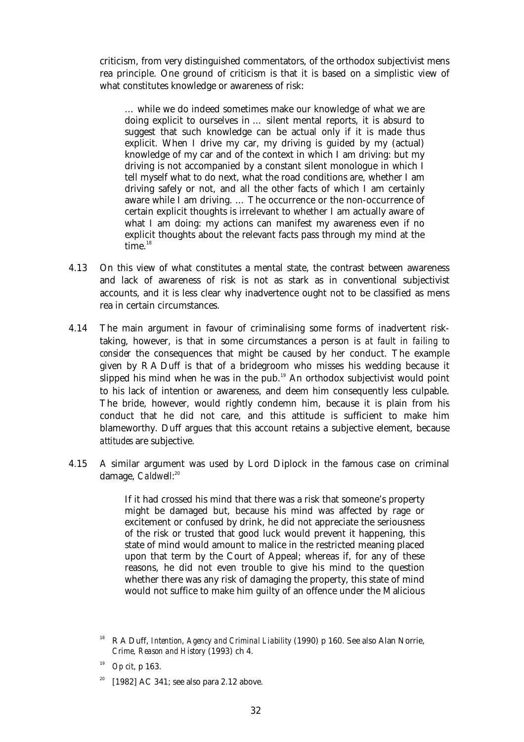criticism, from very distinguished commentators, of the orthodox subjectivist mens rea principle. One ground of criticism is that it is based on a simplistic view of what constitutes knowledge or awareness of risk:

… while we do indeed sometimes make our knowledge of what we are doing explicit to ourselves in … silent mental reports, it is absurd to suggest that such knowledge can be actual only if it is made thus explicit. When I drive my car, my driving is guided by my (actual) knowledge of my car and of the context in which I am driving: but my driving is not accompanied by a constant silent monologue in which I tell myself what to do next, what the road conditions are, whether I am driving safely or not, and all the other facts of which I am certainly aware while I am driving. … The occurrence or the non-occurrence of certain explicit thoughts is irrelevant to whether I am actually aware of what I am doing: my actions can manifest my awareness even if no explicit thoughts about the relevant facts pass through my mind at the  $time<sup>18</sup>$ 

- 4.13 On this view of what constitutes a mental state, the contrast between awareness and lack of awareness of risk is not as stark as in conventional subjectivist accounts, and it is less clear why inadvertence ought not to be classified as mens rea in certain circumstances.
- 4.14 The main argument in favour of criminalising some forms of inadvertent risktaking, however, is that in some circumstances a person is *at fault in failing to consider* the consequences that might be caused by her conduct. The example given by R A Duff is that of a bridegroom who misses his wedding because it slipped his mind when he was in the pub.<sup>19</sup> An orthodox subjectivist would point to his lack of intention or awareness, and deem him consequently less culpable. The bride, however, would rightly condemn him, because it is plain from his conduct that he did not care, and this attitude is sufficient to make him blameworthy. Duff argues that this account retains a subjective element, because *attitudes* are subjective.
- 4.15 A similar argument was used by Lord Diplock in the famous case on criminal damage, *Caldwell*:<sup>20</sup>

If it had crossed his mind that there was a risk that someone's property might be damaged but, because his mind was affected by rage or excitement or confused by drink, he did not appreciate the seriousness of the risk or trusted that good luck would prevent it happening, this state of mind would amount to malice in the restricted meaning placed upon that term by the Court of Appeal; whereas if, for any of these reasons, he did not even trouble to give his mind to the question whether there was any risk of damaging the property, this state of mind would not suffice to make him guilty of an offence under the Malicious

<sup>&</sup>lt;sup>18</sup> R A Duff, *Intention, Agency and Criminal Liability* (1990) p 160. See also Alan Norrie, *Crime, Reason and History* (1993) ch 4.

<sup>19</sup> *Op cit*, p 163.

 $[1982]$  AC 341; see also para 2.12 above.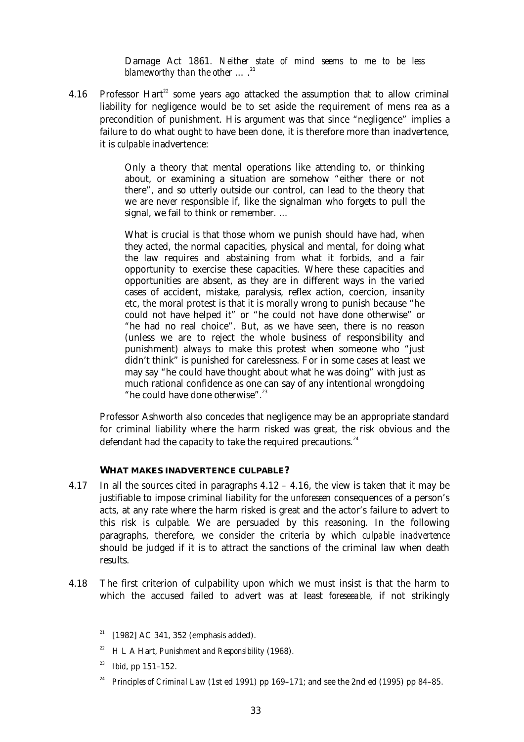Damage Act 1861. *Neither state of mind seems to me to be less blameworthy than the other* … . 21

4.16 Professor Hart<sup>22</sup> some years ago attacked the assumption that to allow criminal liability for negligence would be to set aside the requirement of mens rea as a precondition of punishment. His argument was that since "negligence" implies a failure to do what ought to have been done, it is therefore more than inadvertence, it is *culpable* inadvertence:

> Only a theory that mental operations like attending to, or thinking about, or examining a situation are somehow "either there or not there", and so utterly outside our control, can lead to the theory that we are *never* responsible if, like the signalman who forgets to pull the signal, we fail to think or remember. ...

> What is crucial is that those whom we punish should have had, when they acted, the normal capacities, physical and mental, for doing what the law requires and abstaining from what it forbids, and a fair opportunity to exercise these capacities. Where these capacities and opportunities are absent, as they are in different ways in the varied cases of accident, mistake, paralysis, reflex action, coercion, insanity etc, the moral protest is that it is morally wrong to punish because "he could not have helped it" or "he could not have done otherwise" or "he had no real choice". But, as we have seen, there is no reason (unless we are to reject the whole business of responsibility and punishment) *always* to make this protest when someone who "just didn't think" is punished for carelessness. For in some cases at least we may say "he could have thought about what he was doing" with just as much rational confidence as one can say of any intentional wrongdoing "he could have done otherwise". 23

Professor Ashworth also concedes that negligence may be an appropriate standard for criminal liability where the harm risked was great, the risk obvious and the defendant had the capacity to take the required precautions. $24$ 

#### **WHAT MAKES INADVERTENCE** *CULPABLE***?**

- 4.17 In all the sources cited in paragraphs 4.12 4.16, the view is taken that it may be justifiable to impose criminal liability for the *unforeseen* consequences of a person's acts, at any rate where the harm risked is great and the actor's failure to advert to this risk is *culpable*. We are persuaded by this reasoning. In the following paragraphs, therefore, we consider the criteria by which *culpable inadvertence* should be judged if it is to attract the sanctions of the criminal law when death results.
- 4.18 The first criterion of culpability upon which we must insist is that the harm to which the accused failed to advert was at least *foreseeable*, if not strikingly
	- <sup>21</sup> [1982] AC 341, 352 (emphasis added).
	- <sup>22</sup> H L A Hart, *Punishment and Responsibility* (1968).
	- <sup>23</sup> *Ibid*, pp 151–152.
	- <sup>24</sup> *Principles of Criminal Law* (1st ed 1991) pp 169-171; and see the 2nd ed (1995) pp 84-85.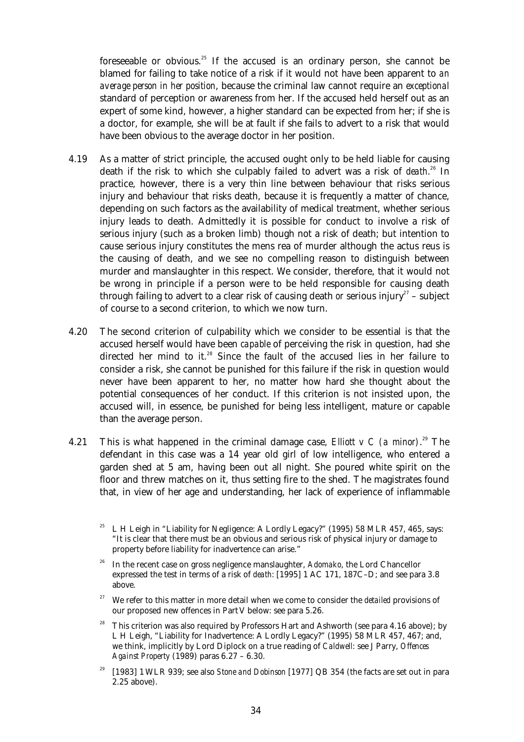fore seeable or obvious.<sup>25</sup> If the accused is an ordinary person, she cannot be blamed for failing to take notice of a risk if it would not have been apparent to *an average person in her position*, because the criminal law cannot require an *exceptional* standard of perception or awareness from her. If the accused held herself out as an expert of some kind, however, a higher standard can be expected from her; if she is a doctor, for example, she will be at fault if she fails to advert to a risk that would have been obvious to the average doctor in her position.

- 4.19 As a matter of strict principle, the accused ought only to be held liable for causing death if the risk to which she culpably failed to advert was a risk of *death*. <sup>26</sup> In practice, however, there is a very thin line between behaviour that risks serious injury and behaviour that risks death, because it is frequently a matter of chance, depending on such factors as the availability of medical treatment, whether serious injury leads to death. Admittedly it is possible for conduct to involve a risk of serious injury (such as a broken limb) though not a risk of death; but intention to cause serious injury constitutes the mens rea of murder although the actus reus is the causing of death, and we see no compelling reason to distinguish between murder and manslaughter in this respect. We consider, therefore, that it would not be wrong in principle if a person were to be held responsible for causing death through failing to advert to a clear risk of causing death *or* serious injury<sup>27</sup> – subject of course to a second criterion, to which we now turn.
- 4.20 The second criterion of culpability which we consider to be essential is that the accused herself would have been *capable* of perceiving the risk in question, had she directed her mind to it.<sup>28</sup> Since the fault of the accused lies in her failure to consider a risk, she cannot be punished for this failure if the risk in question would never have been apparent to her, no matter how hard she thought about the potential consequences of her conduct. If this criterion is not insisted upon, the accused will, in essence, be punished for being less intelligent, mature or capable than the average person.
- 4.21 This is what happened in the criminal damage case, *Elliott v C (a minor)*. <sup>29</sup> The defendant in this case was a 14 year old girl of low intelligence, who entered a garden shed at 5 am, having been out all night. She poured white spirit on the floor and threw matches on it, thus setting fire to the shed. The magistrates found that, in view of her age and understanding, her lack of experience of inflammable

- <sup>27</sup> We refer to this matter in more detail when we come to consider the *detailed* provisions of our proposed new offences in Part V below: see para 5.26.
- <sup>28</sup> This criterion was also required by Professors Hart and Ashworth (see para 4.16 above); by L H Leigh, "Liability for Inadvertence: A Lordly Legacy?" (1995) 58 MLR 457, 467; and, we think, implicitly by Lord Diplock on a true reading of *Caldwell*: see J Parry, *Offences Against Property* (1989) paras 6.27 – 6.30.
- <sup>29</sup> [1983] 1 WLR 939; see also *Stone and Dobinson* [1977] QB 354 (the facts are set out in para 2.25 above).

<sup>25</sup> L H Leigh in "Liability for Negligence: A Lordly Legacy?" (1995) 58 MLR 457, 465, says: "It is clear that there must be an obvious and serious risk of physical injury or damage to property before liability for inadvertence can arise."

<sup>26</sup> In the recent case on gross negligence manslaughter, *Adomako*, the Lord Chancellor expressed the test in terms of a risk of *death*: [1995] 1 AC 171, 187C–D; and see para 3.8 above.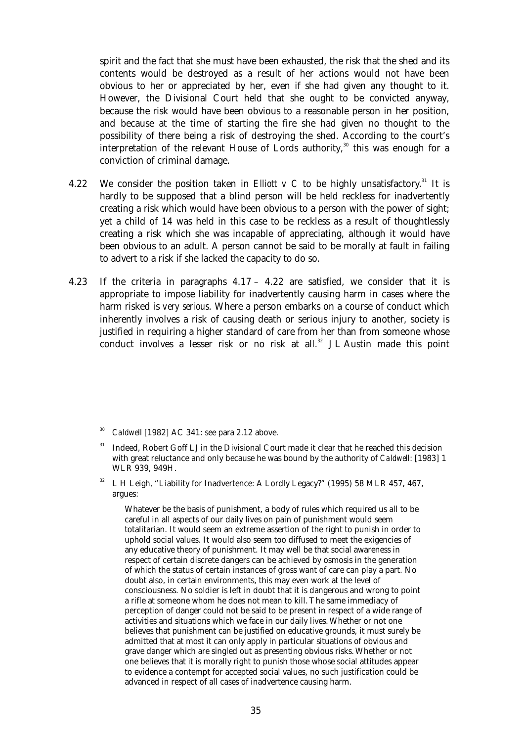spirit and the fact that she must have been exhausted, the risk that the shed and its contents would be destroyed as a result of her actions would not have been obvious to her or appreciated by her, even if she had given any thought to it. However, the Divisional Court held that she ought to be convicted anyway, because the risk would have been obvious to a reasonable person in her position, and because at the time of starting the fire she had given no thought to the possibility of there being a risk of destroying the shed. According to the court's interpretation of the relevant House of Lords authority, $30$  this was enough for a conviction of criminal damage.

- 4.22 We consider the position taken in *Elliott v C* to be highly unsatisfactory.<sup>31</sup> It is hardly to be supposed that a blind person will be held reckless for inadvertently creating a risk which would have been obvious to a person with the power of sight; yet a child of 14 was held in this case to be reckless as a result of thoughtlessly creating a risk which she was incapable of appreciating, although it would have been obvious to an adult. A person cannot be said to be morally at fault in failing to advert to a risk if she lacked the capacity to do so.
	- 4.23 If the criteria in paragraphs 4.17 4.22 are satisfied, we consider that it is appropriate to impose liability for inadvertently causing harm in cases where the harm risked is *very serious*. Where a person embarks on a course of conduct which inherently involves a risk of causing death or serious injury to another, society is justified in requiring a higher standard of care from her than from someone whose conduct involves a lesser risk or no risk at all.<sup>32</sup> J L Austin made this point

L H Leigh, "Liability for Inadvertence: A Lordly Legacy?" (1995) 58 MLR 457, 467, argues:

Whatever be the basis of punishment, a body of rules which required us all to be careful in all aspects of our daily lives on pain of punishment would seem totalitarian. It would seem an extreme assertion of the right to punish in order to uphold social values. It would also seem too diffused to meet the exigencies of any educative theory of punishment. It may well be that social awareness in respect of certain discrete dangers can be achieved by osmosis in the generation of which the status of certain instances of gross want of care can play a part. No doubt also, in certain environments, this may even work at the level of consciousness. No soldier is left in doubt that it is dangerous and wrong to point a rifle at someone whom he does not mean to kill. The same immediacy of perception of danger could not be said to be present in respect of a wide range of activities and situations which we face in our daily lives. Whether or not one believes that punishment can be justified on educative grounds, it must surely be admitted that at most it can only apply in particular situations of obvious and grave danger which are singled out as presenting obvious risks. Whether or not one believes that it is morally right to punish those whose social attitudes appear to evidence a contempt for accepted social values, no such justification could be advanced in respect of all cases of inadvertence causing harm.

<sup>30</sup> *Caldwell* [1982] AC 341: see para 2.12 above.

<sup>&</sup>lt;sup>31</sup> Indeed, Robert Goff LJ in the Divisional Court made it clear that he reached this decision with great reluctance and only because he was bound by the authority of *Caldwell*: [1983] 1 WLR 939, 949H.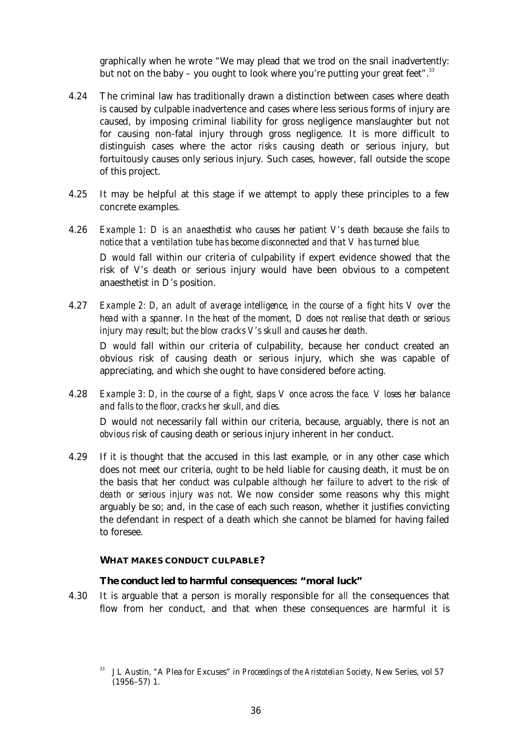graphically when he wrote "We may plead that we trod on the snail inadvertently: but not on the baby – you ought to look where you're putting your great feet".<sup>33</sup>

- 4.24 The criminal law has traditionally drawn a distinction between cases where death is caused by culpable inadvertence and cases where less serious forms of injury are caused, by imposing criminal liability for gross negligence manslaughter but not for causing non-fatal injury through gross negligence. It is more difficult to distinguish cases where the actor *risks* causing death or serious injury, but fortuitously causes only serious injury. Such cases, however, fall outside the scope of this project.
- 4.25 It may be helpful at this stage if we attempt to apply these principles to a few concrete examples.
- 4.26 *Example 1: D is an anaesthetist who causes her patient V's death because she fails to notice that a ventilation tube has become disconnected and that V has turned blue.* D *would* fall within our criteria of culpability if expert evidence showed that the risk of V's death or serious injury would have been obvious to a competent anaesthetist in D's position.
- 4.27 *Example 2: D, an adult of average intelligence, in the course of a fight hits V over the head with a spanner. In the heat of the moment, D does not realise that death or serious injury may result; but the blow cracks V's skull and causes her death.*

D *would* fall within our criteria of culpability, because her conduct created an obvious risk of causing death or serious injury, which she was capable of appreciating, and which she ought to have considered before acting.

 4.28 *Example 3: D, in the course of a fight, slaps V once across the face. V loses her balance and falls to the floor, cracks her skull, and dies.*

D would *not* necessarily fall within our criteria, because, arguably, there is not an *obvious* risk of causing death or serious injury inherent in her conduct.

 4.29 If it is thought that the accused in this last example, or in any other case which does not meet our criteria, *ought* to be held liable for causing death, it must be on the basis that her *conduct* was culpable *although her failure to advert to the risk of death or serious injury was not*. We now consider some reasons why this might arguably be so; and, in the case of each such reason, whether it justifies convicting the defendant in respect of a death which she cannot be blamed for having failed to foresee.

#### **WHAT MAKES** *CONDUCT* **CULPABLE?**

# **The conduct led to harmful consequences: "moral luck"**

 4.30 It is arguable that a person is morally responsible for *all* the consequences that flow from her conduct, and that when these consequences are harmful it is

<sup>33</sup> J L Austin, "A Plea for Excuses" in *Proceedings of the Aristotelian Society*, New Series, vol 57 (1956–57) 1.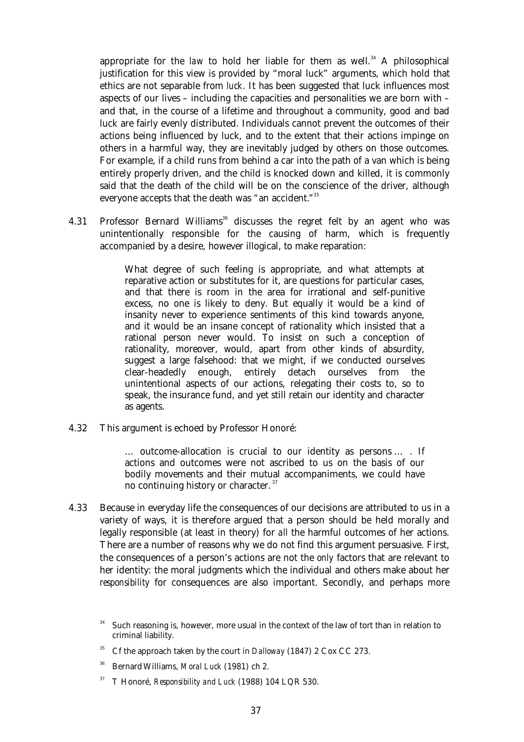appropriate for the *law* to hold her liable for them as well.<sup>34</sup> A philosophical justification for this view is provided by "moral luck" arguments, which hold that ethics are not separable from *luck*. It has been suggested that luck influences most aspects of our lives – including the capacities and personalities we are born with – and that, in the course of a lifetime and throughout a community, good and bad luck are fairly evenly distributed. Individuals cannot prevent the outcomes of their actions being influenced by luck, and to the extent that their actions impinge on others in a harmful way, they are inevitably judged by others on those outcomes. For example, if a child runs from behind a car into the path of a van which is being entirely properly driven, and the child is knocked down and killed, it is commonly said that the death of the child will be on the conscience of the driver, although everyone accepts that the death was "an accident." 35

4.31 Professor Bernard Williams<sup>36</sup> discusses the regret felt by an agent who was unintentionally responsible for the causing of harm, which is frequently accompanied by a desire, however illogical, to make reparation:

> What degree of such feeling is appropriate, and what attempts at reparative action or substitutes for it, are questions for particular cases, and that there is room in the area for irrational and self-punitive excess, no one is likely to deny. But equally it would be a kind of insanity never to experience sentiments of this kind towards anyone, and it would be an insane concept of rationality which insisted that a rational person never would. To insist on such a conception of rationality, moreover, would, apart from other kinds of absurdity, suggest a large falsehood: that we might, if we conducted ourselves clear-headedly enough, entirely detach ourselves from the unintentional aspects of our actions, relegating their costs to, so to speak, the insurance fund, and yet still retain our identity and character as agents.

4.32 This argument is echoed by Professor Honoré:

… outcome-allocation is crucial to our identity as persons … . If actions and outcomes were not ascribed to us on the basis of our bodily movements and their mutual accompaniments, we could have no continuing history or character. <sup>37</sup>

 4.33 Because in everyday life the consequences of our decisions are attributed to us in a variety of ways, it is therefore argued that a person should be held morally and legally responsible (at least in theory) for *all* the harmful outcomes of her actions. There are a number of reasons why we do not find this argument persuasive. First, the consequences of a person's actions are not the *only* factors that are relevant to her identity: the moral judgments which the individual and others make about her *responsibility* for consequences are also important. Secondly, and perhaps more

- <sup>35</sup> Cf the approach taken by the court in *Dalloway* (1847) 2 Cox CC 273.
- <sup>36</sup> Bernard Williams, *Moral Luck* (1981) ch 2.
- <sup>37</sup> T Honoré, *Responsibility and Luck* (1988) 104 LQR 530.

Such reasoning is, however, more usual in the context of the law of tort than in relation to criminal liability.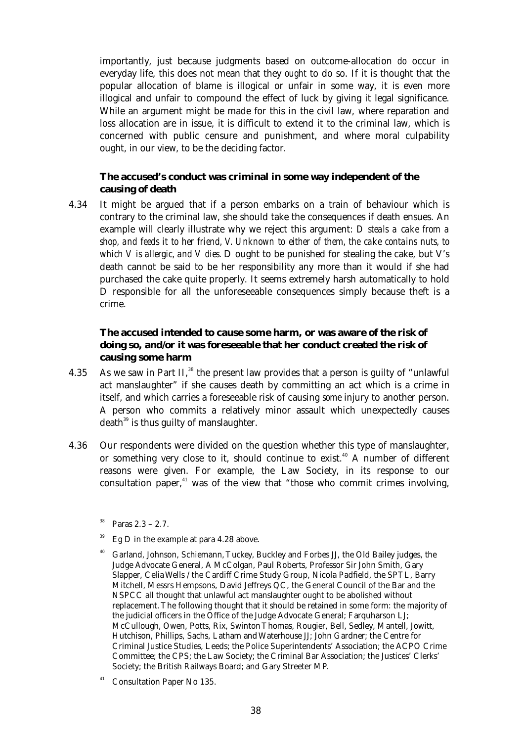importantly, just because judgments based on outcome-allocation *do* occur in everyday life, this does not mean that they *ought* to do so. If it is thought that the popular allocation of blame is illogical or unfair in some way, it is even more illogical and unfair to compound the effect of luck by giving it legal significance. While an argument might be made for this in the civil law, where reparation and loss allocation are in issue, it is difficult to extend it to the criminal law, which is concerned with public censure and punishment, and where moral culpability ought, in our view, to be the deciding factor.

# **The accused's conduct was criminal in some way independent of the causing of death**

 4.34 It might be argued that if a person embarks on a train of behaviour which is contrary to the criminal law, she should take the consequences if death ensues. An example will clearly illustrate why we reject this argument: *D steals a cake from a shop, and feeds it to her friend, V. Unknown to either of them, the cake contains nuts, to which V is allergic, and V dies.* D ought to be punished for stealing the cake, but V's death cannot be said to be her responsibility any more than it would if she had purchased the cake quite properly. It seems extremely harsh automatically to hold D responsible for all the unforeseeable consequences simply because theft is a crime.

# **The accused intended to cause** *some* **harm, or was aware of the risk of doing so, and/or it was foreseeable that her conduct created the risk of causing some harm**

- 4.35 As we saw in Part II,<sup>38</sup> the present law provides that a person is guilty of "unlawful" act manslaughter" if she causes death by committing an act which is a crime in itself, and which carries a foreseeable risk of causing *some* injury to another person. A person who commits a relatively minor assault which unexpectedly causes  $death<sup>39</sup>$  is thus guilty of manslaughter.
- 4.36 Our respondents were divided on the question whether this type of manslaughter, or something very close to it, should continue to exist.<sup>40</sup> A number of different reasons were given. For example, the Law Society, in its response to our consultation paper, $41$  was of the view that "those who commit crimes involving,
	- Paras  $2.3 2.7$ .
	- Eg D in the example at para  $4.28$  above.
	- <sup>40</sup> Garland, Johnson, Schiemann, Tuckey, Buckley and Forbes JJ, the Old Bailey judges, the Judge Advocate General, A McColgan, Paul Roberts, Professor Sir John Smith, Gary Slapper, Celia Wells / the Cardiff Crime Study Group, Nicola Padfield, the SPTL, Barry Mitchell, Messrs Hempsons, David Jeffreys QC, the General Council of the Bar and the NSPCC all thought that unlawful act manslaughter ought to be abolished without replacement. The following thought that it should be retained in some form: the majority of the judicial officers in the Office of the Judge Advocate General; Farquharson LJ; McCullough, Owen, Potts, Rix, Swinton Thomas, Rougier, Bell, Sedley, Mantell, Jowitt, Hutchison, Phillips, Sachs, Latham and Waterhouse JJ; John Gardner; the Centre for Criminal Justice Studies, Leeds; the Police Superintendents' Association; the ACPO Crime Committee; the CPS; the Law Society; the Criminal Bar Association; the Justices' Clerks' Society; the British Railways Board; and Gary Streeter MP.
	- Consultation Paper No 135.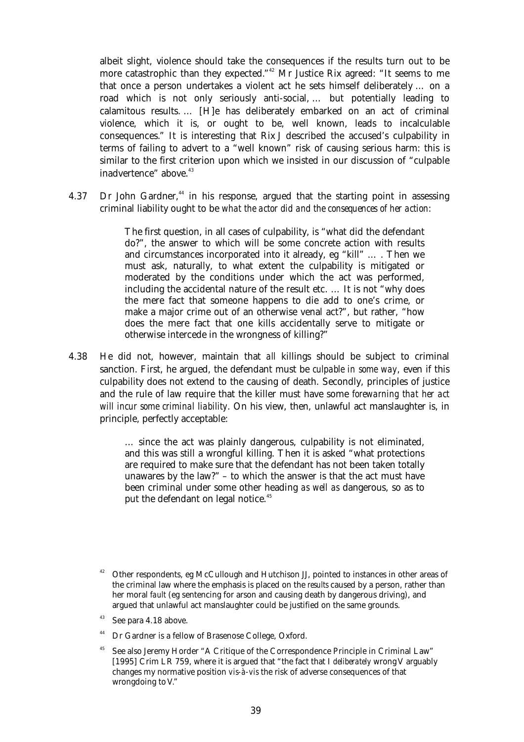albeit slight, violence should take the consequences if the results turn out to be more catastrophic than they expected." <sup>42</sup> Mr Justice Rix agreed: "It seems to me that once a person undertakes a violent act he sets himself deliberately … on a road which is not only seriously anti-social, … but potentially leading to calamitous results. … [H]e has deliberately embarked on an act of criminal violence, which it is, or ought to be, well known, leads to incalculable consequences." It is interesting that Rix J described the accused's culpability in terms of failing to advert to a "well known" risk of causing serious harm: this is similar to the first criterion upon which we insisted in our discussion of "culpable inadvertence" above.<sup>43</sup>

4.37 Dr John Gardner, $44$  in his response, argued that the starting point in assessing criminal liability ought to be *what the actor did and the consequences of her action*:

> The first question, in all cases of culpability, is "what did the defendant do?", the answer to which will be some concrete action with results and circumstances incorporated into it already, eg "kill" … . Then we must ask, naturally, to what extent the culpability is mitigated or moderated by the conditions under which the act was performed, including the accidental nature of the result etc. … It is not "why does the mere fact that someone happens to die add to one's crime, or make a major crime out of an otherwise venal act?", but rather, "how does the mere fact that one kills accidentally serve to mitigate or otherwise intercede in the wrongness of killing?"

 4.38 He did not, however, maintain that *all* killings should be subject to criminal sanction. First, he argued, the defendant must be *culpable in some way*, even if this culpability does not extend to the causing of death. Secondly, principles of justice and the rule of law require that the killer must have some *forewarning that her act will incur some criminal liability*. On his view, then, unlawful act manslaughter is, in principle, perfectly acceptable:

> … since the act was plainly dangerous, culpability is not eliminated, and this was still a wrongful killing. Then it is asked "what protections are required to make sure that the defendant has not been taken totally unawares by the law?" – to which the answer is that the act must have been criminal under some other heading *as well as* dangerous, so as to put the defendant on legal notice.<sup>45</sup>

Other respondents, eg McCullough and Hutchison JJ, pointed to instances in other areas of the criminal law where the emphasis is placed on the *results* caused by a person, rather than her moral *fault* (eg sentencing for arson and causing death by dangerous driving), and argued that unlawful act manslaughter could be justified on the same grounds.

See para 4.18 above.

<sup>44</sup> Dr Gardner is a fellow of Brasenose College, Oxford.

<sup>&</sup>lt;sup>45</sup> See also Jeremy Horder "A Critique of the Correspondence Principle in Criminal Law" [1995] Crim LR 759, where it is argued that "the fact that I *deliberately* wrong V arguably changes my normative position *vis-à-vis* the risk of adverse consequences of that wrongdoing to V."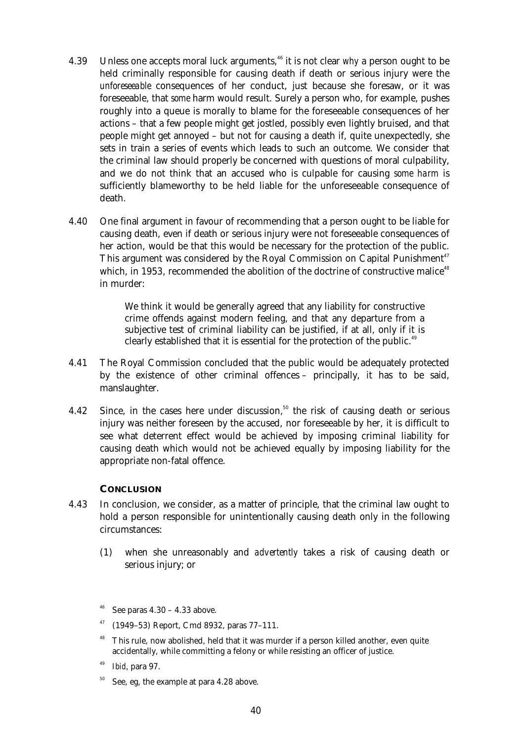- 4.39 Unless one accepts moral luck arguments,<sup>46</sup> it is not clear *why* a person ought to be held criminally responsible for causing death if death or serious injury were the *unforeseeable* consequences of her conduct, just because she foresaw, or it was foreseeable, that *some* harm would result. Surely a person who, for example, pushes roughly into a queue is morally to blame for the foreseeable consequences of her actions – that a few people might get jostled, possibly even lightly bruised, and that people might get annoyed – but not for causing a death if, quite unexpectedly, she sets in train a series of events which leads to such an outcome. We consider that the criminal law should properly be concerned with questions of moral culpability, and we do not think that an accused who is culpable for causing *some harm* is sufficiently blameworthy to be held liable for the unforeseeable consequence of death.
- 4.40 One final argument in favour of recommending that a person ought to be liable for causing death, even if death or serious injury were not foreseeable consequences of her action, would be that this would be necessary for the protection of the public. This argument was considered by the Royal Commission on Capital Punishment<sup>47</sup> which, in 1953, recommended the abolition of the doctrine of constructive malice<sup>48</sup> in murder:

We think it would be generally agreed that any liability for constructive crime offends against modern feeling, and that any departure from a subjective test of criminal liability can be justified, if at all, only if it is clearly established that it is essential for the protection of the public.<sup>49</sup>

- 4.41 The Royal Commission concluded that the public would be adequately protected by the existence of other criminal offences – principally, it has to be said, manslaughter.
- 4.42 Since, in the cases here under discussion,<sup>50</sup> the risk of causing death or serious injury was neither foreseen by the accused, nor foreseeable by her, it is difficult to see what deterrent effect would be achieved by imposing criminal liability for causing death which would not be achieved equally by imposing liability for the appropriate non-fatal offence.

# **CONCLUSION**

- 4.43 In conclusion, we consider, as a matter of principle, that the criminal law ought to hold a person responsible for unintentionally causing death only in the following circumstances:
	- (1) when she unreasonably and *advertently* takes a risk of causing death or serious injury; or
	- See paras  $4.30 4.33$  above.
	- <sup>47</sup> (1949–53) Report, Cmd 8932, paras 77–111.
	- <sup>48</sup> This rule, now abolished, held that it was murder if a person killed another, even quite accidentally, while committing a felony or while resisting an officer of justice.
	- <sup>49</sup> *Ibid*, para 97.
	- $50^{\circ}$  See, eg, the example at para 4.28 above.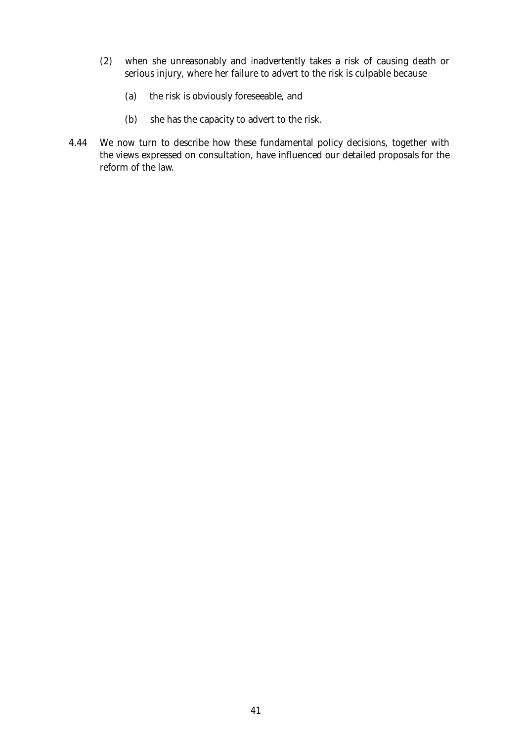- (2) when she unreasonably and *in*advertently takes a risk of causing death or serious injury, where her failure to advert to the risk is culpable because
	- (a) the risk is obviously foreseeable, and
	- (b) she has the capacity to advert to the risk.
- 4.44 We now turn to describe how these fundamental policy decisions, together with the views expressed on consultation, have influenced our detailed proposals for the reform of the law.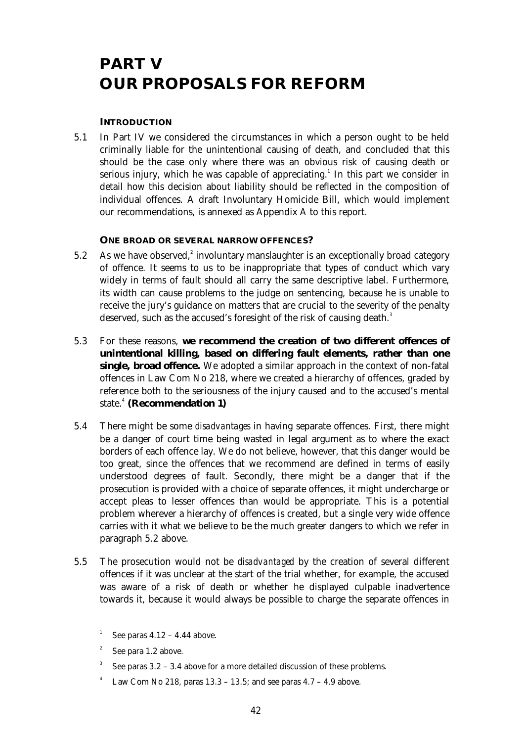# **PART V OUR PROPOSALS FOR REFORM**

# **INTRODUCTION**

 5.1 In Part IV we considered the circumstances in which a person ought to be held criminally liable for the unintentional causing of death, and concluded that this should be the case only where there was an obvious risk of causing death or serious injury, which he was capable of appreciating.<sup>1</sup> In this part we consider in detail how this decision about liability should be reflected in the composition of individual offences. A draft Involuntary Homicide Bill, which would implement our recommendations, is annexed as Appendix A to this report.

## **ONE BROAD OR SEVERAL NARROW OFFENCES?**

- 5.2 As we have observed, $^2$  involuntary manslaughter is an exceptionally broad category of offence. It seems to us to be inappropriate that types of conduct which vary widely in terms of fault should all carry the same descriptive label. Furthermore, its width can cause problems to the judge on sentencing, because he is unable to receive the jury's guidance on matters that are crucial to the severity of the penalty deserved, such as the accused's foresight of the risk of causing death.<sup>3</sup>
	- 5.3 For these reasons, **we recommend the creation of two different offences of unintentional killing, based on differing fault elements, rather than one single, broad offence.** We adopted a similar approach in the context of non-fatal offences in Law Com No 218, where we created a hierarchy of offences, graded by reference both to the seriousness of the injury caused and to the accused's mental state.<sup>4</sup> **(Recommendation 1)**
	- 5.4 There might be some *disadvantages* in having separate offences. First, there might be a danger of court time being wasted in legal argument as to where the exact borders of each offence lay. We do not believe, however, that this danger would be too great, since the offences that we recommend are defined in terms of easily understood degrees of fault. Secondly, there might be a danger that if the prosecution is provided with a choice of separate offences, it might undercharge or accept pleas to lesser offences than would be appropriate. This is a potential problem wherever a hierarchy of offences is created, but a single very wide offence carries with it what we believe to be the much greater dangers to which we refer in paragraph 5.2 above.
	- 5.5 The prosecution would not be *disadvantaged* by the creation of several different offences if it was unclear at the start of the trial whether, for example, the accused was aware of a risk of death or whether he displayed culpable inadvertence towards it, because it would always be possible to charge the separate offences in

- 2 See para 1.2 above.
- 3 See paras 3.2 – 3.4 above for a more detailed discussion of these problems.
- Law Com No 218, paras  $13.3 13.5$ ; and see paras  $4.7 4.9$  above.

<sup>1</sup> See paras 4.12 – 4.44 above.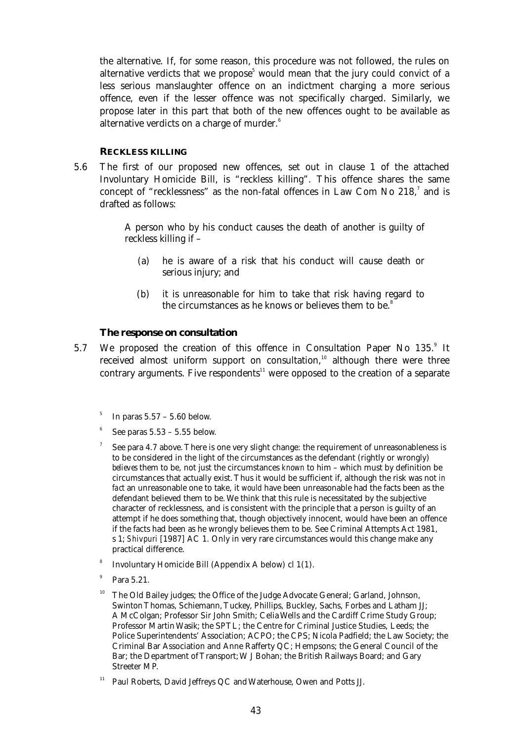the alternative. If, for some reason, this procedure was not followed, the rules on alternative verdicts that we propose $^5$  would mean that the jury could convict of a less serious manslaughter offence on an indictment charging a more serious offence, even if the lesser offence was not specifically charged. Similarly, we propose later in this part that both of the new offences ought to be available as alternative verdicts on a charge of murder.<sup>6</sup>

### **RECKLESS KILLING**

 5.6 The first of our proposed new offences, set out in clause 1 of the attached Involuntary Homicide Bill, is "reckless killing". This offence shares the same concept of "recklessness" as the non-fatal offences in Law Com No 218, $^7$  and is drafted as follows:

> A person who by his conduct causes the death of another is guilty of reckless killing if –

- (a) he is aware of a risk that his conduct will cause death or serious injury; and
- (b) it is unreasonable for him to take that risk having regard to the circumstances as he knows or believes them to be. $^8$

# **The response on consultation**

- 5.7 We proposed the creation of this offence in Consultation Paper No 135.<sup>9</sup> It received almost uniform support on consultation,<sup>10</sup> although there were three contrary arguments. Five respondents<sup>11</sup> were opposed to the creation of a separate
	- 5 In paras 5.57 – 5.60 below.
	- 6 See paras 5.53 – 5.55 below.
	- 7 See para 4.7 above. There is one very slight change: the requirement of unreasonableness is to be considered in the light of the circumstances as the defendant (rightly or wrongly) *believes* them to be, not just the circumstances *known* to him – which must by definition be circumstances that actually exist. Thus it would be sufficient if, although the risk was not *in fact* an unreasonable one to take, it *would* have been unreasonable had the facts been as the defendant believed them to be. We think that this rule is necessitated by the subjective character of recklessness, and is consistent with the principle that a person is guilty of an attempt if he does something that, though objectively innocent, would have been an offence if the facts had been as he wrongly believes them to be. See Criminal Attempts Act 1981, s 1; *Shivpuri* [1987] AC 1. Only in very rare circumstances would this change make any practical difference.
	- 8 Involuntary Homicide Bill (Appendix A below) cl 1(1).
	- 9 Para 5.21.
	- The Old Bailey judges; the Office of the Judge Advocate General; Garland, Johnson, Swinton Thomas, Schiemann, Tuckey, Phillips, Buckley, Sachs, Forbes and Latham JJ; A McColgan; Professor Sir John Smith; Celia Wells and the Cardiff Crime Study Group; Professor Martin Wasik; the SPTL; the Centre for Criminal Justice Studies, Leeds; the Police Superintendents' Association; ACPO; the CPS; Nicola Padfield; the Law Society; the Criminal Bar Association and Anne Rafferty QC; Hempsons; the General Council of the Bar; the Department of Transport; W J Bohan; the British Railways Board; and Gary Streeter MP.
	- <sup>11</sup> Paul Roberts, David Jeffreys QC and Waterhouse, Owen and Potts JJ.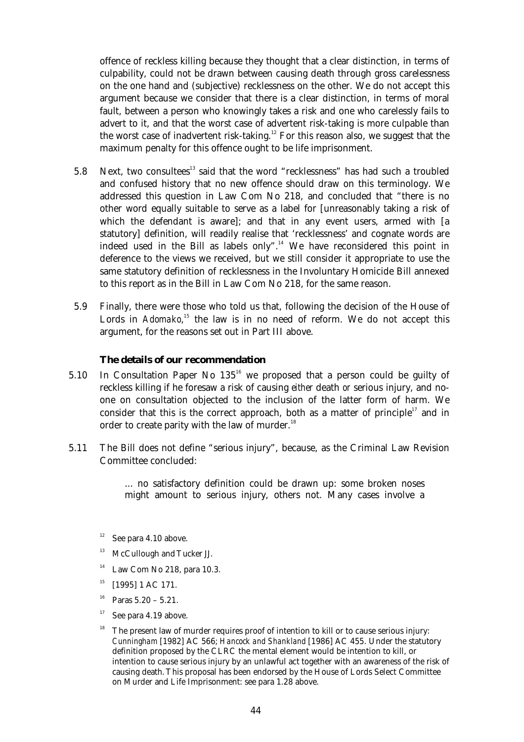offence of reckless killing because they thought that a clear distinction, in terms of culpability, could not be drawn between causing death through gross carelessness on the one hand and (subjective) recklessness on the other. We do not accept this argument because we consider that there is a clear distinction, in terms of moral fault, between a person who knowingly takes a risk and one who carelessly fails to advert to it, and that the worst case of advertent risk-taking is more culpable than the worst case of inadvertent risk-taking.<sup>12</sup> For this reason also, we suggest that the maximum penalty for this offence ought to be life imprisonment.

- $5.8$  Next, two consultees<sup>13</sup> said that the word "recklessness" has had such a troubled and confused history that no new offence should draw on this terminology. We addressed this question in Law Com No 218, and concluded that "there is no other word equally suitable to serve as a label for [unreasonably taking a risk of which the defendant is aware]; and that in any event users, armed with [a statutory] definition, will readily realise that 'recklessness' and cognate words are indeed used in the Bill as labels only".<sup>14</sup> We have reconsidered this point in deference to the views we received, but we still consider it appropriate to use the same statutory definition of recklessness in the Involuntary Homicide Bill annexed to this report as in the Bill in Law Com No 218, for the same reason.
- 5.9 Finally, there were those who told us that, following the decision of the House of Lords in *Adomako*,<sup>15</sup> the law is in no need of reform. We do not accept this argument, for the reasons set out in Part III above.

#### **The details of our recommendation**

- 5.10 In Consultation Paper No  $135^{16}$  we proposed that a person could be guilty of reckless killing if he foresaw a risk of causing *either* death *or* serious injury, and noone on consultation objected to the inclusion of the latter form of harm. We consider that this is the correct approach, both as a matter of principle<sup>17</sup> and in order to create parity with the law of murder.<sup>18</sup>
- 5.11 The Bill does not define "serious injury", because, as the Criminal Law Revision Committee concluded:

... no satisfactory definition could be drawn up: some broken noses might amount to serious injury, others not. Many cases involve a

- See para 4.10 above.
- McCullough and Tucker JJ.
- $14$  Law Com No 218, para 10.3.
- $15$  [1995] 1 AC 171.
- $16$  Paras  $5.20 5.21$ .
- $17$  See para 4.19 above.

 $18$  The present law of murder requires proof of intention to kill or to cause serious injury: *Cunningham* [1982] AC 566; *Hancock and Shankland* [1986] AC 455. Under the statutory definition proposed by the CLRC the mental element would be intention to kill, or intention to cause serious injury by an unlawful act together with an awareness of the risk of causing death. This proposal has been endorsed by the House of Lords Select Committee on Murder and Life Imprisonment: see para 1.28 above.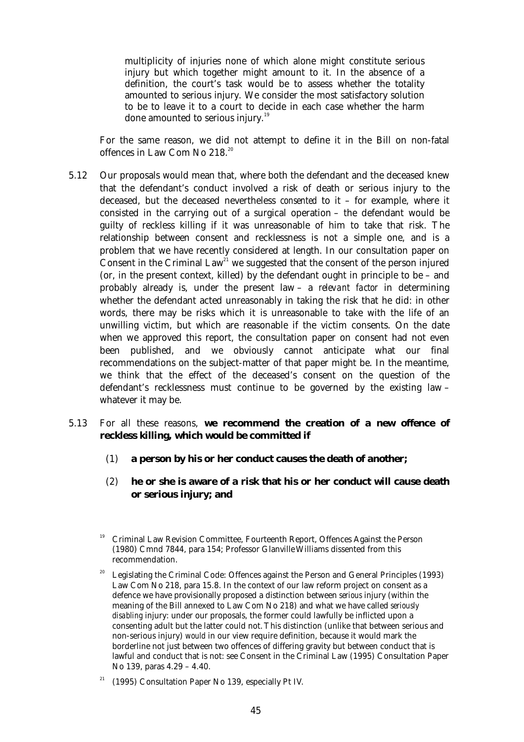multiplicity of injuries none of which alone might constitute serious injury but which together might amount to it. In the absence of a definition, the court's task would be to assess whether the totality amounted to serious injury. We consider the most satisfactory solution to be to leave it to a court to decide in each case whether the harm done amounted to serious injury.<sup>19</sup>

For the same reason, we did not attempt to define it in the Bill on non-fatal offences in Law Com No 218.<sup>20</sup>

- 5.12 Our proposals would mean that, where both the defendant and the deceased knew that the defendant's conduct involved a risk of death or serious injury to the deceased, but the deceased nevertheless *consented* to it – for example, where it consisted in the carrying out of a surgical operation – the defendant would be guilty of reckless killing if it was unreasonable of him to take that risk. The relationship between consent and recklessness is not a simple one, and is a problem that we have recently considered at length. In our consultation paper on Consent in the Criminal  $Law<sup>21</sup>$  we suggested that the consent of the person injured (or, in the present context, killed) by the defendant ought in principle to be – and probably already is, under the present law – a *relevant factor* in determining whether the defendant acted unreasonably in taking the risk that he did: in other words, there may be risks which it is unreasonable to take with the life of an unwilling victim, but which are reasonable if the victim consents. On the date when we approved this report, the consultation paper on consent had not even been published, and we obviously cannot anticipate what our final recommendations on the subject-matter of that paper might be. In the meantime, we think that the effect of the deceased's consent on the question of the defendant's recklessness must continue to be governed by the existing law – whatever it may be.
- 5.13 For all these reasons, **we recommend the creation of a new offence of reckless killing, which would be committed if**
	- (1) **a person by his or her conduct causes the death of another;**
	- (2) **he or she is aware of a risk that his or her conduct will cause death or serious injury; and**

<sup>19</sup> Criminal Law Revision Committee, Fourteenth Report, Offences Against the Person (1980) Cmnd 7844, para 154; Professor Glanville Williams dissented from this recommendation.

<sup>20</sup> Legislating the Criminal Code: Offences against the Person and General Principles (1993) Law Com No 218, para 15.8. In the context of our law reform project on consent as a defence we have provisionally proposed a distinction between *serious* injury (within the meaning of the Bill annexed to Law Com No 218) and what we have called *seriously disabling* injury: under our proposals, the former could lawfully be inflicted upon a consenting adult but the latter could not. This distinction (unlike that between serious and non-serious injury) *would* in our view require definition, because it would mark the borderline not just between two offences of differing gravity but between conduct that is lawful and conduct that is not: see Consent in the Criminal Law (1995) Consultation Paper No 139, paras 4.29 – 4.40.

<sup>21</sup> (1995) Consultation Paper No 139, especially Pt IV.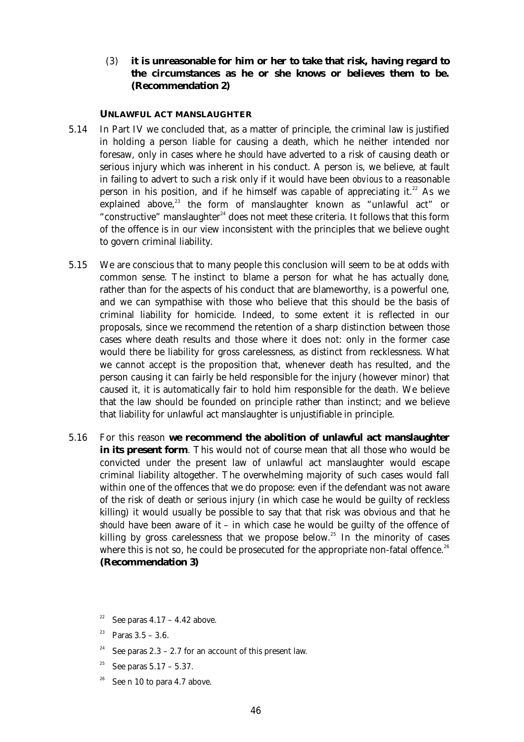(3) **it is unreasonable for him or her to take that risk, having regard to the circumstances as he or she knows or believes them to be. (Recommendation 2)**

#### **UNLAWFUL ACT MANSLAUGHTER**

- 5.14 In Part IV we concluded that, as a matter of principle, the criminal law is justified in holding a person liable for causing a death, which he neither intended nor foresaw, only in cases where he *should* have adverted to a risk of causing death or serious injury which was inherent in his conduct. A person is, we believe, at fault in failing to advert to such a risk only if it would have been *obvious* to a reasonable person in his position, and if he himself was *capable* of appreciating it.<sup>22</sup> As we explained above,<sup>23</sup> the form of manslaughter known as "unlawful act" or "constructive" manslaughter $24$  does not meet these criteria. It follows that this form of the offence is in our view inconsistent with the principles that we believe ought to govern criminal liability.
- 5.15 We are conscious that to many people this conclusion will seem to be at odds with common sense. The instinct to blame a person for what he has actually *done*, rather than for the aspects of his conduct that are blameworthy, is a powerful one, and we can sympathise with those who believe that this should be the basis of criminal liability for homicide. Indeed, to some extent it is reflected in our proposals, since we recommend the retention of a sharp distinction between those cases where death results and those where it does not: only in the former case would there be liability for gross carelessness, as distinct from recklessness. What we cannot accept is the proposition that, whenever death *has* resulted, and the person causing it can fairly be held responsible for the injury (however minor) that caused it, it is automatically fair to hold him responsible *for the death*. We believe that the law should be founded on principle rather than instinct; and we believe that liability for unlawful act manslaughter is unjustifiable in principle.
- 5.16 For this reason **we recommend the abolition of unlawful act manslaughter in its present form**. This would not of course mean that all those who would be convicted under the present law of unlawful act manslaughter would escape criminal liability altogether. The overwhelming majority of such cases would fall within one of the offences that we do propose: even if the defendant was not aware of the risk of death or serious injury (in which case he would be guilty of reckless killing) it would usually be possible to say that that risk was obvious and that he *should* have been aware of it – in which case he would be guilty of the offence of killing by gross carelessness that we propose below.<sup>25</sup> In the minority of cases where this is not so, he could be prosecuted for the appropriate non-fatal offence.<sup>26</sup> **(Recommendation 3)**

- <sup>23</sup> Paras  $3.5 3.6$ .
- <sup>24</sup> See paras 2.3 2.7 for an account of this present law.
- <sup>25</sup> See paras  $5.17 5.37$ .
- $26$  See n 10 to para 4.7 above.

See paras  $4.17 - 4.42$  above.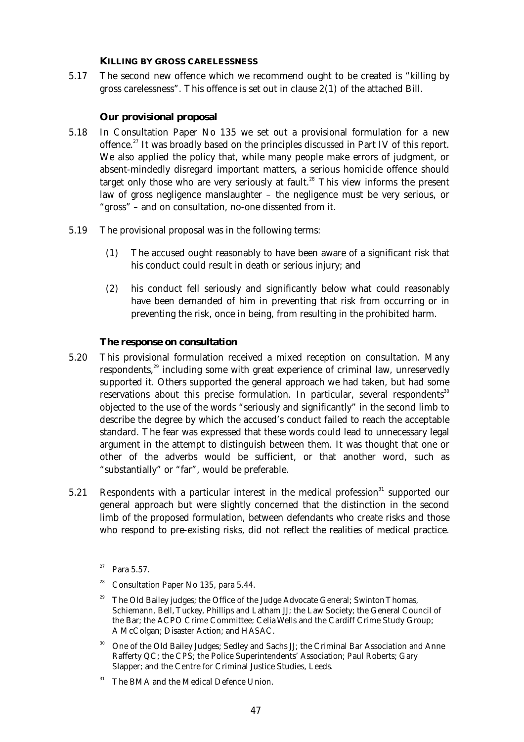### **KILLING BY GROSS CARELESSNESS**

 5.17 The second new offence which we recommend ought to be created is "killing by gross carelessness". This offence is set out in clause 2(1) of the attached Bill.

# **Our provisional proposal**

- 5.18 In Consultation Paper No 135 we set out a provisional formulation for a new offence.<sup>27</sup> It was broadly based on the principles discussed in Part IV of this report. We also applied the policy that, while many people make errors of judgment, or absent-mindedly disregard important matters, a serious homicide offence should target only those who are very seriously at fault.<sup>28</sup> This view informs the present law of gross negligence manslaughter – the negligence must be very serious, or "gross" – and on consultation, no-one dissented from it.
- 5.19 The provisional proposal was in the following terms:
	- (1) The accused ought reasonably to have been aware of a significant risk that his conduct could result in death or serious injury; and
	- (2) his conduct fell seriously and significantly below what could reasonably have been demanded of him in preventing that risk from occurring or in preventing the risk, once in being, from resulting in the prohibited harm.

## **The response on consultation**

- 5.20 This provisional formulation received a mixed reception on consultation. Many respondents,<sup>29</sup> including some with great experience of criminal law, unreservedly supported it. Others supported the general approach we had taken, but had some reservations about this precise formulation. In particular, several respondents $30$ objected to the use of the words "seriously and significantly" in the second limb to describe the degree by which the accused's conduct failed to reach the acceptable standard. The fear was expressed that these words could lead to unnecessary legal argument in the attempt to distinguish between them. It was thought that one or other of the adverbs would be sufficient, or that another word, such as "substantially" or "far", would be preferable.
- $5.21$  Respondents with a particular interest in the medical profession<sup>31</sup> supported our general approach but were slightly concerned that the distinction in the second limb of the proposed formulation, between defendants who create risks and those who respond to pre-existing risks, did not reflect the realities of medical practice.

- <sup>28</sup> Consultation Paper No 135, para 5.44.
- The Old Bailey judges; the Office of the Judge Advocate General; Swinton Thomas, Schiemann, Bell, Tuckey, Phillips and Latham JJ; the Law Society; the General Council of the Bar; the ACPO Crime Committee; Celia Wells and the Cardiff Crime Study Group; A McColgan; Disaster Action; and HASAC.
- <sup>30</sup> One of the Old Bailey Judges: Sedley and Sachs JJ: the Criminal Bar Association and Anne Rafferty QC; the CPS; the Police Superintendents' Association; Paul Roberts; Gary Slapper; and the Centre for Criminal Justice Studies, Leeds.
- The BMA and the Medical Defence Union.

 $27$  Para 5.57.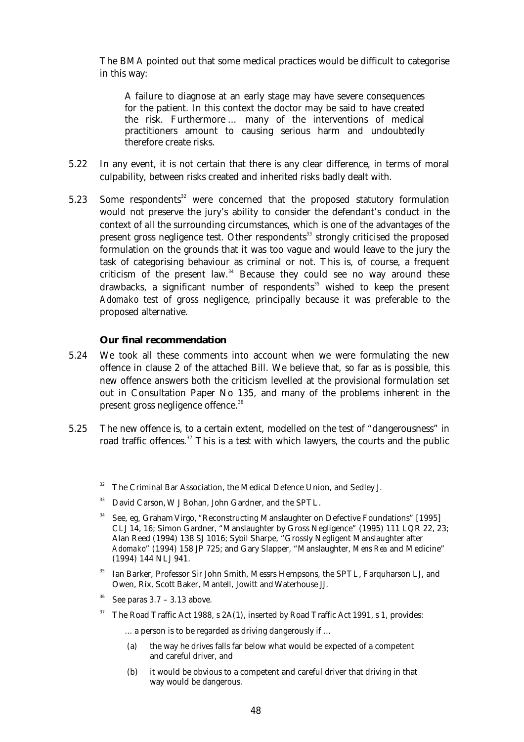The BMA pointed out that some medical practices would be difficult to categorise in this way:

A failure to diagnose at an early stage may have severe consequences for the patient. In this context the doctor may be said to have created the risk. Furthermore … many of the interventions of medical practitioners amount to causing serious harm and undoubtedly therefore create risks.

- 5.22 In any event, it is not certain that there is any clear difference, in terms of moral culpability, between risks created and inherited risks badly dealt with.
- $5.23$  Some respondents<sup>32</sup> were concerned that the proposed statutory formulation would not preserve the jury's ability to consider the defendant's conduct in the context of *all* the surrounding circumstances, which is one of the advantages of the present gross negligence test. Other respondents<sup>33</sup> strongly criticised the proposed formulation on the grounds that it was too vague and would leave to the jury the task of categorising behaviour as criminal or not. This is, of course, a frequent criticism of the present law.<sup>34</sup> Because they could see no way around these drawbacks, a significant number of respondents<sup>35</sup> wished to keep the present *Adomako* test of gross negligence, principally because it was preferable to the proposed alternative.

#### **Our final recommendation**

- 5.24 We took all these comments into account when we were formulating the new offence in clause 2 of the attached Bill. We believe that, so far as is possible, this new offence answers both the criticism levelled at the provisional formulation set out in Consultation Paper No 135, and many of the problems inherent in the present gross negligence offence.<sup>36</sup>
- 5.25 The new offence is, to a certain extent, modelled on the test of "dangerousness" in road traffic offences.<sup>37</sup> This is a test with which lawyers, the courts and the public
	- <sup>32</sup> The Criminal Bar Association, the Medical Defence Union, and Sedley J.
	- <sup>33</sup> David Carson, W J Bohan, John Gardner, and the SPTL.
	- See, eg, Graham Virgo, "Reconstructing Manslaughter on Defective Foundations" [1995] CLJ 14, 16; Simon Gardner, "Manslaughter by Gross Negligence" (1995) 111 LQR 22, 23; Alan Reed (1994) 138 SJ 1016; Sybil Sharpe, "Grossly Negligent Manslaughter after *Adomako*" (1994) 158 JP 725; and Gary Slapper, "Manslaughter, *Mens Rea* and Medicine" (1994) 144 NLJ 941.
	- Ian Barker, Professor Sir John Smith, Messrs Hempsons, the SPTL, Farquharson LJ, and Owen, Rix, Scott Baker, Mantell, Jowitt and Waterhouse JJ.
	- $36$  See paras  $3.7 3.13$  above.
	- <sup>37</sup> The Road Traffic Act 1988, s 2A(1), inserted by Road Traffic Act 1991, s 1, provides:

... a person is to be regarded as driving dangerously if ...

- (a) the way he drives falls far below what would be expected of a competent and careful driver, and
- (b) it would be obvious to a competent and careful driver that driving in that way would be dangerous.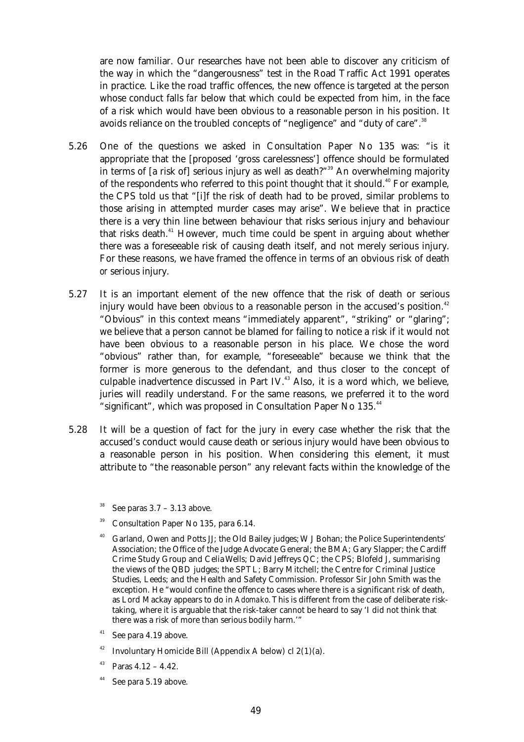are now familiar. Our researches have not been able to discover any criticism of the way in which the "dangerousness" test in the Road Traffic Act 1991 operates in practice. Like the road traffic offences, the new offence is targeted at the person whose conduct falls *far* below that which could be expected from him, in the face of a risk which would have been obvious to a reasonable person in his position. It avoids reliance on the troubled concepts of "negligence" and "duty of care".<sup>38</sup>

- 5.26 One of the questions we asked in Consultation Paper No 135 was: "is it appropriate that the [proposed 'gross carelessness'] offence should be formulated in terms of [a risk of] serious injury as well as death?" <sup>39</sup> An overwhelming majority of the respondents who referred to this point thought that it should.<sup>40</sup> For example, the CPS told us that "[i]f the risk of death had to be proved, similar problems to those arising in attempted murder cases may arise". We believe that in practice there is a very thin line between behaviour that risks serious injury and behaviour that risks death.<sup>41</sup> However, much time could be spent in arguing about whether there was a foreseeable risk of causing death itself, and not merely serious injury. For these reasons, we have framed the offence in terms of an obvious risk of death *or* serious injury.
- 5.27 It is an important element of the new offence that the risk of death or serious injury would have been *obvious* to a reasonable person in the accused's position.<sup>42</sup> "Obvious" in this context means "immediately apparent", "striking" or "glaring"; we believe that a person cannot be blamed for failing to notice a risk if it would not have been obvious to a reasonable person in his place. We chose the word "obvious" rather than, for example, "foreseeable" because we think that the former is more generous to the defendant, and thus closer to the concept of culpable inadvertence discussed in Part IV.<sup>43</sup> Also, it is a word which, we believe, juries will readily understand. For the same reasons, we preferred it to the word "significant", which was proposed in Consultation Paper No 135.<sup>44</sup>
- 5.28 It will be a question of fact for the jury in every case whether the risk that the accused's conduct would cause death or serious injury would have been obvious to a reasonable person in his position. When considering this element, it must attribute to "the reasonable person" any relevant facts within the knowledge of the
	- $38$  See paras  $3.7 3.13$  above.
	- Consultation Paper No 135, para 6.14.
	- Garland, Owen and Potts JJ; the Old Bailey judges; W J Bohan; the Police Superintendents' Association; the Office of the Judge Advocate General; the BMA; Gary Slapper; the Cardiff Crime Study Group and Celia Wells; David Jeffreys QC; the CPS; Blofeld J, summarising the views of the QBD judges; the SPTL; Barry Mitchell; the Centre for Criminal Justice Studies, Leeds; and the Health and Safety Commission. Professor Sir John Smith was the exception. He "would confine the offence to cases where there is a significant risk of death, as Lord Mackay appears to do in *Adomako*. This is different from the case of deliberate risktaking, where it is arguable that the risk-taker cannot be heard to say 'I did not think that there was a risk of more than serious bodily harm.'"
	- See para 4.19 above.
	- <sup>42</sup> Involuntary Homicide Bill (Appendix A below) cl  $2(1)(a)$ .
	- $43$  Paras 4.12 4.42.
	- <sup>44</sup> See para 5.19 above.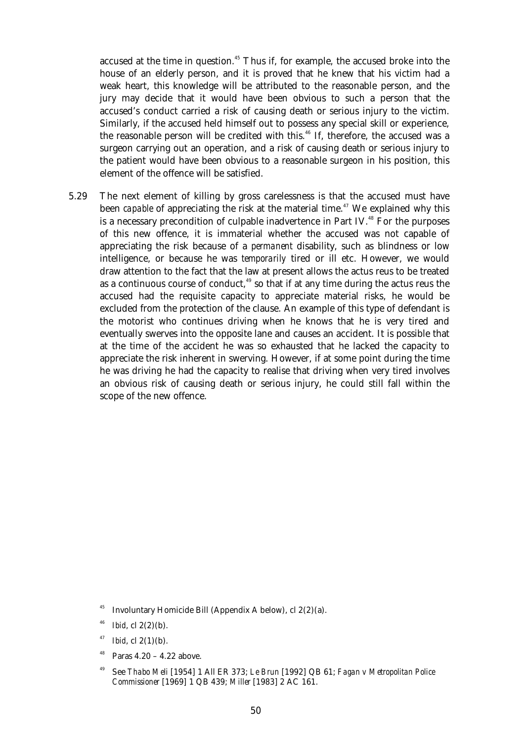accused at the time in question.<sup>45</sup> Thus if, for example, the accused broke into the house of an elderly person, and it is proved that he knew that his victim had a weak heart, this knowledge will be attributed to the reasonable person, and the jury may decide that it would have been obvious to such a person that the accused's conduct carried a risk of causing death or serious injury to the victim. Similarly, if the accused held himself out to possess any special skill or experience, the reasonable person will be credited with this.<sup>46</sup> If, therefore, the accused was a surgeon carrying out an operation, and a risk of causing death or serious injury to the patient would have been obvious to a reasonable surgeon in his position, this element of the offence will be satisfied.

 5.29 The next element of killing by gross carelessness is that the accused must have been *capable* of appreciating the risk at the material time.<sup>47</sup> We explained why this is a necessary precondition of culpable inadvertence in Part IV.<sup>48</sup> For the purposes of this new offence, it is immaterial whether the accused was not capable of appreciating the risk because of a *permanent* disability, such as blindness or low intelligence, or because he was *temporarily* tired or ill etc. However, we would draw attention to the fact that the law at present allows the actus reus to be treated as a continuous course of conduct, $49$  so that if at any time during the actus reus the accused had the requisite capacity to appreciate material risks, he would be excluded from the protection of the clause. An example of this type of defendant is the motorist who continues driving when he knows that he is very tired and eventually swerves into the opposite lane and causes an accident. It is possible that at the time of the accident he was so exhausted that he lacked the capacity to appreciate the risk inherent in swerving. However, if at some point during the time he was driving he had the capacity to realise that driving when very tired involves an obvious risk of causing death or serious injury, he could still fall within the scope of the new offence.

<sup>45</sup> Involuntary Homicide Bill (Appendix A below), cl 2(2)(a).

 $46$  *Ibid*, cl  $2(2)(b)$ .

 $47$  *Ibid.* cl  $2(1)(b)$ .

 $48$  Paras  $4.20 - 4.22$  above.

<sup>49</sup> See *Thabo Meli* [1954] 1 All ER 373; *Le Brun* [1992] QB 61; *Fagan v Metropolitan Police Commissioner* [1969] 1 QB 439; *Miller* [1983] 2 AC 161.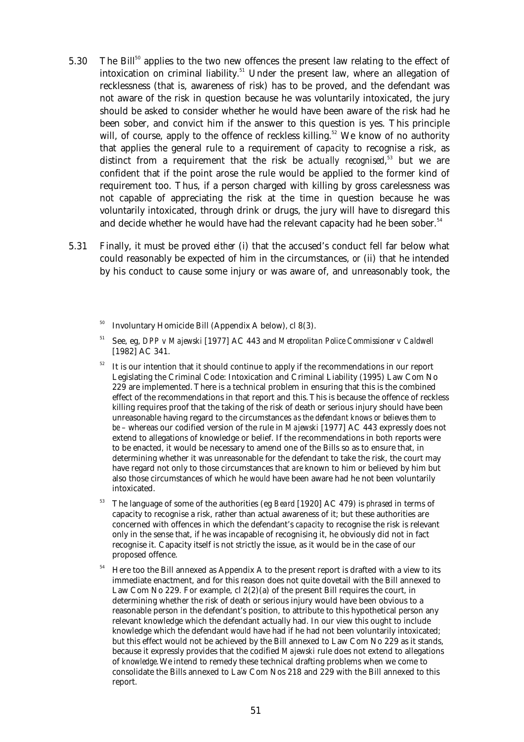- 5.30 The Bill<sup>50</sup> applies to the two new offences the present law relating to the effect of intoxication on criminal liability.<sup>51</sup> Under the present law, where an allegation of recklessness (that is, awareness of risk) has to be proved, and the defendant was not aware of the risk in question because he was voluntarily intoxicated, the jury should be asked to consider whether he would have been aware of the risk had he been sober, and convict him if the answer to this question is yes. This principle will, of course, apply to the offence of reckless killing.<sup>52</sup> We know of no authority that applies the general rule to a requirement of *capacity* to recognise a risk, as distinct from a requirement that the risk be *actually recognised*,<sup>53</sup> but we are confident that if the point arose the rule would be applied to the former kind of requirement too. Thus, if a person charged with killing by gross carelessness was not capable of appreciating the risk at the time in question because he was voluntarily intoxicated, through drink or drugs, the jury will have to disregard this and decide whether he would have had the relevant capacity had he been sober.<sup>54</sup>
- 5.31 Finally, it must be proved *either* (i) that the accused's conduct fell far below what could reasonably be expected of him in the circumstances, *or* (ii) that he intended by his conduct to cause some injury or was aware of, and unreasonably took, the
	- <sup>50</sup> Involuntary Homicide Bill (Appendix A below)*,* cl 8(3).
	- <sup>51</sup> See, eg, *DPP v Majewski* [1977] AC 443 and *Metropolitan Police Commissioner v Caldwell* [1982] AC 341.
	- $52$  It is our intention that it should continue to apply if the recommendations in our report Legislating the Criminal Code: Intoxication and Criminal Liability (1995) Law Com No 229 are implemented. There is a technical problem in ensuring that this is the combined effect of the recommendations in that report and this. This is because the offence of reckless killing requires proof that the taking of the risk of death or serious injury should have been unreasonable having regard to the circumstances *as the defendant knows or believes them to be* – whereas our codified version of the rule in *Majewski* [1977] AC 443 expressly does not extend to allegations of knowledge or belief. If the recommendations in both reports were to be enacted, it would be necessary to amend one of the Bills so as to ensure that, in determining whether it was unreasonable for the defendant to take the risk, the court may have regard not only to those circumstances that *are* known to him or believed by him but also those circumstances of which he *would* have been aware had he not been voluntarily intoxicated.
	- <sup>53</sup> The language of some of the authorities (eg *Beard* [1920] AC 479) is *phrased* in terms of capacity to recognise a risk, rather than actual awareness of it; but these authorities are concerned with offences in which the defendant's *capacity* to recognise the risk is relevant only in the sense that, if he was incapable of recognising it, he obviously did not in fact recognise it. Capacity itself is not strictly the issue, as it would be in the case of our proposed offence.
	- Here too the Bill annexed as Appendix A to the present report is drafted with a view to its immediate enactment, and for this reason does not quite dovetail with the Bill annexed to Law Com No 229. For example, cl 2(2)(a) of the present Bill requires the court, in determining whether the risk of death or serious injury would have been obvious to a reasonable person in the defendant's position, to attribute to this hypothetical person any relevant knowledge which the defendant actually had. In our view this ought to include knowledge which the defendant *would* have had if he had not been voluntarily intoxicated; but this effect would not be achieved by the Bill annexed to Law Com No 229 as it stands, because it expressly provides that the codified *Majewski* rule does not extend to allegations of *knowledge*. We intend to remedy these technical drafting problems when we come to consolidate the Bills annexed to Law Com Nos 218 and 229 with the Bill annexed to this report.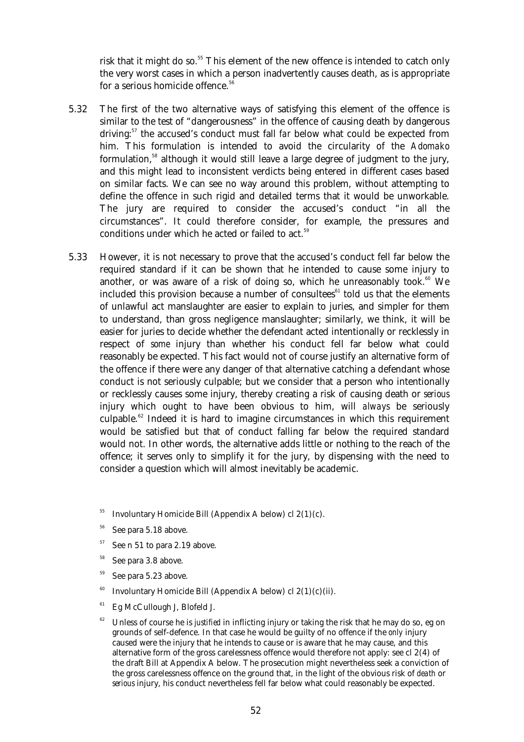risk that it might do so.<sup>55</sup> This element of the new offence is intended to catch only the very worst cases in which a person inadvertently causes death, as is appropriate for a serious homicide offence.<sup>56</sup>

- 5.32 The first of the two alternative ways of satisfying this element of the offence is similar to the test of "dangerousness" in the offence of causing death by dangerous driving:<sup>57</sup> the accused's conduct must fall *far* below what could be expected from him. This formulation is intended to avoid the circularity of the *Adomako* formulation,<sup>58</sup> although it would still leave a large degree of judgment to the jury, and this might lead to inconsistent verdicts being entered in different cases based on similar facts. We can see no way around this problem, without attempting to define the offence in such rigid and detailed terms that it would be unworkable. The jury are required to consider the accused's conduct "in all the circumstances". It could therefore consider, for example, the pressures and conditions under which he acted or failed to act.<sup>59</sup>
- 5.33 However, it is not necessary to prove that the accused's conduct fell far below the required standard if it can be shown that he intended to cause some injury to another, or was aware of a risk of doing so, which he unreasonably took.<sup>60</sup> We included this provision because a number of consultees $61$  told us that the elements of unlawful act manslaughter are easier to explain to juries, and simpler for them to understand, than gross negligence manslaughter; similarly, we think, it will be easier for juries to decide whether the defendant acted intentionally or recklessly in respect of *some* injury than whether his conduct fell far below what could reasonably be expected. This fact would not of course justify an alternative form of the offence if there were any danger of that alternative catching a defendant whose conduct is not seriously culpable; but we consider that a person who intentionally or recklessly causes some injury, thereby creating a risk of causing death or *serious* injury which ought to have been obvious to him, will *always* be seriously culpable.<sup>62</sup> Indeed it is hard to imagine circumstances in which this requirement would be satisfied but that of conduct falling far below the required standard would not. In other words, the alternative adds little or nothing to the reach of the offence; it serves only to simplify it for the jury, by dispensing with the need to consider a question which will almost inevitably be academic.
	- <sup>55</sup> Involuntary Homicide Bill (Appendix A below) cl 2(1)(c).
	- $56$  See para 5.18 above.
	- $57$  See n 51 to para 2.19 above.
	- <sup>58</sup> See para 3.8 above.
	- $59$  See para 5.23 above.
	- <sup>60</sup> Involuntary Homicide Bill (Appendix A below) cl  $2(1)(c)(ii)$ .
	- <sup>61</sup> Eg McCullough J, Blofeld J.
	- <sup>62</sup> Unless of course he is *justified* in inflicting injury or taking the risk that he may do so, eg on grounds of self-defence. In that case he would be guilty of no offence if the *only* injury caused were the injury that he intends to cause or is aware that he may cause, and this alternative form of the gross carelessness offence would therefore not apply: see cl 2(4) of the draft Bill at Appendix A below. The prosecution might nevertheless seek a conviction of the gross carelessness offence on the ground that, in the light of the obvious risk of *death* or *serious* injury, his conduct nevertheless fell far below what could reasonably be expected.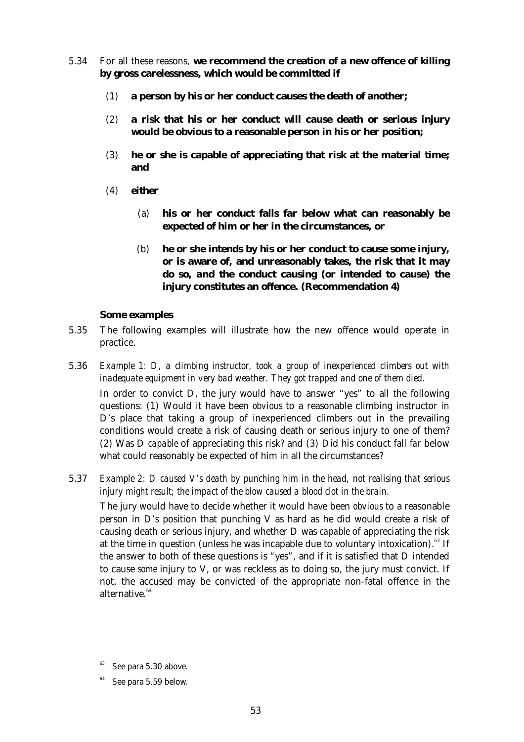- 5.34 For all these reasons, **we recommend the creation of a new offence of killing by gross carelessness, which would be committed if**
	- (1) **a person by his or her conduct causes the death of another;**
	- (2) **a risk that his or her conduct will cause death or serious injury would be obvious to a reasonable person in his or her position;**
	- (3) **he or she is capable of appreciating that risk at the material time; and**
	- (4) *either*
		- (a) **his or her conduct falls far below what can reasonably be expected of him or her in the circumstances,** *or*
		- (b) **he or she intends by his or her conduct to cause some injury, or is aware of, and unreasonably takes, the risk that it may do so,** *and* **the conduct causing (or intended to cause) the injury constitutes an offence. (Recommendation 4)**

## **Some examples**

- 5.35 The following examples will illustrate how the new offence would operate in practice.
- 5.36 *Example 1: D, a climbing instructor, took a group of inexperienced climbers out with inadequate equipment in very bad weather. They got trapped and one of them died.* In order to convict D, the jury would have to answer "yes" to all the following questions: (1) Would it have been *obvious* to a reasonable climbing instructor in D's place that taking a group of inexperienced climbers out in the prevailing conditions would create a risk of causing death or serious injury to one of them? (2) Was D *capable* of appreciating this risk? and (3) Did his conduct fall *far* below what could reasonably be expected of him in all the circumstances?
- 5.37 *Example 2: D caused V's death by punching him in the head, not realising that serious injury might result; the impact of the blow caused a blood clot in the brain.*

The jury would have to decide whether it would have been *obvious* to a reasonable person in D's position that punching V as hard as he did would create a risk of causing death or serious injury, and whether D was *capable* of appreciating the risk at the time in question (unless he was incapable due to voluntary intoxication). $^{63}$  If the answer to both of these questions is "yes", and if it is satisfied that D intended to cause *some* injury to V, or was reckless as to doing so, the jury must convict. If not, the accused may be convicted of the appropriate non-fatal offence in the alternative.<sup>64</sup>

 $63$  See para 5.30 above.

See para 5.59 below.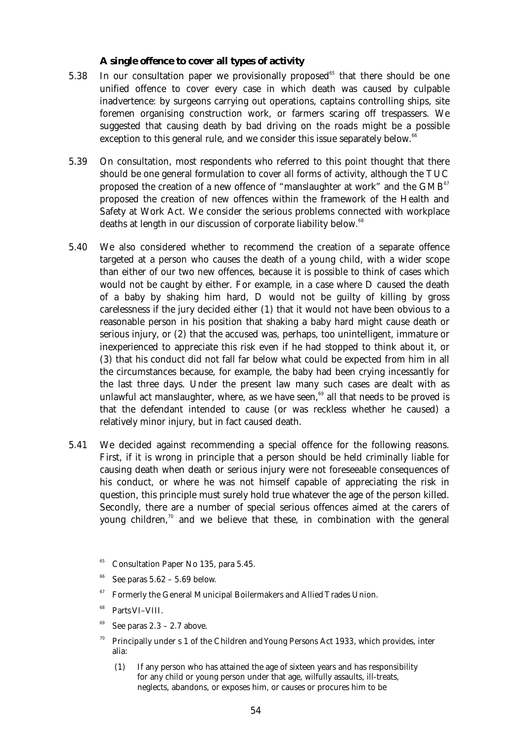### **A single offence to cover all types of activity**

- 5.38 In our consultation paper we provisionally proposed<sup>65</sup> that there should be one unified offence to cover every case in which death was caused by culpable inadvertence: by surgeons carrying out operations, captains controlling ships, site foremen organising construction work, or farmers scaring off trespassers. We suggested that causing death by bad driving on the roads might be a possible exception to this general rule, and we consider this issue separately below.<sup>66</sup>
- 5.39 On consultation, most respondents who referred to this point thought that there should be one general formulation to cover all forms of activity, although the TUC proposed the creation of a new offence of "manslaughter at work" and the  $GMB<sup>67</sup>$ proposed the creation of new offences within the framework of the Health and Safety at Work Act. We consider the serious problems connected with workplace deaths at length in our discussion of corporate liability below.<sup>68</sup>
- 5.40 We also considered whether to recommend the creation of a separate offence targeted at a person who causes the death of a young child, with a wider scope than either of our two new offences, because it is possible to think of cases which would not be caught by either. For example, in a case where D caused the death of a baby by shaking him hard, D would not be guilty of killing by gross carelessness if the jury decided either (1) that it would not have been obvious to a reasonable person in his position that shaking a baby hard might cause death or serious injury, or (2) that the accused was, perhaps, too unintelligent, immature or inexperienced to appreciate this risk even if he had stopped to think about it, or (3) that his conduct did not fall far below what could be expected from him in all the circumstances because, for example, the baby had been crying incessantly for the last three days. Under the present law many such cases are dealt with as unlawful act manslaughter, where, as we have seen, $69$  all that needs to be proved is that the defendant intended to cause (or was reckless whether he caused) a relatively minor injury, but in fact caused death.
- 5.41 We decided against recommending a special offence for the following reasons. First, if it is wrong in principle that a person should be held criminally liable for causing death when death or serious injury were not foreseeable consequences of his conduct, or where he was not himself capable of appreciating the risk in question, this principle must surely hold true whatever the age of the person killed. Secondly, there are a number of special serious offences aimed at the carers of young children, $\pi$  and we believe that these, in combination with the general
	- $65$  Consultation Paper No 135, para 5.45.
	- See paras  $5.62 5.69$  below.
	- <sup>67</sup> Formerly the General Municipal Boilermakers and Allied Trades Union.
	- <sup>68</sup> Parts VI–VIII.
	- See paras  $2.3 2.7$  above.
	- $70$  Principally under s 1 of the Children and Young Persons Act 1933, which provides, inter alia:
		- (1) If any person who has attained the age of sixteen years and has responsibility for any child or young person under that age, wilfully assaults, ill-treats, neglects, abandons, or exposes him, or causes or procures him to be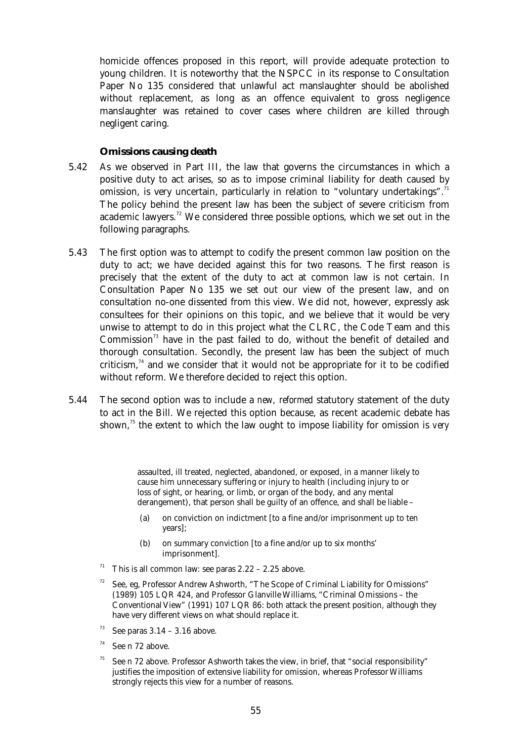homicide offences proposed in this report, will provide adequate protection to young children. It is noteworthy that the NSPCC in its response to Consultation Paper No 135 considered that unlawful act manslaughter should be abolished without replacement, as long as an offence equivalent to gross negligence manslaughter was retained to cover cases where children are killed through negligent caring.

## **Omissions causing death**

- 5.42 As we observed in Part III, the law that governs the circumstances in which a positive duty to act arises, so as to impose criminal liability for death caused by omission, is very uncertain, particularly in relation to "voluntary undertakings".<sup>71</sup> The policy behind the present law has been the subject of severe criticism from academic lawyers.<sup>72</sup> We considered three possible options, which we set out in the following paragraphs.
- 5.43 The first option was to attempt to codify the present common law position on the duty to act; we have decided against this for two reasons. The first reason is precisely that the extent of the duty to act at common law is not certain. In Consultation Paper No 135 we set out our view of the present law, and on consultation no-one dissented from this view. We did not, however, expressly ask consultees for their opinions on this topic, and we believe that it would be very unwise to attempt to do in this project what the CLRC, the Code Team and this  $Commission<sup>73</sup>$  have in the past failed to do, without the benefit of detailed and thorough consultation. Secondly, the present law has been the subject of much criticism, $<sup>74</sup>$  and we consider that it would not be appropriate for it to be codified</sup> without reform. We therefore decided to reject this option.
- 5.44 The second option was to include a *new, reformed* statutory statement of the duty to act in the Bill. We rejected this option because, as recent academic debate has shown,<sup>75</sup> the extent to which the law ought to impose liability for omission is *very*

assaulted, ill treated, neglected, abandoned, or exposed, in a manner likely to cause him unnecessary suffering or injury to health (including injury to or loss of sight, or hearing, or limb, or organ of the body, and any mental derangement), that person shall be guilty of an offence, and shall be liable –

- (a) on conviction on indictment [to a fine and/or imprisonment up to ten years];
- (b) on summary conviction [to a fine and/or up to six months' imprisonment].
- This is all common law: see paras  $2.22 2.25$  above.
- <sup>72</sup> See, eg, Professor Andrew Ashworth, "The Scope of Criminal Liability for Omissions" (1989) 105 LQR 424, and Professor Glanville Williams, "Criminal Omissions – the Conventional View" (1991) 107 LQR 86: both attack the present position, although they have very different views on what should replace it.
- See paras  $3.14 3.16$  above.
- $74$  See n 72 above.
- $75$  See n 72 above. Professor Ashworth takes the view, in brief, that "social responsibility" justifies the imposition of extensive liability for omission, whereas Professor Williams strongly rejects this view for a number of reasons.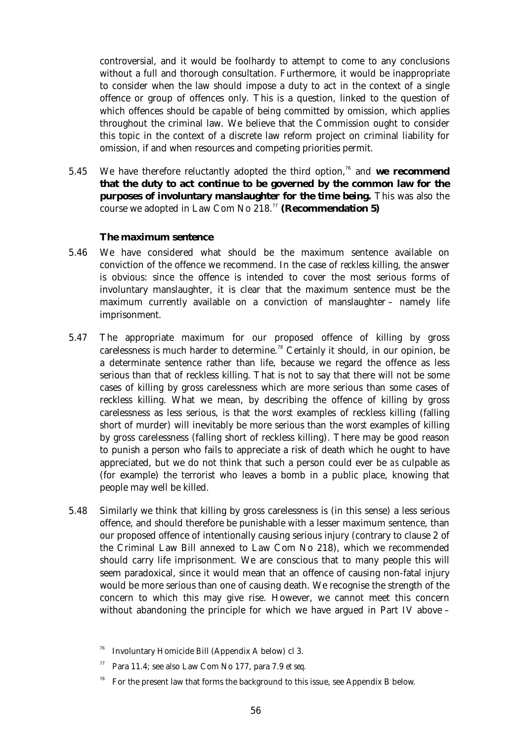controversial, and it would be foolhardy to attempt to come to any conclusions without a full and thorough consultation. Furthermore, it would be inappropriate to consider when the law should impose a duty to act in the context of a single offence or group of offences only. This is a question, linked to the question of which offences should be *capable* of being committed by omission, which applies throughout the criminal law. We believe that the Commission ought to consider this topic in the context of a discrete law reform project on criminal liability for omission, if and when resources and competing priorities permit.

 5.45 We have therefore reluctantly adopted the third option,<sup>76</sup> and **we recommend that the duty to act continue to be governed by the common law for the purposes of involuntary manslaughter for the time being.** This was also the course we adopted in Law Com No 218.<sup>77</sup> **(Recommendation 5)**

## **The maximum sentence**

- 5.46 We have considered what should be the maximum sentence available on conviction of the offence we recommend. In the case of *reckless* killing, the answer is obvious: since the offence is intended to cover the most serious forms of involuntary manslaughter, it is clear that the maximum sentence must be the maximum currently available on a conviction of manslaughter – namely life imprisonment.
- 5.47 The appropriate maximum for our proposed offence of killing by gross carelessness is much harder to determine.<sup>78</sup> Certainly it should, in our opinion, be a determinate sentence rather than life, because we regard the offence as less serious than that of reckless killing. That is not to say that there will not be some cases of killing by gross carelessness which are more serious than some cases of reckless killing. What we mean, by describing the offence of killing by gross carelessness as less serious, is that the *worst* examples of reckless killing (falling short of murder) will inevitably be more serious than the *worst* examples of killing by gross carelessness (falling short of reckless killing). There may be good reason to punish a person who fails to appreciate a risk of death which he ought to have appreciated, but we do not think that such a person could ever be *as* culpable as (for example) the terrorist who leaves a bomb in a public place, knowing that people may well be killed.
- 5.48 Similarly we think that killing by gross carelessness is (in this sense) a less serious offence, and should therefore be punishable with a lesser maximum sentence, than our proposed offence of intentionally causing serious injury (contrary to clause 2 of the Criminal Law Bill annexed to Law Com No 218), which we recommended should carry life imprisonment. We are conscious that to many people this will seem paradoxical, since it would mean that an offence of causing non-fatal injury would be more serious than one of causing death. We recognise the strength of the concern to which this may give rise. However, we cannot meet this concern without abandoning the principle for which we have argued in Part IV above –

<sup>76</sup> Involuntary Homicide Bill (Appendix A below) cl 3.

<sup>77</sup> Para 11.4; see also Law Com No 177, para 7.9 *et seq*.

For the present law that forms the background to this issue, see Appendix B below.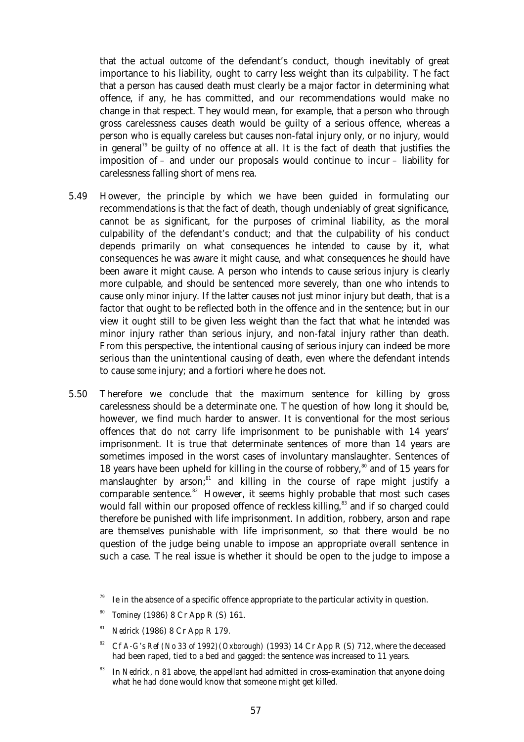that the actual *outcome* of the defendant's conduct, though inevitably of great importance to his liability, ought to carry less weight than its *culpability*. The fact that a person has caused death must clearly be a major factor in determining what offence, if any, he has committed, and our recommendations would make no change in that respect. They would mean, for example, that a person who through gross carelessness causes death would be guilty of a serious offence, whereas a person who is equally careless but causes non-fatal injury only, or no injury, would in general<sup>79</sup> be guilty of no offence at all. It is the fact of death that justifies the imposition of – and under our proposals would continue to incur – liability for carelessness falling short of mens rea.

- 5.49 However, the principle by which we have been guided in formulating our recommendations is that the fact of death, though undeniably of great significance, cannot be *as* significant, for the purposes of criminal liability, as the moral culpability of the defendant's conduct; and that the culpability of his conduct depends primarily on what consequences he *intended* to cause by it, what consequences he was aware it *might* cause, and what consequences he *should* have been aware it might cause. A person who intends to cause *serious* injury is clearly more culpable, and should be sentenced more severely, than one who intends to cause only *minor* injury. If the latter causes not just minor injury but death, that is a factor that ought to be reflected both in the offence and in the sentence; but in our view it ought still to be given less weight than the fact that what he *intended* was minor injury rather than serious injury, and non-fatal injury rather than death. From this perspective, the intentional causing of serious injury can indeed be more serious than the unintentional causing of death, even where the defendant intends to cause *some* injury; and a fortiori where he does not.
- 5.50 Therefore we conclude that the maximum sentence for killing by gross carelessness should be a determinate one. The question of how long it should be, however, we find much harder to answer. It is conventional for the most serious offences that do *not* carry life imprisonment to be punishable with 14 years' imprisonment. It is true that determinate sentences of more than 14 years are sometimes imposed in the worst cases of involuntary manslaughter. Sentences of 18 years have been upheld for killing in the course of robbery, $80$  and of 15 years for manslaughter by arson; $81$  and killing in the course of rape might justify a comparable sentence.<sup>82</sup> However, it seems highly probable that most such cases would fall within our proposed offence of reckless killing,<sup>83</sup> and if so charged could therefore be punished with life imprisonment. In addition, robbery, arson and rape are themselves punishable with life imprisonment, so that there would be no question of the judge being unable to impose an appropriate *overall* sentence in such a case. The real issue is whether it should be open to the judge to impose a

<sup>79</sup> Ie in the absence of a specific offence appropriate to the particular activity in question.

<sup>80</sup> *Tominey* (1986) 8 Cr App R (S) 161.

<sup>81</sup> *Nedrick* (1986) 8 Cr App R 179.

<sup>82</sup> Cf *A-G's Ref (No 33 of 1992)(Oxborough)* (1993) 14 Cr App R (S) 712,where the deceased had been raped, tied to a bed and gagged: the sentence was increased to 11 years.

<sup>83</sup> In *Nedrick*, n 81 above, the appellant had admitted in cross-examination that anyone doing what he had done would know that someone might get killed.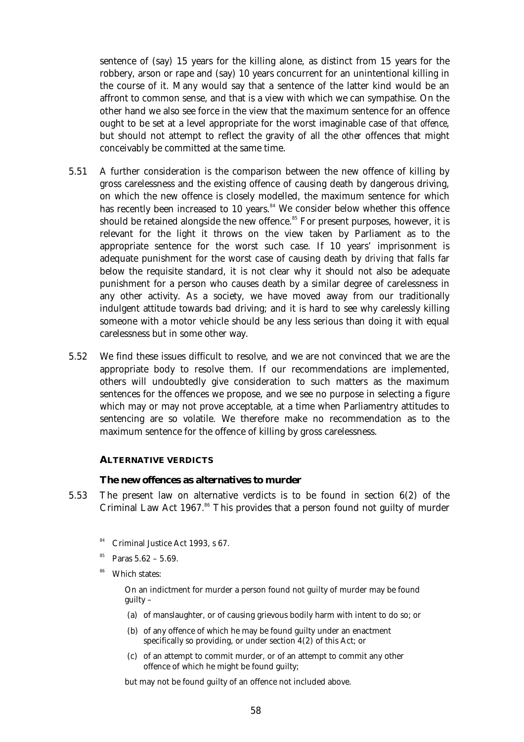sentence of (say) 15 years for the killing alone, as distinct from 15 years for the robbery, arson or rape and (say) 10 years concurrent for an unintentional killing in the course of it. Many would say that a sentence of the latter kind would be an affront to common sense, and that is a view with which we can sympathise. On the other hand we also see force in the view that the maximum sentence for an offence ought to be set at a level appropriate for the worst imaginable case of *that offence*, but should not attempt to reflect the gravity of all the *other* offences that might conceivably be committed at the same time.

- 5.51 A further consideration is the comparison between the new offence of killing by gross carelessness and the existing offence of causing death by dangerous driving, on which the new offence is closely modelled, the maximum sentence for which has recently been increased to 10 years.<sup>84</sup> We consider below whether this offence should be retained alongside the new offence. $85$  For present purposes, however, it is relevant for the light it throws on the view taken by Parliament as to the appropriate sentence for the worst such case. If 10 years' imprisonment is adequate punishment for the worst case of causing death by *driving* that falls far below the requisite standard, it is not clear why it should not also be adequate punishment for a person who causes death by a similar degree of carelessness in any other activity. As a society, we have moved away from our traditionally indulgent attitude towards bad driving; and it is hard to see why carelessly killing someone with a motor vehicle should be any less serious than doing it with equal carelessness but in some other way.
- 5.52 We find these issues difficult to resolve, and we are not convinced that we are the appropriate body to resolve them. If our recommendations are implemented, others will undoubtedly give consideration to such matters as the maximum sentences for the offences we propose, and we see no purpose in selecting a figure which may or may not prove acceptable, at a time when Parliamentry attitudes to sentencing are so volatile. We therefore make no recommendation as to the maximum sentence for the offence of killing by gross carelessness.

#### **ALTERNATIVE VERDICTS**

#### **The new offences as alternatives to murder**

- 5.53 The present law on alternative verdicts is to be found in section 6(2) of the Criminal Law Act 1967. $86$  This provides that a person found not guilty of murder
	- <sup>84</sup> Criminal Justice Act 1993, s 67.
	- <sup>85</sup> Paras 5.62 5.69.
	- Which states:

On an indictment for murder a person found not guilty of murder may be found guilty –

- (a) of manslaughter, or of causing grievous bodily harm with intent to do so; or
- (b) of any offence of which he may be found guilty under an enactment specifically so providing, or under section  $4(2)$  of this Act; or
- (c) of an attempt to commit murder, or of an attempt to commit any other offence of which he might be found guilty;

but may not be found guilty of an offence not included above.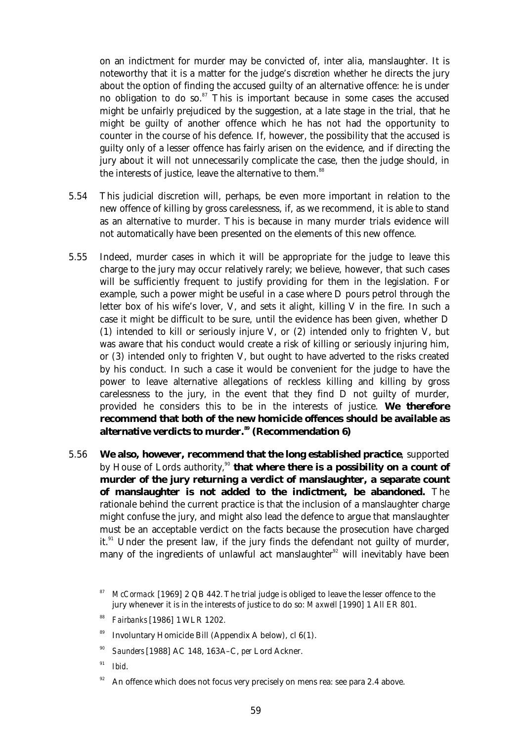on an indictment for murder may be convicted of, inter alia, manslaughter. It is noteworthy that it is a matter for the judge's *discretion* whether he directs the jury about the option of finding the accused guilty of an alternative offence: he is under no obligation to do so. $87$  This is important because in some cases the accused might be unfairly prejudiced by the suggestion, at a late stage in the trial, that he might be guilty of another offence which he has not had the opportunity to counter in the course of his defence. If, however, the possibility that the accused is guilty only of a lesser offence has fairly arisen on the evidence, and if directing the jury about it will not unnecessarily complicate the case, then the judge should, in the interests of justice, leave the alternative to them.<sup>88</sup>

- 5.54 This judicial discretion will, perhaps, be even more important in relation to the new offence of killing by gross carelessness, if, as we recommend, it is able to stand as an alternative to murder. This is because in many murder trials evidence will not automatically have been presented on the elements of this new offence.
- 5.55 Indeed, murder cases in which it will be appropriate for the judge to leave this charge to the jury may occur relatively rarely; we believe, however, that such cases will be sufficiently frequent to justify providing for them in the legislation. For example, such a power might be useful in a case where D pours petrol through the letter box of his wife's lover, V, and sets it alight, killing V in the fire. In such a case it might be difficult to be sure, until the evidence has been given, whether D (1) intended to kill or seriously injure V, or (2) intended only to frighten V, but was aware that his conduct would create a risk of killing or seriously injuring him, or (3) intended only to frighten V, but ought to have adverted to the risks created by his conduct. In such a case it would be convenient for the judge to have the power to leave alternative allegations of reckless killing and killing by gross carelessness to the jury, in the event that they find D not guilty of murder, provided he considers this to be in the interests of justice. **We therefore recommend that both of the new homicide offences should be available as alternative verdicts to murder.<sup>89</sup> (Recommendation 6)**
- 5.56 **We also, however, recommend that the long established practice**, supported by House of Lords authority,<sup>90</sup> **that where there is a possibility on a count of murder of the jury returning a verdict of manslaughter, a separate count of manslaughter is** *not* **added to the indictment, be abandoned.** The rationale behind the current practice is that the inclusion of a manslaughter charge might confuse the jury, and might also lead the defence to argue that manslaughter must be an acceptable verdict on the facts because the prosecution have charged it. $91$  Under the present law, if the jury finds the defendant not guilty of murder, many of the ingredients of unlawful act manslaughter $92$  will inevitably have been

- <sup>88</sup> *Fairbanks* [1986] 1 WLR 1202.
- <sup>89</sup> Involuntary Homicide Bill (Appendix A below), cl  $6(1)$ .
- <sup>90</sup> *Saunders* [1988] AC 148, 163A–C, *per* Lord Ackner.
- <sup>91</sup> *Ibid*.
- $92$  An offence which does not focus very precisely on mens rea: see para 2.4 above.

<sup>87</sup> *McCormack* [1969] 2 QB 442. The trial judge is obliged to leave the lesser offence to the jury whenever it is in the interests of justice to do so: *Maxwell* [1990] 1 All ER 801.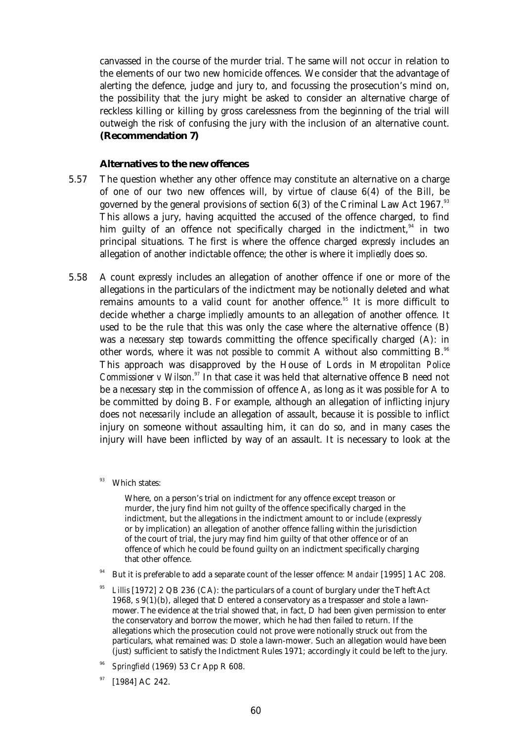canvassed in the course of the murder trial. The same will not occur in relation to the elements of our two new homicide offences. We consider that the advantage of alerting the defence, judge and jury to, and focussing the prosecution's mind on, the possibility that the jury might be asked to consider an alternative charge of reckless killing or killing by gross carelessness from the beginning of the trial will outweigh the risk of confusing the jury with the inclusion of an alternative count. **(Recommendation 7)**

#### **Alternatives to the new offences**

- 5.57 The question whether any other offence may constitute an alternative on a charge of one of our two new offences will, by virtue of clause 6(4) of the Bill, be governed by the general provisions of section  $6(3)$  of the Criminal Law Act 1967.<sup>93</sup> This allows a jury, having acquitted the accused of the offence charged, to find him guilty of an offence not specifically charged in the indictment, $94$  in two principal situations. The first is where the offence charged *expressly* includes an allegation of another indictable offence; the other is where it *impliedly* does so.
- 5.58 A count *expressly* includes an allegation of another offence if one or more of the allegations in the particulars of the indictment may be notionally deleted and what remains amounts to a valid count for another offence.<sup>95</sup> It is more difficult to decide whether a charge *impliedly* amounts to an allegation of another offence. It used to be the rule that this was only the case where the alternative offence (B) was a *necessary step* towards committing the offence specifically charged (A): in other words, where it was *not possible* to commit A without also committing B.<sup>96</sup> This approach was disapproved by the House of Lords in *Metropolitan Police Commissioner v Wilson*. <sup>97</sup> In that case it was held that alternative offence B need not be a *necessary step* in the commission of offence A, as long as it was *possible* for A to be committed by doing B. For example, although an allegation of inflicting injury does not *necessarily* include an allegation of assault, because it is possible to inflict injury on someone without assaulting him, it *can* do so, and in many cases the injury will have been inflicted by way of an assault. It is necessary to look at the
	- $93$  Which states:

Where, on a person's trial on indictment for any offence except treason or murder, the jury find him not guilty of the offence specifically charged in the indictment, but the allegations in the indictment amount to or include (expressly or by implication) an allegation of another offence falling within the jurisdiction of the court of trial, the jury may find him guilty of that other offence or of an offence of which he could be found guilty on an indictment specifically charging that other offence.

- <sup>94</sup> But it is preferable to add a separate count of the lesser offence: *Mandair* [1995] 1 AC 208.
- <sup>95</sup> *Lillis* [1972] 2 QB 236 (CA): the particulars of a count of burglary under the Theft Act 1968, s  $9(1)(b)$ , alleged that D entered a conservatory as a trespasser and stole a lawnmower. The evidence at the trial showed that, in fact, D had been given permission to enter the conservatory and borrow the mower, which he had then failed to return. If the allegations which the prosecution could not prove were notionally struck out from the particulars, what remained was: D stole a lawn-mower. Such an allegation would have been (just) sufficient to satisfy the Indictment Rules 1971; accordingly it could be left to the jury.
- <sup>96</sup> *Springfield* (1969) 53 Cr App R 608.
- [1984] AC 242.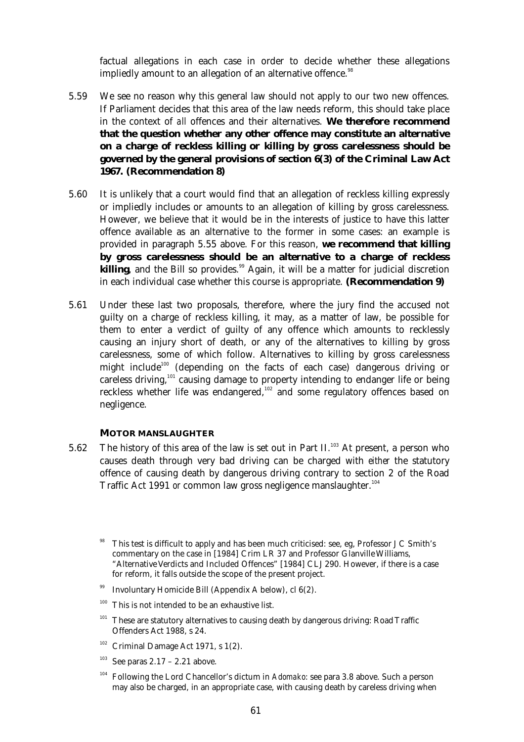factual allegations in each case in order to decide whether these allegations impliedly amount to an allegation of an alternative offence.<sup>98</sup>

- 5.59 We see no reason why this general law should not apply to our two new offences. If Parliament decides that this area of the law needs reform, this should take place in the context of *all* offences and their alternatives. **We therefore recommend that the question whether any other offence may constitute an alternative on a charge of reckless killing or killing by gross carelessness should be governed by the general provisions of section 6(3) of the Criminal Law Act 1967. (Recommendation 8)**
- 5.60 It is unlikely that a court would find that an allegation of reckless killing expressly or impliedly includes or amounts to an allegation of killing by gross carelessness. However, we believe that it would be in the interests of justice to have this latter offence available as an alternative to the former in some cases: an example is provided in paragraph 5.55 above. For this reason, **we recommend that killing by gross carelessness should be an alternative to a charge of reckless killing**, and the Bill so provides.<sup>99</sup> Again, it will be a matter for judicial discretion in each individual case whether this course is appropriate. **(Recommendation 9)**
- 5.61 Under these last two proposals, therefore, where the jury find the accused not guilty on a charge of reckless killing, it may, as a matter of law, be possible for them to enter a verdict of guilty of any offence which amounts to recklessly causing an injury short of death, or any of the alternatives to killing by gross carelessness, some of which follow. Alternatives to killing by gross carelessness might include<sup>100</sup> (depending on the facts of each case) dangerous driving or careless driving,<sup>101</sup> causing damage to property intending to endanger life or being reckless whether life was endangered,<sup>102</sup> and some regulatory offences based on negligence.

#### **MOTOR MANSLAUGHTER**

5.62 The history of this area of the law is set out in Part II.<sup>103</sup> At present, a person who causes death through very bad driving can be charged with *either* the statutory offence of causing death by dangerous driving contrary to section 2 of the Road Traffic Act 1991 *or* common law gross negligence manslaughter.<sup>104</sup>

- <sup>99</sup> Involuntary Homicide Bill (Appendix A below), cl  $6(2)$ .
- $100$  This is not intended to be an exhaustive list.
- <sup>101</sup> These are statutory alternatives to causing death by dangerous driving: Road Traffic Offenders Act 1988, s 24.
- $102$  Criminal Damage Act 1971, s 1(2).
- $103$  See paras 2.17 2.21 above.
- <sup>104</sup> Following the Lord Chancellor's dictum in *Adomako*: see para 3.8 above. Such a person may also be charged, in an appropriate case, with causing death by careless driving when

<sup>98</sup> This test is difficult to apply and has been much criticised: see, eg, Professor J C Smith's commentary on the case in [1984] Crim LR 37 and Professor Glanville Williams, "Alternative Verdicts and Included Offences" [1984] CLJ 290. However, if there is a case for reform, it falls outside the scope of the present project.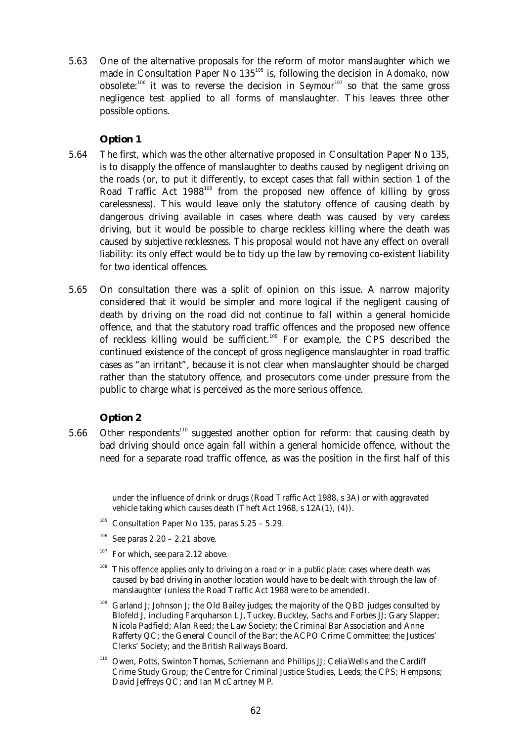5.63 One of the alternative proposals for the reform of motor manslaughter which we made in Consultation Paper No 135<sup>105</sup> is, following the decision in *Adomako*, now obsolete:<sup>106</sup> it was to reverse the decision in  $Sermou<sup>107</sup>$  so that the same gross negligence test applied to all forms of manslaughter. This leaves three other possible options.

# **Option 1**

- 5.64 The first, which was the other alternative proposed in Consultation Paper No 135, is to disapply the offence of manslaughter to deaths caused by negligent driving on the roads (or, to put it differently, to except cases that fall within section 1 of the Road Traffic Act  $1988^{108}$  from the proposed new offence of killing by gross carelessness). This would leave only the statutory offence of causing death by dangerous driving available in cases where death was caused by *very careless* driving, but it would be possible to charge reckless killing where the death was caused by *subjective recklessness*. This proposal would not have any effect on overall liability: its only effect would be to tidy up the law by removing co-existent liability for two identical offences.
- 5.65 On consultation there was a split of opinion on this issue. A narrow majority considered that it would be simpler and more logical if the negligent causing of death by driving on the road did *not* continue to fall within a general homicide offence, and that the statutory road traffic offences and the proposed new offence of reckless killing would be sufficient.<sup>109</sup> For example, the CPS described the continued existence of the concept of gross negligence manslaughter in road traffic cases as "an irritant", because it is not clear when manslaughter should be charged rather than the statutory offence, and prosecutors come under pressure from the public to charge what is perceived as the more serious offence.

### **Option 2**

5.66 Other respondents<sup>110</sup> suggested another option for reform: that causing death by bad driving should once again fall within a general homicide offence, without the need for a separate road traffic offence, as was the position in the first half of this

> under the influence of drink or drugs (Road Traffic Act 1988, s 3A) or with aggravated vehicle taking which causes death (Theft Act 1968, s 12A(1), (4)).

- $105$  Consultation Paper No 135, paras  $5.25 5.29$ .
- See paras  $2.20 2.21$  above.
- $107$  For which, see para 2.12 above.
- <sup>108</sup> This offence applies only to driving *on a road or in a public place*: cases where death was caused by bad driving in another location would have to be dealt with through the law of manslaughter (unless the Road Traffic Act 1988 were to be amended).
- <sup>109</sup> Garland J; Johnson J; the Old Bailey judges; the majority of the QBD judges consulted by Blofeld J, including Farquharson LJ, Tuckey, Buckley, Sachs and Forbes JJ; Gary Slapper; Nicola Padfield; Alan Reed; the Law Society; the Criminal Bar Association and Anne Rafferty QC; the General Council of the Bar; the ACPO Crime Committee; the Justices' Clerks' Society; and the British Railways Board.
- <sup>110</sup> Owen, Potts, Swinton Thomas, Schiemann and Phillips JJ; Celia Wells and the Cardiff Crime Study Group; the Centre for Criminal Justice Studies, Leeds; the CPS; Hempsons; David Jeffreys QC; and Ian McCartney MP.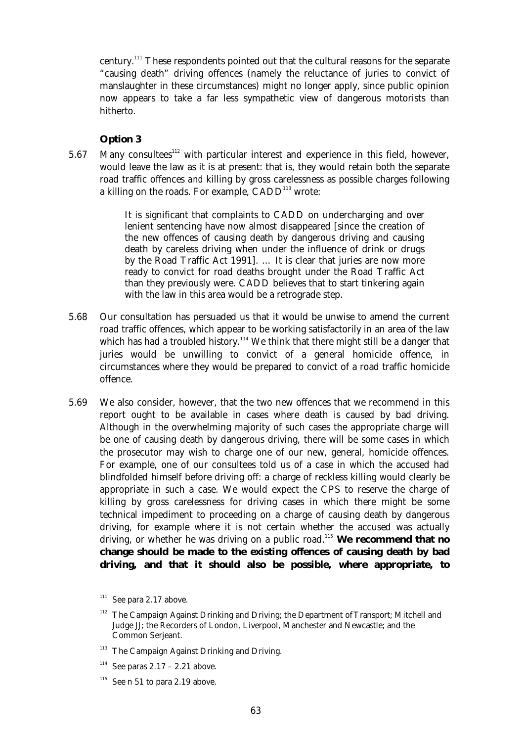century.<sup>111</sup> These respondents pointed out that the cultural reasons for the separate "causing death" driving offences (namely the reluctance of juries to convict of manslaughter in these circumstances) might no longer apply, since public opinion now appears to take a far less sympathetic view of dangerous motorists than hitherto.

# **Option 3**

 $5.67$  Many consultees<sup>112</sup> with particular interest and experience in this field, however, would leave the law as it is at present: that is, they would retain both the separate road traffic offences *and* killing by gross carelessness as possible charges following a killing on the roads. For example,  $CADD<sup>113</sup>$  wrote:

> It is significant that complaints to CADD on undercharging and over lenient sentencing have now almost disappeared [since the creation of the new offences of causing death by dangerous driving and causing death by careless driving when under the influence of drink or drugs by the Road Traffic Act 1991]. … It is clear that juries are now more ready to convict for road deaths brought under the Road Traffic Act than they previously were. CADD believes that to start tinkering again with the law in this area would be a retrograde step.

- 5.68 Our consultation has persuaded us that it would be unwise to amend the current road traffic offences, which appear to be working satisfactorily in an area of the law which has had a troubled history.<sup>114</sup> We think that there might still be a danger that juries would be unwilling to convict of a general homicide offence, in circumstances where they would be prepared to convict of a road traffic homicide offence.
- 5.69 We also consider, however, that the two new offences that we recommend in this report ought to be available in cases where death is caused by bad driving. Although in the overwhelming majority of such cases the appropriate charge will be one of causing death by dangerous driving, there will be some cases in which the prosecutor may wish to charge one of our new, general, homicide offences. For example, one of our consultees told us of a case in which the accused had blindfolded himself before driving off: a charge of reckless killing would clearly be appropriate in such a case. We would expect the CPS to reserve the charge of killing by gross carelessness for driving cases in which there might be some technical impediment to proceeding on a charge of causing death by dangerous driving, for example where it is not certain whether the accused was actually driving, or whether he was driving on a public road.<sup>115</sup> **We recommend that no change should be made to the existing offences of causing death by bad driving, and that it should also be possible, where appropriate, to**

 $111$  See para 2.17 above.

<sup>&</sup>lt;sup>112</sup> The Campaign Against Drinking and Driving; the Department of Transport; Mitchell and Judge JJ; the Recorders of London, Liverpool, Manchester and Newcastle; and the Common Serjeant.

<sup>&</sup>lt;sup>113</sup> The Campaign Against Drinking and Driving.

<sup>&</sup>lt;sup>114</sup> See paras 2.17 – 2.21 above.

 $115$  See n 51 to para 2.19 above.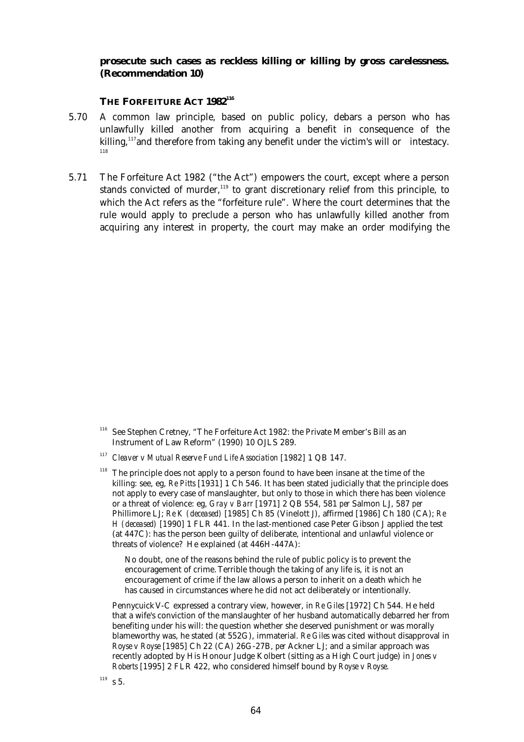# **prosecute such cases as reckless killing or killing by gross carelessness. (Recommendation 10)**

## **THE FORFEITURE ACT 1982<sup>116</sup>**

- 5.70 A common law principle, based on public policy, debars a person who has unlawfully killed another from acquiring a benefit in consequence of the killing, $117$  and therefore from taking any benefit under the victim's will or intestacy. 118
- 5.71 The Forfeiture Act 1982 ("the Act") empowers the court, except where a person stands convicted of murder, $119$  to grant discretionary relief from this principle, to which the Act refers as the "forfeiture rule". Where the court determines that the rule would apply to preclude a person who has unlawfully killed another from acquiring any interest in property, the court may make an order modifying the

No doubt, one of the reasons behind the rule of public policy is to prevent the encouragement of crime. Terrible though the taking of any life is, it is not an encouragement of crime if the law allows a person to inherit on a death which he has caused in circumstances where he did not act deliberately or intentionally.

Pennycuick V-C expressed a contrary view, however, in *Re Giles* [1972] Ch 544. He held that a wife's conviction of the manslaughter of her husband automatically debarred her from benefiting under his will: the question whether she deserved punishment or was morally blameworthy was, he stated (at 552G), immaterial. *Re Giles* was cited without disapproval in *Royse v Royse* [1985] Ch 22 (CA) 26G-27B, *per* Ackner LJ; and a similar approach was recently adopted by His Honour Judge Kolbert (sitting as a High Court judge) in *Jones v Roberts* [1995] 2 FLR 422, who considered himself bound by *Royse v Royse*.

 $119$  s 5.

<sup>&</sup>lt;sup>116</sup> See Stephen Cretney, "The Forfeiture Act 1982: the Private Member's Bill as an Instrument of Law Reform" (1990) 10 OJLS 289.

<sup>117</sup> *Cleaver v Mutual Reserve Fund Life Association* [1982] 1 QB 147.

<sup>&</sup>lt;sup>118</sup> The principle does not apply to a person found to have been insane at the time of the killing: see, eg, *Re Pitts* [1931] 1 Ch 546. It has been stated judicially that the principle does not apply to every case of manslaughter, but only to those in which there has been violence or a threat of violence: eg, *Gray v Barr* [1971] 2 QB 554, 581 *per* Salmon LJ, 587 *per* Phillimore LJ; *Re K (deceased)* [1985] Ch 85 (Vinelott J), affirmed [1986] Ch 180 (CA); *Re H (deceased)* [1990] 1 FLR 441. In the last-mentioned case Peter Gibson J applied the test (at 447C): has the person been guilty of deliberate, intentional and unlawful violence or threats of violence? He explained (at 446H-447A):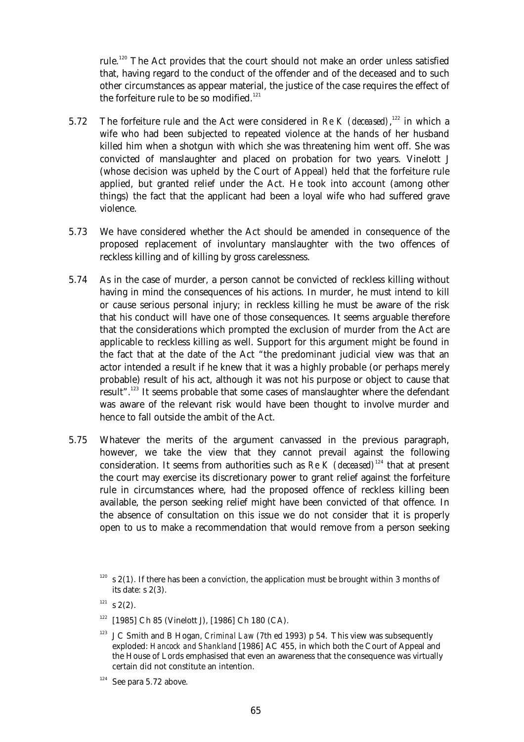rule.<sup>120</sup> The Act provides that the court should not make an order unless satisfied that, having regard to the conduct of the offender and of the deceased and to such other circumstances as appear material, the justice of the case requires the effect of the forfeiture rule to be so modified.<sup>121</sup>

- 5.72 The forfeiture rule and the Act were considered in *Re K (deceased)*,<sup>122</sup> in which a wife who had been subjected to repeated violence at the hands of her husband killed him when a shotgun with which she was threatening him went off. She was convicted of manslaughter and placed on probation for two years. Vinelott J (whose decision was upheld by the Court of Appeal) held that the forfeiture rule applied, but granted relief under the Act. He took into account (among other things) the fact that the applicant had been a loyal wife who had suffered grave violence.
	- 5.73 We have considered whether the Act should be amended in consequence of the proposed replacement of involuntary manslaughter with the two offences of reckless killing and of killing by gross carelessness.
	- 5.74 As in the case of murder, a person cannot be convicted of reckless killing without having in mind the consequences of his actions. In murder, he must intend to kill or cause serious personal injury; in reckless killing he must be aware of the risk that his conduct will have one of those consequences. It seems arguable therefore that the considerations which prompted the exclusion of murder from the Act are applicable to reckless killing as well. Support for this argument might be found in the fact that at the date of the Act "the predominant judicial view was that an actor intended a result if he knew that it was a highly probable (or perhaps merely probable) result of his act, although it was not his purpose or object to cause that result".<sup>123</sup> It seems probable that some cases of manslaughter where the defendant was aware of the relevant risk would have been thought to involve murder and hence to fall outside the ambit of the Act.
	- 5.75 Whatever the merits of the argument canvassed in the previous paragraph, however, we take the view that they cannot prevail against the following consideration. It seems from authorities such as *Re K (deceased)*<sup>124</sup> that at present the court may exercise its discretionary power to grant relief against the forfeiture rule in circumstances where, had the proposed offence of reckless killing been available, the person seeking relief might have been convicted of that offence. In the absence of consultation on this issue we do not consider that it is properly open to us to make a recommendation that would remove from a person seeking

 $12(1)$ . If there has been a conviction, the application must be brought within 3 months of its date: s 2(3).

 $121$  s 2(2).

 $122$  [1985] Ch 85 (Vinelott J), [1986] Ch 180 (CA).

<sup>&</sup>lt;sup>123</sup> J C Smith and B Hogan, *Criminal Law* (7th ed 1993) p 54. This view was subsequently exploded: *Hancock and Shankland* [1986] AC 455, in which both the Court of Appeal and the House of Lords emphasised that even an awareness that the consequence was virtually certain did not constitute an intention.

 $124$  See para 5.72 above.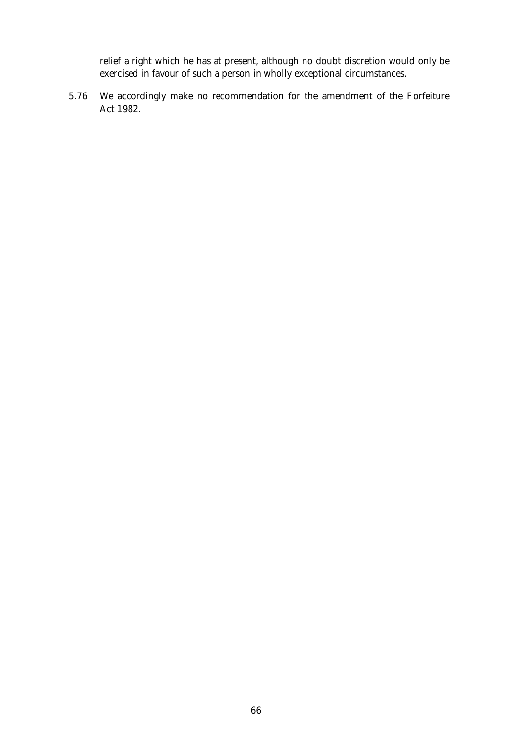relief a right which he has at present, although no doubt discretion would only be exercised in favour of such a person in wholly exceptional circumstances.

 5.76 We accordingly make no recommendation for the amendment of the Forfeiture Act 1982.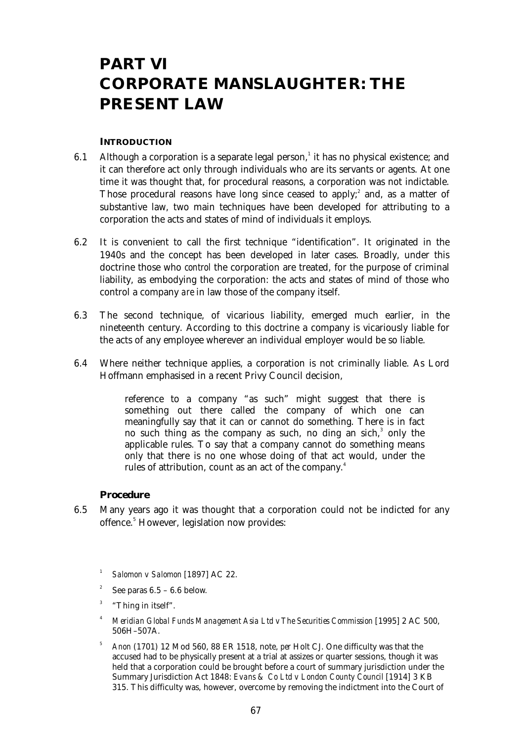# **PART VI CORPORATE MANSLAUGHTER: THE PRESENT LAW**

# **INTRODUCTION**

- $6.1$  Although a corporation is a separate legal person,<sup>1</sup> it has no physical existence; and it can therefore act only through individuals who are its servants or agents. At one time it was thought that, for procedural reasons, a corporation was not indictable. Those procedural reasons have long since ceased to apply; $^2$  and, as a matter of substantive law, two main techniques have been developed for attributing to a corporation the acts and states of mind of individuals it employs.
	- 6.2 It is convenient to call the first technique "identification". It originated in the 1940s and the concept has been developed in later cases. Broadly, under this doctrine those who *control* the corporation are treated, for the purpose of criminal liability, as embodying the corporation: the acts and states of mind of those who control a company *are* in law those of the company itself.
	- 6.3 The second technique, of vicarious liability, emerged much earlier, in the nineteenth century. According to this doctrine a company is vicariously liable for the acts of any employee wherever an individual employer would be so liable.
	- 6.4 Where neither technique applies, a corporation is not criminally liable. As Lord Hoffmann emphasised in a recent Privy Council decision,

reference to a company "as such" might suggest that there is something out there called the company of which one can meaningfully say that it can or cannot do something. There is in fact no such thing as the company as such, no ding an sich, $3$  only the applicable rules. To say that a company cannot do something means only that there is no one whose doing of that act would, under the rules of attribution, count as an act of the company.<sup>4</sup>

## **Procedure**

- 6.5 Many years ago it was thought that a corporation could not be indicted for any offence.<sup>5</sup> However, legislation now provides:
	- 1 *Salomon v Salomon* [1897] AC 22.
	- 2 See paras 6.5 – 6.6 below.
	- 3 "Thing in itself".
	- <sup>4</sup> *Meridian Global Funds Management Asia Ltd v The Securities Commission* [1995] 2 AC 500, 506H–507A.
	- <sup>5</sup> *Anon* (1701) 12 Mod 560, 88 ER 1518, note, *per* Holt CJ. One difficulty was that the accused had to be physically present at a trial at assizes or quarter sessions, though it was held that a corporation could be brought before a court of summary jurisdiction under the Summary Jurisdiction Act 1848: *Evans & Co Ltd v London County Council* [1914] 3 KB 315. This difficulty was, however, overcome by removing the indictment into the Court of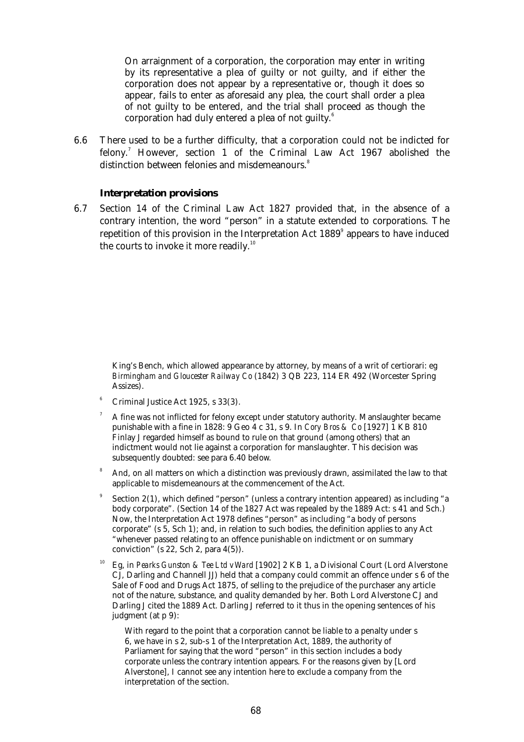On arraignment of a corporation, the corporation may enter in writing by its representative a plea of guilty or not guilty, and if either the corporation does not appear by a representative or, though it does so appear, fails to enter as aforesaid any plea, the court shall order a plea of not guilty to be entered, and the trial shall proceed as though the corporation had duly entered a plea of not guilty.<sup>6</sup>

 6.6 There used to be a further difficulty, that a corporation could not be indicted for felony.<sup>7</sup> However, section 1 of the Criminal Law Act 1967 abolished the distinction between felonies and misdemeanours.<sup>8</sup>

#### **Interpretation provisions**

 6.7 Section 14 of the Criminal Law Act 1827 provided that, in the absence of a contrary intention, the word "person" in a statute extended to corporations. The repetition of this provision in the Interpretation Act  $1889^\circ$  appears to have induced the courts to invoke it more readily.<sup>10</sup>

King's Bench, which allowed appearance by attorney, by means of a writ of certiorari: eg *Birmingham and Gloucester Railway Co* (1842) 3 QB 223, 114 ER 492 (Worcester Spring Assizes).

- $6$  Criminal Justice Act 1925, s 33(3).
- $7 A$  fine was not inflicted for felony except under statutory authority. Manslaughter became punishable with a fine in 1828: 9 Geo 4 c 31, s 9. In *Cory Bros & Co* [1927] 1 KB 810 Finlay J regarded himself as bound to rule on that ground (among others) that an indictment would not lie against a corporation for manslaughter. This decision was subsequently doubted: see para 6.40 below.
- <sup>8</sup> And, on all matters on which a distinction was previously drawn, assimilated the law to that applicable to misdemeanours at the commencement of the Act.
- 9 Section 2(1), which defined "person" (unless a contrary intention appeared) as including "a body corporate". (Section 14 of the 1827 Act was repealed by the 1889 Act: s 41 and Sch.) Now, the Interpretation Act 1978 defines "person" as including "a body of persons corporate" (s 5, Sch 1); and, in relation to such bodies, the definition applies to any Act "whenever passed relating to an offence punishable on indictment or on summary conviction" (s 22, Sch 2, para  $4(5)$ ).
- <sup>10</sup> Eg, in *Pearks Gunston & Tee Ltd v Ward* [1902] 2 KB 1, a Divisional Court (Lord Alverstone CJ, Darling and Channell JJ) held that a company could commit an offence under s 6 of the Sale of Food and Drugs Act 1875, of selling to the prejudice of the purchaser any article not of the nature, substance, and quality demanded by her. Both Lord Alverstone CJ and Darling J cited the 1889 Act. Darling J referred to it thus in the opening sentences of his judgment (at p 9):

With regard to the point that a corporation cannot be liable to a penalty under s 6, we have in s 2, sub-s 1 of the Interpretation Act, 1889, the authority of Parliament for saying that the word "person" in this section includes a body corporate unless the contrary intention appears. For the reasons given by [Lord Alverstone], I cannot see any intention here to exclude a company from the interpretation of the section.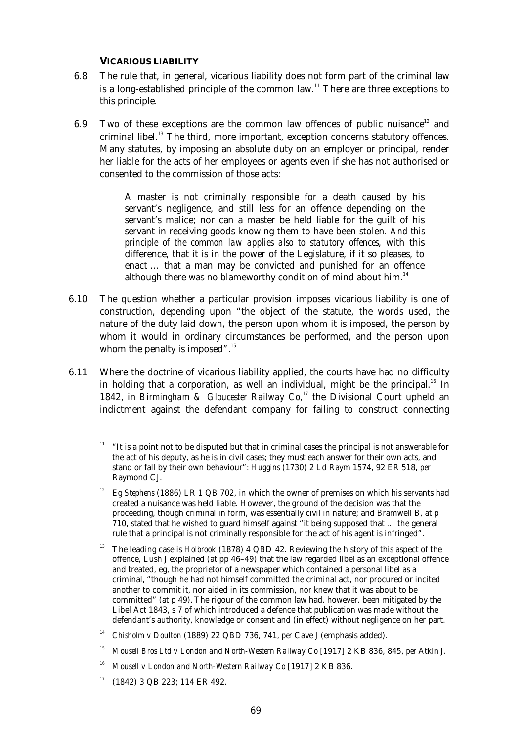## **VICARIOUS LIABILITY**

- 6.8 The rule that, in general, vicarious liability does not form part of the criminal law is a long-established principle of the common law.<sup>11</sup> There are three exceptions to this principle.
- 6.9 Two of these exceptions are the common law offences of public nuisance<sup>12</sup> and criminal libel.<sup>13</sup> The third, more important, exception concerns statutory offences. Many statutes, by imposing an absolute duty on an employer or principal, render her liable for the acts of her employees or agents even if she has not authorised or consented to the commission of those acts:

A master is not criminally responsible for a death caused by his servant's negligence, and still less for an offence depending on the servant's malice; nor can a master be held liable for the guilt of his servant in receiving goods knowing them to have been stolen. *And this principle of the common law applies also to statutory offences*, with this difference, that it is in the power of the Legislature, if it so pleases, to enact … that a man may be convicted and punished for an offence although there was no blameworthy condition of mind about him.<sup>14</sup>

- 6.10 The question whether a particular provision imposes vicarious liability is one of construction, depending upon "the object of the statute, the words used, the nature of the duty laid down, the person upon whom it is imposed, the person by whom it would in ordinary circumstances be performed, and the person upon whom the penalty is imposed". $^{15}$
- 6.11 Where the doctrine of vicarious liability applied, the courts have had no difficulty in holding that a corporation, as well an individual, might be the principal.<sup>16</sup> In 1842, in *Birmingham & Gloucester Railway Co*, <sup>17</sup> the Divisional Court upheld an indictment against the defendant company for failing to construct connecting
	- $11$  "It is a point not to be disputed but that in criminal cases the principal is not answerable for the act of his deputy, as he is in civil cases; they must each answer for their own acts, and stand or fall by their own behaviour": *Huggins* (1730) 2 Ld Raym 1574, 92 ER 518, *per* Raymond CJ.
	- <sup>12</sup> Eg *Stephens* (1886) LR 1 QB 702, in which the owner of premises on which his servants had created a nuisance was held liable. However, the ground of the decision was that the proceeding, though criminal in form, was essentially civil in nature; and Bramwell B, at p 710, stated that he wished to guard himself against "it being supposed that … the general rule that a principal is not criminally responsible for the act of his agent is infringed".
	- <sup>13</sup> The leading case is *Holbrook* (1878) 4 QBD 42. Reviewing the history of this aspect of the offence, Lush J explained (at pp 46–49) that the law regarded libel as an exceptional offence and treated, eg, the proprietor of a newspaper which contained a personal libel as a criminal, "though he had not himself committed the criminal act, nor procured or incited another to commit it, nor aided in its commission, nor knew that it was about to be committed" (at p 49). The rigour of the common law had, however, been mitigated by the Libel Act 1843, s 7 of which introduced a defence that publication was made without the defendant's authority, knowledge or consent and (in effect) without negligence on her part.

- <sup>16</sup> *Mousell v London and North-Western Railway Co* [1917] 2 KB 836.
- <sup>17</sup> (1842) 3 QB 223; 114 ER 492.

<sup>14</sup> *Chisholm v Doulton* (1889) 22 QBD 736, 741, *per* Cave J (emphasis added).

<sup>15</sup> *Mousell Bros Ltd v London and North-Western Railway Co* [1917] 2 KB 836, 845, *per* Atkin J.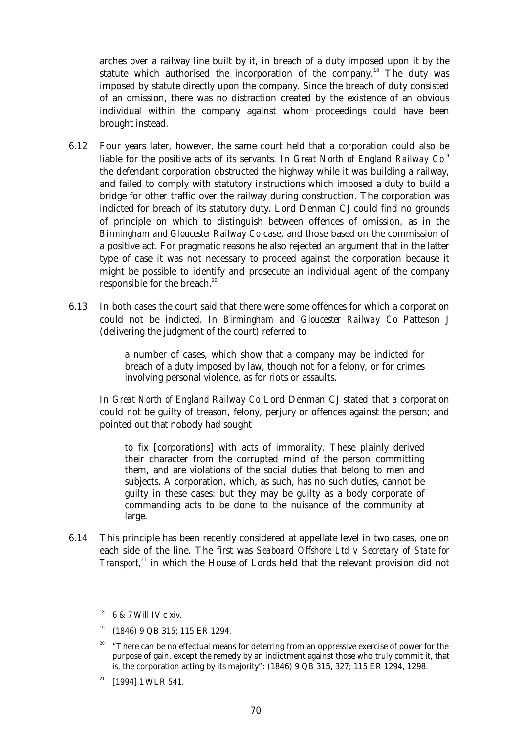arches over a railway line built by it, in breach of a duty imposed upon it by the statute which authorised the incorporation of the company.<sup>18</sup> The duty was imposed by statute directly upon the company. Since the breach of duty consisted of an omission, there was no distraction created by the existence of an obvious individual within the company against whom proceedings could have been brought instead.

- 6.12 Four years later, however, the same court held that a corporation could also be liable for the positive acts of its servants. In *Great North of England Railway Co*<sup>19</sup> the defendant corporation obstructed the highway while it was building a railway, and failed to comply with statutory instructions which imposed a duty to build a bridge for other traffic over the railway during construction. The corporation was indicted for breach of its statutory duty. Lord Denman CJ could find no grounds of principle on which to distinguish between offences of omission, as in the *Birmingham and Gloucester Railway Co* case, and those based on the commission of a positive act. For pragmatic reasons he also rejected an argument that in the latter type of case it was not necessary to proceed against the corporation because it might be possible to identify and prosecute an individual agent of the company responsible for the breach.<sup>20</sup>
- 6.13 In both cases the court said that there were some offences for which a corporation could not be indicted. In *Birmingham and Gloucester Railway Co* Patteson J (delivering the judgment of the court) referred to

a number of cases, which show that a company may be indicted for breach of a duty imposed by law, though not for a felony, or for crimes involving personal violence, as for riots or assaults.

In *Great North of England Railway Co* Lord Denman CJ stated that a corporation could not be guilty of treason, felony, perjury or offences against the person; and pointed out that nobody had sought

to fix [corporations] with acts of immorality. These plainly derived their character from the corrupted mind of the person committing them, and are violations of the social duties that belong to men and subjects. A corporation, which, as such, has no such duties, cannot be guilty in these cases: but they may be guilty as a body corporate of commanding acts to be done to the nuisance of the community at large.

 6.14 This principle has been recently considered at appellate level in two cases, one on each side of the line. The first was *Seaboard Offshore Ltd v Secretary of State for Transport*, <sup>21</sup> in which the House of Lords held that the relevant provision did not

<sup>18</sup> 6 & 7 Will IV c xiv.

<sup>19</sup> (1846) 9 QB 315; 115 ER 1294.

 $20$  "There can be no effectual means for deterring from an oppressive exercise of power for the purpose of gain, except the remedy by an indictment against those who truly commit it, that is, the corporation acting by its majority": (1846) 9 QB 315, 327; 115 ER 1294, 1298.

 $21$  [1994] 1 WLR 541.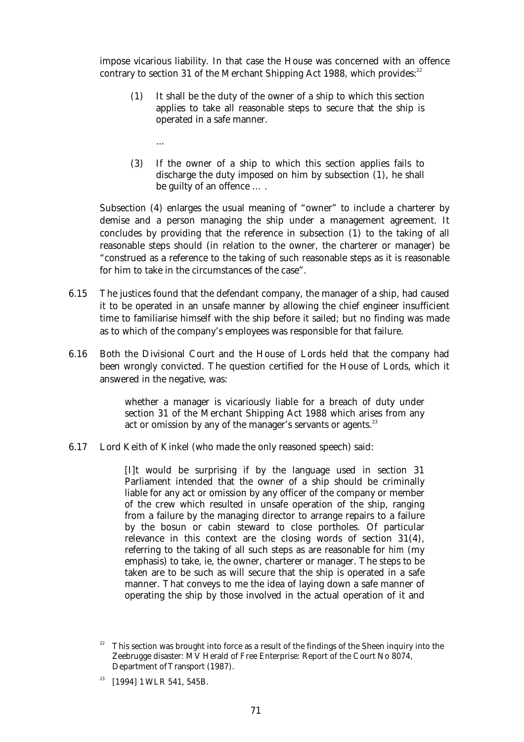impose vicarious liability. In that case the House was concerned with an offence contrary to section 31 of the Merchant Shipping Act 1988, which provides: $^{22}$ 

- (1) It shall be the duty of the owner of a ship to which this section applies to take all reasonable steps to secure that the ship is operated in a safe manner.
	-

...

 (3) If the owner of a ship to which this section applies fails to discharge the duty imposed on him by subsection (1), he shall be guilty of an offence … .

Subsection (4) enlarges the usual meaning of "owner" to include a charterer by demise and a person managing the ship under a management agreement. It concludes by providing that the reference in subsection (1) to the taking of all reasonable steps should (in relation to the owner, the charterer or manager) be "construed as a reference to the taking of such reasonable steps as it is reasonable for him to take in the circumstances of the case".

- 6.15 The justices found that the defendant company, the manager of a ship, had caused it to be operated in an unsafe manner by allowing the chief engineer insufficient time to familiarise himself with the ship before it sailed; but no finding was made as to which of the company's employees was responsible for that failure.
- 6.16 Both the Divisional Court and the House of Lords held that the company had been wrongly convicted. The question certified for the House of Lords, which it answered in the negative, was:

whether a manager is vicariously liable for a breach of duty under section 31 of the Merchant Shipping Act 1988 which arises from any act or omission by any of the manager's servants or agents. $^{23}$ 

6.17 Lord Keith of Kinkel (who made the only reasoned speech) said:

[I]t would be surprising if by the language used in section 31 Parliament intended that the owner of a ship should be criminally liable for any act or omission by any officer of the company or member of the crew which resulted in unsafe operation of the ship, ranging from a failure by the managing director to arrange repairs to a failure by the bosun or cabin steward to close portholes. Of particular relevance in this context are the closing words of section 31(4), referring to the taking of all such steps as are reasonable for *him* (my emphasis) to take, ie, the owner, charterer or manager. The steps to be taken are to be such as will secure that the ship is operated in a safe manner. That conveys to me the idea of laying down a safe manner of operating the ship by those involved in the actual operation of it and

<sup>22</sup> This section was brought into force as a result of the findings of the Sheen inquiry into the Zeebrugge disaster: MV Herald of Free Enterprise: Report of the Court No 8074, Department of Transport (1987).

<sup>[1994] 1</sup> WLR 541, 545B.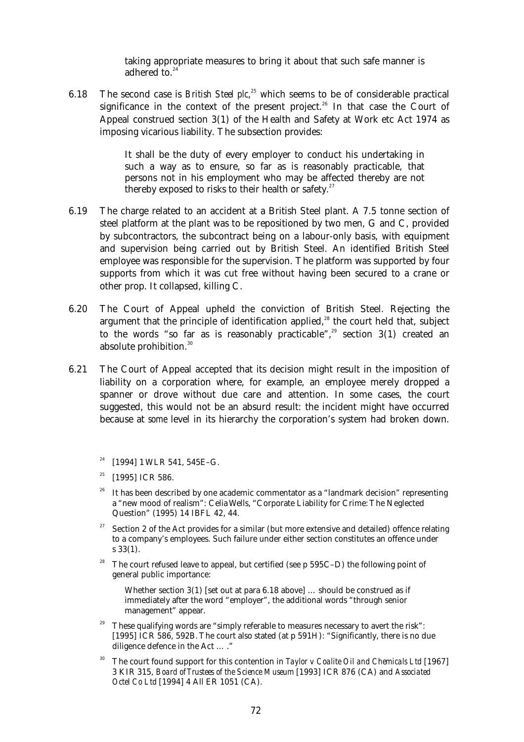taking appropriate measures to bring it about that such safe manner is adhered to.<sup>24</sup>

 6.18 The second case is *British Steel plc*, <sup>25</sup> which seems to be of considerable practical significance in the context of the present project.<sup>26</sup> In that case the Court of Appeal construed section 3(1) of the Health and Safety at Work etc Act 1974 as imposing vicarious liability. The subsection provides:

> It shall be the duty of every employer to conduct his undertaking in such a way as to ensure, so far as is reasonably practicable, that persons not in his employment who may be affected thereby are not thereby exposed to risks to their health or safety.<sup>27</sup>

- 6.19 The charge related to an accident at a British Steel plant. A 7.5 tonne section of steel platform at the plant was to be repositioned by two men, G and C, provided by subcontractors, the subcontract being on a labour-only basis, with equipment and supervision being carried out by British Steel. An identified British Steel employee was responsible for the supervision. The platform was supported by four supports from which it was cut free without having been secured to a crane or other prop. It collapsed, killing C.
- 6.20 The Court of Appeal upheld the conviction of British Steel. Rejecting the argument that the principle of identification applied, $28$  the court held that, subject to the words "so far as is reasonably practicable",<sup>29</sup> section 3(1) created an absolute prohibition.<sup>30</sup>
- 6.21 The Court of Appeal accepted that its decision might result in the imposition of liability on a corporation where, for example, an employee merely dropped a spanner or drove without due care and attention. In some cases, the court suggested, this would not be an absurd result: the incident might have occurred because at *some* level in its hierarchy the corporation's system had broken down.

- $26$  It has been described by one academic commentator as a "landmark decision" representing a "new mood of realism": Celia Wells, "Corporate Liability for Crime: The Neglected Question" (1995) 14 IBFL 42, 44.
- $27$  Section 2 of the Act provides for a similar (but more extensive and detailed) offence relating to a company's employees. Such failure under either section constitutes an offence under s 33(1).
- <sup>28</sup> The court refused leave to appeal, but certified (see p 595C–D) the following point of general public importance:

Whether section 3(1) [set out at para 6.18 above] … should be construed as if immediately after the word "employer", the additional words "through senior management" appear.

- These qualifying words are "simply referable to measures necessary to avert the risk": [1995] ICR 586, 592B. The court also stated (at p 591H): "Significantly, there is no due diligence defence in the Act … ."
- <sup>30</sup> The court found support for this contention in *Taylor v Coalite Oil and Chemicals Ltd* [1967] 3 KIR 315, *Board of Trustees of the Science Museum* [1993] ICR 876 (CA) and *Associated Octel Co Ltd* [1994] 4 All ER 1051 (CA).

<sup>[1994] 1</sup> WLR 541, 545E-G.

 $^{25}$  [1995] ICR 586.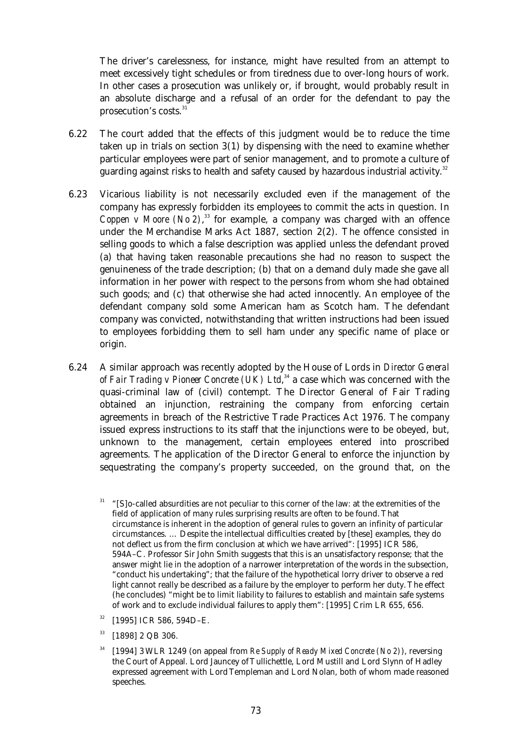The driver's carelessness, for instance, might have resulted from an attempt to meet excessively tight schedules or from tiredness due to over-long hours of work. In other cases a prosecution was unlikely or, if brought, would probably result in an absolute discharge and a refusal of an order for the defendant to pay the prosecution's costs.<sup>31</sup>

- 6.22 The court added that the effects of this judgment would be to reduce the time taken up in trials on section 3(1) by dispensing with the need to examine whether particular employees were part of senior management, and to promote a culture of guarding against risks to health and safety caused by hazardous industrial activity.<sup>32</sup>
- 6.23 Vicarious liability is not necessarily excluded even if the management of the company has expressly forbidden its employees to commit the acts in question. In *Coppen v Moore (No 2)*,<sup>33</sup> for example, a company was charged with an offence under the Merchandise Marks Act 1887, section 2(2). The offence consisted in selling goods to which a false description was applied unless the defendant proved (a) that having taken reasonable precautions she had no reason to suspect the genuineness of the trade description; (b) that on a demand duly made she gave all information in her power with respect to the persons from whom she had obtained such goods; and (c) that otherwise she had acted innocently. An employee of the defendant company sold some American ham as Scotch ham. The defendant company was convicted, notwithstanding that written instructions had been issued to employees forbidding them to sell ham under any specific name of place or origin.
- 6.24 A similar approach was recently adopted by the House of Lords in *Director General* of Fair Trading v Pioneer Concrete (UK) Ltd,<sup>34</sup> a case which was concerned with the quasi-criminal law of (civil) contempt. The Director General of Fair Trading obtained an injunction, restraining the company from enforcing certain agreements in breach of the Restrictive Trade Practices Act 1976. The company issued express instructions to its staff that the injunctions were to be obeyed, but, unknown to the management, certain employees entered into proscribed agreements. The application of the Director General to enforce the injunction by sequestrating the company's property succeeded, on the ground that, on the

<sup>31</sup> "[S]o-called absurdities are not peculiar to this corner of the law: at the extremities of the field of application of many rules surprising results are often to be found. That circumstance is inherent in the adoption of general rules to govern an infinity of particular circumstances. … Despite the intellectual difficulties created by [these] examples, they do not deflect us from the firm conclusion at which we have arrived": [1995] ICR 586, 594A–C. Professor Sir John Smith suggests that this is an unsatisfactory response; that the answer might lie in the adoption of a narrower interpretation of the words in the subsection, "conduct his undertaking"; that the failure of the hypothetical lorry driver to observe a red light cannot really be described as a failure by the employer to perform her duty. The effect (he concludes) "might be to limit liability to failures to establish and maintain safe systems of work and to exclude individual failures to apply them": [1995] Crim LR 655, 656.

- <sup>32</sup> [1995] ICR 586, 594D–E.
- <sup>33</sup> [1898] 2 QB 306.
- <sup>34</sup> [1994] 3 WLR 1249 (on appeal from *Re Supply of Ready Mixed Concrete (No 2)*), reversing the Court of Appeal. Lord Jauncey of Tullichettle, Lord Mustill and Lord Slynn of Hadley expressed agreement with Lord Templeman and Lord Nolan, both of whom made reasoned speeches.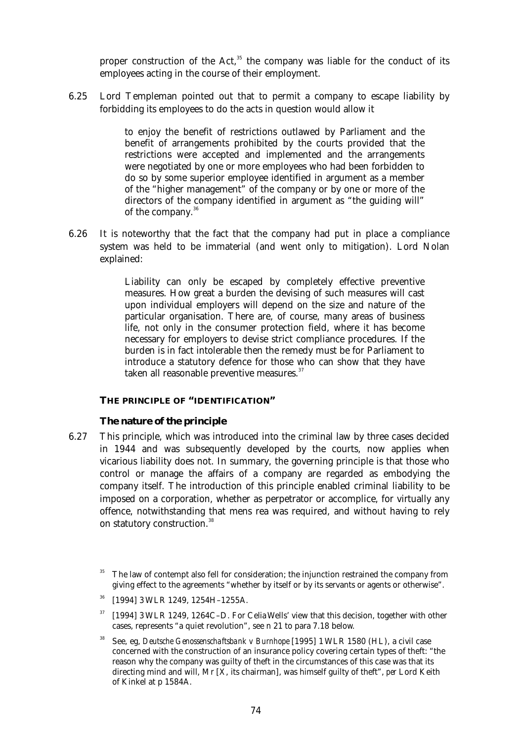proper construction of the Act, $35$  the company was liable for the conduct of its employees acting in the course of their employment.

 6.25 Lord Templeman pointed out that to permit a company to escape liability by forbidding its employees to do the acts in question would allow it

> to enjoy the benefit of restrictions outlawed by Parliament and the benefit of arrangements prohibited by the courts provided that the restrictions were accepted and implemented and the arrangements were negotiated by one or more employees who had been forbidden to do so by some superior employee identified in argument as a member of the "higher management" of the company or by one or more of the directors of the company identified in argument as "the guiding will" of the company.<sup>36</sup>

 6.26 It is noteworthy that the fact that the company had put in place a compliance system was held to be immaterial (and went only to mitigation). Lord Nolan explained:

> Liability can only be escaped by completely effective preventive measures. How great a burden the devising of such measures will cast upon individual employers will depend on the size and nature of the particular organisation. There are, of course, many areas of business life, not only in the consumer protection field, where it has become necessary for employers to devise strict compliance procedures. If the burden is in fact intolerable then the remedy must be for Parliament to introduce a statutory defence for those who can show that they have taken all reasonable preventive measures.<sup>37</sup>

# **THE PRINCIPLE OF "IDENTIFICATION"**

## **The nature of the principle**

 6.27 This principle, which was introduced into the criminal law by three cases decided in 1944 and was subsequently developed by the courts, now applies when vicarious liability does not. In summary, the governing principle is that those who control or manage the affairs of a company are regarded as embodying the company itself. The introduction of this principle enabled criminal liability to be imposed on a corporation, whether as perpetrator or accomplice, for virtually any offence, notwithstanding that mens rea was required, and without having to rely on statutory construction.<sup>38</sup>

<sup>35</sup> The law of contempt also fell for consideration; the injunction restrained the company from giving effect to the agreements "whether by itself or by its servants or agents or otherwise".

<sup>36</sup> [1994] 3 WLR 1249, 1254H–1255A.

 $37$  [1994] 3 WLR 1249, 1264C–D. For Celia Wells' view that this decision, together with other cases, represents "a quiet revolution", see n 21 to para 7.18 below.

<sup>38</sup> See, eg, *Deutsche Genossenschaftsbank v Burnhope* [1995] 1 WLR 1580 (HL), a civil case concerned with the construction of an insurance policy covering certain types of theft: "the reason why the company was guilty of theft in the circumstances of this case was that its directing mind and will, Mr [X, its chairman], was himself guilty of theft", *per* Lord Keith of Kinkel at p 1584A.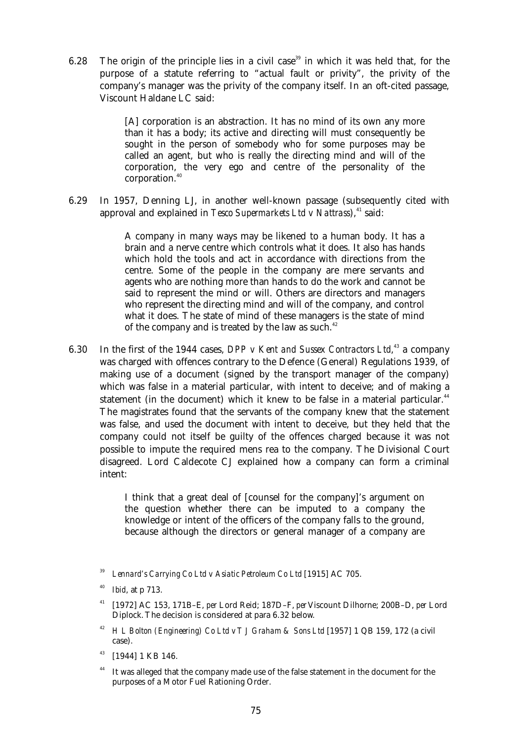6.28 The origin of the principle lies in a civil case<sup>39</sup> in which it was held that, for the purpose of a statute referring to "actual fault or privity", the privity of the company's manager was the privity of the company itself. In an oft-cited passage, Viscount Haldane LC said:

> [A] corporation is an abstraction. It has no mind of its own any more than it has a body; its active and directing will must consequently be sought in the person of somebody who for some purposes may be called an agent, but who is really the directing mind and will of the corporation, the very ego and centre of the personality of the corporation.<sup>40</sup>

 6.29 In 1957, Denning LJ, in another well-known passage (subsequently cited with approval and explained in *Tesco Supermarkets Ltd v Nattrass*),<sup>41</sup> said:

> A company in many ways may be likened to a human body. It has a brain and a nerve centre which controls what it does. It also has hands which hold the tools and act in accordance with directions from the centre. Some of the people in the company are mere servants and agents who are nothing more than hands to do the work and cannot be said to represent the mind or will. Others are directors and managers who represent the directing mind and will of the company, and control what it does. The state of mind of these managers is the state of mind of the company and is treated by the law as such.<sup>42</sup>

6.30 In the first of the 1944 cases, *DPP v Kent and Sussex Contractors Ltd*,<sup>43</sup> a company was charged with offences contrary to the Defence (General) Regulations 1939, of making use of a document (signed by the transport manager of the company) which was false in a material particular, with intent to deceive; and of making a statement (in the document) which it knew to be false in a material particular.<sup>44</sup> The magistrates found that the servants of the company knew that the statement was false, and used the document with intent to deceive, but they held that the company could not itself be guilty of the offences charged because it was not possible to impute the required mens rea to the company. The Divisional Court disagreed. Lord Caldecote CJ explained how a company can form a criminal intent:

> I think that a great deal of [counsel for the company]'s argument on the question whether there can be imputed to a company the knowledge or intent of the officers of the company falls to the ground, because although the directors or general manager of a company are

- <sup>42</sup> *H L Bolton (Engineering) Co Ltd v T J Graham & Sons Ltd* [1957] 1 QB 159, 172 (a civil case).
- <sup>43</sup> [1944] 1 KB 146.
- <sup>44</sup> It was alleged that the company made use of the false statement in the document for the purposes of a Motor Fuel Rationing Order.

<sup>39</sup> *Lennard's Carrying Co Ltd v Asiatic Petroleum Co Ltd* [1915] AC 705.

<sup>40</sup> *Ibid*, at p 713.

<sup>41</sup> [1972] AC 153, 171B–E, *per* Lord Reid; 187D–F, *per* Viscount Dilhorne; 200B–D, *per* Lord Diplock. The decision is considered at para 6.32 below.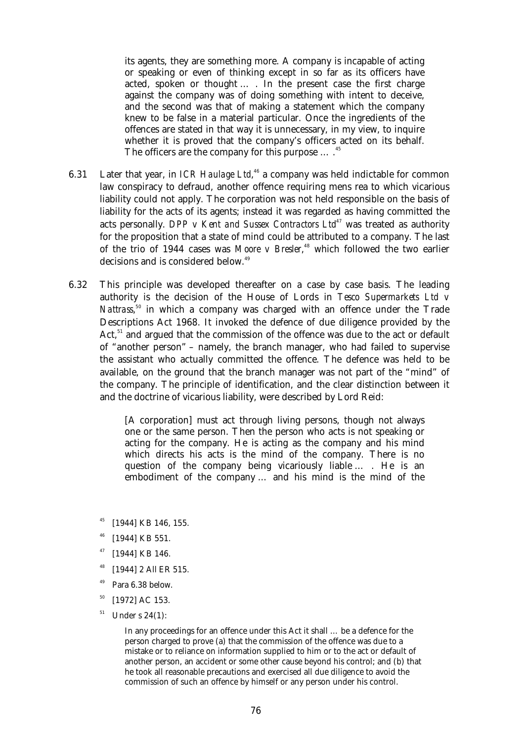its agents, they are something more. A company is incapable of acting or speaking or even of thinking except in so far as its officers have acted, spoken or thought … . In the present case the first charge against the company was of doing something with intent to deceive, and the second was that of making a statement which the company knew to be false in a material particular. Once the ingredients of the offences are stated in that way it is unnecessary, in my view, to inquire whether it is proved that the company's officers acted on its behalf. The officers are the company for this purpose  $\ldots$ .<sup>45</sup>

- 6.31 Later that year, in *ICR Haulage Ltd*, <sup>46</sup> a company was held indictable for common law conspiracy to defraud, another offence requiring mens rea to which vicarious liability could not apply. The corporation was not held responsible on the basis of liability for the acts of its agents; instead it was regarded as having committed the acts personally. *DPP v Kent and Sussex Contractors Ltd*<sup> $17$ </sup> was treated as authority for the proposition that a state of mind could be attributed to a company. The last of the trio of 1944 cases was *Moore v Bresler*, <sup>48</sup> which followed the two earlier decisions and is considered below.<sup>49</sup>
	- 6.32 This principle was developed thereafter on a case by case basis. The leading authority is the decision of the House of Lords in *Tesco Supermarkets Ltd v* Nattrass,<sup>50</sup> in which a company was charged with an offence under the Trade Descriptions Act 1968. It invoked the defence of due diligence provided by the Act,<sup>51</sup> and argued that the commission of the offence was due to the act or default of "another person" – namely, the branch manager, who had failed to supervise the assistant who actually committed the offence. The defence was held to be available, on the ground that the branch manager was not part of the "mind" of the company. The principle of identification, and the clear distinction between it and the doctrine of vicarious liability, were described by Lord Reid:

[A corporation] must act through living persons, though not always one or the same person. Then the person who acts is not speaking or acting for the company. He is acting as the company and his mind which directs his acts is the mind of the company. There is no question of the company being vicariously liable … . He is an embodiment of the company … and his mind is the mind of the

- [1944] KB 146, 155.
- [1944] KB 551.
- $47$  [1944] KB 146.
- <sup>48</sup> [1944] 2 All ER 515.
- <sup>49</sup> Para 6.38 below.
- $50$  [1972] AC 153.
- $51$  Under s 24(1):

In any proceedings for an offence under this Act it shall … be a defence for the person charged to prove (a) that the commission of the offence was due to a mistake or to reliance on information supplied to him or to the act or default of another person, an accident or some other cause beyond his control; and (b) that he took all reasonable precautions and exercised all due diligence to avoid the commission of such an offence by himself or any person under his control.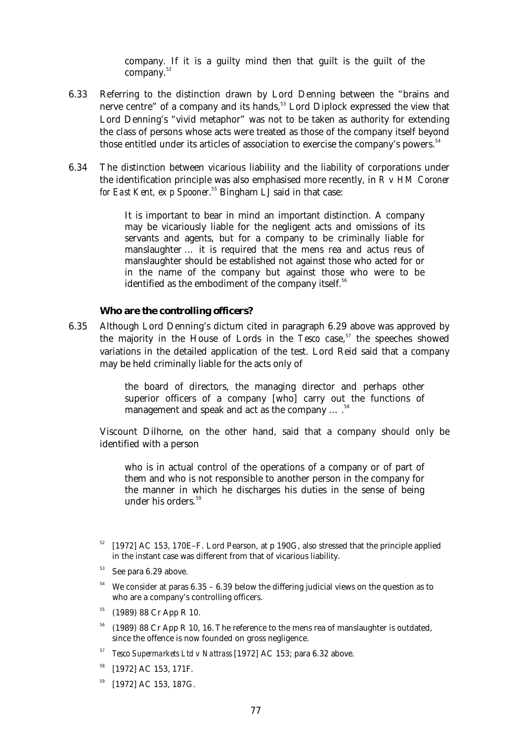company. If it is a guilty mind then that guilt is the guilt of the company. 52

- 6.33 Referring to the distinction drawn by Lord Denning between the "brains and nerve centre" of a company and its hands,<sup>53</sup> Lord Diplock expressed the view that Lord Denning's "vivid metaphor" was not to be taken as authority for extending the class of persons whose acts were treated as those of the company itself beyond those entitled under its articles of association to exercise the company's powers.<sup>54</sup>
- 6.34 The distinction between vicarious liability and the liability of corporations under the identification principle was also emphasised more recently, in *R v HM Coroner for East Kent, ex p Spooner*. <sup>55</sup> Bingham LJ said in that case:

It is important to bear in mind an important distinction. A company may be vicariously liable for the negligent acts and omissions of its servants and agents, but for a company to be criminally liable for manslaughter … it is required that the mens rea and actus reus of manslaughter should be established not against those who acted for or in the name of the company but against those who were to be identified as the embodiment of the company itself. $56$ 

## **Who are the controlling officers?**

 6.35 Although Lord Denning's dictum cited in paragraph 6.29 above was approved by the majority in the House of Lords in the *Tesco* case, <sup>57</sup> the speeches showed variations in the detailed application of the test. Lord Reid said that a company may be held criminally liable for the acts only of

> the board of directors, the managing director and perhaps other superior officers of a company [who] carry out the functions of management and speak and act as the company  $\ldots$  .<sup>58</sup>

Viscount Dilhorne, on the other hand, said that a company should only be identified with a person

who is in actual control of the operations of a company or of part of them and who is not responsible to another person in the company for the manner in which he discharges his duties in the sense of being under his orders.<sup>59</sup>

- [1972] AC 153, 170E–F. Lord Pearson, at p 190G, also stressed that the principle applied in the instant case was different from that of vicarious liability.
- <sup>53</sup> See para 6.29 above.
- <sup>54</sup> We consider at paras  $6.35 6.39$  below the differing judicial views on the question as to who are a company's controlling officers.
- $55$  (1989) 88 Cr App R 10.
- <sup>56</sup> (1989) 88 Cr App R 10, 16. The reference to the mens rea of manslaughter is outdated, since the offence is now founded on gross negligence.
- <sup>57</sup> *Tesco Supermarkets Ltd v Nattrass* [1972] AC 153; para 6.32 above.
- <sup>58</sup> [1972] AC 153, 171F.
- [1972] AC 153, 187G.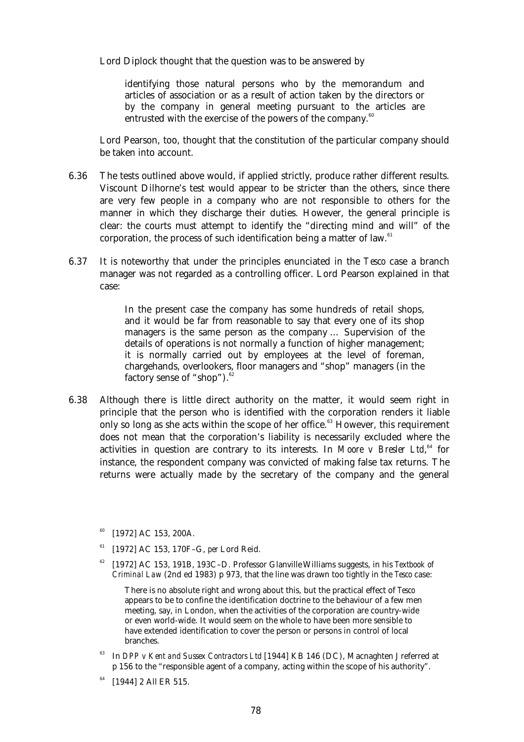Lord Diplock thought that the question was to be answered by

identifying those natural persons who by the memorandum and articles of association or as a result of action taken by the directors or by the company in general meeting pursuant to the articles are entrusted with the exercise of the powers of the company.<sup>60</sup>

Lord Pearson, too, thought that the constitution of the particular company should be taken into account.

- 6.36 The tests outlined above would, if applied strictly, produce rather different results. Viscount Dilhorne's test would appear to be stricter than the others, since there are very few people in a company who are not responsible to others for the manner in which they discharge their duties. However, the general principle is clear: the courts must attempt to identify the "directing mind and will" of the corporation, the process of such identification being a matter of law. $61$
- 6.37 It is noteworthy that under the principles enunciated in the *Tesco* case a branch manager was not regarded as a controlling officer. Lord Pearson explained in that case:

In the present case the company has some hundreds of retail shops, and it would be far from reasonable to say that every one of its shop managers is the same person as the company … Supervision of the details of operations is not normally a function of higher management; it is normally carried out by employees at the level of foreman, chargehands, overlookers, floor managers and "shop" managers (in the factory sense of "shop"). $62$ 

 6.38 Although there is little direct authority on the matter, it would seem right in principle that the person who is identified with the corporation renders it liable only so long as she acts within the scope of her office.<sup>63</sup> However, this requirement does not mean that the corporation's liability is necessarily excluded where the activities in question are contrary to its interests. In *Moore v Bresler Ltd*,<sup>64</sup> for instance, the respondent company was convicted of making false tax returns. The returns were actually made by the secretary of the company and the general

[1972] AC 153, 200A.

- <sup>61</sup> [1972] AC 153, 170F–G, *per* Lord Reid.
- <sup>62</sup> [1972] AC 153, 191B, 193C–D. Professor Glanville Williams suggests, in his *Textbook of Criminal Law* (2nd ed 1983) p 973, that the line was drawn too tightly in the *Tesco* case:

There is no absolute right and wrong about this, but the practical effect of *Tesco* appears to be to confine the identification doctrine to the behaviour of a few men meeting, say, in London, when the activities of the corporation are country-wide or even world-wide. It would seem on the whole to have been more sensible to have extended identification to cover the person or persons in control of local branches.

- <sup>63</sup> In *DPP v Kent and Sussex Contractors Ltd* [1944] KB 146 (DC), Macnaghten J referred at p 156 to the "responsible agent of a company, acting within the scope of his authority".
- [1944] 2 All ER 515.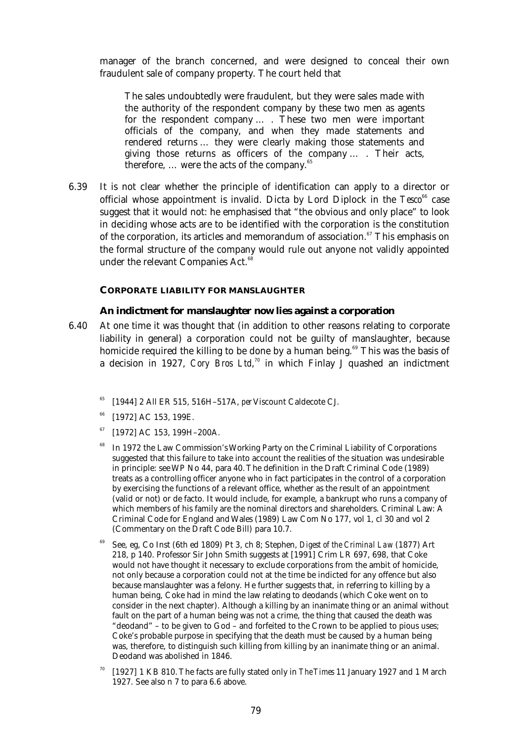manager of the branch concerned, and were designed to conceal their own fraudulent sale of company property. The court held that

The sales undoubtedly were fraudulent, but they were sales made with the authority of the respondent company by these two men as agents for the respondent company … . These two men were important officials of the company, and when they made statements and rendered returns … they were clearly making those statements and giving those returns as officers of the company … . Their acts, therefore,  $\dots$  were the acts of the company.<sup>65</sup>

 6.39 It is not clear whether the principle of identification can apply to a director or official whose appointment is invalid. Dicta by Lord Diplock in the *Tesco*<sup>66</sup> case suggest that it would not: he emphasised that "the obvious and only place" to look in deciding whose acts are to be identified with the corporation is the constitution of the corporation, its articles and memorandum of association.<sup>67</sup> This emphasis on the formal structure of the company would rule out anyone not validly appointed under the relevant Companies Act.<sup>68</sup>

## **CORPORATE LIABILITY FOR MANSLAUGHTER**

### **An indictment for manslaughter now lies against a corporation**

- 6.40 At one time it was thought that (in addition to other reasons relating to corporate liability in general) a corporation could not be guilty of manslaughter, because homicide required the killing to be done by a human being. $69$  This was the basis of a decision in 1927, *Cory Bros Ltd*, <sup>70</sup> in which Finlay J quashed an indictment
	- <sup>65</sup> [1944] 2 All ER 515, 516H–517A, *per* Viscount Caldecote CJ.
	- <sup>66</sup> [1972] AC 153, 199E.
	- $67$  [1972] AC 153, 199H-200A.
	- In 1972 the Law Commission's Working Party on the Criminal Liability of Corporations suggested that this failure to take into account the realities of the situation was undesirable in principle: see WP No 44, para 40. The definition in the Draft Criminal Code (1989) treats as a controlling officer anyone who in fact participates in the control of a corporation by exercising the functions of a relevant office, whether as the result of an appointment (valid or not) or de facto. It would include, for example, a bankrupt who runs a company of which members of his family are the nominal directors and shareholders. Criminal Law: A Criminal Code for England and Wales (1989) Law Com No 177, vol 1, cl 30 and vol 2 (Commentary on the Draft Code Bill) para 10.7.
	- <sup>69</sup> See, eg, Co Inst (6th ed 1809) Pt 3, ch 8; Stephen, *Digest of the Criminal Law* (1877) Art 218, p 140. Professor Sir John Smith suggests at [1991] Crim LR 697, 698, that Coke would not have thought it necessary to exclude corporations from the ambit of homicide, not only because a corporation could not at the time be indicted for any offence but also because manslaughter was a felony. He further suggests that, in referring to killing by a human being, Coke had in mind the law relating to deodands (which Coke went on to consider in the next chapter). Although a killing by an inanimate thing or an animal without fault on the part of a human being was not a crime, the thing that caused the death was "deodand" – to be given to God – and forfeited to the Crown to be applied to pious uses; Coke's probable purpose in specifying that the death must be caused by a human being was, therefore, to distinguish such killing from killing by an inanimate thing or an animal. Deodand was abolished in 1846.
	- <sup>70</sup> [1927] 1 KB 810. The facts are fully stated only in *The Times* 11 January 1927 and 1 March 1927. See also n 7 to para 6.6 above.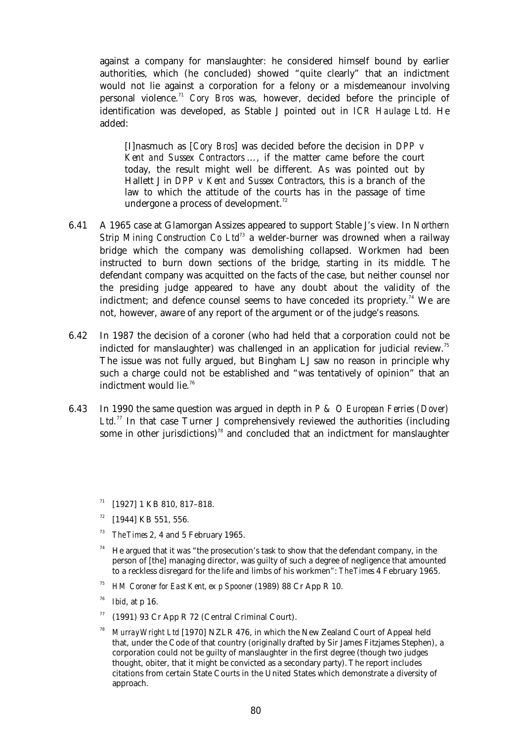against a company for manslaughter: he considered himself bound by earlier authorities, which (he concluded) showed "quite clearly" that an indictment would not lie against a corporation for a felony or a misdemeanour involving personal violence.<sup>71</sup> *Cory Bros* was, however, decided before the principle of identification was developed, as Stable J pointed out in *ICR Haulage Ltd*. He added:

[I]nasmuch as [*Cory Bros*] was decided before the decision in *DPP v Kent and Sussex Contractors* …, if the matter came before the court today, the result might well be different. As was pointed out by Hallett J in *DPP v Kent and Sussex Contractors*, this is a branch of the law to which the attitude of the courts has in the passage of time undergone a process of development. $^{72}$ 

- 6.41 A 1965 case at Glamorgan Assizes appeared to support Stable J's view. In *Northern Strip Mining Construction Co Ltd*<sup>3</sup> a welder-burner was drowned when a railway bridge which the company was demolishing collapsed. Workmen had been instructed to burn down sections of the bridge, starting in its middle. The defendant company was acquitted on the facts of the case, but neither counsel nor the presiding judge appeared to have any doubt about the validity of the indictment; and defence counsel seems to have conceded its propriety.<sup>74</sup> We are not, however, aware of any report of the argument or of the judge's reasons.
- 6.42 In 1987 the decision of a coroner (who had held that a corporation could not be indicted for manslaughter) was challenged in an application for judicial review.<sup>75</sup> The issue was not fully argued, but Bingham LJ saw no reason in principle why such a charge could not be established and "was tentatively of opinion" that an indictment would lie.<sup>76</sup>
- 6.43 In 1990 the same question was argued in depth in *P & O European Ferries (Dover)* Ltd.<sup>77</sup> In that case Turner J comprehensively reviewed the authorities (including some in other jurisdictions)<sup>78</sup> and concluded that an indictment for manslaughter

- <sup>73</sup> *The Times* 2, 4 and 5 February 1965.
- <sup>74</sup> He argued that it was "the prosecution's task to show that the defendant company, in the person of [the] managing director, was guilty of such a degree of negligence that amounted to a reckless disregard for the life and limbs of his workmen": *The Times* 4 February 1965.
- <sup>75</sup> *HM Coroner for East Kent, ex p Spooner* (1989) 88 Cr App R 10.
- <sup>76</sup> *Ibid*, at p 16.
- $77$  (1991) 93 Cr App R 72 (Central Criminal Court).
- <sup>78</sup> *Murray Wright Ltd* [1970] NZLR 476, in which the New Zealand Court of Appeal held that, under the Code of that country (originally drafted by Sir James Fitzjames Stephen), a corporation could not be guilty of manslaughter in the first degree (though two judges thought, obiter, that it might be convicted as a secondary party). The report includes citations from certain State Courts in the United States which demonstrate a diversity of approach.

<sup>[1927] 1</sup> KB 810, 817-818.

 $72$  [1944] KB 551, 556.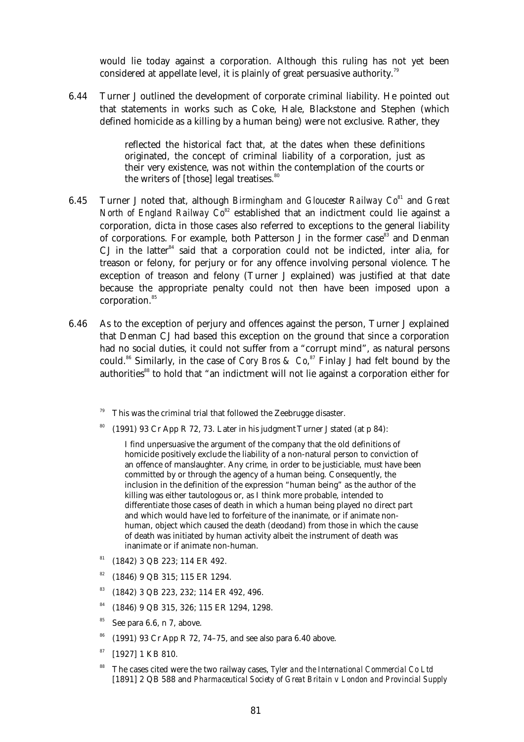would lie today against a corporation. Although this ruling has not yet been considered at appellate level, it is plainly of great persuasive authority.<sup>79</sup>

 6.44 Turner J outlined the development of corporate criminal liability. He pointed out that statements in works such as Coke, Hale, Blackstone and Stephen (which defined homicide as a killing by a human being) were not exclusive. Rather, they

> reflected the historical fact that, at the dates when these definitions originated, the concept of criminal liability of a corporation, just as their very existence, was not within the contemplation of the courts or the writers of [those] legal treatises.<sup>80</sup>

- 6.45 Turner J noted that, although *Birmingham and Gloucester Railway Co*<sup>81</sup> and *Great North of England Railway*  $\mathcal{C}^{\delta^2}$  established that an indictment could lie against a corporation, dicta in those cases also referred to exceptions to the general liability of corporations. For example, both Patterson J in the former case<sup>83</sup> and Denman CJ in the latter $84$  said that a corporation could not be indicted, inter alia, for treason or felony, for perjury or for any offence involving personal violence. The exception of treason and felony (Turner J explained) was justified at that date because the appropriate penalty could not then have been imposed upon a corporation.<sup>85</sup>
- 6.46 As to the exception of perjury and offences against the person, Turner J explained that Denman CJ had based this exception on the ground that since a corporation had no social duties, it could not suffer from a "corrupt mind", as natural persons could.<sup>86</sup> Similarly, in the case of *Cory Bros & Co*,<sup>87</sup> Finlay J had felt bound by the authorities<sup>88</sup> to hold that "an indictment will not lie against a corporation either for
	- $79$  This was the criminal trial that followed the Zeebrugge disaster.
	- <sup>80</sup> (1991) 93 Cr App R 72, 73. Later in his judgment Turner J stated (at p 84):

I find unpersuasive the argument of the company that the old definitions of homicide positively exclude the liability of a non-natural person to conviction of an offence of manslaughter. Any crime, in order to be justiciable, must have been committed by or through the agency of a human being. Consequently, the inclusion in the definition of the expression "human being" as the author of the killing was either tautologous or, as I think more probable, intended to differentiate those cases of death in which a human being played no direct part and which would have led to forfeiture of the inanimate, or if animate nonhuman, object which caused the death (deodand) from those in which the cause of death was initiated by human activity albeit the instrument of death was inanimate or if animate non-human.

- <sup>81</sup> (1842) 3 QB 223; 114 ER 492.
- <sup>82</sup> (1846) 9 QB 315; 115 ER 1294.
- <sup>83</sup> (1842) 3 QB 223, 232; 114 ER 492, 496.
- <sup>84</sup> (1846) 9 QB 315, 326; 115 ER 1294, 1298.
- $85$  See para 6.6, n 7, above.
- $86$  (1991) 93 Cr App R 72, 74–75, and see also para 6.40 above.
- $87$  [1927] 1 KB 810.
- <sup>88</sup> The cases cited were the two railway cases, *Tyler and the International Commercial Co Ltd* [1891] 2 QB 588 and *Pharmaceutical Society of Great Britain v London and Provincial Supply*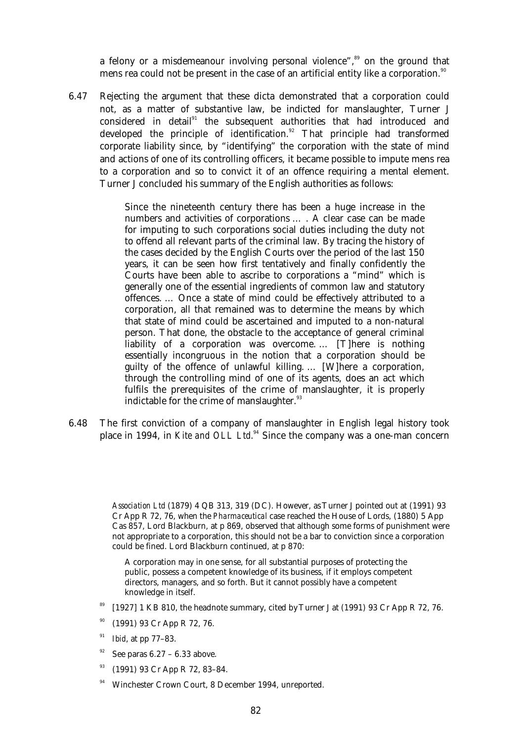a felony or a misdemeanour involving personal violence", <sup>89</sup> on the ground that mens rea could not be present in the case of an artificial entity like a corporation.<sup>90</sup>

 6.47 Rejecting the argument that these dicta demonstrated that a corporation could not, as a matter of substantive law, be indicted for manslaughter, Turner J considered in detail<sup>91</sup> the subsequent authorities that had introduced and developed the principle of identification.<sup>92</sup> That principle had transformed corporate liability since, by "identifying" the corporation with the state of mind and actions of one of its controlling officers, it became possible to impute mens rea to a corporation and so to convict it of an offence requiring a mental element. Turner J concluded his summary of the English authorities as follows:

> Since the nineteenth century there has been a huge increase in the numbers and activities of corporations … . A clear case can be made for imputing to such corporations social duties including the duty not to offend all relevant parts of the criminal law. By tracing the history of the cases decided by the English Courts over the period of the last 150 years, it can be seen how first tentatively and finally confidently the Courts have been able to ascribe to corporations a "mind" which is generally one of the essential ingredients of common law and statutory offences. … Once a state of mind could be effectively attributed to a corporation, all that remained was to determine the means by which that state of mind could be ascertained and imputed to a non-natural person. That done, the obstacle to the acceptance of general criminal liability of a corporation was overcome. … [T]here is nothing essentially incongruous in the notion that a corporation should be guilty of the offence of unlawful killing. … [W]here a corporation, through the controlling mind of one of its agents, does an act which fulfils the prerequisites of the crime of manslaughter, it is properly indictable for the crime of manslaughter. $93$

 6.48 The first conviction of a company of manslaughter in English legal history took place in 1994, in *Kite and OLL Ltd*.<sup>94</sup> Since the company was a one-man concern

> *Association Ltd* (1879) 4 QB 313, 319 (DC). However, as Turner J pointed out at (1991) 93 Cr App R 72, 76, when the *Pharmaceutical* case reached the House of Lords, (1880) 5 App Cas 857, Lord Blackburn, at p 869, observed that although some forms of punishment were not appropriate to a corporation, this should not be a bar to conviction since a corporation could be fined. Lord Blackburn continued, at p 870:

A corporation may in one sense, for all substantial purposes of protecting the public, possess a competent knowledge of its business, if it employs competent directors, managers, and so forth. But it cannot possibly have a competent knowledge in itself.

- [1927] 1 KB 810, the headnote summary, cited by Turner J at (1991) 93 Cr App R 72, 76.
- $90$  (1991) 93 Cr App R 72, 76.
- <sup>91</sup> *Ibid*, at pp 77–83.
- <sup>92</sup> See paras  $6.27 6.33$  above.
- <sup>93</sup> (1991) 93 Cr App R 72, 83-84.
- <sup>94</sup> Winchester Crown Court, 8 December 1994, unreported.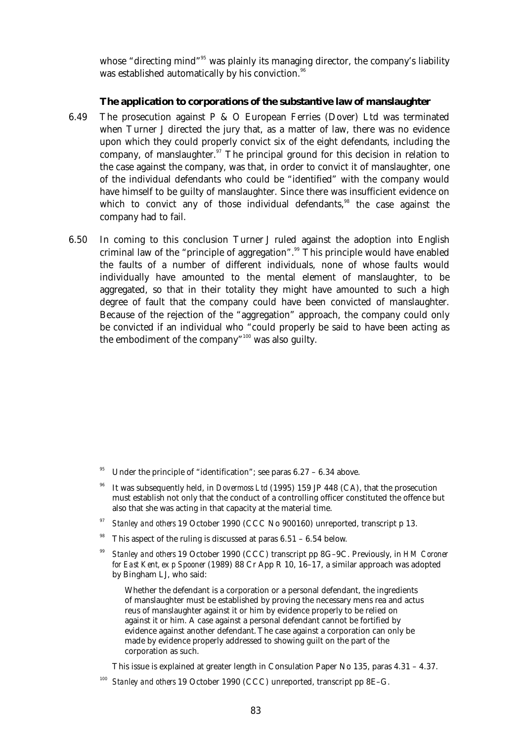whose "directing mind"<sup>95</sup> was plainly its managing director, the company's liability was established automatically by his conviction.<sup>96</sup>

# **The application to corporations of the substantive law of manslaughter**

- 6.49 The prosecution against P & O European Ferries (Dover) Ltd was terminated when Turner J directed the jury that, as a matter of law, there was no evidence upon which they could properly convict six of the eight defendants, including the company, of manslaughter. $97$  The principal ground for this decision in relation to the case against the company, was that, in order to convict it of manslaughter, one of the individual defendants who could be "identified" with the company would have himself to be guilty of manslaughter. Since there was insufficient evidence on which to convict any of those individual defendants, $98$  the case against the company had to fail.
- 6.50 In coming to this conclusion Turner J ruled against the adoption into English criminal law of the "principle of aggregation". <sup>99</sup> This principle would have enabled the faults of a number of different individuals, none of whose faults would individually have amounted to the mental element of manslaughter, to be aggregated, so that in their totality they might have amounted to such a high degree of fault that the company could have been convicted of manslaughter. Because of the rejection of the "aggregation" approach, the company could only be convicted if an individual who "could properly be said to have been acting as the embodiment of the company"<sup>100</sup> was also guilty.

- Under the principle of "identification"; see paras  $6.27 6.34$  above.
- <sup>96</sup> It was subsequently held, in *Dovermoss Ltd* (1995) 159 JP 448 (CA), that the prosecution must establish not only that the conduct of a controlling officer constituted the offence but also that she was acting in that capacity at the material time.
- <sup>97</sup> *Stanley and others* 19 October 1990 (CCC No 900160) unreported, transcript p 13.
- <sup>98</sup> This aspect of the ruling is discussed at paras  $6.51 6.54$  below.
- <sup>99</sup> *Stanley and others* 19 October 1990 (CCC) transcript pp 8G–9C. Previously, in *HM Coroner for East Kent, ex p Spooner* (1989) 88 Cr App R 10, 16–17, a similar approach was adopted by Bingham LJ, who said:

Whether the defendant is a corporation or a personal defendant, the ingredients of manslaughter must be established by proving the necessary mens rea and actus reus of manslaughter against it or him by evidence properly to be relied on against it or him. A case against a personal defendant cannot be fortified by evidence against another defendant. The case against a corporation can only be made by evidence properly addressed to showing guilt on the part of the corporation as such.

- This issue is explained at greater length in Consulation Paper No 135, paras 4.31 4.37.
- <sup>100</sup> *Stanley and others* 19 October 1990 (CCC) unreported, transcript pp 8E–G.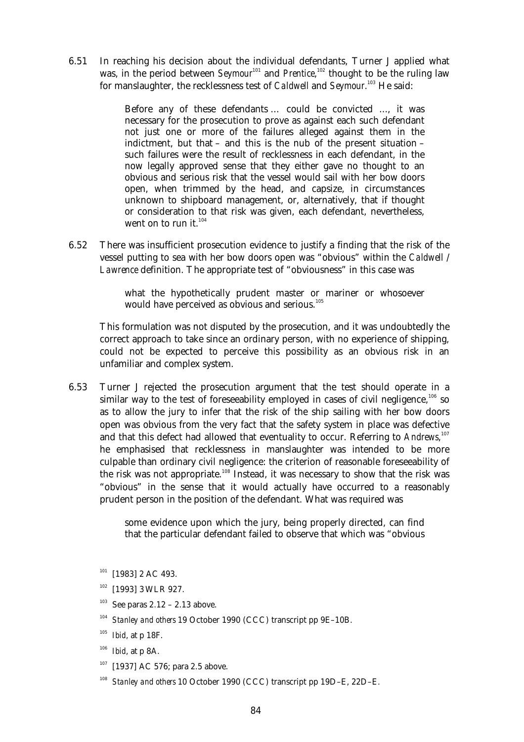6.51 In reaching his decision about the individual defendants, Turner J applied what was, in the period between *Seymour*<sup>101</sup> and *Prentice*,<sup>102</sup> thought to be the ruling law for manslaughter, the recklessness test of *Caldwell* and *Seymour*. <sup>103</sup> He said:

> Before any of these defendants … could be convicted ..., it was necessary for the prosecution to prove as against each such defendant not just one or more of the failures alleged against them in the indictment, but that – and this is the nub of the present situation – such failures were the result of recklessness in each defendant, in the now legally approved sense that they either gave no thought to an obvious and serious risk that the vessel would sail with her bow doors open, when trimmed by the head, and capsize, in circumstances unknown to shipboard management, or, alternatively, that if thought or consideration to that risk was given, each defendant, nevertheless, went on to run it. $^{104}$

 6.52 There was insufficient prosecution evidence to justify a finding that the risk of the vessel putting to sea with her bow doors open was "obvious" within the *Caldwell* / *Lawrence* definition. The appropriate test of "obviousness" in this case was

> what the hypothetically prudent master or mariner or whosoever would have perceived as obvious and serious.<sup>105</sup>

This formulation was not disputed by the prosecution, and it was undoubtedly the correct approach to take since an ordinary person, with no experience of shipping, could not be expected to perceive this possibility as an obvious risk in an unfamiliar and complex system.

 6.53 Turner J rejected the prosecution argument that the test should operate in a similar way to the test of foreseeability employed in cases of civil negligence,  $^{106}$  so as to allow the jury to infer that the risk of the ship sailing with her bow doors open was obvious from the very fact that the safety system in place was defective and that this defect had allowed that eventuality to occur. Referring to *Andrews*,<sup>107</sup> he emphasised that recklessness in manslaughter was intended to be more culpable than ordinary civil negligence: the criterion of reasonable foreseeability of the risk was not appropriate.<sup>108</sup> Instead, it was necessary to show that the risk was "obvious" in the sense that it would actually have occurred to a reasonably prudent person in the position of the defendant. What was required was

> some evidence upon which the jury, being properly directed, can find that the particular defendant failed to observe that which was "obvious

[1983] 2 AC 493.

- $102$  [1993] 3 WLR 927.
- $103$  See paras 2.12 2.13 above.
- <sup>104</sup> *Stanley and others* 19 October 1990 (CCC) transcript pp 9E–10B.
- <sup>105</sup> *Ibid*, at p 18F.
- <sup>106</sup> *Ibid*, at p 8A.
- $107$  [1937] AC 576; para 2.5 above.
- <sup>108</sup> *Stanley and others* 10 October 1990 (CCC) transcript pp 19D–E, 22D–E.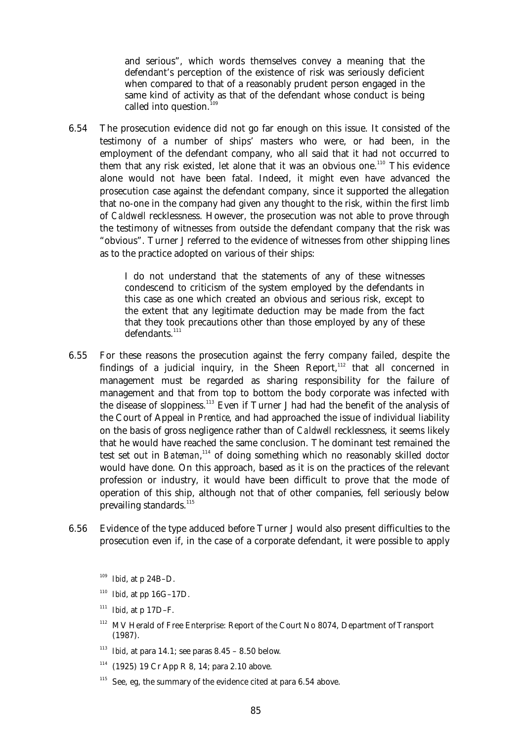and serious", which words themselves convey a meaning that the defendant's perception of the existence of risk was seriously deficient when compared to that of a reasonably prudent person engaged in the same kind of activity as that of the defendant whose conduct is being called into question.<sup>109</sup>

 6.54 The prosecution evidence did not go far enough on this issue. It consisted of the testimony of a number of ships' masters who were, or had been, in the employment of the defendant company, who all said that it had not occurred to them that any risk existed, let alone that it was an obvious one.<sup>110</sup> This evidence alone would not have been fatal. Indeed, it might even have advanced the prosecution case against the defendant company, since it supported the allegation that no-one in the company had given any thought to the risk, within the first limb of *Caldwell* recklessness. However, the prosecution was not able to prove through the testimony of witnesses from outside the defendant company that the risk was "obvious". Turner J referred to the evidence of witnesses from other shipping lines as to the practice adopted on various of their ships:

> I do not understand that the statements of any of these witnesses condescend to criticism of the system employed by the defendants in this case as one which created an obvious and serious risk, except to the extent that any legitimate deduction may be made from the fact that they took precautions other than those employed by any of these  $defendants.<sup>111</sup>$

- 6.55 For these reasons the prosecution against the ferry company failed, despite the findings of a judicial inquiry, in the Sheen Report,  $112$  that all concerned in management must be regarded as sharing responsibility for the failure of management and that from top to bottom the body corporate was infected with the disease of sloppiness.<sup>113</sup> Even if Turner J had had the benefit of the analysis of the Court of Appeal in *Prentice*, and had approached the issue of individual liability on the basis of gross negligence rather than of *Caldwell* recklessness, it seems likely that he would have reached the same conclusion. The dominant test remained the test set out in *Bateman*, <sup>114</sup> of doing something which no reasonably skilled *doctor* would have done. On this approach, based as it is on the practices of the relevant profession or industry, it would have been difficult to prove that the mode of operation of this ship, although not that of other companies, fell seriously below prevailing standards.<sup>115</sup>
- 6.56 Evidence of the type adduced before Turner J would also present difficulties to the prosecution even if, in the case of a corporate defendant, it were possible to apply

<sup>109</sup> *Ibid*, at p 24B–D.

- <sup>110</sup> *Ibid*, at pp 16G-17D.
- <sup>111</sup> *Ibid*, at p 17D–F.
- <sup>112</sup> MV Herald of Free Enterprise: Report of the Court No 8074, Department of Transport (1987).
- <sup>113</sup> *Ibid*, at para 14.1; see paras  $8.45 8.50$  below.
- $114$  (1925) 19 Cr App R 8, 14; para 2.10 above.
- <sup>115</sup> See, eg, the summary of the evidence cited at para 6.54 above.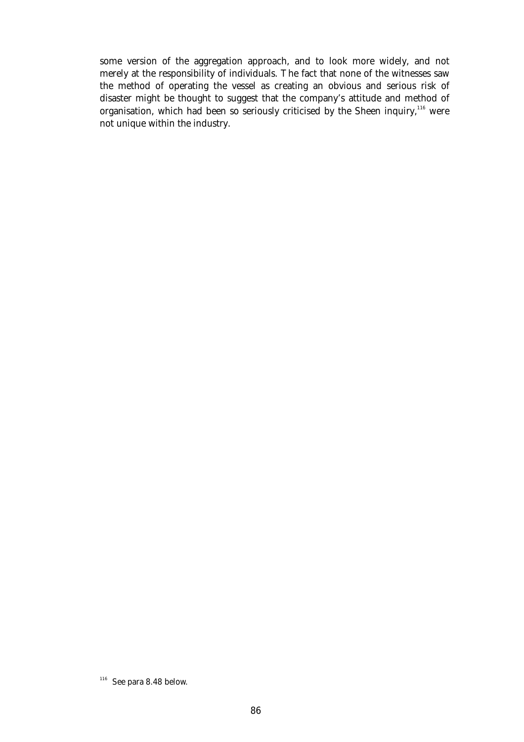some version of the aggregation approach, and to look more widely, and not merely at the responsibility of individuals. The fact that none of the witnesses saw the method of operating the vessel as creating an obvious and serious risk of disaster might be thought to suggest that the company's attitude and method of organisation, which had been so seriously criticised by the Sheen inquiry, <sup>116</sup> were not unique within the industry.

 $116$  See para 8.48 below.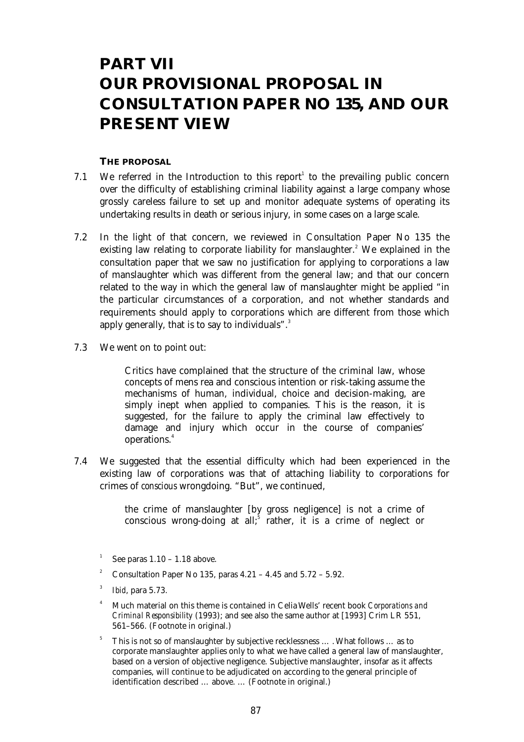# **PART VII OUR PROVISIONAL PROPOSAL IN CONSULTATION PAPER NO 135, AND OUR PRESENT VIEW**

## **THE PROPOSAL**

- 7.1 We referred in the Introduction to this report<sup>1</sup> to the prevailing public concern over the difficulty of establishing criminal liability against a large company whose grossly careless failure to set up and monitor adequate systems of operating its undertaking results in death or serious injury, in some cases on a large scale.
	- 7.2 In the light of that concern, we reviewed in Consultation Paper No 135 the existing law relating to corporate liability for manslaughter.<sup>2</sup> We explained in the consultation paper that we saw no justification for applying to corporations a law of manslaughter which was different from the general law; and that our concern related to the way in which the general law of manslaughter might be applied "in the particular circumstances of a corporation, and not whether standards and requirements should apply to corporations which are different from those which apply generally, that is to say to individuals".<sup>3</sup>
	- 7.3 We went on to point out:

Critics have complained that the structure of the criminal law, whose concepts of mens rea and conscious intention or risk-taking assume the mechanisms of human, individual, choice and decision-making, are simply inept when applied to companies. This is the reason, it is suggested, for the failure to apply the criminal law effectively to damage and injury which occur in the course of companies' operations.<sup>4</sup>

 7.4 We suggested that the essential difficulty which had been experienced in the existing law of corporations was that of attaching liability to corporations for crimes of *conscious* wrongdoing. "But", we continued,

> the crime of manslaughter [by gross negligence] is not a crime of conscious wrong-doing at all; rather, it is a crime of neglect or

- 1 See paras 1.10 – 1.18 above.
- <sup>2</sup> Consultation Paper No 135, paras  $4.21 4.45$  and  $5.72 5.92$ .
- 3 *Ibid*, para 5.73.
- <sup>4</sup> Much material on this theme is contained in Celia Wells' recent book *Corporations and Criminal Responsibility* (1993); and see also the same author at [1993] Crim LR 551, 561–566. (Footnote in original.)
- <sup>5</sup> This is not so of manslaughter by subjective recklessness ... . What follows ... as to corporate manslaughter applies only to what we have called a general law of manslaughter, based on a version of objective negligence. Subjective manslaughter, insofar as it affects companies, will continue to be adjudicated on according to the general principle of identification described … above. … (Footnote in original.)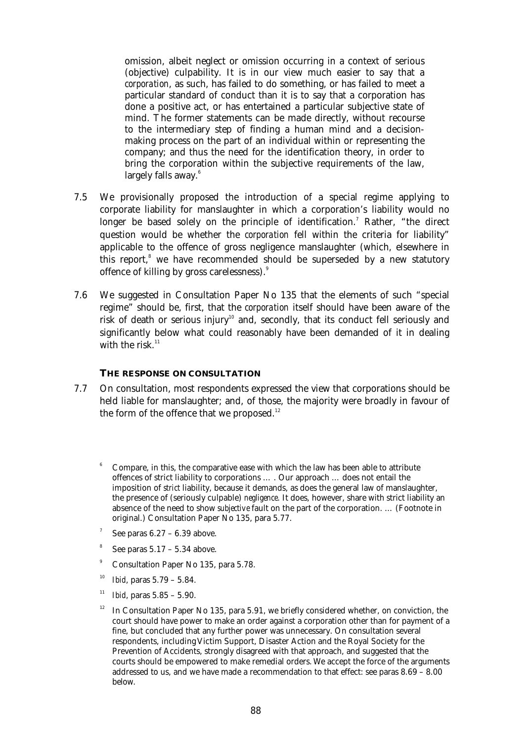omission, albeit neglect or omission occurring in a context of serious (objective) culpability. It is in our view much easier to say that a *corporation*, as such, has failed to do something, or has failed to meet a particular standard of conduct than it is to say that a corporation has done a positive act, or has entertained a particular subjective state of mind. The former statements can be made directly, without recourse to the intermediary step of finding a human mind and a decisionmaking process on the part of an individual within or representing the company; and thus the need for the identification theory, in order to bring the corporation within the subjective requirements of the law, largely falls away. $6$ 

- 7.5 We provisionally proposed the introduction of a special regime applying to corporate liability for manslaughter in which a corporation's liability would no longer be based solely on the principle of identification.<sup>7</sup> Rather, "the direct question would be whether the *corporation* fell within the criteria for liability" applicable to the offence of gross negligence manslaughter (which, elsewhere in this report,<sup>8</sup> we have recommended should be superseded by a new statutory offence of killing by gross carelessness).<sup>9</sup>
- 7.6 We suggested in Consultation Paper No 135 that the elements of such "special regime" should be, first, that the *corporation* itself should have been aware of the risk of death or serious injury<sup>10</sup> and, secondly, that its conduct fell seriously and significantly below what could reasonably have been demanded of it in dealing with the risk $11$

### **THE RESPONSE ON CONSULTATION**

- 7.7 On consultation, most respondents expressed the view that corporations should be held liable for manslaughter; and, of those, the majority were broadly in favour of the form of the offence that we proposed. $12$ 
	- <sup>6</sup> Compare, in this, the comparative ease with which the law has been able to attribute offences of strict liability to corporations … . Our approach … does not entail the imposition of *strict* liability, because it demands, as does the general law of manslaughter, the presence of (seriously culpable) *negligence*. It does, however, share with strict liability an absence of the need to show *subjective* fault on the part of the corporation. … (Footnote in original.) Consultation Paper No 135, para 5.77.
	- 7 See paras 6.27 – 6.39 above.
	- 8 See paras 5.17 – 5.34 above.
	- <sup>9</sup> Consultation Paper No 135, para 5.78.
	- <sup>10</sup> *Ibid*, paras 5.79 5.84.
	- <sup>11</sup> *Ibid*, paras  $5.85 5.90$ .
	- <sup>12</sup> In Consultation Paper No 135, para 5.91, we briefly considered whether, on conviction, the court should have power to make an order against a corporation other than for payment of a fine, but concluded that any further power was unnecessary. On consultation several respondents, including Victim Support, Disaster Action and the Royal Society for the Prevention of Accidents, strongly disagreed with that approach, and suggested that the courts should be empowered to make remedial orders. We accept the force of the arguments addressed to us, and we have made a recommendation to that effect: see paras 8.69 – 8.00 below.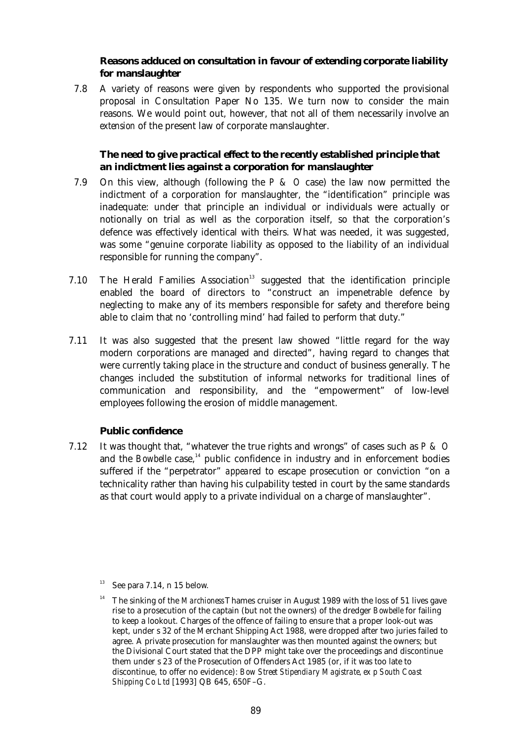# **Reasons adduced on consultation in favour of extending corporate liability for manslaughter**

 7.8 A variety of reasons were given by respondents who supported the provisional proposal in Consultation Paper No 135. We turn now to consider the main reasons. We would point out, however, that not all of them necessarily involve an *extension* of the present law of corporate manslaughter.

# *The need to give practical effect to the recently established principle that an indictment lies against a corporation for manslaughter*

- 7.9 On this view, although (following the *P & O* case) the law now permitted the indictment of a corporation for manslaughter, the "identification" principle was inadequate: under that principle an individual or individuals were actually or notionally on trial as well as the corporation itself, so that the corporation's defence was effectively identical with theirs. What was needed, it was suggested, was some "genuine corporate liability as opposed to the liability of an individual responsible for running the company".
- 7.10 The Herald Families Association<sup>13</sup> suggested that the identification principle enabled the board of directors to "construct an impenetrable defence by neglecting to make any of its members responsible for safety and therefore being able to claim that no 'controlling mind' had failed to perform that duty."
- 7.11 It was also suggested that the present law showed "little regard for the way modern corporations are managed and directed", having regard to changes that were currently taking place in the structure and conduct of business generally. The changes included the substitution of informal networks for traditional lines of communication and responsibility, and the "empowerment" of low-level employees following the erosion of middle management.

# *Public confidence*

 7.12 It was thought that, "whatever the true rights and wrongs" of cases such as *P & O* and the *Bowbelle* case,<sup>14</sup> public confidence in industry and in enforcement bodies suffered if the "perpetrator" *appeared* to escape prosecution or conviction "on a technicality rather than having his culpability tested in court by the same standards as that court would apply to a private individual on a charge of manslaughter".

See para 7.14, n 15 below.

<sup>14</sup> The sinking of the *Marchioness* Thames cruiser in August 1989 with the loss of 51 lives gave rise to a prosecution of the captain (but not the owners) of the dredger *Bowbelle* for failing to keep a lookout. Charges of the offence of failing to ensure that a proper look-out was kept, under s 32 of the Merchant Shipping Act 1988, were dropped after two juries failed to agree. A private prosecution for manslaughter was then mounted against the owners; but the Divisional Court stated that the DPP might take over the proceedings and discontinue them under s 23 of the Prosecution of Offenders Act 1985 (or, if it was too late to discontinue, to offer no evidence): *Bow Street Stipendiary Magistrate, ex p South Coast Shipping Co Ltd* [1993] QB 645, 650F–G.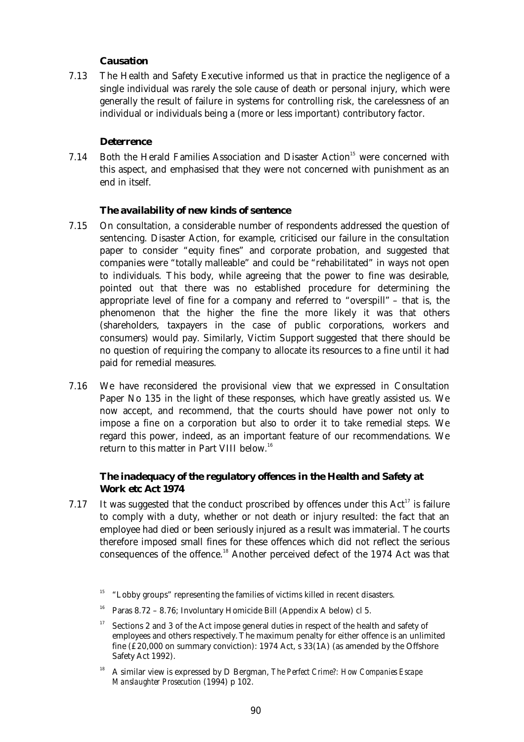# *Causation*

 7.13 The Health and Safety Executive informed us that in practice the negligence of a single individual was rarely the sole cause of death or personal injury, which were generally the result of failure in systems for controlling risk, the carelessness of an individual or individuals being a (more or less important) contributory factor.

### *Deterrence*

7.14 Both the Herald Families Association and Disaster Action<sup>15</sup> were concerned with this aspect, and emphasised that they were not concerned with punishment as an end in itself.

### *The availability of new kinds of sentence*

- 7.15 On consultation, a considerable number of respondents addressed the question of sentencing. Disaster Action, for example, criticised our failure in the consultation paper to consider "equity fines" and corporate probation, and suggested that companies were "totally malleable" and could be "rehabilitated" in ways not open to individuals. This body, while agreeing that the power to fine was desirable, pointed out that there was no established procedure for determining the appropriate level of fine for a company and referred to "overspill" – that is, the phenomenon that the higher the fine the more likely it was that others (shareholders, taxpayers in the case of public corporations, workers and consumers) would pay. Similarly, Victim Support suggested that there should be no question of requiring the company to allocate its resources to a fine until it had paid for remedial measures.
- 7.16 We have reconsidered the provisional view that we expressed in Consultation Paper No 135 in the light of these responses, which have greatly assisted us. We now accept, and recommend, that the courts should have power not only to impose a fine on a corporation but also to order it to take remedial steps. We regard this power, indeed, as an important feature of our recommendations. We return to this matter in Part VIII below.<sup>16</sup>

# *The inadequacy of the regulatory offences in the Health and Safety at Work etc Act 1974*

7.17 It was suggested that the conduct proscribed by offences under this  $Act^{17}$  is failure to comply with a duty, whether or not death or injury resulted: the fact that an employee had died or been seriously injured as a result was immaterial. The courts therefore imposed small fines for these offences which did not reflect the serious consequences of the offence.<sup>18</sup> Another perceived defect of the 1974 Act was that

<sup>&</sup>lt;sup>15</sup> "Lobby groups" representing the families of victims killed in recent disasters.

<sup>&</sup>lt;sup>16</sup> Paras 8.72 – 8.76; Involuntary Homicide Bill (Appendix A below) cl 5.

Sections 2 and 3 of the Act impose general duties in respect of the health and safety of employees and others respectively. The maximum penalty for either offence is an unlimited fine (£20,000 on summary conviction): 1974 Act, s 33(1A) (as amended by the Offshore Safety Act 1992).

<sup>18</sup> A similar view is expressed by D Bergman, *The Perfect Crime?: How Companies Escape Manslaughter Prosecution* (1994) p 102.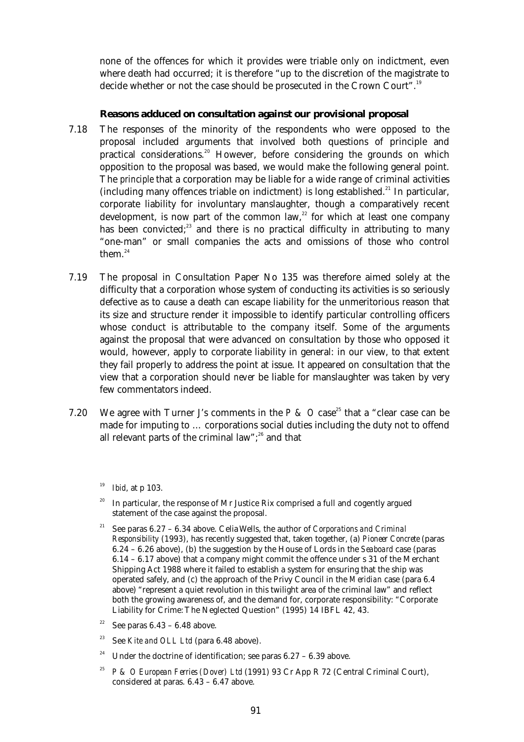none of the offences for which it provides were triable only on indictment, even where death had occurred; it is therefore "up to the discretion of the magistrate to decide whether or not the case should be prosecuted in the Crown Court".<sup>19</sup>

# **Reasons adduced on consultation against our provisional proposal**

- 7.18 The responses of the minority of the respondents who were opposed to the proposal included arguments that involved both questions of principle and practical considerations.<sup>20</sup> However, before considering the grounds on which opposition to the proposal was based, we would make the following general point. The *principle* that a corporation may be liable for a wide range of criminal activities (including many offences triable on indictment) is long established.<sup>21</sup> In particular, corporate liability for involuntary manslaughter, though a comparatively recent development, is now part of the common law,<sup>22</sup> for which at least one company has been convicted; $23$  and there is no practical difficulty in attributing to many "one-man" or small companies the acts and omissions of those who control them. $24$
- 7.19 The proposal in Consultation Paper No 135 was therefore aimed solely at the difficulty that a corporation whose system of conducting its activities is so seriously defective as to cause a death can escape liability for the unmeritorious reason that its size and structure render it impossible to identify particular controlling officers whose conduct is attributable to the company itself. Some of the arguments against the proposal that were advanced on consultation by those who opposed it would, however, apply to corporate liability in general: in our view, to that extent they fail properly to address the point at issue. It appeared on consultation that the view that a corporation should *never* be liable for manslaughter was taken by very few commentators indeed.
- 7.20 We agree with Turner J's comments in the  $P \& O$  case<sup>25</sup> that a "clear case can be made for imputing to … corporations social duties including the duty not to offend all relevant parts of the criminal law"; $^{\text{26}}$  and that

- <sup>21</sup> See paras 6.27 6.34 above. Celia Wells, the author of *Corporations and Criminal Responsibility* (1993), has recently suggested that, taken together, (a) *Pioneer Concrete* (paras 6.24 – 6.26 above), (b) the suggestion by the House of Lords in the *Seaboard* case (paras 6.14 – 6.17 above) that a company might commit the offence under s 31 of the Merchant Shipping Act 1988 where it failed to establish a system for ensuring that the ship was operated safely, and (c) the approach of the Privy Council in the *Meridian* case (para 6.4 above) "represent a quiet revolution in this twilight area of the criminal law" and reflect both the growing awareness of, and the demand for, corporate responsibility: "Corporate Liability for Crime: The Neglected Question" (1995) 14 IBFL 42, 43.
- <sup>22</sup> See paras  $6.43 6.48$  above.
- <sup>23</sup> See *Kite and OLL Ltd* (para 6.48 above).
- <sup>24</sup> Under the doctrine of identification; see paras  $6.27 6.39$  above.
- <sup>25</sup> *P & O European Ferries (Dover) Ltd* (1991) 93 Cr App R 72 (Central Criminal Court), considered at paras. 6.43 – 6.47 above.

<sup>19</sup> *Ibid*, at p 103.

In particular, the response of Mr Justice Rix comprised a full and cogently argued statement of the case against the proposal.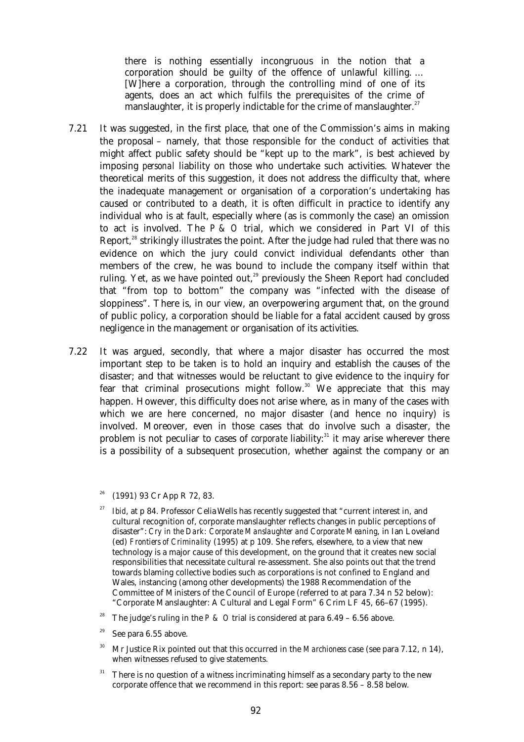there is nothing essentially incongruous in the notion that a corporation should be guilty of the offence of unlawful killing. … [W]here a corporation, through the controlling mind of one of its agents, does an act which fulfils the prerequisites of the crime of manslaughter, it is properly indictable for the crime of manslaughter. $27$ 

- 7.21 It was suggested, in the first place, that one of the Commission's aims in making the proposal – namely, that those responsible for the conduct of activities that might affect public safety should be "kept up to the mark", is best achieved by imposing *personal* liability on those who undertake such activities. Whatever the theoretical merits of this suggestion, it does not address the difficulty that, where the inadequate management or organisation of a corporation's undertaking has caused or contributed to a death, it is often difficult in practice to identify any individual who is at fault, especially where (as is commonly the case) an omission to act is involved. The *P & O* trial, which we considered in Part VI of this Report,<sup>28</sup> strikingly illustrates the point. After the judge had ruled that there was no evidence on which the jury could convict individual defendants other than members of the crew, he was bound to include the company itself within that ruling. Yet, as we have pointed out, $^{29}$  previously the Sheen Report had concluded that "from top to bottom" the company was "infected with the disease of sloppiness". There is, in our view, an overpowering argument that, on the ground of public policy, a corporation should be liable for a fatal accident caused by gross negligence in the management or organisation of its activities.
- 7.22 It was argued, secondly, that where a major disaster has occurred the most important step to be taken is to hold an inquiry and establish the causes of the disaster; and that witnesses would be reluctant to give evidence to the inquiry for fear that criminal prosecutions might follow. $30$  We appreciate that this may happen. However, this difficulty does not arise where, as in many of the cases with which we are here concerned, no major disaster (and hence no inquiry) is involved. Moreover, even in those cases that do involve such a disaster, the problem is not peculiar to cases of *corporate* liability:<sup>31</sup> it may arise wherever there is a possibility of a subsequent prosecution, whether against the company or an

There is no question of a witness incriminating himself as a secondary party to the new corporate offence that we recommend in this report: see paras 8.56 – 8.58 below.

<sup>26</sup> (1991) 93 Cr App R 72, 83.

*Ibid*, at p 84. Professor Celia Wells has recently suggested that "current interest in, and cultural recognition of, corporate manslaughter reflects changes in public perceptions of disaster": *Cry in the Dark: Corporate Manslaughter and Corporate Meaning*, in Ian Loveland (ed) *Frontiers of Criminality* (1995) at p 109. She refers, elsewhere, to a view that new technology is a major cause of this development, on the ground that it creates new social responsibilities that necessitate cultural re-assessment. She also points out that the trend towards blaming collective bodies such as corporations is not confined to England and Wales, instancing (among other developments) the 1988 Recommendation of the Committee of Ministers of the Council of Europe (referred to at para 7.34 n 52 below): "Corporate Manslaughter: A Cultural and Legal Form" 6 Crim LF 45, 66–67 (1995).

<sup>&</sup>lt;sup>28</sup> The judge's ruling in the *P & O* trial is considered at para  $6.49 - 6.56$  above.

 $29$  See para 6.55 above.

<sup>&</sup>lt;sup>30</sup> Mr Justice Rix pointed out that this occurred in the *Marchioness* case (see para 7.12, n 14), when witnesses refused to give statements.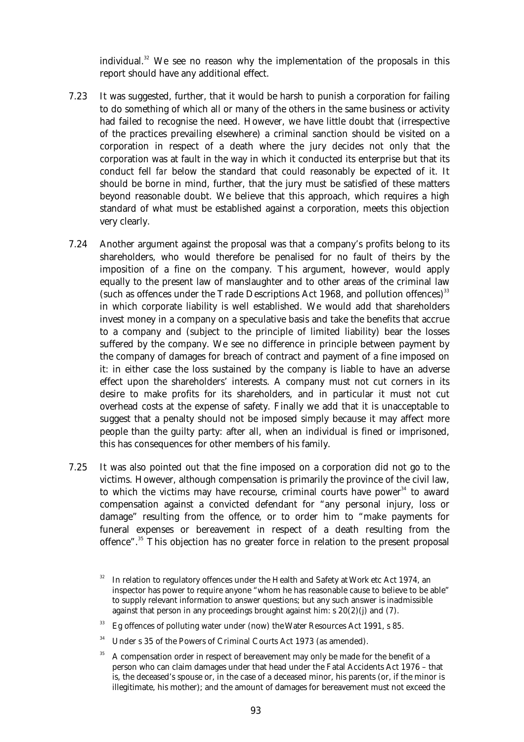individual.<sup>32</sup> We see no reason why the implementation of the proposals in this report should have any additional effect.

- 7.23 It was suggested, further, that it would be harsh to punish a corporation for failing to do something of which all or many of the others in the same business or activity had failed to recognise the need. However, we have little doubt that (irrespective of the practices prevailing elsewhere) a criminal sanction should be visited on a corporation in respect of a death where the jury decides not only that the corporation was at fault in the way in which it conducted its enterprise but that its conduct fell *far* below the standard that could reasonably be expected of it. It should be borne in mind, further, that the jury must be satisfied of these matters beyond reasonable doubt. We believe that this approach, which requires a high standard of what must be established against a corporation, meets this objection very clearly.
- 7.24 Another argument against the proposal was that a company's profits belong to its shareholders, who would therefore be penalised for no fault of theirs by the imposition of a fine on the company. This argument, however, would apply equally to the present law of manslaughter and to other areas of the criminal law (such as offences under the Trade Descriptions Act 1968, and pollution offences) $33$ in which corporate liability is well established. We would add that shareholders invest money in a company on a speculative basis and take the benefits that accrue to a company and (subject to the principle of limited liability) bear the losses suffered by the company. We see no difference in principle between payment by the company of damages for breach of contract and payment of a fine imposed on it: in either case the loss sustained by the company is liable to have an adverse effect upon the shareholders' interests. A company must not cut corners in its desire to make profits for its shareholders, and in particular it must not cut overhead costs at the expense of safety. Finally we add that it is unacceptable to suggest that a penalty should not be imposed simply because it may affect more people than the guilty party: after all, when an individual is fined or imprisoned, this has consequences for other members of his family.
- 7.25 It was also pointed out that the fine imposed on a corporation did not go to the victims. However, although compensation is primarily the province of the civil law, to which the victims may have recourse, criminal courts have power $34$  to award compensation against a convicted defendant for "any personal injury, loss or damage" resulting from the offence, or to order him to "make payments for funeral expenses or bereavement in respect of a death resulting from the offence". <sup>35</sup> This objection has no greater force in relation to the present proposal

In relation to regulatory offences under the Health and Safety at Work etc Act 1974, an inspector has power to require anyone "whom he has reasonable cause to believe to be able" to supply relevant information to answer questions; but any such answer is inadmissible against that person in any proceedings brought against him: s 20(2)(j) and (7).

 $33$  Eg offences of polluting water under (now) the Water Resources Act 1991, s 85.

<sup>&</sup>lt;sup>34</sup> Under s 35 of the Powers of Criminal Courts Act 1973 (as amended).

A compensation order in respect of bereavement may only be made for the benefit of a person who can claim damages under that head under the Fatal Accidents Act 1976 – that is, the deceased's spouse or, in the case of a deceased minor, his parents (or, if the minor is illegitimate, his mother); and the amount of damages for bereavement must not exceed the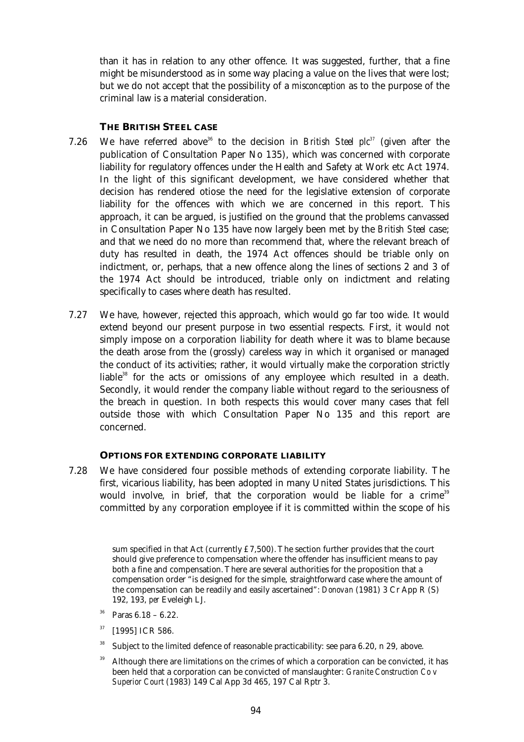than it has in relation to any other offence. It was suggested, further, that a fine might be misunderstood as in some way placing a value on the lives that were lost; but we do not accept that the possibility of a *misconception* as to the purpose of the criminal law is a material consideration.

## **THE** *BRITISH STEEL* **CASE**

- 7.26 We have referred above<sup>36</sup> to the decision in *British Steel plc*<sup>37</sup> (given after the publication of Consultation Paper No 135), which was concerned with corporate liability for regulatory offences under the Health and Safety at Work etc Act 1974. In the light of this significant development, we have considered whether that decision has rendered otiose the need for the legislative extension of corporate liability for the offences with which we are concerned in this report. This approach, it can be argued, is justified on the ground that the problems canvassed in Consultation Paper No 135 have now largely been met by the *British Steel* case; and that we need do no more than recommend that, where the relevant breach of duty has resulted in death, the 1974 Act offences should be triable only on indictment, or, perhaps, that a new offence along the lines of sections 2 and 3 of the 1974 Act should be introduced, triable only on indictment and relating specifically to cases where death has resulted.
- 7.27 We have, however, rejected this approach, which would go far too wide. It would extend beyond our present purpose in two essential respects. First, it would not simply impose on a corporation liability for death where it was to blame because the death arose from the (grossly) careless way in which it organised or managed the conduct of its activities; rather, it would virtually make the corporation strictly liable<sup>38</sup> for the acts or omissions of any employee which resulted in a death. Secondly, it would render the company liable without regard to the seriousness of the breach in question. In both respects this would cover many cases that fell outside those with which Consultation Paper No 135 and this report are concerned.

## **OPTIONS FOR EXTENDING CORPORATE LIABILITY**

 7.28 We have considered four possible methods of extending corporate liability. The first, vicarious liability, has been adopted in many United States jurisdictions. This would involve, in brief, that the corporation would be liable for a crime<sup>39</sup> committed by *any* corporation employee if it is committed within the scope of his

> sum specified in that Act (currently £7,500). The section further provides that the court should give preference to compensation where the offender has insufficient means to pay both a fine and compensation. There are several authorities for the proposition that a compensation order "is designed for the simple, straightforward case where the amount of the compensation can be readily and easily ascertained": *Donovan* (1981) 3 Cr App R (S) 192, 193, *per* Eveleigh LJ.

- Paras 6.18 6.22.
- <sup>37</sup> [1995] ICR 586.
- $38$  Subject to the limited defence of reasonable practicability: see para 6.20, n 29, above.
- $39$  Although there are limitations on the crimes of which a corporation can be convicted, it has been held that a corporation can be convicted of manslaughter: *Granite Construction Co v Superior Court* (1983) 149 Cal App 3d 465, 197 Cal Rptr 3.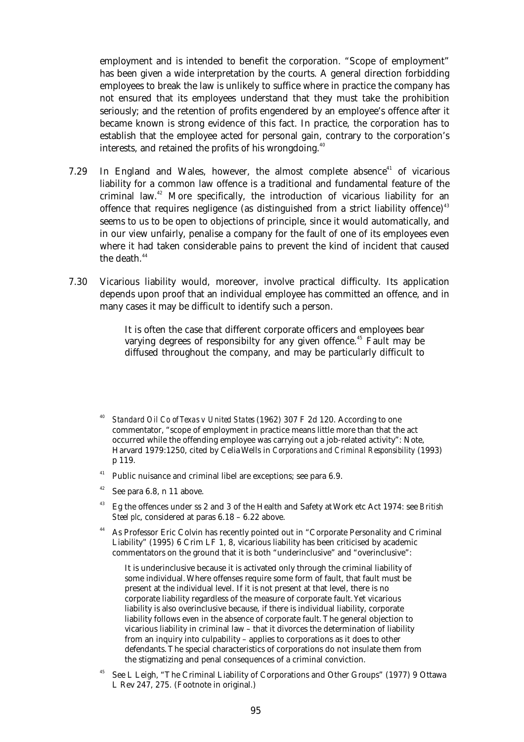employment and is intended to benefit the corporation. "Scope of employment" has been given a wide interpretation by the courts. A general direction forbidding employees to break the law is unlikely to suffice where in practice the company has not ensured that its employees understand that they must take the prohibition seriously; and the retention of profits engendered by an employee's offence after it became known is strong evidence of this fact. In practice, the corporation has to establish that the employee acted for personal gain, contrary to the corporation's interests, and retained the profits of his wrongdoing. $40$ 

- 7.29 In England and Wales, however, the almost complete absence $4$  of vicarious liability for a common law offence is a traditional and fundamental feature of the criminal law.<sup>42</sup> More specifically, the introduction of vicarious liability for an offence that requires negligence (as distinguished from a strict liability offence) $43$ seems to us to be open to objections of principle, since it would automatically, and in our view unfairly, penalise a company for the fault of one of its employees even where it had taken considerable pains to prevent the kind of incident that caused the death.<sup>44</sup>
- 7.30 Vicarious liability would, moreover, involve practical difficulty. Its application depends upon proof that an individual employee has committed an offence, and in many cases it may be difficult to identify such a person.

It is often the case that different corporate officers and employees bear varying degrees of responsibilty for any given offence.<sup>45</sup> Fault may be diffused throughout the company, and may be particularly difficult to

- <sup>40</sup> *Standard Oil Co of Texas v United States* (1962) 307 F 2d 120. According to one commentator, "scope of employment in practice means little more than that the act occurred while the offending employee was carrying out a job-related activity": Note, Harvard 1979:1250, cited by Celia Wells in *Corporations and Criminal Responsibility* (1993) p 119.
- <sup>41</sup> Public nuisance and criminal libel are exceptions; see para 6.9.
- $42$  See para 6.8, n 11 above.
- <sup>43</sup> Eg the offences under ss 2 and 3 of the Health and Safety at Work etc Act 1974: see *British Steel plc*, considered at paras 6.18 – 6.22 above.
- <sup>44</sup> As Professor Eric Colvin has recently pointed out in "Corporate Personality and Criminal Liability" (1995) 6 Crim LF 1, 8, vicarious liability has been criticised by academic commentators on the ground that it is both "underinclusive" and "overinclusive":

It is underinclusive because it is activated only through the criminal liability of some individual. Where offenses require some form of fault, that fault must be present at the individual level. If it is not present at that level, there is no corporate liability regardless of the measure of corporate fault. Yet vicarious liability is also overinclusive because, if there is individual liability, corporate liability follows even in the absence of corporate fault. The general objection to vicarious liability in criminal law – that it divorces the determination of liability from an inquiry into culpability – applies to corporations as it does to other defendants. The special characteristics of corporations do not insulate them from the stigmatizing and penal consequences of a criminal conviction.

See L Leigh, "The Criminal Liability of Corporations and Other Groups" (1977) 9 Ottawa L Rev 247, 275. (Footnote in original.)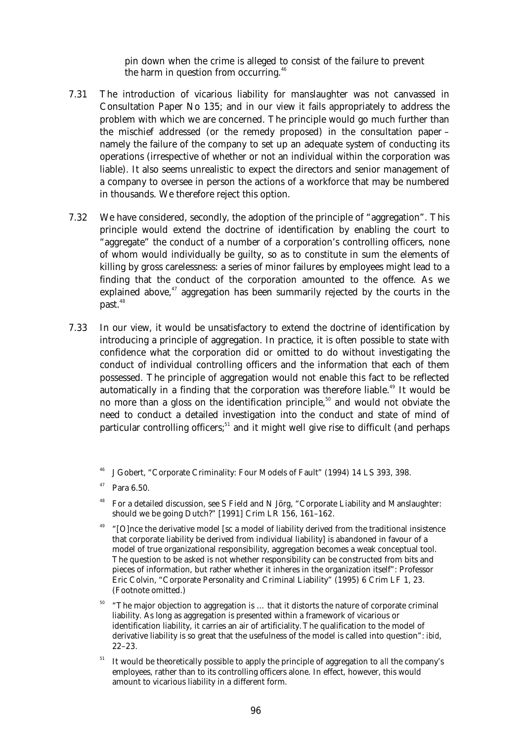pin down when the crime is alleged to consist of the failure to prevent the harm in question from occurring.<sup>46</sup>

- 7.31 The introduction of vicarious liability for manslaughter was not canvassed in Consultation Paper No 135; and in our view it fails appropriately to address the problem with which we are concerned. The principle would go much further than the mischief addressed (or the remedy proposed) in the consultation paper – namely the failure of the company to set up an adequate system of conducting its operations (irrespective of whether or not an individual within the corporation was liable). It also seems unrealistic to expect the directors and senior management of a company to oversee in person the actions of a workforce that may be numbered in thousands. We therefore reject this option.
- 7.32 We have considered, secondly, the adoption of the principle of "aggregation". This principle would extend the doctrine of identification by enabling the court to "aggregate" the conduct of a number of a corporation's controlling officers, none of whom would individually be guilty, so as to constitute in sum the elements of killing by gross carelessness: a series of minor failures by employees might lead to a finding that the conduct of the corporation amounted to the offence. As we explained above, $47$  aggregation has been summarily rejected by the courts in the  $past.<sup>48</sup>$
- 7.33 In our view, it would be unsatisfactory to extend the doctrine of identification by introducing a principle of aggregation. In practice, it is often possible to state with confidence what the corporation did or omitted to do without investigating the conduct of individual controlling officers and the information that each of them possessed. The principle of aggregation would not enable this fact to be reflected automatically in a finding that the corporation was therefore liable.<sup>49</sup> It would be no more than a gloss on the identification principle.<sup>50</sup> and would not obviate the need to conduct a detailed investigation into the conduct and state of mind of particular controlling officers; $51$  and it might well give rise to difficult (and perhaps

<sup>46</sup> J Gobert, "Corporate Criminality: Four Models of Fault" (1994) 14 LS 393, 398.

 $47$  Para 6.50.

<sup>&</sup>lt;sup>48</sup> For a detailed discussion, see S Field and N Jörg, "Corporate Liability and Manslaughter: should we be going Dutch?" [1991] Crim LR 156, 161–162.

<sup>&</sup>lt;sup>49</sup> "[O]nce the derivative model [sc a model of liability derived from the traditional insistence that corporate liability be derived from individual liability] is abandoned in favour of a model of true organizational responsibility, aggregation becomes a weak conceptual tool. The question to be asked is not whether responsibility can be constructed from bits and pieces of information, but rather whether it inheres in the organization itself": Professor Eric Colvin, "Corporate Personality and Criminal Liability" (1995) 6 Crim LF 1, 23. (Footnote omitted.)

<sup>&</sup>quot;The major objection to aggregation is ... that it distorts the nature of corporate criminal liability. As long as aggregation is presented within a framework of vicarious or identification liability, it carries an air of artificiality. The qualification to the model of derivative liability is so great that the usefulness of the model is called into question": *ibid*, 22–23.

<sup>&</sup>lt;sup>51</sup> It would be theoretically possible to apply the principle of aggregation to *all* the company's employees, rather than to its controlling officers alone. In effect, however, this would amount to vicarious liability in a different form.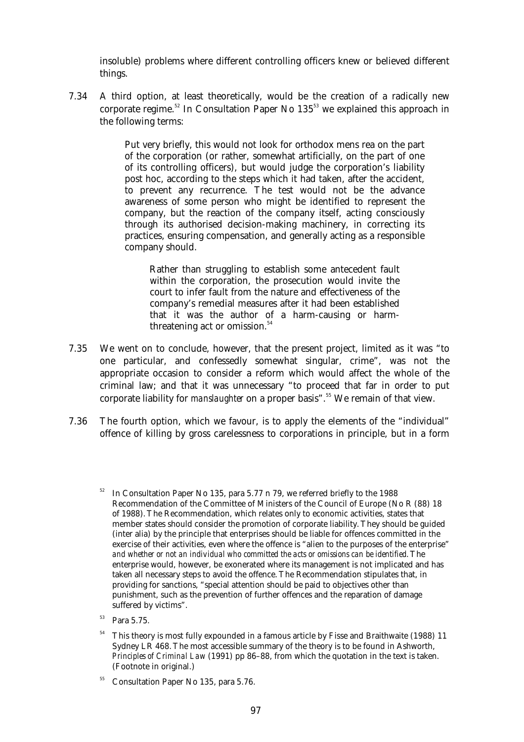insoluble) problems where different controlling officers knew or believed different things.

 7.34 A third option, at least theoretically, would be the creation of a radically new corporate regime.<sup>52</sup> In Consultation Paper No  $135^{53}$  we explained this approach in the following terms:

> Put very briefly, this would not look for orthodox mens rea on the part of the corporation (or rather, somewhat artificially, on the part of one of its controlling officers), but would judge the corporation's liability post hoc, according to the steps which it had taken, after the accident, to prevent any recurrence. The test would not be the advance awareness of some person who might be identified to represent the company, but the reaction of the company itself, acting consciously through its authorised decision-making machinery, in correcting its practices, ensuring compensation, and generally acting as a responsible company should.

Rather than struggling to establish some antecedent fault within the corporation, the prosecution would invite the court to infer fault from the nature and effectiveness of the company's remedial measures after it had been established that it was the author of a harm-causing or harmthreatening act or omission.<sup>54</sup>

- 7.35 We went on to conclude, however, that the present project, limited as it was "to one particular, and confessedly somewhat singular, crime", was not the appropriate occasion to consider a reform which would affect the whole of the criminal law; and that it was unnecessary "to proceed that far in order to put corporate liability for *manslaughter* on a proper basis". <sup>55</sup> We remain of that view.
- 7.36 The fourth option, which we favour, is to apply the elements of the "individual" offence of killing by gross carelessness to corporations in principle, but in a form

<sup>52</sup> In Consultation Paper No 135, para 5.77 n 79, we referred briefly to the 1988 Recommendation of the Committee of Ministers of the Council of Europe (No R (88) 18 of 1988). The Recommendation, which relates only to economic activities, states that member states should consider the promotion of corporate liability. They should be guided (inter alia) by the principle that enterprises should be liable for offences committed in the exercise of their activities, even where the offence is "alien to the purposes of the enterprise" *and whether or not an individual who committed the acts or omissions can be identified*. The enterprise would, however, be exonerated where its management is not implicated and has taken all necessary steps to avoid the offence. The Recommendation stipulates that, in providing for sanctions, "special attention should be paid to objectives other than punishment, such as the prevention of further offences and the reparation of damage suffered by victims".

<sup>&</sup>lt;sup>53</sup> Para 5.75.

<sup>54</sup> This theory is most fully expounded in a famous article by Fisse and Braithwaite (1988) 11 Sydney LR 468. The most accessible summary of the theory is to be found in Ashworth, *Principles of Criminal Law* (1991) pp 86–88, from which the quotation in the text is taken. (Footnote in original.)

<sup>&</sup>lt;sup>55</sup> Consultation Paper No 135, para 5.76.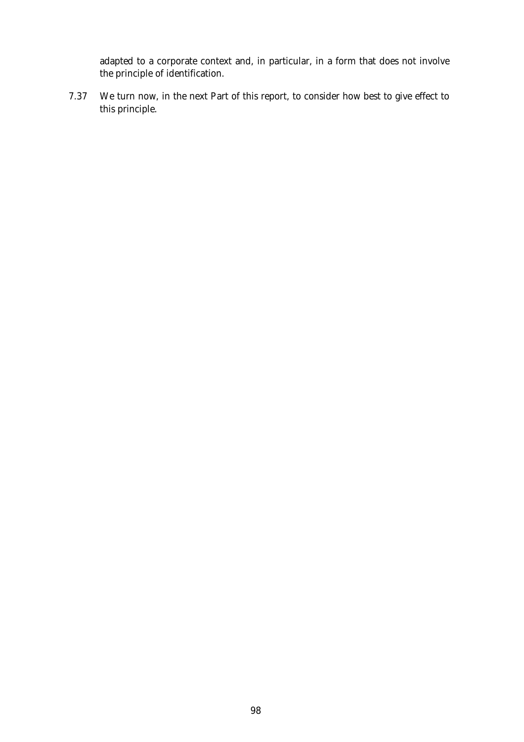adapted to a corporate context and, in particular, in a form that does not involve the principle of identification.

 7.37 We turn now, in the next Part of this report, to consider how best to give effect to this principle.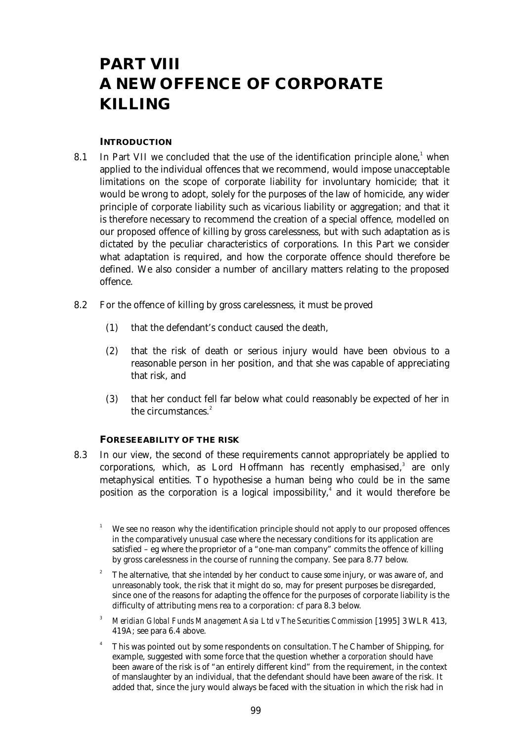# **PART VIII A NEW OFFENCE OF CORPORATE KILLING**

# **INTRODUCTION**

- 8.1 In Part VII we concluded that the use of the identification principle alone,<sup>1</sup> when applied to the individual offences that we recommend, would impose unacceptable limitations on the scope of corporate liability for involuntary homicide; that it would be wrong to adopt, solely for the purposes of the law of homicide, any wider principle of corporate liability such as vicarious liability or aggregation; and that it is therefore necessary to recommend the creation of a special offence, modelled on our proposed offence of killing by gross carelessness, but with such adaptation as is dictated by the peculiar characteristics of corporations. In this Part we consider what adaptation is required, and how the corporate offence should therefore be defined. We also consider a number of ancillary matters relating to the proposed offence.
	- 8.2 For the offence of killing by gross carelessness, it must be proved
		- (1) that the defendant's conduct caused the death,
		- (2) that the risk of death or serious injury would have been obvious to a reasonable person in her position, and that she was capable of appreciating that risk, and
		- (3) that her conduct fell far below what could reasonably be expected of her in the circumstances. $2$

## **FORESEEABILITY OF THE RISK**

 8.3 In our view, the second of these requirements cannot appropriately be applied to corporations, which, as Lord Hoffmann has recently emphasised,<sup>3</sup> are only metaphysical entities. To hypothesise a human being who *could* be in the same position as the corporation is a logical impossibility,<sup>4</sup> and it would therefore be

- <sup>2</sup> The alternative, that she *intended* by her conduct to cause *some* injury, or was aware of, and unreasonably took, the risk that it might do so, may for present purposes be disregarded, since one of the reasons for adapting the offence for the purposes of corporate liability is the difficulty of attributing mens rea to a corporation: cf para 8.3 below.
- <sup>3</sup> *Meridian Global Funds Management Asia Ltd v The Securities Commission* [1995] 3 WLR 413, 419A; see para 6.4 above.
- <sup>4</sup> This was pointed out by some respondents on consultation. The Chamber of Shipping, for example, suggested with some force that the question whether a *corporation* should have been aware of the risk is of "an entirely different kind" from the requirement, in the context of manslaughter by an individual, that the defendant should have been aware of the risk. It added that, since the jury would always be faced with the situation in which the risk had in

<sup>&</sup>lt;sup>1</sup> We see no reason why the identification principle should not apply to our proposed offences in the comparatively unusual case where the necessary conditions for its application are satisfied – eg where the proprietor of a "one-man company" commits the offence of killing by gross carelessness in the course of running the company. See para 8.77 below.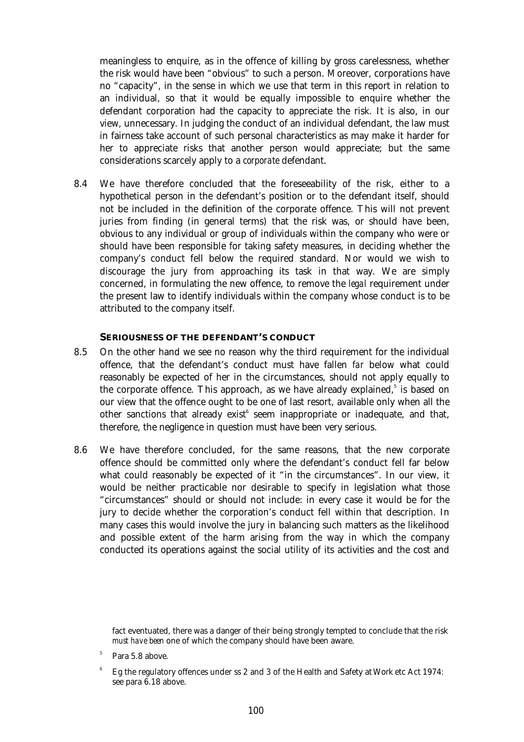meaningless to enquire, as in the offence of killing by gross carelessness, whether the risk would have been "obvious" to such a person. Moreover, corporations have no "capacity", in the sense in which we use that term in this report in relation to an individual, so that it would be equally impossible to enquire whether the defendant corporation had the capacity to appreciate the risk. It is also, in our view, unnecessary. In judging the conduct of an individual defendant, the law must in fairness take account of such personal characteristics as may make it harder for her to appreciate risks that another person would appreciate; but the same considerations scarcely apply to a *corporate* defendant.

 8.4 We have therefore concluded that the foreseeability of the risk, either to a hypothetical person in the defendant's position or to the defendant itself, should not be included in the definition of the corporate offence. This will not prevent juries from finding (in general terms) that the risk was, or should have been, obvious to any individual or group of individuals within the company who were or should have been responsible for taking safety measures, in deciding whether the company's conduct fell below the required standard. Nor would we wish to discourage the jury from approaching its task in that way. We are simply concerned, in formulating the new offence, to remove the *legal* requirement under the present law to identify individuals within the company whose conduct is to be attributed to the company itself.

## **SERIOUSNESS OF THE DEFENDANT'S CONDUCT**

- 8.5 On the other hand we see no reason why the third requirement for the individual offence, that the defendant's conduct must have fallen *far* below what could reasonably be expected of her in the circumstances, should not apply equally to the corporate offence. This approach, as we have already explained, $5$  is based on our view that the offence ought to be one of last resort, available only when all the other sanctions that already exist $^6$  seem inappropriate or inadequate, and that, therefore, the negligence in question must have been very serious.
- 8.6 We have therefore concluded, for the same reasons, that the new corporate offence should be committed only where the defendant's conduct fell far below what could reasonably be expected of it "in the circumstances". In our view, it would be neither practicable nor desirable to specify in legislation what those "circumstances" should or should not include: in every case it would be for the jury to decide whether the corporation's conduct fell within that description. In many cases this would involve the jury in balancing such matters as the likelihood and possible extent of the harm arising from the way in which the company conducted its operations against the social utility of its activities and the cost and

fact eventuated, there was a danger of their being strongly tempted to conclude that the risk *must have been* one of which the company should have been aware.

<sup>5</sup> Para 5.8 above.

<sup>6</sup> Eg the regulatory offences under ss 2 and 3 of the Health and Safety at Work etc Act 1974: see para 6.18 above.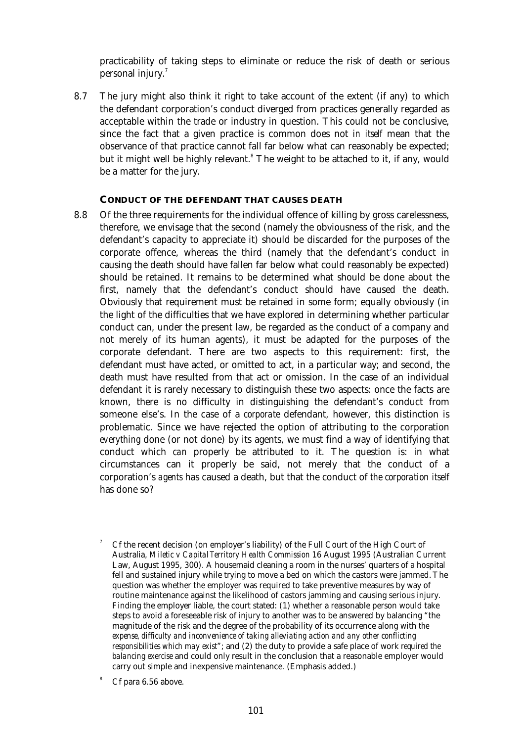practicability of taking steps to eliminate or reduce the risk of death or serious personal injury.<sup>7</sup>

 8.7 The jury might also think it right to take account of the extent (if any) to which the defendant corporation's conduct diverged from practices generally regarded as acceptable within the trade or industry in question. This could not be conclusive, since the fact that a given practice is common does not *in itself* mean that the observance of that practice cannot fall far below what can reasonably be expected; but it might well be highly relevant.<sup>8</sup> The weight to be attached to it, if any, would be a matter for the jury.

## **CONDUCT OF THE DEFENDANT THAT CAUSES DEATH**

- 8.8 Of the three requirements for the individual offence of killing by gross carelessness, therefore, we envisage that the second (namely the obviousness of the risk, and the defendant's capacity to appreciate it) should be discarded for the purposes of the corporate offence, whereas the third (namely that the defendant's conduct in causing the death should have fallen far below what could reasonably be expected) should be retained. It remains to be determined what should be done about the first, namely that the defendant's conduct should have caused the death. Obviously that requirement must be retained in some form; equally obviously (in the light of the difficulties that we have explored in determining whether particular conduct can, under the present law, be regarded as the conduct of a company and not merely of its human agents), it must be adapted for the purposes of the corporate defendant. There are two aspects to this requirement: first, the defendant must have acted, or omitted to act, in a particular way; and second, the death must have resulted from that act or omission. In the case of an individual defendant it is rarely necessary to distinguish these two aspects: once the facts are known, there is no difficulty in distinguishing the defendant's conduct from someone else's. In the case of a *corporate* defendant, however, this distinction is problematic. Since we have rejected the option of attributing to the corporation *everything* done (or not done) by its agents, we must find a way of identifying that conduct which *can* properly be attributed to it. The question is: in what circumstances can it properly be said, not merely that the conduct of a corporation's *agents* has caused a death, but that the conduct of *the corporation itself* has done so?
	- <sup>7</sup> Cf the recent decision (on employer's liability) of the Full Court of the High Court of Australia, *Miletic v Capital Territory Health Commission* 16 August 1995 (Australian Current Law, August 1995, 300). A housemaid cleaning a room in the nurses' quarters of a hospital fell and sustained injury while trying to move a bed on which the castors were jammed. The question was whether the employer was required to take preventive measures by way of routine maintenance against the likelihood of castors jamming and causing serious injury. Finding the employer liable, the court stated: (1) whether a reasonable person would take steps to avoid a foreseeable risk of injury to another was to be answered by balancing "the magnitude of the risk and the degree of the probability of its occurrence along with *the expense, difficulty and inconvenience of taking alleviating action and any other conflicting responsibilities which may exist*"; and (2) the duty to provide a safe place of work *required the balancing exercise* and could only result in the conclusion that a reasonable employer would carry out simple and inexpensive maintenance. (Emphasis added.)
	- Cf para 6.56 above.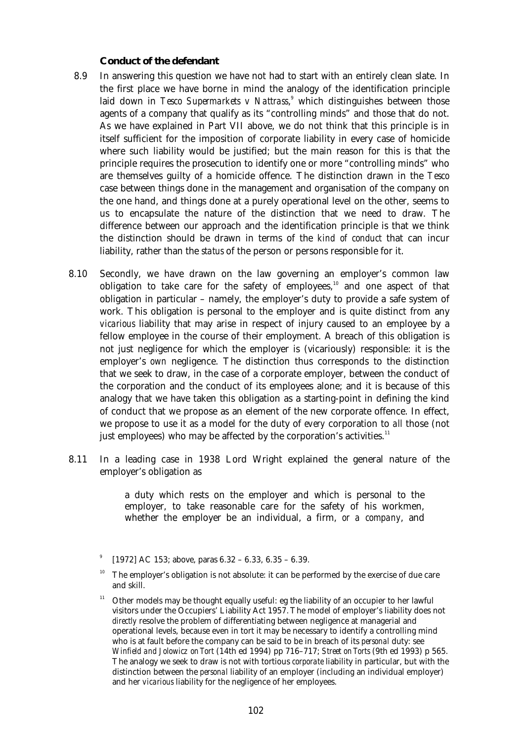## **Conduct of the defendant**

- 8.9 In answering this question we have not had to start with an entirely clean slate. In the first place we have borne in mind the analogy of the identification principle laid down in *Tesco Supermarkets v Nattrass*,<sup>9</sup> which distinguishes between those agents of a company that qualify as its "controlling minds" and those that do not. As we have explained in Part VII above, we do not think that this principle is in itself sufficient for the imposition of corporate liability in every case of homicide where such liability would be justified; but the main reason for this is that the principle requires the prosecution to identify one or more "controlling minds" who are themselves guilty of a homicide offence. The distinction drawn in the *Tesco* case between things done in the management and organisation of the company on the one hand, and things done at a purely operational level on the other, seems to us to encapsulate the nature of the distinction that we need to draw. The difference between our approach and the identification principle is that we think the distinction should be drawn in terms of the *kind of conduct* that can incur liability, rather than the *status* of the person or persons responsible for it.
- 8.10 Secondly, we have drawn on the law governing an employer's common law obligation to take care for the safety of employees, $10$  and one aspect of that obligation in particular – namely, the employer's duty to provide a safe system of work. This obligation is personal to the employer and is quite distinct from any *vicarious* liability that may arise in respect of injury caused to an employee by a fellow employee in the course of their employment. A breach of this obligation is not just negligence for which the employer is (vicariously) responsible: it is the employer's *own* negligence. The distinction thus corresponds to the distinction that we seek to draw, in the case of a corporate employer, between the conduct of the corporation and the conduct of its employees alone; and it is because of this analogy that we have taken this obligation as a starting-point in defining the kind of conduct that we propose as an element of the new corporate offence. In effect, we propose to use it as a model for the duty of *every* corporation to *all* those (not just employees) who may be affected by the corporation's activities. $11$
- 8.11 In a leading case in 1938 Lord Wright explained the general nature of the employer's obligation as

a duty which rests on the employer and which is personal to the employer, to take reasonable care for the safety of his workmen, whether the employer be an individual, a firm, *or a company*, and

- 9 [1972] AC 153; above, paras 6.32 – 6.33, 6.35 – 6.39.
- The employer's obligation is not absolute: it can be performed by the exercise of due care and skill.
- Other models may be thought equally useful: eg the liability of an occupier to her lawful visitors under the Occupiers' Liability Act 1957. The model of employer's liability does not *directly* resolve the problem of differentiating between negligence at managerial and operational levels, because even in tort it may be necessary to identify a controlling mind who is at fault before the company can be said to be in breach of its *personal* duty: see *Winfield and Jolowicz on Tort* (14th ed 1994) pp 716–717; *Street on Torts* (9th ed 1993) p 565. The analogy we seek to draw is not with tortious *corporate* liability in particular, but with the distinction between the *personal* liability of an employer (including an individual employer) and her *vicarious* liability for the negligence of her employees.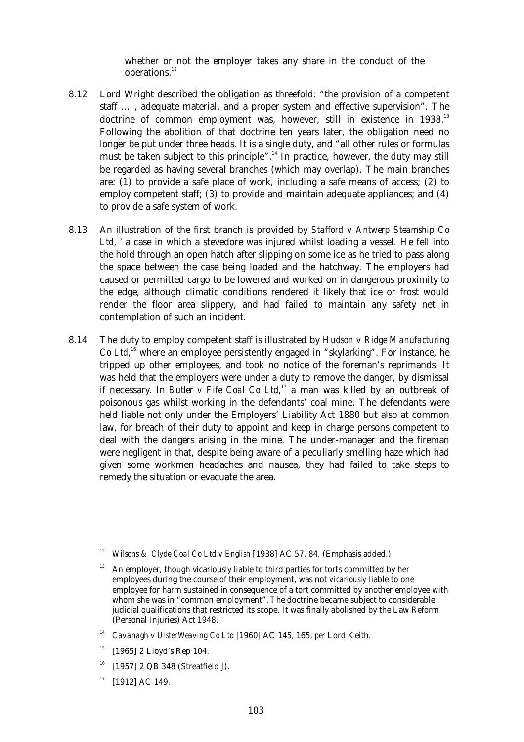whether or not the employer takes any share in the conduct of the operations.<sup>12</sup>

- 8.12 Lord Wright described the obligation as threefold: "the provision of a competent staff … , adequate material, and a proper system and effective supervision". The doctrine of common employment was, however, still in existence in 1938.<sup>13</sup> Following the abolition of that doctrine ten years later, the obligation need no longer be put under three heads. It is a single duty, and "all other rules or formulas must be taken subject to this principle".<sup>14</sup> In practice, however, the duty may still be regarded as having several branches (which may overlap). The main branches are: (1) to provide a safe place of work, including a safe means of access; (2) to employ competent staff; (3) to provide and maintain adequate appliances; and (4) to provide a safe system of work.
- 8.13 An illustration of the first branch is provided by *Stafford v Antwerp Steamship Co* Ltd,<sup>15</sup> a case in which a stevedore was injured whilst loading a vessel. He fell into the hold through an open hatch after slipping on some ice as he tried to pass along the space between the case being loaded and the hatchway. The employers had caused or permitted cargo to be lowered and worked on in dangerous proximity to the edge, although climatic conditions rendered it likely that ice or frost would render the floor area slippery, and had failed to maintain any safety net in contemplation of such an incident.
- 8.14 The duty to employ competent staff is illustrated by *Hudson v Ridge Manufacturing* Co Ltd,<sup>16</sup> where an employee persistently engaged in "skylarking". For instance, he tripped up other employees, and took no notice of the foreman's reprimands. It was held that the employers were under a duty to remove the danger, by dismissal if necessary. In *Butler v Fife Coal Co Ltd*, <sup>17</sup> a man was killed by an outbreak of poisonous gas whilst working in the defendants' coal mine. The defendants were held liable not only under the Employers' Liability Act 1880 but also at common law, for breach of their duty to appoint and keep in charge persons competent to deal with the dangers arising in the mine. The under-manager and the fireman were negligent in that, despite being aware of a peculiarly smelling haze which had given some workmen headaches and nausea, they had failed to take steps to remedy the situation or evacuate the area.

- $16$  [1957] 2 QB 348 (Streatfield J).
- $17$  [1912] AC 149.

<sup>&</sup>lt;sup>12</sup> *Wilsons & Clyde Coal Co Ltd v English* [1938] AC 57, 84. (Emphasis added.)

 $13$  An employer, though vicariously liable to third parties for torts committed by her employees during the course of their employment, was not *vicariously* liable to one employee for harm sustained in consequence of a tort committed by another employee with whom she was in "common employment". The doctrine became subject to considerable judicial qualifications that restricted its scope. It was finally abolished by the Law Reform (Personal Injuries) Act 1948.

<sup>14</sup> *Cavanagh v Ulster Weaving Co Ltd* [1960] AC 145, 165, *per* Lord Keith.

 $15$  [1965] 2 Lloyd's Rep 104.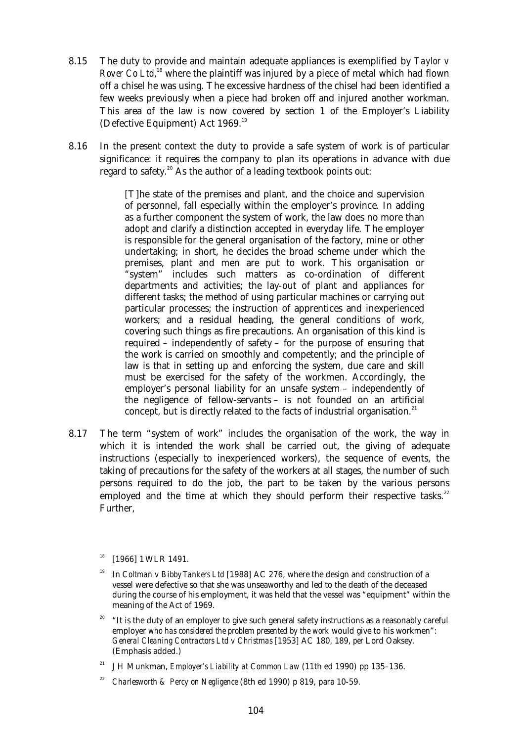- 8.15 The duty to provide and maintain adequate appliances is exemplified by *Taylor v Rover Co Ltd*,<sup>18</sup> where the plaintiff was injured by a piece of metal which had flown off a chisel he was using. The excessive hardness of the chisel had been identified a few weeks previously when a piece had broken off and injured another workman. This area of the law is now covered by section 1 of the Employer's Liability (Defective Equipment) Act 1969.<sup>19</sup>
- 8.16 In the present context the duty to provide a safe system of work is of particular significance: it requires the company to plan its operations in advance with due regard to safety.<sup>20</sup> As the author of a leading textbook points out:

[T]he state of the premises and plant, and the choice and supervision of personnel, fall especially within the employer's province. In adding as a further component the system of work, the law does no more than adopt and clarify a distinction accepted in everyday life. The employer is responsible for the general organisation of the factory, mine or other undertaking; in short, he decides the broad scheme under which the premises, plant and men are put to work. This organisation or "system" includes such matters as co-ordination of different departments and activities; the lay-out of plant and appliances for different tasks; the method of using particular machines or carrying out particular processes; the instruction of apprentices and inexperienced workers; and a residual heading, the general conditions of work, covering such things as fire precautions. An organisation of this kind is required – independently of safety – for the purpose of ensuring that the work is carried on smoothly and competently; and the principle of law is that in setting up and enforcing the system, due care and skill must be exercised for the safety of the workmen. Accordingly, the employer's personal liability for an unsafe system – independently of the negligence of fellow-servants – is not founded on an artificial concept, but is directly related to the facts of industrial organisation. $21$ 

- 8.17 The term "system of work" includes the organisation of the work, the way in which it is intended the work shall be carried out, the giving of adequate instructions (especially to inexperienced workers), the sequence of events, the taking of precautions for the safety of the workers at all stages, the number of such persons required to do the job, the part to be taken by the various persons employed and the time at which they should perform their respective tasks. $22$ Further,
	- [1966] 1 WLR 1491.
	- <sup>19</sup> In *Coltman v Bibby Tankers Ltd* [1988] AC 276, where the design and construction of a vessel were defective so that she was unseaworthy and led to the death of the deceased during the course of his employment, it was held that the vessel was "equipment" within the meaning of the Act of 1969.
	- <sup>20</sup> "It is the duty of an employer to give such general safety instructions as a reasonably careful employer *who has considered the problem presented by the work* would give to his workmen": *General Cleaning Contractors Ltd v Christmas* [1953] AC 180, 189, *per* Lord Oaksey. (Emphasis added.)
	- <sup>21</sup> J H Munkman, *Employer's Liability at Common Law* (11th ed 1990) pp 135–136.
	- <sup>22</sup> *Charlesworth & Percy on Negligence* (8th ed 1990) p 819, para 10-59.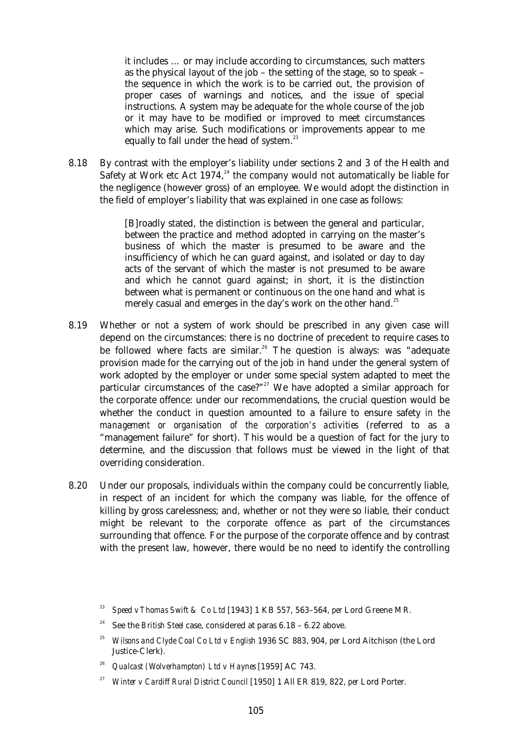it includes … or may include according to circumstances, such matters as the physical layout of the job – the setting of the stage, so to speak – the sequence in which the work is to be carried out, the provision of proper cases of warnings and notices, and the issue of special instructions. A system may be adequate for the whole course of the job or it may have to be modified or improved to meet circumstances which may arise. Such modifications or improvements appear to me equally to fall under the head of system.<sup>23</sup>

 8.18 By contrast with the employer's liability under sections 2 and 3 of the Health and Safety at Work etc Act 1974, $^{24}$  the company would not automatically be liable for the negligence (however gross) of an employee. We would adopt the distinction in the field of employer's liability that was explained in one case as follows:

> [B]roadly stated, the distinction is between the general and particular, between the practice and method adopted in carrying on the master's business of which the master is presumed to be aware and the insufficiency of which he can guard against, and isolated or day to day acts of the servant of which the master is not presumed to be aware and which he cannot guard against; in short, it is the distinction between what is permanent or continuous on the one hand and what is merely casual and emerges in the day's work on the other hand.<sup>25</sup>

- 8.19 Whether or not a system of work should be prescribed in any given case will depend on the circumstances: there is no doctrine of precedent to require cases to be followed where facts are similar.<sup>26</sup> The question is always: was "adequate provision made for the carrying out of the job in hand under the general system of work adopted by the employer or under some special system adapted to meet the particular circumstances of the case?"<sup>27</sup> We have adopted a similar approach for the corporate offence: under our recommendations, the crucial question would be whether the conduct in question amounted to a failure to ensure safety *in the management or organisation of the corporation's activities* (referred to as a "management failure" for short). This would be a question of fact for the jury to determine, and the discussion that follows must be viewed in the light of that overriding consideration.
- 8.20 Under our proposals, individuals within the company could be concurrently liable, in respect of an incident for which the company was liable, for the offence of killing by gross carelessness; and, whether or not they were so liable, their conduct might be relevant to the corporate offence as part of the circumstances surrounding that offence. For the purpose of the corporate offence and by contrast with the present law, however, there would be no need to identify the controlling

<sup>25</sup> *Wilsons and Clyde Coal Co Ltd v English* 1936 SC 883, 904, *per* Lord Aitchison (the Lord Justice-Clerk).

<sup>23</sup> *Speed v Thomas Swift & Co Ltd* [1943] 1 KB 557, 563–564, *per* Lord Greene MR.

<sup>24</sup> See the *British Steel* case, considered at paras 6.18 – 6.22 above.

<sup>26</sup> *Qualcast (Wolverhampton) Ltd v Haynes* [1959] AC 743.

<sup>27</sup> *Winter v Cardiff Rural District Council* [1950] 1 All ER 819, 822, *per* Lord Porter.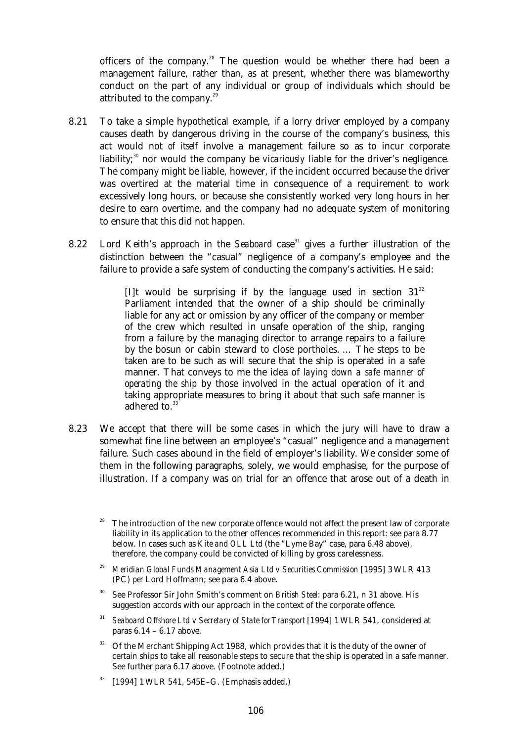officers of the company.<sup>28</sup> The question would be whether there had been a management failure, rather than, as at present, whether there was blameworthy conduct on the part of any individual or group of individuals which should be attributed to the company.<sup>29</sup>

- 8.21 To take a simple hypothetical example, if a lorry driver employed by a company causes death by dangerous driving in the course of the company's business, this act would not *of itself* involve a management failure so as to incur corporate liability;<sup>30</sup> nor would the company be *vicariously* liable for the driver's negligence. The company might be liable, however, if the incident occurred because the driver was overtired at the material time in consequence of a requirement to work excessively long hours, or because she consistently worked very long hours in her desire to earn overtime, and the company had no adequate system of monitoring to ensure that this did not happen.
- 8.22 Lord Keith's approach in the *Seaboard* case <sup>31</sup> gives a further illustration of the distinction between the "casual" negligence of a company's employee and the failure to provide a safe system of conducting the company's activities. He said:

[I]t would be surprising if by the language used in section  $31^{32}$ Parliament intended that the owner of a ship should be criminally liable for any act or omission by any officer of the company or member of the crew which resulted in unsafe operation of the ship, ranging from a failure by the managing director to arrange repairs to a failure by the bosun or cabin steward to close portholes. … The steps to be taken are to be such as will secure that the ship is operated in a safe manner. That conveys to me the idea of *laying down a safe manner of operating the ship* by those involved in the actual operation of it and taking appropriate measures to bring it about that such safe manner is adhered to  $3$ 

 8.23 We accept that there will be some cases in which the jury will have to draw a somewhat fine line between an employee's "casual" negligence and a management failure. Such cases abound in the field of employer's liability. We consider some of them in the following paragraphs, solely, we would emphasise, for the purpose of illustration. If a company was on trial for an offence that arose out of a death in

- <sup>29</sup> *Meridian Global Funds Management Asia Ltd v Securities Commission* [1995] 3 WLR 413 (PC) *per* Lord Hoffmann; see para 6.4 above.
- <sup>30</sup> See Professor Sir John Smith's comment on *British Steel*: para 6.21, n 31 above. His suggestion accords with our approach in the context of the corporate offence.
- <sup>31</sup> *Seaboard Offshore Ltd v Secretary of State for Transport* [1994] 1 WLR 541, considered at paras 6.14 – 6.17 above.
- $32$  Of the Merchant Shipping Act 1988, which provides that it is the duty of the owner of certain ships to take all reasonable steps to secure that the ship is operated in a safe manner. See further para 6.17 above. (Footnote added.)
- [1994] 1 WLR 541, 545E–G. (Emphasis added.)

The introduction of the new corporate offence would not affect the present law of corporate liability in its application to the other offences recommended in this report: see para 8.77 below. In cases such as *Kite and OLL Ltd* (the "Lyme Bay" case, para 6.48 above), therefore, the company could be convicted of killing by gross carelessness.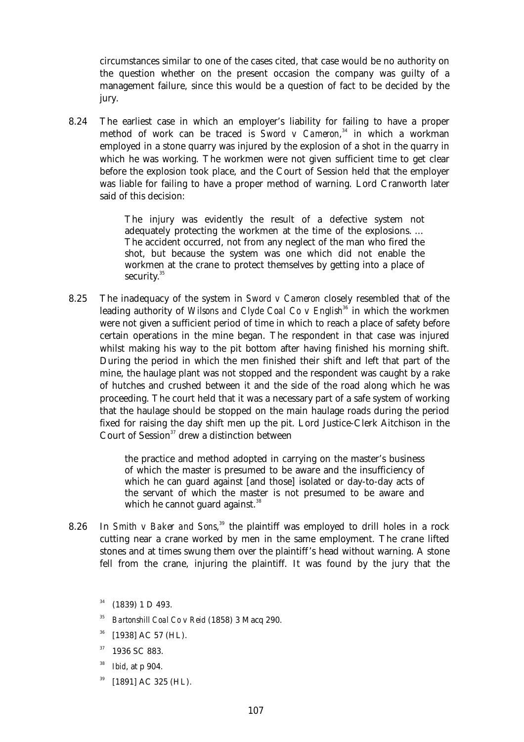circumstances similar to one of the cases cited, that case would be no authority on the question whether on the present occasion the company was guilty of a management failure, since this would be a question of fact to be decided by the jury.

 8.24 The earliest case in which an employer's liability for failing to have a proper method of work can be traced is *Sword v Cameron*, <sup>34</sup> in which a workman employed in a stone quarry was injured by the explosion of a shot in the quarry in which he was working. The workmen were not given sufficient time to get clear before the explosion took place, and the Court of Session held that the employer was liable for failing to have a proper method of warning. Lord Cranworth later said of this decision:

> The injury was evidently the result of a defective system not adequately protecting the workmen at the time of the explosions. … The accident occurred, not from any neglect of the man who fired the shot, but because the system was one which did not enable the workmen at the crane to protect themselves by getting into a place of security.<sup>35</sup>

 8.25 The inadequacy of the system in *Sword v Cameron* closely resembled that of the leading authority of *Wilsons and Clyde Coal Co v English*<sup>36</sup> in which the workmen were not given a sufficient period of time in which to reach a place of safety before certain operations in the mine began. The respondent in that case was injured whilst making his way to the pit bottom after having finished his morning shift. During the period in which the men finished their shift and left that part of the mine, the haulage plant was not stopped and the respondent was caught by a rake of hutches and crushed between it and the side of the road along which he was proceeding. The court held that it was a necessary part of a safe system of working that the haulage should be stopped on the main haulage roads during the period fixed for raising the day shift men up the pit. Lord Justice-Clerk Aitchison in the Court of Session<sup>37</sup> drew a distinction between

> the practice and method adopted in carrying on the master's business of which the master is presumed to be aware and the insufficiency of which he can guard against [and those] isolated or day-to-day acts of the servant of which the master is not presumed to be aware and which he cannot guard against.<sup>38</sup>

 8.26 In *Smith v Baker and Sons*, <sup>39</sup> the plaintiff was employed to drill holes in a rock cutting near a crane worked by men in the same employment. The crane lifted stones and at times swung them over the plaintiff's head without warning. A stone fell from the crane, injuring the plaintiff. It was found by the jury that the

- <sup>35</sup> *Bartonshill Coal Co v Reid* (1858) 3 Macq 290.
- $36$  [1938] AC 57 (HL).
- $37$  1936 SC 883.
- <sup>38</sup> *Ibid*, at p 904.
- $39$  [1891] AC 325 (HL).

 $34$  (1839) 1 D 493.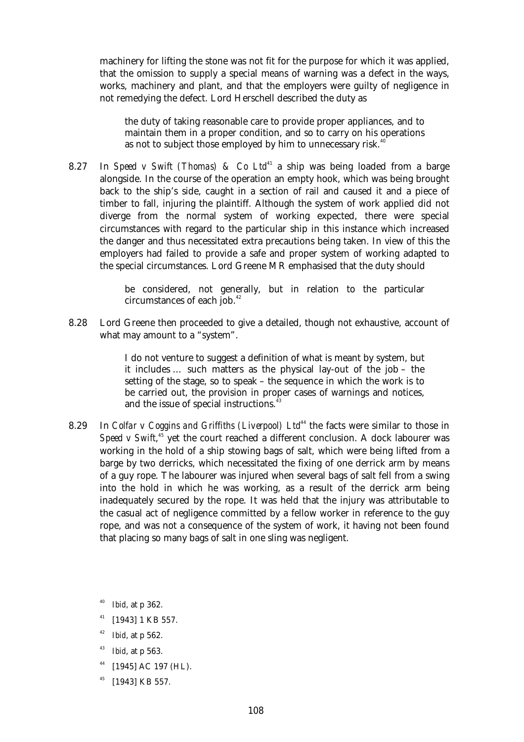machinery for lifting the stone was not fit for the purpose for which it was applied, that the omission to supply a special means of warning was a defect in the ways, works, machinery and plant, and that the employers were guilty of negligence in not remedying the defect. Lord Herschell described the duty as

the duty of taking reasonable care to provide proper appliances, and to maintain them in a proper condition, and so to carry on his operations as not to subject those employed by him to unnecessary risk.<sup>40</sup>

8.27 In *Speed v Swift (Thomas) & Co Ltd*<sup>41</sup> a ship was being loaded from a barge alongside. In the course of the operation an empty hook, which was being brought back to the ship's side, caught in a section of rail and caused it and a piece of timber to fall, injuring the plaintiff. Although the system of work applied did not diverge from the normal system of working expected, there were special circumstances with regard to the particular ship in this instance which increased the danger and thus necessitated extra precautions being taken. In view of this the employers had failed to provide a safe and proper system of working adapted to the special circumstances. Lord Greene MR emphasised that the duty should

> be considered, not generally, but in relation to the particular circumstances of each job.<sup>42</sup>

 8.28 Lord Greene then proceeded to give a detailed, though not exhaustive, account of what may amount to a "system".

> I do not venture to suggest a definition of what is meant by system, but it includes … such matters as the physical lay-out of the job – the setting of the stage, so to speak – the sequence in which the work is to be carried out, the provision in proper cases of warnings and notices, and the issue of special instructions.<sup>4</sup>

- 8.29 In *Colfar v Coggins and Griffiths (Liverpool) Ltd*<sup>44</sup> the facts were similar to those in Speed v Swift,<sup>45</sup> yet the court reached a different conclusion. A dock labourer was working in the hold of a ship stowing bags of salt, which were being lifted from a barge by two derricks, which necessitated the fixing of one derrick arm by means of a guy rope. The labourer was injured when several bags of salt fell from a swing into the hold in which he was working, as a result of the derrick arm being inadequately secured by the rope. It was held that the injury was attributable to the casual act of negligence committed by a fellow worker in reference to the guy rope, and was not a consequence of the system of work, it having not been found that placing so many bags of salt in one sling was negligent.
	- *Ibid*, at p 362.
	- $41$  [1943] 1 KB 557.
	- <sup>42</sup> *Ibid*, at p 562.
	- <sup>43</sup> *Ibid*, at p 563.
	- <sup>44</sup> [1945] AC 197 (HL).
	- <sup>45</sup> [1943] KB 557.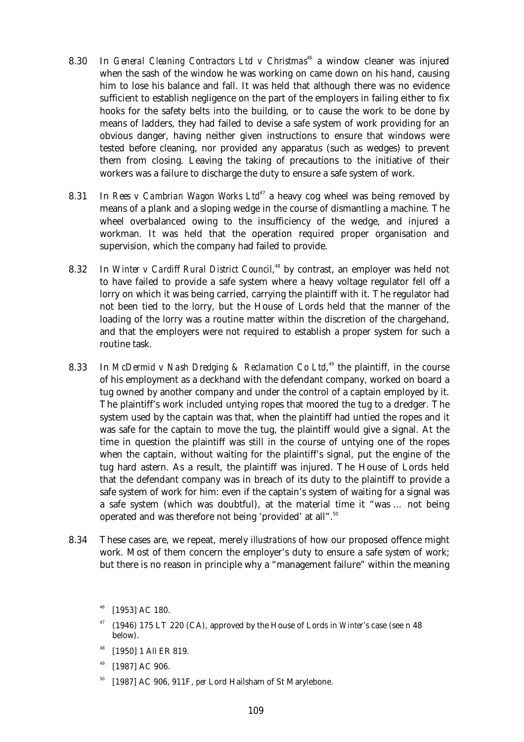- 8.30 In *General Cleaning Contractors Ltd v Christmas*<sup>46</sup> a window cleaner was injured when the sash of the window he was working on came down on his hand, causing him to lose his balance and fall. It was held that although there was no evidence sufficient to establish negligence on the part of the employers in failing either to fix hooks for the safety belts into the building, or to cause the work to be done by means of ladders, they had failed to devise a safe system of work providing for an obvious danger, having neither given instructions to ensure that windows were tested before cleaning, nor provided any apparatus (such as wedges) to prevent them from closing. Leaving the taking of precautions to the initiative of their workers was a failure to discharge the duty to ensure a safe system of work.
- 8.31 In *Rees v Cambrian Wagon Works Ltd*<sup>17</sup> a heavy cog wheel was being removed by means of a plank and a sloping wedge in the course of dismantling a machine. The wheel overbalanced owing to the insufficiency of the wedge, and injured a workman. It was held that the operation required proper organisation and supervision, which the company had failed to provide.
- 8.32 In *Winter v Cardiff Rural District Council*, <sup>48</sup> by contrast, an employer was held not to have failed to provide a safe system where a heavy voltage regulator fell off a lorry on which it was being carried, carrying the plaintiff with it. The regulator had not been tied to the lorry, but the House of Lords held that the manner of the loading of the lorry was a routine matter within the discretion of the chargehand, and that the employers were not required to establish a proper system for such a routine task.
- 8.33 In *McDermid v Nash Dredging & Reclamation Co Ltd*,<sup>49</sup> the plaintiff, in the course of his employment as a deckhand with the defendant company, worked on board a tug owned by another company and under the control of a captain employed by it. The plaintiff's work included untying ropes that moored the tug to a dredger. The system used by the captain was that, when the plaintiff had untied the ropes and it was safe for the captain to move the tug, the plaintiff would give a signal. At the time in question the plaintiff was still in the course of untying one of the ropes when the captain, without waiting for the plaintiff's signal, put the engine of the tug hard astern. As a result, the plaintiff was injured. The House of Lords held that the defendant company was in breach of its duty to the plaintiff to provide a safe system of work for him: even if the captain's system of waiting for a signal was a safe system (which was doubtful), at the material time it "was … not being operated and was therefore not being 'provided' at all".<sup>50</sup>
	- 8.34 These cases are, we repeat, merely *illustrations* of how our proposed offence might work. Most of them concern the employer's duty to ensure a safe *system* of work; but there is no reason in principle why a "management failure" within the meaning
		- <sup>46</sup> [1953] AC 180.
		- <sup>47</sup> (1946) 175 LT 220 (CA), approved by the House of Lords in *Winter*'s case (see n 48 below).
		- <sup>48</sup> [1950] 1 All ER 819.
		- $49$  [1987] AC 906.
		- <sup>50</sup> [1987] AC 906, 911F, *per* Lord Hailsham of St Marylebone.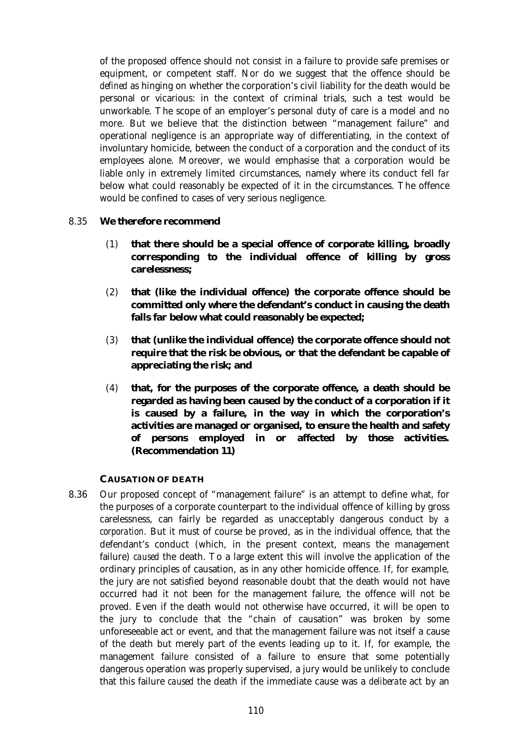of the proposed offence should not consist in a failure to provide safe premises or equipment, or competent staff. Nor do we suggest that the offence should be *defined* as hinging on whether the corporation's civil liability for the death would be personal or vicarious: in the context of criminal trials, such a test would be unworkable. The scope of an employer's personal duty of care is a model and no more. But we believe that the distinction between "management failure" and operational negligence is an appropriate way of differentiating, in the context of involuntary homicide, between the conduct of a corporation and the conduct of its employees alone. Moreover, we would emphasise that a corporation would be liable only in extremely limited circumstances, namely where its conduct fell *far* below what could reasonably be expected of it in the circumstances. The offence would be confined to cases of very serious negligence.

## 8.35 **We therefore recommend**

- (1) **that there should be a special offence of corporate killing, broadly corresponding to the individual offence of killing by gross carelessness;**
- (2) **that (like the individual offence) the corporate offence should be committed only where the defendant's conduct in causing the death falls far below what could reasonably be expected;**
- (3) **that (unlike the individual offence) the corporate offence should** *not* **require that the risk be obvious, or that the defendant be capable of appreciating the risk; and**
- (4) **that, for the purposes of the corporate offence, a death should be regarded as having been caused by the conduct of a corporation if it is caused by a failure, in the way in which the corporation's activities are managed or organised, to ensure the health and safety of persons employed in or affected by those activities. (Recommendation 11)**

## **CAUSATION OF DEATH**

 8.36 Our proposed concept of "management failure" is an attempt to define what, for the purposes of a corporate counterpart to the individual offence of killing by gross carelessness, can fairly be regarded as unacceptably dangerous conduct *by a corporation.* But it must of course be proved, as in the individual offence, that the defendant's conduct (which, in the present context, means the management failure) *caused* the death. To a large extent this will involve the application of the ordinary principles of causation, as in any other homicide offence. If, for example, the jury are not satisfied beyond reasonable doubt that the death would not have occurred had it not been for the management failure, the offence will not be proved. Even if the death would not otherwise have occurred, it will be open to the jury to conclude that the "chain of causation" was broken by some unforeseeable act or event, and that the management failure was not itself a cause of the death but merely part of the events leading up to it. If, for example, the management failure consisted of a failure to ensure that some potentially dangerous operation was properly supervised, a jury would be unlikely to conclude that this failure *caused* the death if the immediate cause was a *deliberate* act by an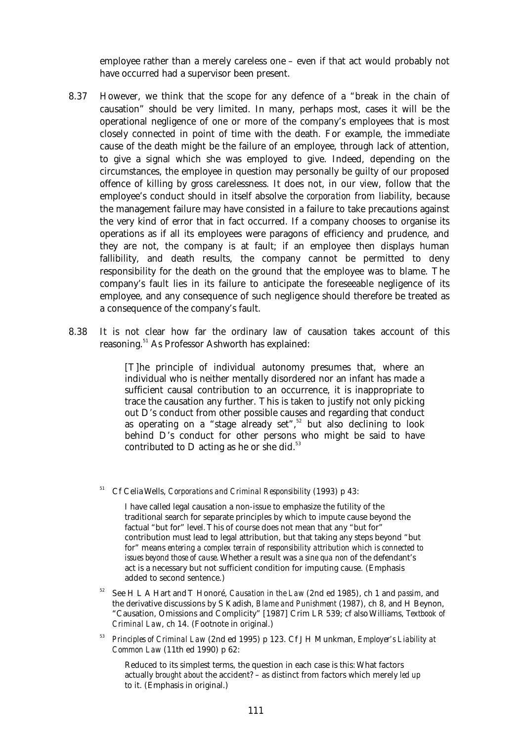employee rather than a merely careless one – even if that act would probably not have occurred had a supervisor been present.

- 8.37 However, we think that the scope for any defence of a "break in the chain of causation" should be very limited. In many, perhaps most, cases it will be the operational negligence of one or more of the company's employees that is most closely connected in point of time with the death. For example, the immediate cause of the death might be the failure of an employee, through lack of attention, to give a signal which she was employed to give. Indeed, depending on the circumstances, the employee in question may personally be guilty of our proposed offence of killing by gross carelessness. It does not, in our view, follow that the employee's conduct should in itself absolve the *corporation* from liability, because the management failure may have consisted in a failure to take precautions against the very kind of error that in fact occurred. If a company chooses to organise its operations as if all its employees were paragons of efficiency and prudence, and they are not, the company is at fault; if an employee then displays human fallibility, and death results, the company cannot be permitted to deny responsibility for the death on the ground that the employee was to blame. The company's fault lies in its failure to anticipate the foreseeable negligence of its employee, and any consequence of such negligence should therefore be treated as a consequence of the company's fault.
- 8.38 It is not clear how far the ordinary law of causation takes account of this reasoning.<sup>51</sup> As Professor Ashworth has explained:

[T]he principle of individual autonomy presumes that, where an individual who is neither mentally disordered nor an infant has made a sufficient causal contribution to an occurrence, it is inappropriate to trace the causation any further. This is taken to justify not only picking out D's conduct from other possible causes and regarding that conduct as operating on a "stage already set",<sup>52</sup> but also declining to look behind D's conduct for other persons who might be said to have contributed to  $D$  acting as he or she did. $53$ 

<sup>51</sup> Cf Celia Wells, *Corporations and Criminal Responsibility* (1993) p 43:

I have called legal causation a non-issue to emphasize the futility of the traditional search for separate principles by which to impute cause beyond the factual "but for" level. This of course does not mean that any "but for" contribution must lead to legal attribution, but that taking any steps beyond "but for" means *entering a complex terrain of responsibility attribution which is connected to issues beyond those of cause*. Whether a result was a *sine qua non* of the defendant's act is a necessary but not sufficient condition for imputing cause. (Emphasis added to second sentence.)

- <sup>52</sup> See H L A Hart and T Honoré, *Causation in the Law* (2nd ed 1985), ch 1 and *passim*, and the derivative discussions by S Kadish, *Blame and Punishment* (1987), ch 8, and H Beynon, "Causation, Omissions and Complicity" [1987] Crim LR 539; cf also Williams, *Textbook of Criminal Law*, ch 14. (Footnote in original.)
- <sup>53</sup> *Principles of Criminal Law* (2nd ed 1995) p 123. Cf J H Munkman, *Employer's Liability at Common Law* (11th ed 1990) p 62:

Reduced to its simplest terms, the question in each case is this: What factors actually *brought about* the accident? – as distinct from factors which merely *led up* to it. (Emphasis in original.)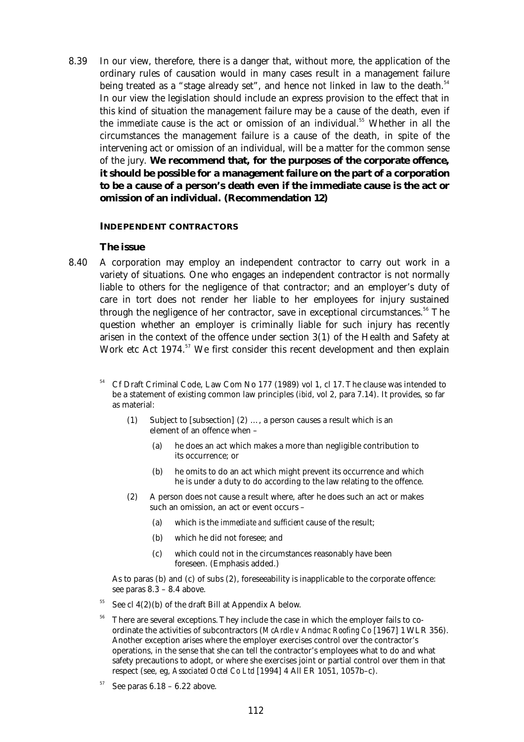8.39 In our view, therefore, there is a danger that, without more, the application of the ordinary rules of causation would in many cases result in a management failure being treated as a "stage already set", and hence not linked in law to the death.<sup>54</sup> In our view the legislation should include an express provision to the effect that in this kind of situation the management failure may be *a* cause of the death, even if the *immediate* cause is the act or omission of an individual.<sup>55</sup> Whether in all the circumstances the management failure *is* a cause of the death, in spite of the intervening act or omission of an individual, will be a matter for the common sense of the jury. **We recommend that, for the purposes of the corporate offence, it should be possible for a management failure on the part of a corporation to be a cause of a person's death even if the immediate cause is the act or omission of an individual. (Recommendation 12)**

### **INDEPENDENT CONTRACTORS**

### **The issue**

- 8.40 A corporation may employ an independent contractor to carry out work in a variety of situations. One who engages an independent contractor is not normally liable to others for the negligence of that contractor; and an employer's duty of care in tort does not render her liable to her employees for injury sustained through the negligence of her contractor, save in exceptional circumstances.<sup>56</sup> The question whether an employer is criminally liable for such injury has recently arisen in the context of the offence under section 3(1) of the Health and Safety at Work etc Act  $1974$ .<sup>57</sup> We first consider this recent development and then explain
	- <sup>54</sup> Cf Draft Criminal Code, Law Com No 177 (1989) vol 1, cl 17. The clause was intended to be a statement of existing common law principles (*ibid*, vol 2, para 7.14). It provides, so far as material:
		- (1) Subject to [subsection] (2) …, a person causes a result which is an element of an offence when –
			- (a) he does an act which makes a more than negligible contribution to its occurrence; or
			- (b) he omits to do an act which might prevent its occurrence and which he is under a duty to do according to the law relating to the offence.
		- (2) A person does not cause a result where, after he does such an act or makes such an omission, an act or event occurs –
			- (a) which is the *immediate and sufficient* cause of the result;
			- (b) which he did not foresee; and
			- (c) which could not in the circumstances reasonably have been foreseen. (Emphasis added.)

As to paras (b) and (c) of subs (2), foreseeability is inapplicable to the corporate offence: see paras 8.3 – 8.4 above.

- $55$  See cl 4(2)(b) of the draft Bill at Appendix A below.
- There are several exceptions. They include the case in which the employer fails to coordinate the activities of subcontractors (*McArdle v Andmac Roofing Co* [1967] 1 WLR 356). Another exception arises where the employer exercises control over the contractor's operations, in the sense that she can tell the contractor's employees what to do and what safety precautions to adopt, or where she exercises joint or partial control over them in that respect (see, eg, *Associated Octel Co Ltd* [1994] 4 All ER 1051, 1057b–c).
- $57$  See paras  $6.18 6.22$  above.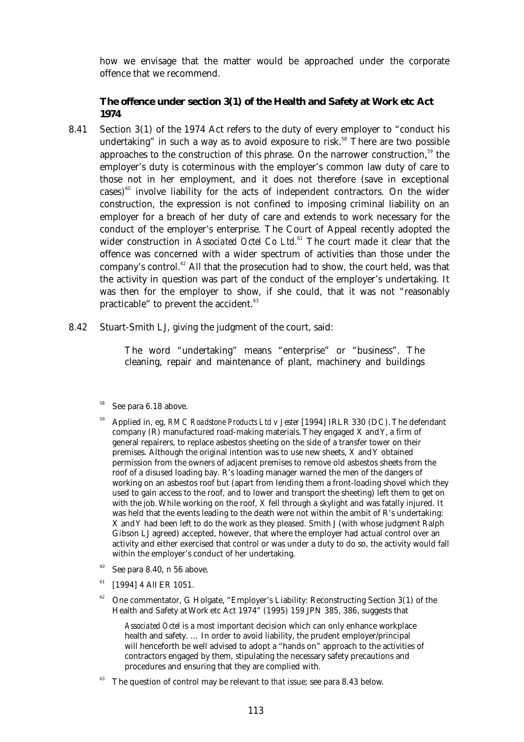how we envisage that the matter would be approached under the corporate offence that we recommend.

## **The offence under section 3(1) of the Health and Safety at Work etc Act 1974**

- 8.41 Section 3(1) of the 1974 Act refers to the duty of every employer to "conduct his undertaking" in such a way as to avoid exposure to risk.<sup>58</sup> There are two possible approaches to the construction of this phrase. On the narrower construction,<sup>59</sup> the employer's duty is coterminous with the employer's common law duty of care to those not in her employment, and it does not therefore (save in exceptional  $\csc^{60}$  involve liability for the acts of independent contractors. On the wider construction, the expression is not confined to imposing criminal liability on an employer for a breach of her duty of care and extends to work necessary for the conduct of the employer's enterprise. The Court of Appeal recently adopted the wider construction in *Associated Octel Co Ltd*.<sup>61</sup> The court made it clear that the offence was concerned with a wider spectrum of activities than those under the company's control. $62$  All that the prosecution had to show, the court held, was that the activity in question was part of the conduct of the employer's undertaking. It was then for the employer to show, if she could, that it was not "reasonably practicable" to prevent the accident.<sup>63</sup>
- 8.42 Stuart-Smith LJ, giving the judgment of the court, said:

The word "undertaking" means "enterprise" or "business". The cleaning, repair and maintenance of plant, machinery and buildings

- <sup>59</sup> Applied in, eg, *RMC Roadstone Products Ltd v Jester* [1994] IRLR 330 (DC). The defendant company (R) manufactured road-making materials. They engaged X and Y, a firm of general repairers, to replace asbestos sheeting on the side of a transfer tower on their premises. Although the original intention was to use new sheets, X and Y obtained permission from the owners of adjacent premises to remove old asbestos sheets from the roof of a disused loading bay. R's loading manager warned the men of the dangers of working on an asbestos roof but (apart from lending them a front-loading shovel which they used to gain access to the roof, and to lower and transport the sheeting) left them to get on with the job. While working on the roof, X fell through a skylight and was fatally injured. It was held that the events leading to the death were not within the ambit of R's undertaking: X and Y had been left to do the work as they pleased. Smith J (with whose judgment Ralph Gibson LJ agreed) accepted, however, that where the employer had actual control over an activity and either exercised that control or was under a duty to do so, the activity would fall within the employer's conduct of her undertaking.
- $60$  See para 8.40, n 56 above.
- $61$  [1994] 4 All ER 1051.
- <sup>62</sup> One commentator, G Holgate, "Employer's Liability: Reconstructing Section 3(1) of the Health and Safety at Work etc Act 1974" (1995) 159 JPN 385, 386, suggests that

*Associated Octel* is a most important decision which can only enhance workplace health and safety. … In order to avoid liability, the prudent employer/principal will henceforth be well advised to adopt a "hands on" approach to the activities of contractors engaged by them, stipulating the necessary safety precautions and procedures and ensuring that they are complied with.

<sup>63</sup> The question of control may be relevant to *that* issue; see para 8.43 below.

See para 6.18 above.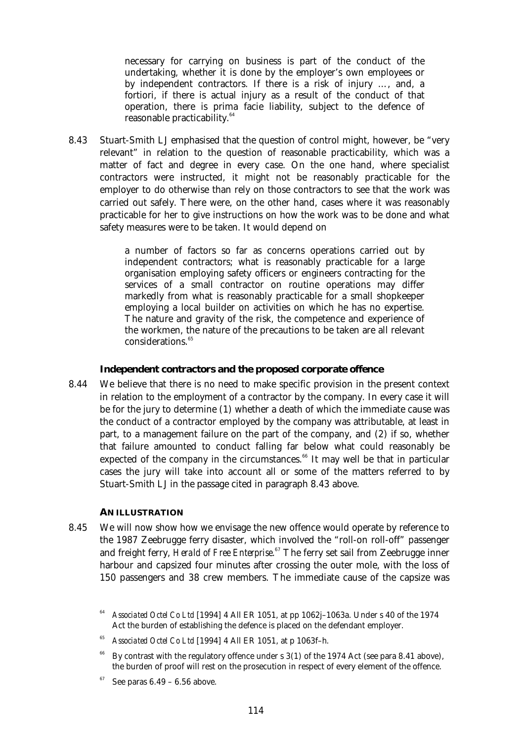necessary for carrying on business is part of the conduct of the undertaking, whether it is done by the employer's own employees or by independent contractors. If there is a risk of injury …, and, a fortiori, if there is actual injury as a result of the conduct of that operation, there is prima facie liability, subject to the defence of reasonable practicability.<sup>64</sup>

 8.43 Stuart-Smith LJ emphasised that the question of control might, however, be "very relevant" in relation to the question of reasonable practicability, which was a matter of fact and degree in every case. On the one hand, where specialist contractors were instructed, it might not be reasonably practicable for the employer to do otherwise than rely on those contractors to see that the work was carried out safely. There were, on the other hand, cases where it was reasonably practicable for her to give instructions on how the work was to be done and what safety measures were to be taken. It would depend on

> a number of factors so far as concerns operations carried out by independent contractors; what is reasonably practicable for a large organisation employing safety officers or engineers contracting for the services of a small contractor on routine operations may differ markedly from what is reasonably practicable for a small shopkeeper employing a local builder on activities on which he has no expertise. The nature and gravity of the risk, the competence and experience of the workmen, the nature of the precautions to be taken are all relevant considerations.<sup>65</sup>

## **Independent contractors and the proposed corporate offence**

 8.44 We believe that there is no need to make specific provision in the present context in relation to the employment of a contractor by the company. In every case it will be for the jury to determine (1) whether a death of which the immediate cause was the conduct of a contractor employed by the company was attributable, at least in part, to a management failure on the part of the company, and (2) if so, whether that failure amounted to conduct falling far below what could reasonably be expected of the company in the circumstances. $^{66}$  It may well be that in particular cases the jury will take into account all or some of the matters referred to by Stuart-Smith LJ in the passage cited in paragraph 8.43 above.

## **AN ILLUSTRATION**

 8.45 We will now show how we envisage the new offence would operate by reference to the 1987 Zeebrugge ferry disaster, which involved the "roll-on roll-off" passenger and freight ferry, *Herald of Free Enterprise*. <sup>67</sup> The ferry set sail from Zeebrugge inner harbour and capsized four minutes after crossing the outer mole, with the loss of 150 passengers and 38 crew members. The immediate cause of the capsize was

- <sup>65</sup> *Associated Octel Co Ltd* [1994] 4 All ER 1051, at p 1063f–h.
- By contrast with the regulatory offence under s  $3(1)$  of the 1974 Act (see para 8.41 above), the burden of proof will rest on the prosecution in respect of every element of the offence.
- See paras  $6.49 6.56$  above.

<sup>64</sup> *Associated Octel Co Ltd* [1994] 4 All ER 1051, at pp 1062j–1063a. Under s 40 of the 1974 Act the burden of establishing the defence is placed on the defendant employer.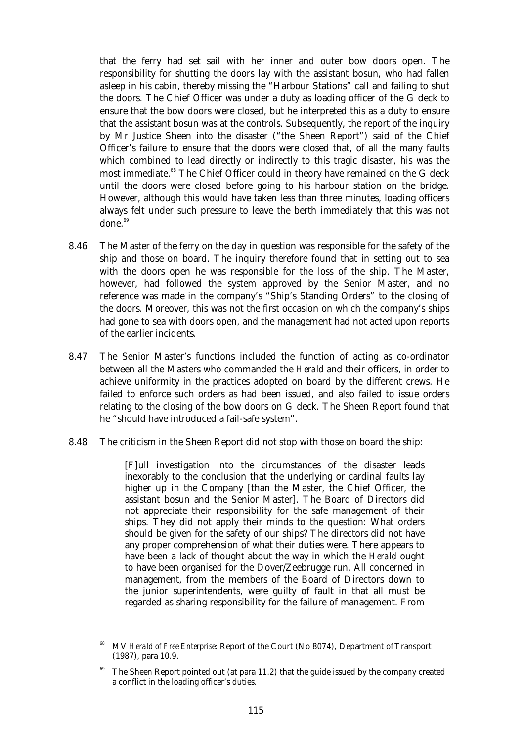that the ferry had set sail with her inner and outer bow doors open. The responsibility for shutting the doors lay with the assistant bosun, who had fallen asleep in his cabin, thereby missing the "Harbour Stations" call and failing to shut the doors. The Chief Officer was under a duty as loading officer of the G deck to ensure that the bow doors were closed, but he interpreted this as a duty to ensure that the assistant bosun was at the controls. Subsequently, the report of the inquiry by Mr Justice Sheen into the disaster ("the Sheen Report") said of the Chief Officer's failure to ensure that the doors were closed that, of all the many faults which combined to lead directly or indirectly to this tragic disaster, his was the most immediate.<sup>68</sup> The Chief Officer could in theory have remained on the G deck until the doors were closed before going to his harbour station on the bridge. However, although this would have taken less than three minutes, loading officers always felt under such pressure to leave the berth immediately that this was not  $done.<sup>69</sup>$ 

- 8.46 The Master of the ferry on the day in question was responsible for the safety of the ship and those on board. The inquiry therefore found that in setting out to sea with the doors open he was responsible for the loss of the ship. The Master, however, had followed the system approved by the Senior Master, and no reference was made in the company's "Ship's Standing Orders" to the closing of the doors. Moreover, this was not the first occasion on which the company's ships had gone to sea with doors open, and the management had not acted upon reports of the earlier incidents.
- 8.47 The Senior Master's functions included the function of acting as co-ordinator between all the Masters who commanded the *Herald* and their officers, in order to achieve uniformity in the practices adopted on board by the different crews. He failed to enforce such orders as had been issued, and also failed to issue orders relating to the closing of the bow doors on G deck. The Sheen Report found that he "should have introduced a fail-safe system".
- 8.48 The criticism in the Sheen Report did not stop with those on board the ship:

[F]ull investigation into the circumstances of the disaster leads inexorably to the conclusion that the underlying or cardinal faults lay higher up in the Company [than the Master, the Chief Officer, the assistant bosun and the Senior Master]. The Board of Directors did not appreciate their responsibility for the safe management of their ships. They did not apply their minds to the question: What orders should be given for the safety of our ships? The directors did not have any proper comprehension of what their duties were. There appears to have been a lack of thought about the way in which the *Herald* ought to have been organised for the Dover/Zeebrugge run. All concerned in management, from the members of the Board of Directors down to the junior superintendents, were guilty of fault in that all must be regarded as sharing responsibility for the failure of management. From

<sup>68</sup> MV *Herald of Free Enterprise*: Report of the Court (No 8074), Department of Transport (1987), para 10.9.

The Sheen Report pointed out (at para 11.2) that the guide issued by the company created a conflict in the loading officer's duties.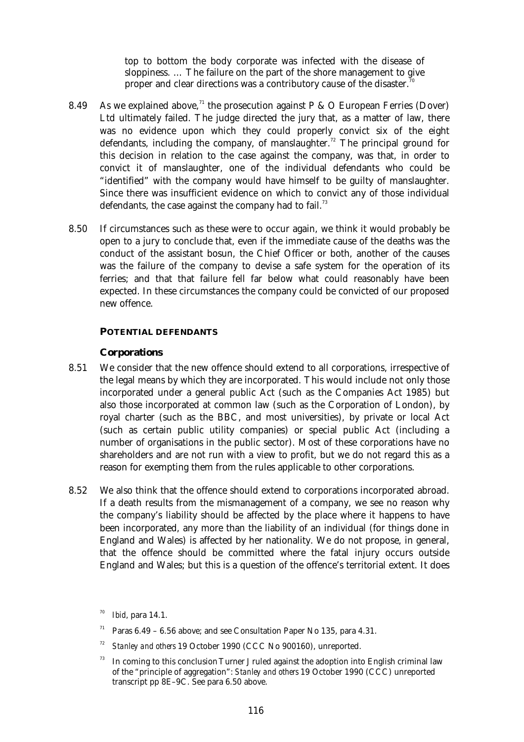top to bottom the body corporate was infected with the disease of sloppiness. … The failure on the part of the shore management to give proper and clear directions was a contributory cause of the disaster.<sup>7</sup>

- 8.49 As we explained above.<sup>71</sup> the prosecution against P & O European Ferries (Dover) Ltd ultimately failed. The judge directed the jury that, as a matter of law, there was no evidence upon which they could properly convict six of the eight defendants, including the company, of manslaughter.<sup>72</sup> The principal ground for this decision in relation to the case against the company, was that, in order to convict it of manslaughter, one of the individual defendants who could be "identified" with the company would have himself to be guilty of manslaughter. Since there was insufficient evidence on which to convict any of those individual defendants, the case against the company had to fail.<sup>73</sup>
- 8.50 If circumstances such as these were to occur again, we think it would probably be open to a jury to conclude that, even if the immediate cause of the deaths was the conduct of the assistant bosun, the Chief Officer or both, another of the causes was the failure of the company to devise a safe system for the operation of its ferries; and that that failure fell far below what could reasonably have been expected. In these circumstances the company could be convicted of our proposed new offence.

## **POTENTIAL DEFENDANTS**

## **Corporations**

- 8.51 We consider that the new offence should extend to all corporations, irrespective of the legal means by which they are incorporated. This would include not only those incorporated under a general public Act (such as the Companies Act 1985) but also those incorporated at common law (such as the Corporation of London), by royal charter (such as the BBC, and most universities), by private or local Act (such as certain public utility companies) or special public Act (including a number of organisations in the public sector). Most of these corporations have no shareholders and are not run with a view to profit, but we do not regard this as a reason for exempting them from the rules applicable to other corporations.
- 8.52 We also think that the offence should extend to corporations incorporated abroad. If a death results from the mismanagement of a company, we see no reason why the company's liability should be affected by the place where it happens to have been incorporated, any more than the liability of an individual (for things done in England and Wales) is affected by her nationality. We do not propose, in general, that the offence should be committed where the fatal injury occurs outside England and Wales; but this is a question of the offence's territorial extent. It does

- <sup>71</sup> Paras  $6.49 6.56$  above; and see Consultation Paper No 135, para 4.31.
- <sup>72</sup> *Stanley and others* 19 October 1990 (CCC No 900160), unreported.
- $73$  In coming to this conclusion Turner J ruled against the adoption into English criminal law of the "principle of aggregation": *Stanley and others* 19 October 1990 (CCC) unreported transcript pp 8E–9C. See para 6.50 above.

*Ibid*, para 14.1.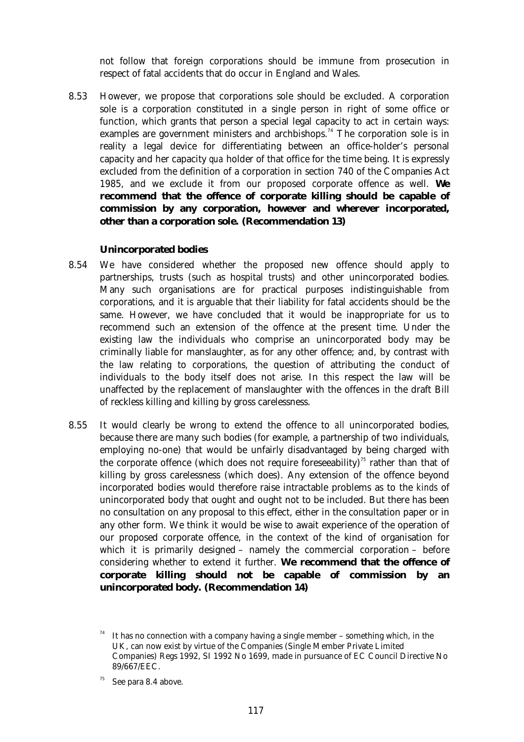not follow that foreign corporations should be immune from prosecution in respect of fatal accidents that do occur in England and Wales.

 8.53 However, we propose that corporations sole should be excluded. A corporation sole is a corporation constituted in a single person in right of some office or function, which grants that person a special legal capacity to act in certain ways: examples are government ministers and archbishops.<sup>74</sup> The corporation sole is in reality a legal device for differentiating between an office-holder's personal capacity and her capacity *qua* holder of that office for the time being. It is expressly excluded from the definition of a corporation in section 740 of the Companies Act 1985, and we exclude it from our proposed corporate offence as well. **We recommend that the offence of corporate killing should be capable of commission by any corporation, however and wherever incorporated, other than a corporation sole. (Recommendation 13)**

## **Unincorporated bodies**

- 8.54 We have considered whether the proposed new offence should apply to partnerships, trusts (such as hospital trusts) and other unincorporated bodies. Many such organisations are for practical purposes indistinguishable from corporations, and it is arguable that their liability for fatal accidents should be the same. However, we have concluded that it would be inappropriate for us to recommend such an extension of the offence at the present time. Under the existing law the individuals who comprise an unincorporated body may be criminally liable for manslaughter, as for any other offence; and, by contrast with the law relating to corporations, the question of attributing the conduct of individuals to the body itself does not arise. In this respect the law will be unaffected by the replacement of manslaughter with the offences in the draft Bill of reckless killing and killing by gross carelessness.
- 8.55 It would clearly be wrong to extend the offence to *all* unincorporated bodies, because there are many such bodies (for example, a partnership of two individuals, employing no-one) that would be unfairly disadvantaged by being charged with the corporate offence (which does not require foreseeability)<sup>75</sup> rather than that of killing by gross carelessness (which does). Any extension of the offence beyond incorporated bodies would therefore raise intractable problems as to the *kinds* of unincorporated body that ought and ought not to be included. But there has been no consultation on any proposal to this effect, either in the consultation paper or in any other form. We think it would be wise to await experience of the operation of our proposed corporate offence, in the context of the kind of organisation for which it is primarily designed – namely the commercial corporation – before considering whether to extend it further. **We recommend that the offence of corporate killing should not be capable of commission by an unincorporated body. (Recommendation 14)**

It has no connection with a company having a single member – something which, in the UK, can now exist by virtue of the Companies (Single Member Private Limited Companies) Regs 1992, SI 1992 No 1699, made in pursuance of EC Council Directive No 89/667/EEC.

 $75$  See para 8.4 above.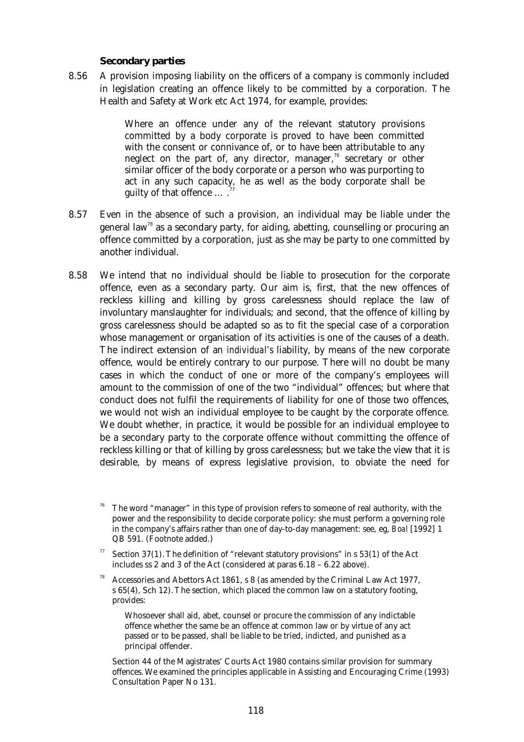## **Secondary parties**

 8.56 A provision imposing liability on the officers of a company is commonly included in legislation creating an offence likely to be committed by a corporation. The Health and Safety at Work etc Act 1974, for example, provides:

> Where an offence under any of the relevant statutory provisions committed by a body corporate is proved to have been committed with the consent or connivance of, or to have been attributable to any neglect on the part of, any director, manager, $\pi$ <sup>6</sup> secretary or other similar officer of the body corporate or a person who was purporting to act in any such capacity, he as well as the body corporate shall be guilty of that offence  $\ldots$ .<sup>77</sup>

- 8.57 Even in the absence of such a provision, an individual may be liable under the general law<sup>78</sup> as a secondary party, for aiding, abetting, counselling or procuring an offence committed by a corporation, just as she may be party to one committed by another individual.
- 8.58 We intend that no individual should be liable to prosecution for the corporate offence, even as a secondary party. Our aim is, first, that the new offences of reckless killing and killing by gross carelessness should replace the law of involuntary manslaughter for individuals; and second, that the offence of killing by gross carelessness should be adapted so as to fit the special case of a corporation whose management or organisation of its activities is one of the causes of a death. The indirect extension of an *individual's* liability, by means of the new corporate offence, would be entirely contrary to our purpose. There will no doubt be many cases in which the conduct of one or more of the company's employees will amount to the commission of one of the two "individual" offences; but where that conduct does not fulfil the requirements of liability for one of those two offences, we would not wish an individual employee to be caught by the corporate offence. We doubt whether, in practice, it would be possible for an individual employee to be a secondary party to the corporate offence without committing the offence of reckless killing or that of killing by gross carelessness; but we take the view that it is desirable, by means of express legislative provision, to obviate the need for

Accessories and Abettors Act 1861, s 8 (as amended by the Criminal Law Act 1977, s 65(4), Sch 12). The section, which placed the common law on a statutory footing, provides:

Whosoever shall aid, abet, counsel or procure the commission of any indictable offence whether the same be an offence at common law or by virtue of any act passed or to be passed, shall be liable to be tried, indicted, and punished as a principal offender.

<sup>76</sup> The word "manager" in this type of provision refers to someone of real authority, with the power and the responsibility to decide corporate policy: she must perform a governing role in the company's affairs rather than one of day-to-day management: see, eg, *Boal* [1992] 1 QB 591. (Footnote added.)

Section 37(1). The definition of "relevant statutory provisions" in s 53(1) of the Act includes ss 2 and 3 of the Act (considered at paras 6.18 – 6.22 above).

Section 44 of the Magistrates' Courts Act 1980 contains similar provision for summary offences. We examined the principles applicable in Assisting and Encouraging Crime (1993) Consultation Paper No 131.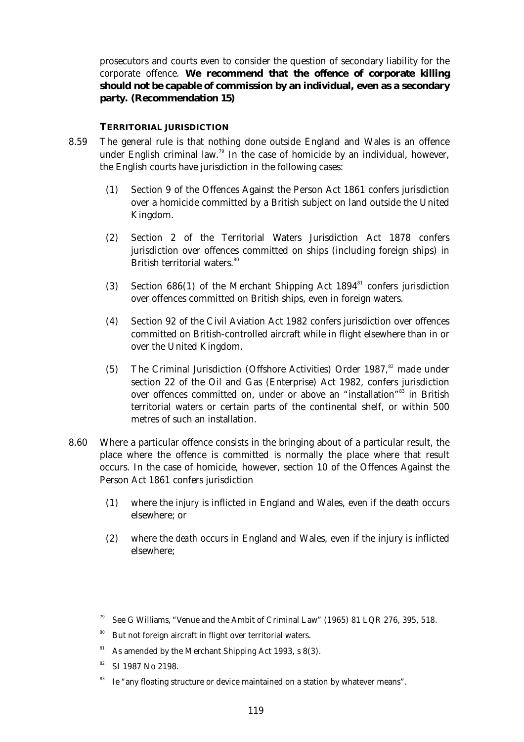prosecutors and courts even to consider the question of secondary liability for the corporate offence. **We recommend that the offence of corporate killing should not be capable of commission by an individual, even as a secondary party. (Recommendation 15)**

## **TERRITORIAL JURISDICTION**

- 8.59 The general rule is that nothing done outside England and Wales is an offence under English criminal law.<sup>79</sup> In the case of homicide by an individual, however, the English courts have jurisdiction in the following cases:
	- (1) Section 9 of the Offences Against the Person Act 1861 confers jurisdiction over a homicide committed by a British subject on land outside the United Kingdom.
	- (2) Section 2 of the Territorial Waters Jurisdiction Act 1878 confers jurisdiction over offences committed on ships (including foreign ships) in British territorial waters.<sup>80</sup>
	- (3) Section  $686(1)$  of the Merchant Shipping Act  $1894<sup>81</sup>$  confers jurisdiction over offences committed on British ships, even in foreign waters.
	- (4) Section 92 of the Civil Aviation Act 1982 confers jurisdiction over offences committed on British-controlled aircraft while in flight elsewhere than in or over the United Kingdom.
	- (5) The Criminal Jurisdiction (Offshore Activities) Order  $1987$ ,<sup>82</sup> made under section 22 of the Oil and Gas (Enterprise) Act 1982, confers jurisdiction over offences committed on, under or above an "installation"<sup>83</sup> in British territorial waters or certain parts of the continental shelf, or within 500 metres of such an installation.
- 8.60 Where a particular offence consists in the bringing about of a particular result, the place where the offence is committed is normally the place where that result occurs. In the case of homicide, however, section 10 of the Offences Against the Person Act 1861 confers jurisdiction
	- (1) where the *injury* is inflicted in England and Wales, even if the death occurs elsewhere; or
	- (2) where the *death* occurs in England and Wales, even if the injury is inflicted elsewhere;
	- <sup>79</sup> See G Williams, "Venue and the Ambit of Criminal Law" (1965) 81 LQR 276, 395, 518.
	- <sup>80</sup> But not foreign aircraft in flight over territorial waters.
	- <sup>81</sup> As amended by the Merchant Shipping Act 1993, s  $8(3)$ .
	- $82$  SI 1987 No 2198.
	- Ie "any floating structure or device maintained on a station by whatever means".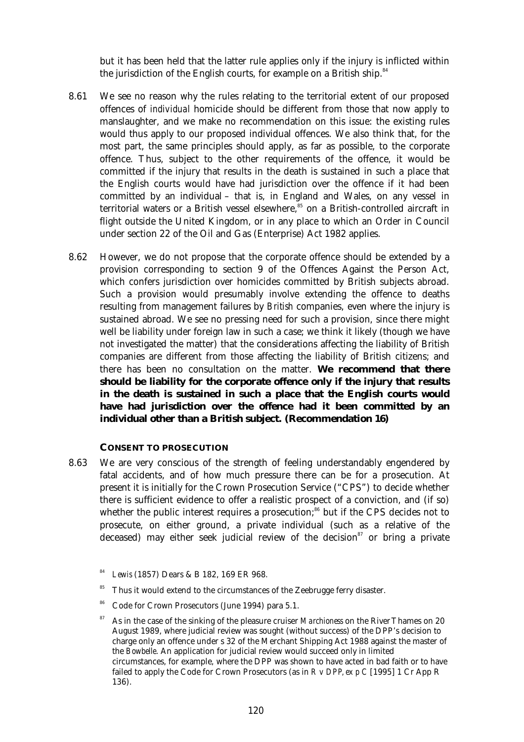but it has been held that the latter rule applies only if the injury is inflicted within the jurisdiction of the English courts, for example on a British ship.<sup>84</sup>

- 8.61 We see no reason why the rules relating to the territorial extent of our proposed offences of *individual* homicide should be different from those that now apply to manslaughter, and we make no recommendation on this issue: the existing rules would thus apply to our proposed individual offences. We also think that, for the most part, the same principles should apply, as far as possible, to the corporate offence. Thus, subject to the other requirements of the offence, it would be committed if the injury that results in the death is sustained in such a place that the English courts would have had jurisdiction over the offence if it had been committed by an individual – that is, in England and Wales, on any vessel in territorial waters or a British vessel elsewhere,<sup>85</sup> on a British-controlled aircraft in flight outside the United Kingdom, or in any place to which an Order in Council under section 22 of the Oil and Gas (Enterprise) Act 1982 applies.
- 8.62 However, we do not propose that the corporate offence should be extended by a provision corresponding to section 9 of the Offences Against the Person Act, which confers jurisdiction over homicides committed by British subjects abroad. Such a provision would presumably involve extending the offence to deaths resulting from management failures by *British* companies, even where the injury is sustained abroad. We see no pressing need for such a provision, since there might well be liability under foreign law in such a case; we think it likely (though we have not investigated the matter) that the considerations affecting the liability of British companies are different from those affecting the liability of British citizens; and there has been no consultation on the matter. **We recommend that there should be liability for the corporate offence only if the injury that results in the death is sustained in such a place that the English courts would have had jurisdiction over the offence had it been committed by an individual other than a British subject. (Recommendation 16)**

## **CONSENT TO PROSECUTION**

- 8.63 We are very conscious of the strength of feeling understandably engendered by fatal accidents, and of how much pressure there can be for a prosecution. At present it is initially for the Crown Prosecution Service ("CPS") to decide whether there is sufficient evidence to offer a realistic prospect of a conviction, and (if so) whether the public interest requires a prosecution; $86$  but if the CPS decides not to prosecute, on either ground, a private individual (such as a relative of the deceased) may either seek judicial review of the decision<sup>87</sup> or bring a private
	- <sup>84</sup> *Lewis* (1857) Dears & B 182, 169 ER 968.
	- <sup>85</sup> Thus it would extend to the circumstances of the Zeebrugge ferry disaster.
	- Code for Crown Prosecutors (June 1994) para 5.1.
	- <sup>87</sup> As in the case of the sinking of the pleasure cruiser *Marchioness* on the River Thames on 20 August 1989, where judicial review was sought (without success) of the DPP's decision to charge only an offence under s 32 of the Merchant Shipping Act 1988 against the master of the *Bowbelle*. An application for judicial review would succeed only in limited circumstances, for example, where the DPP was shown to have acted in bad faith or to have failed to apply the Code for Crown Prosecutors (as in *R v DPP, ex p C* [1995] 1 Cr App R 136).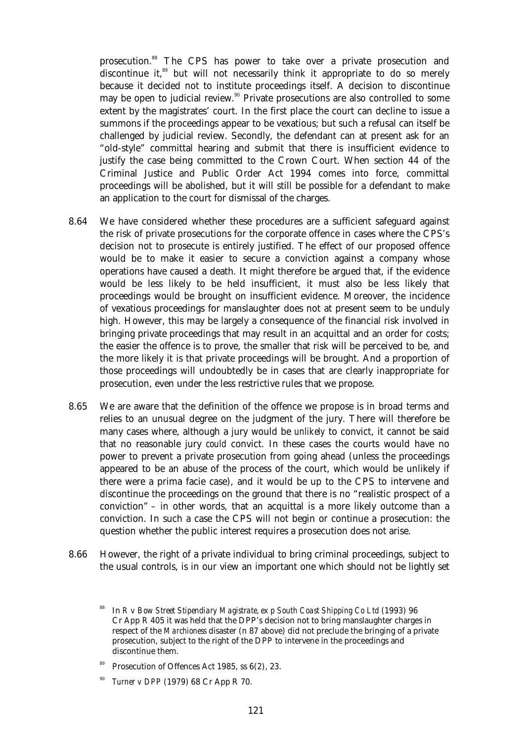prosecution.<sup>88</sup> The CPS has power to take over a private prosecution and  $\overline{d}$  discontinue it.<sup>89</sup> but will not necessarily think it appropriate to do so merely because it decided not to institute proceedings itself. A decision to discontinue may be open to judicial review.<sup>90</sup> Private prosecutions are also controlled to some extent by the magistrates' court. In the first place the court can decline to issue a summons if the proceedings appear to be vexatious; but such a refusal can itself be challenged by judicial review. Secondly, the defendant can at present ask for an "old-style" committal hearing and submit that there is insufficient evidence to justify the case being committed to the Crown Court. When section 44 of the Criminal Justice and Public Order Act 1994 comes into force, committal proceedings will be abolished, but it will still be possible for a defendant to make an application to the court for dismissal of the charges.

- 8.64 We have considered whether these procedures are a sufficient safeguard against the risk of private prosecutions for the corporate offence in cases where the CPS's decision not to prosecute is entirely justified. The effect of our proposed offence would be to make it easier to secure a conviction against a company whose operations have caused a death. It might therefore be argued that, if the evidence would be less likely to be held insufficient, it must also be less likely that proceedings would be brought on insufficient evidence. Moreover, the incidence of vexatious proceedings for manslaughter does not at present seem to be unduly high. However, this may be largely a consequence of the financial risk involved in bringing private proceedings that may result in an acquittal and an order for costs; the easier the offence is to prove, the smaller that risk will be perceived to be, and the more likely it is that private proceedings will be brought. And a proportion of those proceedings will undoubtedly be in cases that are clearly inappropriate for prosecution, even under the less restrictive rules that we propose.
- 8.65 We are aware that the definition of the offence we propose is in broad terms and relies to an unusual degree on the judgment of the jury. There will therefore be many cases where, although a jury would be *unlikely* to convict, it cannot be said that no reasonable jury *could* convict. In these cases the courts would have no power to prevent a private prosecution from going ahead (unless the proceedings appeared to be an abuse of the process of the court, which would be unlikely if there were a prima facie case), and it would be up to the CPS to intervene and discontinue the proceedings on the ground that there is no "realistic prospect of a conviction" – in other words, that an acquittal is a more likely outcome than a conviction. In such a case the CPS will not begin or continue a prosecution: the question whether the public interest requires a prosecution does not arise.
- 8.66 However, the right of a private individual to bring criminal proceedings, subject to the usual controls, is in our view an important one which should not be lightly set

<sup>89</sup> Prosecution of Offences Act 1985, ss  $6(2)$ , 23.

<sup>88</sup> In *R v Bow Street Stipendiary Magistrate, ex p South Coast Shipping Co Ltd* (1993) 96 Cr App R 405 it was held that the DPP's decision not to bring manslaughter charges in respect of the *Marchioness* disaster (n 87 above) did not preclude the bringing of a private prosecution, subject to the right of the DPP to intervene in the proceedings and discontinue them.

<sup>90</sup> *Turner v DPP* (1979) 68 Cr App R 70.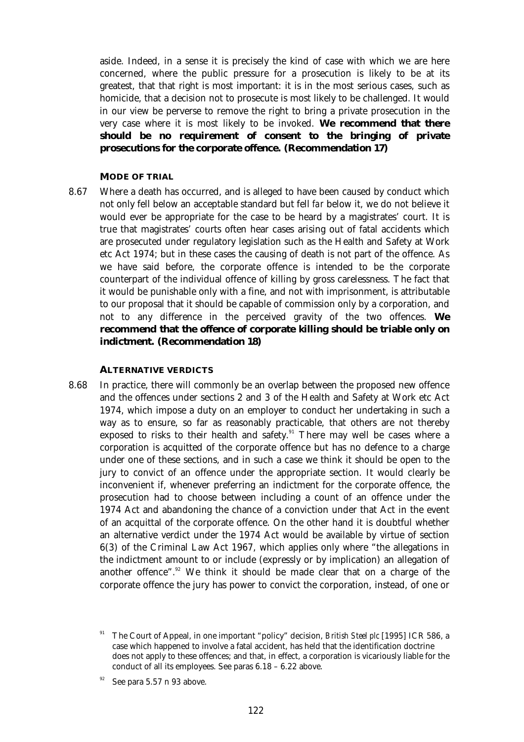aside. Indeed, in a sense it is precisely the kind of case with which we are here concerned, where the public pressure for a prosecution is likely to be at its greatest, that that right is most important: it is in the most serious cases, such as homicide, that a decision not to prosecute is most likely to be challenged. It would in our view be perverse to remove the right to bring a private prosecution in the very case where it is most likely to be invoked. **We recommend that there should be no requirement of consent to the bringing of private prosecutions for the corporate offence. (Recommendation 17)**

## **MODE OF TRIAL**

 8.67 Where a death has occurred, and is alleged to have been caused by conduct which not only fell below an acceptable standard but fell *far* below it, we do not believe it would ever be appropriate for the case to be heard by a magistrates' court. It is true that magistrates' courts often hear cases arising out of fatal accidents which are prosecuted under regulatory legislation such as the Health and Safety at Work etc Act 1974; but in these cases the causing of death is not part of the offence. As we have said before, the corporate offence is intended to be the corporate counterpart of the individual offence of killing by gross carelessness. The fact that it would be punishable only with a fine, and not with imprisonment, is attributable to our proposal that it should be capable of commission only by a corporation, and not to any difference in the perceived gravity of the two offences. **We recommend that the offence of corporate killing should be triable only on indictment. (Recommendation 18)**

## **ALTERNATIVE VERDICTS**

 8.68 In practice, there will commonly be an overlap between the proposed new offence and the offences under sections 2 and 3 of the Health and Safety at Work etc Act 1974, which impose a duty on an employer to conduct her undertaking in such a way as to ensure, so far as reasonably practicable, that others are not thereby exposed to risks to their health and safety. $91$  There may well be cases where a corporation is acquitted of the corporate offence but has no defence to a charge under one of these sections, and in such a case we think it should be open to the jury to convict of an offence under the appropriate section. It would clearly be inconvenient if, whenever preferring an indictment for the corporate offence, the prosecution had to choose between including a count of an offence under the 1974 Act and abandoning the chance of a conviction under that Act in the event of an acquittal of the corporate offence. On the other hand it is doubtful whether an alternative verdict under the 1974 Act would be available by virtue of section 6(3) of the Criminal Law Act 1967, which applies only where "the allegations in the indictment amount to or include (expressly or by implication) an allegation of another offence".<sup>92</sup> We think it should be made clear that on a charge of the corporate offence the jury has power to convict the corporation, instead, of one or

<sup>91</sup> The Court of Appeal, in one important "policy" decision, *British Steel plc* [1995] ICR 586, a case which happened to involve a fatal accident, has held that the identification doctrine does not apply to these offences; and that, in effect, a corporation is vicariously liable for the conduct of all its employees. See paras 6.18 – 6.22 above.

See para 5.57 n 93 above.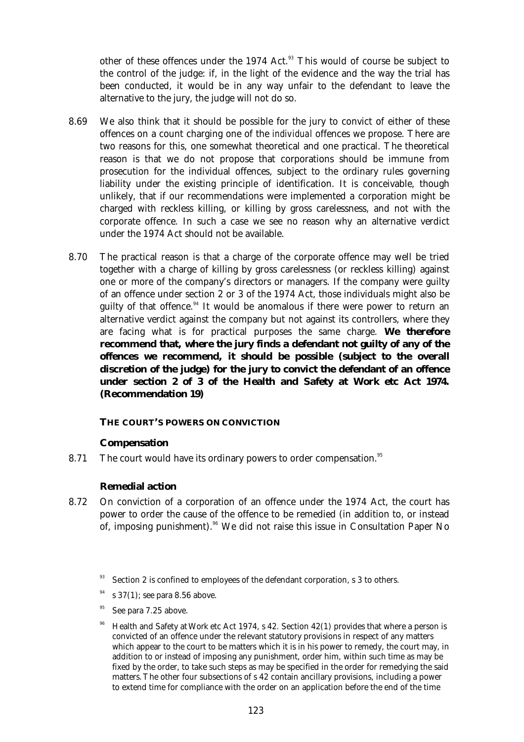other of these offences under the 1974 Act.<sup>93</sup> This would of course be subject to the control of the judge: if, in the light of the evidence and the way the trial has been conducted, it would be in any way unfair to the defendant to leave the alternative to the jury, the judge will not do so.

- 8.69 We also think that it should be possible for the jury to convict of either of these offences on a count charging one of the *individual* offences we propose. There are two reasons for this, one somewhat theoretical and one practical. The theoretical reason is that we do not propose that corporations should be immune from prosecution for the individual offences, subject to the ordinary rules governing liability under the existing principle of identification. It is conceivable, though unlikely, that if our recommendations were implemented a corporation might be charged with reckless killing, or killing by gross carelessness, and not with the corporate offence. In such a case we see no reason why an alternative verdict under the 1974 Act should not be available.
- 8.70 The practical reason is that a charge of the corporate offence may well be tried together with a charge of killing by gross carelessness (or reckless killing) against one or more of the company's directors or managers. If the company were guilty of an offence under section 2 or 3 of the 1974 Act, those individuals might also be guilty of that offence.<sup>94</sup> It would be anomalous if there were power to return an alternative verdict against the company but not against its controllers, where they are facing what is for practical purposes the same charge. **We therefore recommend that, where the jury finds a defendant not guilty of any of the offences we recommend, it should be possible (subject to the overall discretion of the judge) for the jury to convict the defendant of an offence under section 2 of 3 of the Health and Safety at Work etc Act 1974. (Recommendation 19)**

## **THE COURT'S POWERS ON CONVICTION**

## **Compensation**

8.71 The court would have its ordinary powers to order compensation.<sup>95</sup>

## **Remedial action**

- 8.72 On conviction of a corporation of an offence under the 1974 Act, the court has power to order the cause of the offence to be remedied (in addition to, or instead of, imposing punishment).<sup>96</sup> We did not raise this issue in Consultation Paper No
	- <sup>93</sup> Section 2 is confined to employees of the defendant corporation, s 3 to others.
	- $s$  37(1); see para 8.56 above.
	- $95$  See para 7.25 above.
	- <sup>96</sup> Health and Safety at Work etc Act 1974, s 42. Section 42(1) provides that where a person is convicted of an offence under the relevant statutory provisions in respect of any matters which appear to the court to be matters which it is in his power to remedy, the court may, in addition to or instead of imposing any punishment, order him, within such time as may be fixed by the order, to take such steps as may be specified in the order for remedying the said matters. The other four subsections of s 42 contain ancillary provisions, including a power to extend time for compliance with the order on an application before the end of the time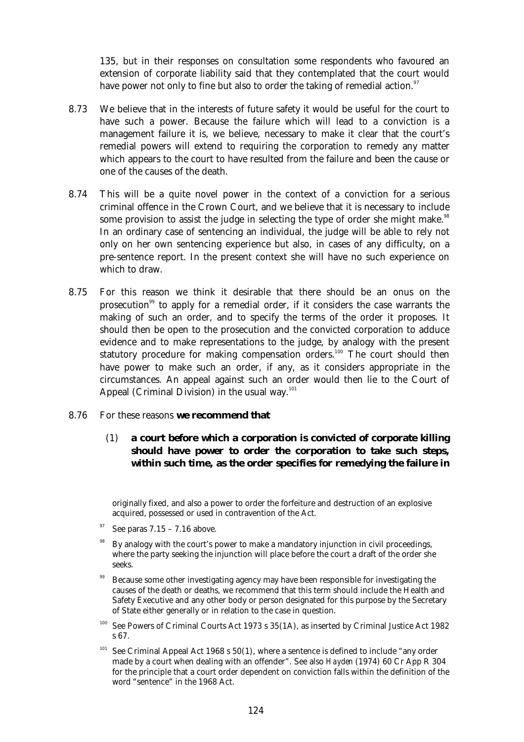135, but in their responses on consultation some respondents who favoured an extension of corporate liability said that they contemplated that the court would have power not only to fine but also to order the taking of remedial action.<sup>97</sup>

- 8.73 We believe that in the interests of future safety it would be useful for the court to have such a power. Because the failure which will lead to a conviction is a management failure it is, we believe, necessary to make it clear that the court's remedial powers will extend to requiring the corporation to remedy any matter which appears to the court to have resulted from the failure and been the cause or one of the causes of the death.
- 8.74 This will be a quite novel power in the context of a conviction for a serious criminal offence in the Crown Court, and we believe that it is necessary to include some provision to assist the judge in selecting the type of order she might make.<sup>98</sup> In an ordinary case of sentencing an individual, the judge will be able to rely not only on her own sentencing experience but also, in cases of any difficulty, on a pre-sentence report. In the present context she will have no such experience on which to draw.
- 8.75 For this reason we think it desirable that there should be an onus on the prosecution<sup>99</sup> to apply for a remedial order, if it considers the case warrants the making of such an order, and to specify the terms of the order it proposes. It should then be open to the prosecution and the convicted corporation to adduce evidence and to make representations to the judge, by analogy with the present statutory procedure for making compensation orders.<sup>100</sup> The court should then have power to make such an order, if any, as it considers appropriate in the circumstances. An appeal against such an order would then lie to the Court of Appeal (Criminal Division) in the usual way.<sup>101</sup>
- 8.76 For these reasons **we recommend that**
	- (1) **a court before which a corporation is convicted of corporate killing should have power to order the corporation to take such steps, within such time, as the order specifies for remedying the failure in**

originally fixed, and also a power to order the forfeiture and destruction of an explosive acquired, possessed or used in contravention of the Act.

- See paras  $7.15 7.16$  above.
- By analogy with the court's power to make a mandatory injunction in civil proceedings, where the party seeking the injunction will place before the court a draft of the order she seeks.
- <sup>99</sup> Because some other investigating agency may have been responsible for investigating the causes of the death or deaths, we recommend that this term should include the Health and Safety Executive and any other body or person designated for this purpose by the Secretary of State either generally or in relation to the case in question.
- <sup>100</sup> See Powers of Criminal Courts Act 1973 s 35(1A), as inserted by Criminal Justice Act 1982 s 67.
- $101$  See Criminal Appeal Act 1968 s 50(1), where a sentence is defined to include "any order made by a court when dealing with an offender". See also *Hayden* (1974) 60 Cr App R 304 for the principle that a court order dependent on conviction falls within the definition of the word "sentence" in the 1968 Act.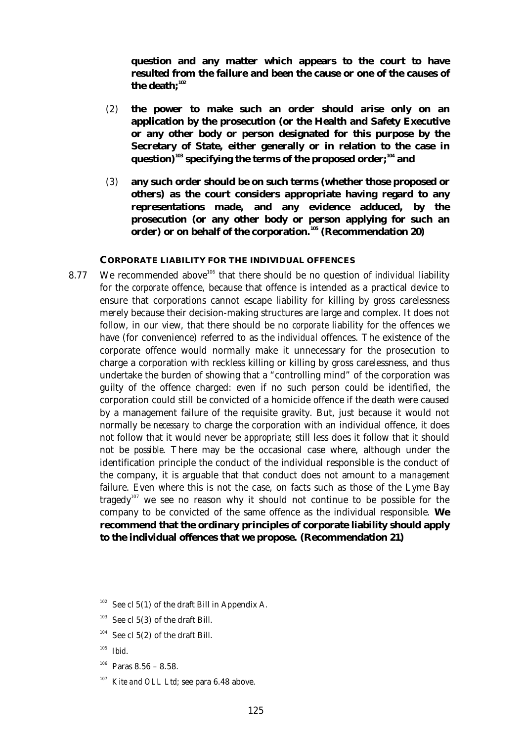**question and any matter which appears to the court to have resulted from the failure and been the cause or one of the causes of the death;<sup>102</sup>**

- (2) **the power to make such an order should arise only on an application by the prosecution (or the Health and Safety Executive or any other body or person designated for this purpose by the Secretary of State, either generally or in relation to the case in question)<sup>103</sup> specifying the terms of the proposed order;<sup>104</sup> and**
- (3) **any such order should be on such terms (whether those proposed or others) as the court considers appropriate having regard to any representations made, and any evidence adduced, by the prosecution (or any other body or person applying for such an order) or on behalf of the corporation.<sup>105</sup> (Recommendation 20)**

## **CORPORATE LIABILITY FOR THE INDIVIDUAL OFFENCES**

- 8.77 We recommended above<sup>106</sup> that there should be no question of *individual* liability for the *corporate* offence, because that offence is intended as a practical device to ensure that corporations cannot escape liability for killing by gross carelessness merely because their decision-making structures are large and complex. It does not follow, in our view, that there should be no *corporate* liability for the offences we have (for convenience) referred to as the *individual* offences. The existence of the corporate offence would normally make it unnecessary for the prosecution to charge a corporation with reckless killing or killing by gross carelessness, and thus undertake the burden of showing that a "controlling mind" of the corporation was guilty of the offence charged: even if no such person could be identified, the corporation could still be convicted of a homicide offence if the death were caused by a management failure of the requisite gravity. But, just because it would not normally be *necessary* to charge the corporation with an individual offence, it does not follow that it would never be *appropriate*; still less does it follow that it should not be *possible*. There may be the occasional case where, although under the identification principle the conduct of the individual responsible is the conduct of the company, it is arguable that that conduct does not amount to a *management* failure. Even where this is not the case, on facts such as those of the Lyme Bay tragedy<sup>107</sup> we see no reason why it should not continue to be possible for the company to be convicted of the same offence as the individual responsible. **We recommend that the ordinary principles of corporate liability should apply to the individual offences that we propose. (Recommendation 21)**
	- $102$  See cl 5(1) of the draft Bill in Appendix A.
	- $103$  See cl 5(3) of the draft Bill.
	- $104$  See cl 5(2) of the draft Bill.
	- <sup>105</sup> *Ibid*.
	- $106$  Paras 8.56 8.58.
	- <sup>107</sup> *Kite and OLL Ltd*; see para 6.48 above.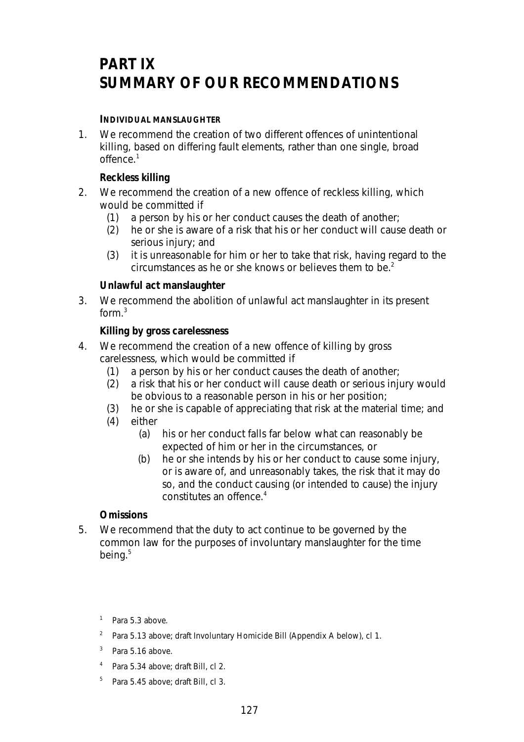# **PART IX SUMMARY OF OUR RECOMMENDATIONS**

## **INDIVIDUAL MANSLAUGHTER**

 1. We recommend the creation of two different offences of unintentional killing, based on differing fault elements, rather than one single, broad offence.<sup>1</sup>

## **Reckless killing**

- 2. We recommend the creation of a new offence of reckless killing, which would be committed if
	- (1) a person by his or her conduct causes the death of another;
	- (2) he or she is aware of a risk that his or her conduct will cause death or serious injury; and
	- (3) it is unreasonable for him or her to take that risk, having regard to the circumstances as he or she knows or believes them to be.<sup>2</sup>

## **Unlawful act manslaughter**

 3. We recommend the abolition of unlawful act manslaughter in its present form $^3$ 

## **Killing by gross carelessness**

- 4. We recommend the creation of a new offence of killing by gross carelessness, which would be committed if
	- (1) a person by his or her conduct causes the death of another;
	- (2) a risk that his or her conduct will cause death or serious injury would be obvious to a reasonable person in his or her position;
	- (3) he or she is capable of appreciating that risk at the material time; and
	- (4) *either*
		- (a) his or her conduct falls far below what can reasonably be expected of him or her in the circumstances, *or*
		- (b) he or she intends by his or her conduct to cause some injury, or is aware of, and unreasonably takes, the risk that it may do so, *and* the conduct causing (or intended to cause) the injury constitutes an offence.<sup>4</sup>

## **Omissions**

- 5. We recommend that the duty to act continue to be governed by the common law for the purposes of involuntary manslaughter for the time being.<sup>5</sup>
	- <sup>1</sup> Para 5.3 above.
	- <sup>2</sup> Para 5.13 above; draft Involuntary Homicide Bill (Appendix A below), cl 1.
	- 3 Para 5.16 above.
	- 4 Para 5.34 above; draft Bill, cl 2.
	- <sup>5</sup> Para 5.45 above; draft Bill, cl 3.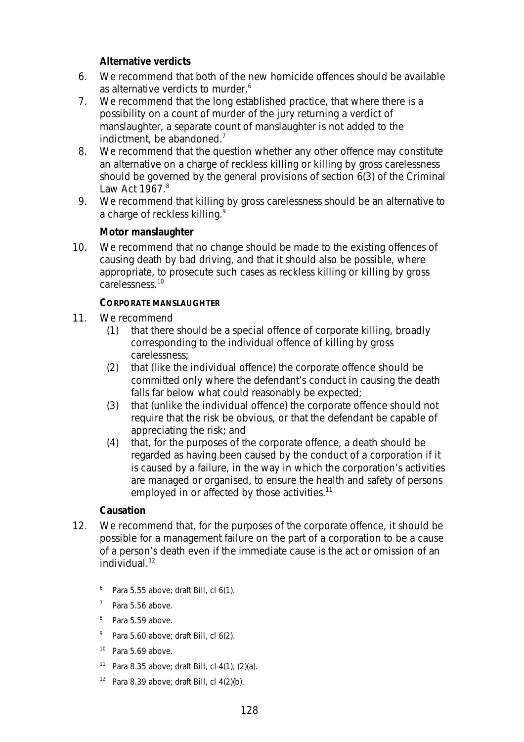## **Alternative verdicts**

- 6. We recommend that both of the new homicide offences should be available as alternative verdicts to murder.<sup>6</sup>
- 7. We recommend that the long established practice, that where there is a possibility on a count of murder of the jury returning a verdict of manslaughter, a separate count of manslaughter is *not* added to the indictment, be abandoned.<sup>7</sup>
- 8. We recommend that the question whether any other offence may constitute an alternative on a charge of reckless killing or killing by gross carelessness should be governed by the general provisions of section 6(3) of the Criminal Law Act 1967.<sup>8</sup>
- 9. We recommend that killing by gross carelessness should be an alternative to a charge of reckless killing.<sup>9</sup>

## **Motor manslaughter**

 10. We recommend that no change should be made to the existing offences of causing death by bad driving, and that it should also be possible, where appropriate, to prosecute such cases as reckless killing or killing by gross carelessness.<sup>10</sup>

## **CORPORATE MANSLAUGHTER**

- 11. We recommend
	- (1) that there should be a special offence of corporate killing, broadly corresponding to the individual offence of killing by gross carelessness;
	- (2) that (like the individual offence) the corporate offence should be committed only where the defendant's conduct in causing the death falls far below what could reasonably be expected;
	- (3) that (unlike the individual offence) the corporate offence should *not* require that the risk be obvious, or that the defendant be capable of appreciating the risk; and
	- (4) that, for the purposes of the corporate offence, a death should be regarded as having been caused by the conduct of a corporation if it is caused by a failure, in the way in which the corporation's activities are managed or organised, to ensure the health and safety of persons employed in or affected by those activities.<sup>11</sup>

## **Causation**

- 12. We recommend that, for the purposes of the corporate offence, it should be possible for a management failure on the part of a corporation to be a cause of a person's death even if the immediate cause is the act or omission of an individual. $12$ 
	- $6$  Para 5.55 above; draft Bill, cl  $6(1)$ .
	- 7 Para 5.56 above.
	- 8 Para 5.59 above.
	- 9 Para 5.60 above; draft Bill, cl 6(2).
	- $10$  Para 5.69 above.
	- <sup>11</sup> Para 8.35 above; draft Bill, cl  $4(1)$ ,  $(2)(a)$ .
	- $12$  Para 8.39 above; draft Bill, cl 4(2)(b).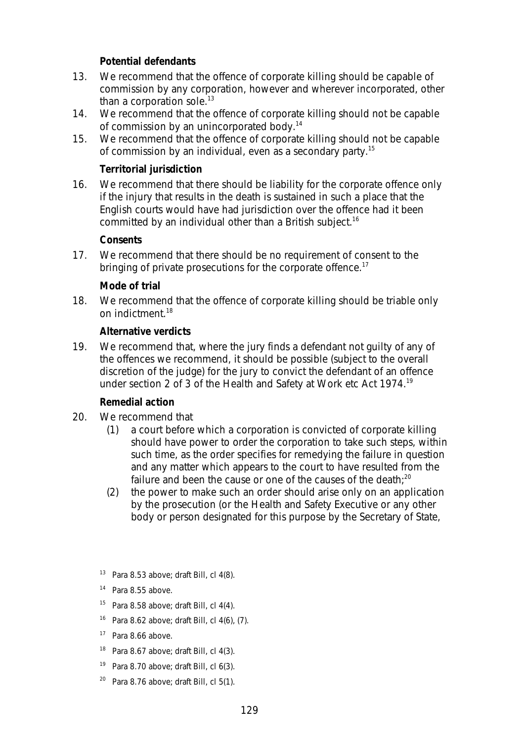## **Potential defendants**

- 13. We recommend that the offence of corporate killing should be capable of commission by any corporation, however and wherever incorporated, other than a corporation sole.<sup>13</sup>
- 14. We recommend that the offence of corporate killing should not be capable of commission by an unincorporated body.<sup>14</sup>
- 15. We recommend that the offence of corporate killing should not be capable of commission by an individual, even as a secondary party.<sup>15</sup>

## **Territorial jurisdiction**

 16. We recommend that there should be liability for the corporate offence only if the injury that results in the death is sustained in such a place that the English courts would have had jurisdiction over the offence had it been committed by an individual other than a British subject.<sup>16</sup>

## **Consents**

 17. We recommend that there should be no requirement of consent to the bringing of private prosecutions for the corporate offence.<sup>17</sup>

## **Mode of trial**

 18. We recommend that the offence of corporate killing should be triable only on indictment.<sup>18</sup>

## **Alternative verdicts**

 19. We recommend that, where the jury finds a defendant not guilty of any of the offences we recommend, it should be possible (subject to the overall discretion of the judge) for the jury to convict the defendant of an offence under section 2 of 3 of the Health and Safety at Work etc Act 1974.<sup>19</sup>

## **Remedial action**

- 20. We recommend that
	- (1) a court before which a corporation is convicted of corporate killing should have power to order the corporation to take such steps, within such time, as the order specifies for remedying the failure in question and any matter which appears to the court to have resulted from the failure and been the cause or one of the causes of the death;<sup>20</sup>
	- (2) the power to make such an order should arise only on an application by the prosecution (or the Health and Safety Executive or any other body or person designated for this purpose by the Secretary of State,
	- $13$  Para 8.53 above; draft Bill, cl 4(8).
	- <sup>14</sup> Para 8.55 above.
	- <sup>15</sup> Para 8.58 above; draft Bill, cl  $4(4)$ .
	- <sup>16</sup> Para 8.62 above; draft Bill, cl  $4(6)$ , (7).
	- <sup>17</sup> Para 8.66 above.
	- $18$  Para 8.67 above; draft Bill, cl 4(3).
	- $19$  Para 8.70 above; draft Bill, cl 6(3).
	- <sup>20</sup> Para 8.76 above; draft Bill, cl 5(1).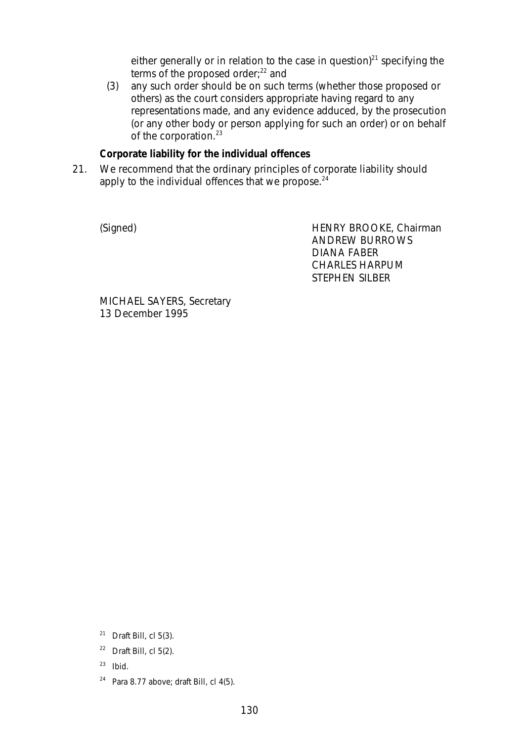either generally or in relation to the case in question) $21$  specifying the terms of the proposed order; $22$  and

 (3) any such order should be on such terms (whether those proposed or others) as the court considers appropriate having regard to any representations made, and any evidence adduced, by the prosecution (or any other body or person applying for such an order) or on behalf of the corporation. $23$ 

## **Corporate liability for the individual offences**

 21. We recommend that the ordinary principles of corporate liability should apply to the individual offences that we propose.<sup>24</sup>

(*Signed*) HENRY BROOKE, *Chairman* ANDREW BURROWS DIANA FABER CHARLES HARPUM STEPHEN SILBER

MICHAEL SAYERS, *Secretary* 13 December 1995

- $21$  Draft Bill, cl 5(3).
- $22$  Draft Bill, cl 5(2).
- <sup>23</sup> *Ibid*.
- <sup>24</sup> Para 8.77 above; draft Bill, cl  $4(5)$ .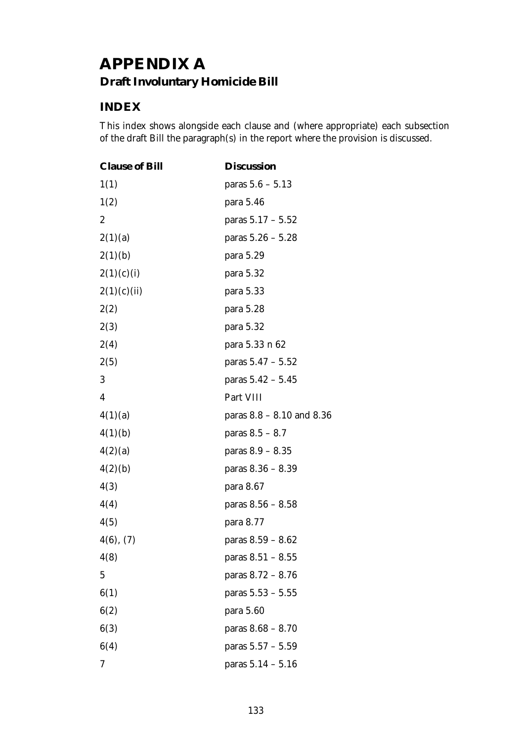# **APPENDIX A Draft Involuntary Homicide Bill**

## **INDEX**

This index shows alongside each clause and (where appropriate) each subsection of the draft Bill the paragraph(s) in the report where the provision is discussed.

| <b>Clause of Bill</b> | <b>Discussion</b>             |
|-----------------------|-------------------------------|
| 1(1)                  | paras $5.6 - 5.13$            |
| 1(2)                  | para 5.46                     |
| $\overline{c}$        | paras $5.17 - 5.52$           |
| 2(1)(a)               | paras 5.26 - 5.28             |
| 2(1)(b)               | para 5.29                     |
| 2(1)(c)(i)            | para 5.32                     |
| 2(1)(c)(ii)           | para 5.33                     |
| 2(2)                  | para 5.28                     |
| 2(3)                  | para 5.32                     |
| 2(4)                  | para 5.33 n 62                |
| 2(5)                  | paras $5.47 - 5.52$           |
| 3                     | paras $5.42 - 5.45$           |
| 4                     | Part VIII                     |
| 4(1)(a)               | paras $8.8 - 8.10$ and $8.36$ |
| 4(1)(b)               | paras $8.5 - 8.7$             |
| 4(2)(a)               | paras $8.9 - 8.35$            |
| 4(2)(b)               | paras $8.36 - 8.39$           |
| 4(3)                  | para 8.67                     |
| 4(4)                  | paras $8.56 - 8.58$           |
| 4(5)                  | para 8.77                     |
| $4(6)$ , (7)          | paras $8.59 - 8.62$           |
| 4(8)                  | paras $8.51 - 8.55$           |
| 5                     | paras $8.72 - 8.76$           |
| 6(1)                  | paras $5.53 - 5.55$           |
| 6(2)                  | para 5.60                     |
| 6(3)                  | paras $8.68 - 8.70$           |
| 6(4)                  | paras $5.57 - 5.59$           |
| 7                     | paras $5.14 - 5.16$           |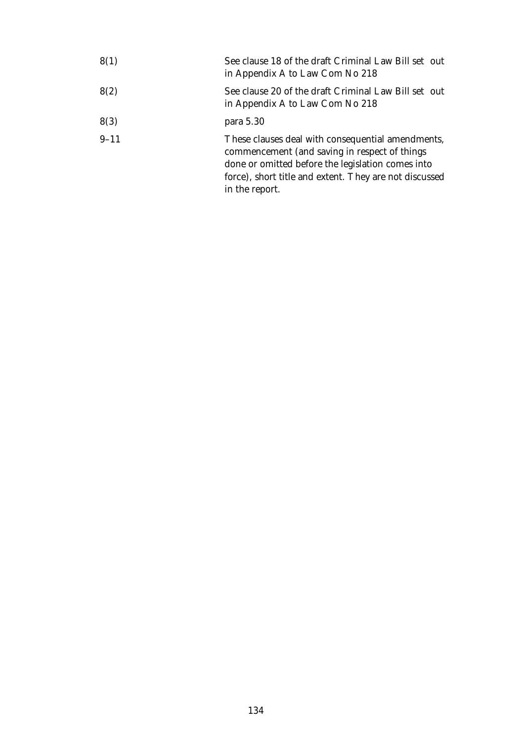| 8(1)     | See clause 18 of the draft Criminal Law Bill set out<br>in Appendix A to Law Com No 218                                                                                                                                             |
|----------|-------------------------------------------------------------------------------------------------------------------------------------------------------------------------------------------------------------------------------------|
| 8(2)     | See clause 20 of the draft Criminal Law Bill set out<br>in Appendix A to Law Com No 218                                                                                                                                             |
| 8(3)     | para 5.30                                                                                                                                                                                                                           |
| $9 - 11$ | These clauses deal with consequential amendments,<br>commencement (and saving in respect of things<br>done or omitted before the legislation comes into<br>force), short title and extent. They are not discussed<br>in the report. |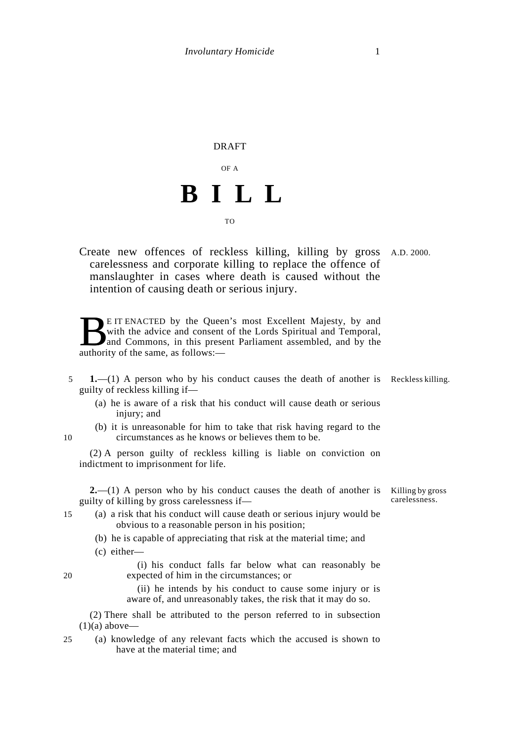# DRAFT OF A **BILL** TO

Create new offences of reckless killing, killing by gross A.D. 2000. carelessness and corporate killing to replace the offence of manslaughter in cases where death is caused without the intention of causing death or serious injury.

**BURE IT ENACTED by the Queen's most Excellent Majesty, by and with the advice and consent of the Lords Spiritual and Temporal, and Commons, in this present Parliament assembled, and by the authority of the same as follows** with the advice and consent of the Lords Spiritual and Temporal, and Commons, in this present Parliament assembled, and by the authority of the same, as follows:—

- 5 **1.**—(1) A person who by his conduct causes the death of another is Reckless killing. guilty of reckless killing if—
	- (a) he is aware of a risk that his conduct will cause death or serious injury; and
- (b) it is unreasonable for him to take that risk having regard to the 10 circumstances as he knows or believes them to be.

(2) A person guilty of reckless killing is liable on conviction on indictment to imprisonment for life.

**2.**—(1) A person who by his conduct causes the death of another is Killing by gross situally of killing by gross carelessness if guilty of killing by gross carelessness if—

- 15 (a) a risk that his conduct will cause death or serious injury would be obvious to a reasonable person in his position;
	- (b) he is capable of appreciating that risk at the material time; and
	- (c) either—

(i) his conduct falls far below what can reasonably be 20 expected of him in the circumstances; or

> (ii) he intends by his conduct to cause some injury or is aware of, and unreasonably takes, the risk that it may do so.

(2) There shall be attributed to the person referred to in subsection  $(1)(a)$  above—

25 (a) knowledge of any relevant facts which the accused is shown to have at the material time; and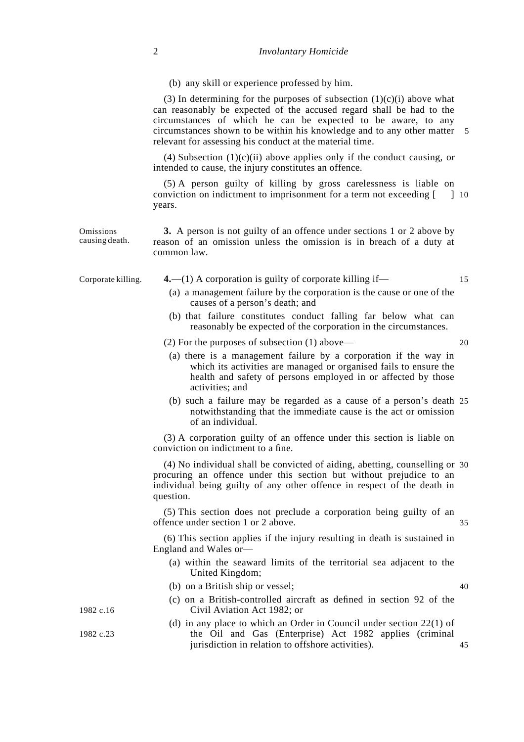|                             | (b) any skill or experience professed by him.                                                                                                                                                                                                                                                                                                           |            |
|-----------------------------|---------------------------------------------------------------------------------------------------------------------------------------------------------------------------------------------------------------------------------------------------------------------------------------------------------------------------------------------------------|------------|
|                             | (3) In determining for the purposes of subsection $(1)(c)(i)$ above what<br>can reasonably be expected of the accused regard shall be had to the<br>circumstances of which he can be expected to be aware, to any<br>circumstances shown to be within his knowledge and to any other matter<br>relevant for assessing his conduct at the material time. | 5          |
|                             | (4) Subsection $(1)(c)(ii)$ above applies only if the conduct causing, or<br>intended to cause, the injury constitutes an offence.                                                                                                                                                                                                                      |            |
|                             | (5) A person guilty of killing by gross carelessness is liable on<br>conviction on indictment to imprisonment for a term not exceeding [<br>years.                                                                                                                                                                                                      | $\vert$ 10 |
| Omissions<br>causing death. | 3. A person is not guilty of an offence under sections 1 or 2 above by<br>reason of an omission unless the omission is in breach of a duty at<br>common law.                                                                                                                                                                                            |            |
| Corporate killing.          | <b>4.</b> —(1) A corporation is guilty of corporate killing if—                                                                                                                                                                                                                                                                                         | 15         |
|                             | (a) a management failure by the corporation is the cause or one of the<br>causes of a person's death; and                                                                                                                                                                                                                                               |            |
|                             | (b) that failure constitutes conduct falling far below what can<br>reasonably be expected of the corporation in the circumstances.                                                                                                                                                                                                                      |            |
|                             | $(2)$ For the purposes of subsection $(1)$ above—                                                                                                                                                                                                                                                                                                       | 20         |
|                             | (a) there is a management failure by a corporation if the way in<br>which its activities are managed or organised fails to ensure the<br>health and safety of persons employed in or affected by those<br>activities; and                                                                                                                               |            |
|                             | (b) such a failure may be regarded as a cause of a person's death 25<br>notwithstanding that the immediate cause is the act or omission<br>of an individual.                                                                                                                                                                                            |            |
|                             | (3) A corporation guilty of an offence under this section is liable on<br>conviction on indictment to a fine.                                                                                                                                                                                                                                           |            |
|                             | (4) No individual shall be convicted of aiding, abetting, counselling or 30<br>procuring an offence under this section but without prejudice to an<br>individual being guilty of any other offence in respect of the death in<br>question.                                                                                                              |            |
|                             | (5) This section does not preclude a corporation being guilty of an<br>offence under section 1 or 2 above.                                                                                                                                                                                                                                              | 35         |
|                             | (6) This section applies if the injury resulting in death is sustained in<br>England and Wales or-                                                                                                                                                                                                                                                      |            |
|                             | (a) within the seaward limits of the territorial sea adjacent to the<br>United Kingdom;                                                                                                                                                                                                                                                                 |            |
|                             | (b) on a British ship or vessel;                                                                                                                                                                                                                                                                                                                        | 40         |
| 1982 c.16                   | (c) on a British-controlled aircraft as defined in section 92 of the<br>Civil Aviation Act 1982; or                                                                                                                                                                                                                                                     |            |
| 1982 c.23                   | (d) in any place to which an Order in Council under section $22(1)$ of<br>the Oil and Gas (Enterprise) Act 1982 applies (criminal<br>jurisdiction in relation to offshore activities).                                                                                                                                                                  | 45         |
|                             |                                                                                                                                                                                                                                                                                                                                                         |            |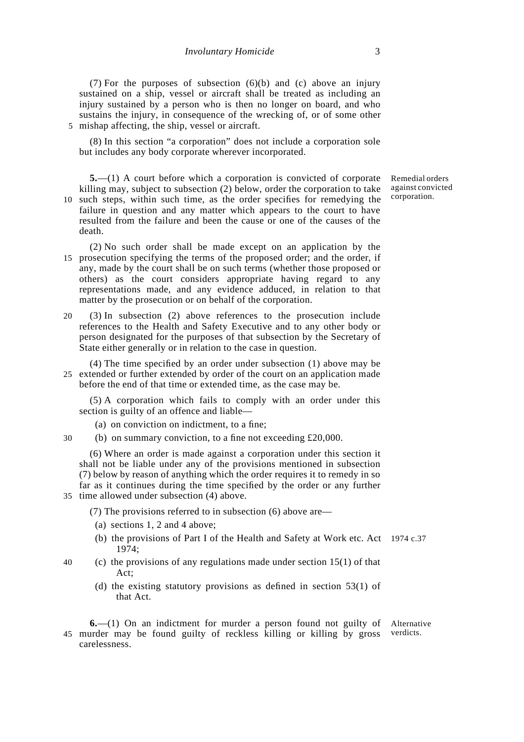(7) For the purposes of subsection  $(6)(b)$  and (c) above an injury sustained on a ship, vessel or aircraft shall be treated as including an injury sustained by a person who is then no longer on board, and who sustains the injury, in consequence of the wrecking of, or of some other 5 mishap affecting, the ship, vessel or aircraft.

(8) In this section "a corporation" does not include a corporation sole but includes any body corporate wherever incorporated.

**5.**—(1) A court before which a corporation is convicted of corporate Remedial orders line may subject to subsection (2) below order the corporation to take against convicted killing may, subject to subsection  $(2)$  below, order the corporation to take against conviction and the corporation.  $10$  such steps, within such time, as the order specifies for remedying the

failure in question and any matter which appears to the court to have resulted from the failure and been the cause or one of the causes of the death.

(2) No such order shall be made except on an application by the 15 prosecution specifying the terms of the proposed order; and the order, if any, made by the court shall be on such terms (whether those proposed or others) as the court considers appropriate having regard to any representations made, and any evidence adduced, in relation to that matter by the prosecution or on behalf of the corporation.

20 (3) In subsection (2) above references to the prosecution include references to the Health and Safety Executive and to any other body or person designated for the purposes of that subsection by the Secretary of State either generally or in relation to the case in question.

(4) The time specified by an order under subsection (1) above may be 25 extended or further extended by order of the court on an application made before the end of that time or extended time, as the case may be.

(5) A corporation which fails to comply with an order under this section is guilty of an offence and liable—

(a) on conviction on indictment, to a fine;

30 (b) on summary conviction, to a fine not exceeding £20,000.

(6) Where an order is made against a corporation under this section it shall not be liable under any of the provisions mentioned in subsection (7) below by reason of anything which the order requires it to remedy in so far as it continues during the time specified by the order or any further 35 time allowed under subsection (4) above.

(7) The provisions referred to in subsection (6) above are—

- (a) sections 1, 2 and 4 above;
- (b) the provisions of Part I of the Health and Safety at Work etc. Act 1974 c.37 1974;
- 40 (c) the provisions of any regulations made under section 15(1) of that Act;
	- (d) the existing statutory provisions as defined in section 53(1) of that Act.
- **6.**—(1) On an indictment for murder a person found not guilty of Alternative urder may be found guilty of reckless killing or killing by gross verdicts. 45 murder may be found guilty of reckless killing or killing by gross carelessness.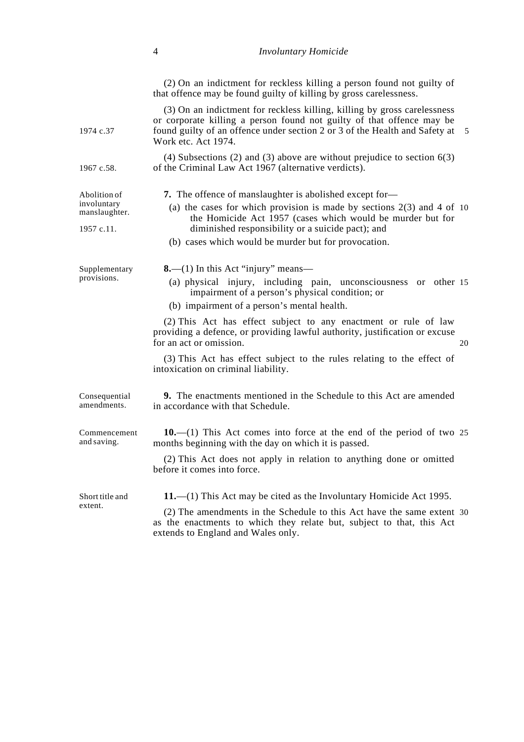|                                                            | (2) On an indictment for reckless killing a person found not guilty of<br>that offence may be found guilty of killing by gross carelessness.                                                                                                                                                                   |    |
|------------------------------------------------------------|----------------------------------------------------------------------------------------------------------------------------------------------------------------------------------------------------------------------------------------------------------------------------------------------------------------|----|
| 1974 c.37                                                  | (3) On an indictment for reckless killing, killing by gross carelessness<br>or corporate killing a person found not guilty of that offence may be<br>found guilty of an offence under section 2 or 3 of the Health and Safety at<br>Work etc. Act 1974.                                                        | 5  |
| 1967 c.58.                                                 | (4) Subsections (2) and (3) above are without prejudice to section $6(3)$<br>of the Criminal Law Act 1967 (alternative verdicts).                                                                                                                                                                              |    |
| Abolition of<br>involuntary<br>manslaughter.<br>1957 c.11. | 7. The offence of manslaughter is abolished except for-<br>(a) the cases for which provision is made by sections $2(3)$ and 4 of 10<br>the Homicide Act 1957 (cases which would be murder but for<br>diminished responsibility or a suicide pact); and<br>(b) cases which would be murder but for provocation. |    |
| Supplementary<br>provisions.                               | $8$ —(1) In this Act "injury" means—<br>(a) physical injury, including pain, unconsciousness<br>other 15<br>or<br>impairment of a person's physical condition; or<br>(b) impairment of a person's mental health.                                                                                               |    |
|                                                            | (2) This Act has effect subject to any enactment or rule of law<br>providing a defence, or providing lawful authority, justification or excuse<br>for an act or omission.                                                                                                                                      | 20 |
|                                                            | (3) This Act has effect subject to the rules relating to the effect of<br>intoxication on criminal liability.                                                                                                                                                                                                  |    |
| Consequential<br>amendments.                               | 9. The enactments mentioned in the Schedule to this Act are amended<br>in accordance with that Schedule.                                                                                                                                                                                                       |    |
| Commencement<br>and saving.                                | $10$ .—(1) This Act comes into force at the end of the period of two 25<br>months beginning with the day on which it is passed.                                                                                                                                                                                |    |
|                                                            | (2) This Act does not apply in relation to anything done or omitted<br>before it comes into force.                                                                                                                                                                                                             |    |
| Short title and<br>extent.                                 | $11.$ —(1) This Act may be cited as the Involuntary Homicide Act 1995.<br>(2) The amendments in the Schedule to this Act have the same extent 30<br>as the enactments to which they relate but, subject to that, this Act<br>extends to England and Wales only.                                                |    |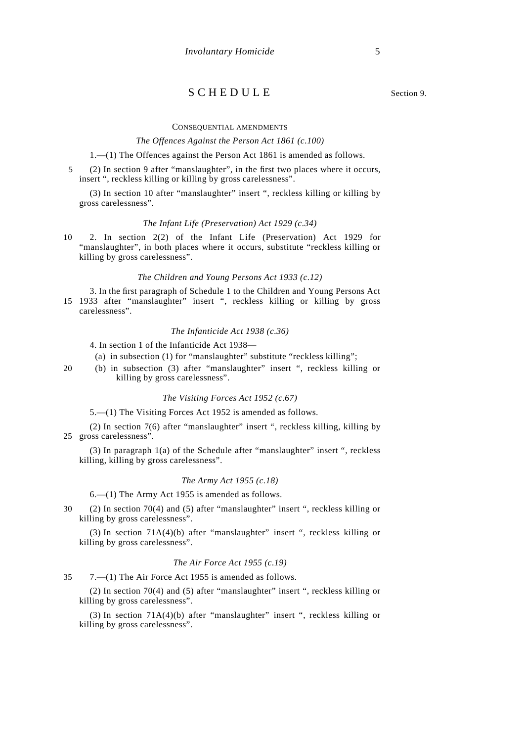#### CONSEQUENTIAL AMENDMENTS

## *The Offences Against the Person Act 1861 (c.100)*

#### 1.—(1) The Offences against the Person Act 1861 is amended as follows.

5 (2) In section 9 after "manslaughter", in the first two places where it occurs, insert ", reckless killing or killing by gross carelessness".

(3) In section 10 after "manslaughter" insert ", reckless killing or killing by gross carelessness".

#### *The Infant Life (Preservation) Act 1929 (c.34)*

10 2. In section 2(2) of the Infant Life (Preservation) Act 1929 for "manslaughter", in both places where it occurs, substitute "reckless killing or killing by gross carelessness".

#### *The Children and Young Persons Act 1933 (c.12)*

3. In the first paragraph of Schedule 1 to the Children and Young Persons Act 15 1933 after "manslaughter" insert ", reckless killing or killing by gross carelessness".

#### *The Infanticide Act 1938 (c.36)*

4. In section 1 of the Infanticide Act 1938—

- (a) in subsection (1) for "manslaughter" substitute "reckless killing";
- 20 (b) in subsection (3) after "manslaughter" insert ", reckless killing or killing by gross carelessness".

#### *The Visiting Forces Act 1952 (c.67)*

5.—(1) The Visiting Forces Act 1952 is amended as follows.

(2) In section 7(6) after "manslaughter" insert ", reckless killing, killing by 25 gross carelessness".

(3) In paragraph 1(a) of the Schedule after "manslaughter" insert ", reckless killing, killing by gross carelessness".

#### *The Army Act 1955 (c.18)*

#### 6.—(1) The Army Act 1955 is amended as follows.

30 (2) In section 70(4) and (5) after "manslaughter" insert ", reckless killing or killing by gross carelessness".

(3) In section 71A(4)(b) after "manslaughter" insert ", reckless killing or killing by gross carelessness".

#### *The Air Force Act 1955 (c.19)*

35 7.—(1) The Air Force Act 1955 is amended as follows.

(2) In section 70(4) and (5) after "manslaughter" insert ", reckless killing or killing by gross carelessness".

(3) In section 71A(4)(b) after "manslaughter" insert ", reckless killing or killing by gross carelessness".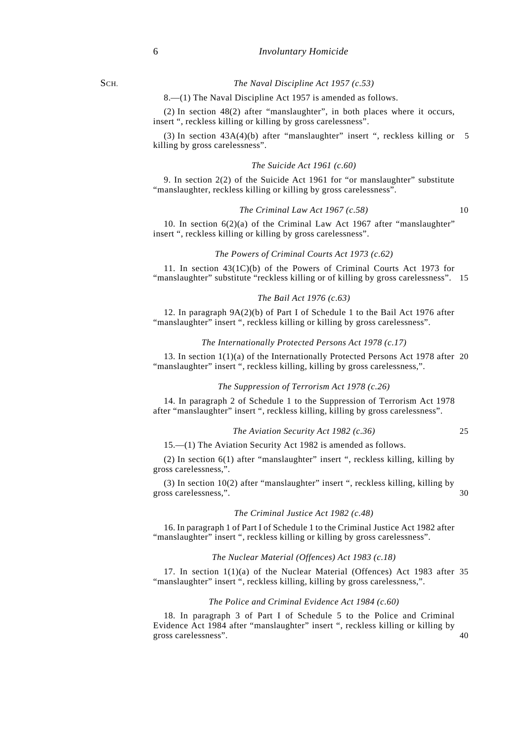#### SCH. *The Naval Discipline Act 1957 (c.53)*

#### 8.—(1) The Naval Discipline Act 1957 is amended as follows.

(2) In section 48(2) after "manslaughter", in both places where it occurs, insert ", reckless killing or killing by gross carelessness".

(3) In section  $43A(4)(b)$  after "manslaughter" insert ", reckless killing or 5 killing by gross carelessness".

#### *The Suicide Act 1961 (c.60)*

9. In section 2(2) of the Suicide Act 1961 for "or manslaughter" substitute "manslaughter, reckless killing or killing by gross carelessness".

#### *The Criminal Law Act 1967 (c.58)* 10

10. In section 6(2)(a) of the Criminal Law Act 1967 after "manslaughter" insert ", reckless killing or killing by gross carelessness".

#### *The Powers of Criminal Courts Act 1973 (c.62)*

11. In section 43(1C)(b) of the Powers of Criminal Courts Act 1973 for "manslaughter" substitute "reckless killing or of killing by gross carelessness". 15

#### *The Bail Act 1976 (c.63)*

12. In paragraph 9A(2)(b) of Part I of Schedule 1 to the Bail Act 1976 after "manslaughter" insert ", reckless killing or killing by gross carelessness".

#### *The Internationally Protected Persons Act 1978 (c.17)*

13. In section 1(1)(a) of the Internationally Protected Persons Act 1978 after 20 "manslaughter" insert ", reckless killing, killing by gross carelessness,".

#### *The Suppression of Terrorism Act 1978 (c.26)*

14. In paragraph 2 of Schedule 1 to the Suppression of Terrorism Act 1978 after "manslaughter" insert ", reckless killing, killing by gross carelessness".

#### *The Aviation Security Act 1982 (c.36)* 25

15.—(1) The Aviation Security Act 1982 is amended as follows.

(2) In section 6(1) after "manslaughter" insert ", reckless killing, killing by gross carelessness,".

(3) In section 10(2) after "manslaughter" insert ", reckless killing, killing by gross carelessness,". 30

#### *The Criminal Justice Act 1982 (c.48)*

16. In paragraph 1 of Part I of Schedule 1 to the Criminal Justice Act 1982 after "manslaughter" insert ", reckless killing or killing by gross carelessness".

#### *The Nuclear Material (Offences) Act 1983 (c.18)*

17. In section 1(1)(a) of the Nuclear Material (Offences) Act 1983 after 35 "manslaughter" insert ", reckless killing, killing by gross carelessness,".

#### *The Police and Criminal Evidence Act 1984 (c.60)*

18. In paragraph 3 of Part I of Schedule 5 to the Police and Criminal Evidence Act 1984 after "manslaughter" insert ", reckless killing or killing by gross carelessness". 40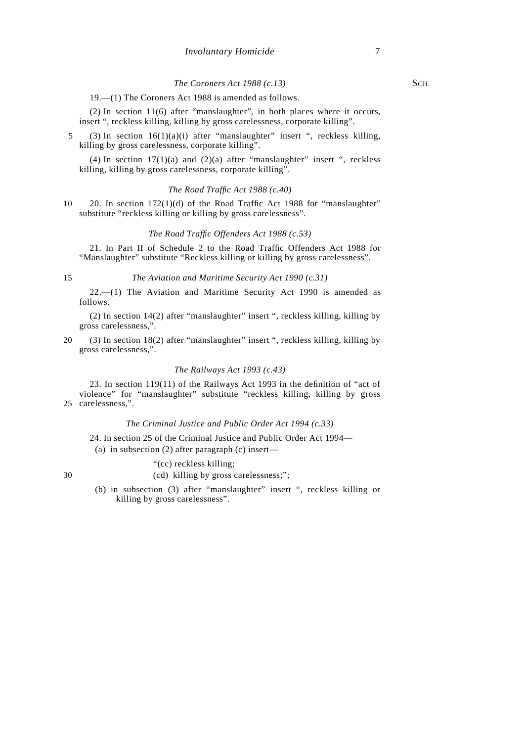*The Coroners Act 1988 (c.13)* SCH.

19.—(1) The Coroners Act 1988 is amended as follows.

(2) In section 11(6) after "manslaughter", in both places where it occurs, insert ", reckless killing, killing by gross carelessness, corporate killing".

5 (3) In section  $16(1)(a)(i)$  after "manslaughter" insert ", reckless killing, killing by gross carelessness, corporate killing".

(4) In section  $17(1)(a)$  and  $(2)(a)$  after "manslaughter" insert ", reckless killing, killing by gross carelessness, corporate killing".

#### *The Road Traffic Act 1988 (c.40)*

10 20. In section 172(1)(d) of the Road Traffic Act 1988 for "manslaughter" substitute "reckless killing or killing by gross carelessness".

#### *The Road Traffic Offenders Act 1988 (c.53)*

21. In Part II of Schedule 2 to the Road Traffic Offenders Act 1988 for "Manslaughter" substitute "Reckless killing or killing by gross carelessness".

#### 15 *The Aviation and Maritime Security Act 1990 (c.31)*

22.—(1) The Aviation and Maritime Security Act 1990 is amended as follows.

(2) In section 14(2) after "manslaughter" insert ", reckless killing, killing by gross carelessness,".

20 (3) In section 18(2) after "manslaughter" insert ", reckless killing, killing by gross carelessness,".

#### *The Railways Act 1993 (c.43)*

23. In section 119(11) of the Railways Act 1993 in the definition of "act of violence" for "manslaughter" substitute "reckless killing, killing by gross 25 carelessness,".

#### *The Criminal Justice and Public Order Act 1994 (c.33)*

24. In section 25 of the Criminal Justice and Public Order Act 1994—

(a) in subsection (2) after paragraph (c) insert—

#### "(cc) reckless killing;

30 (cd) killing by gross carelessness;";

(b) in subsection (3) after "manslaughter" insert ", reckless killing or killing by gross carelessness".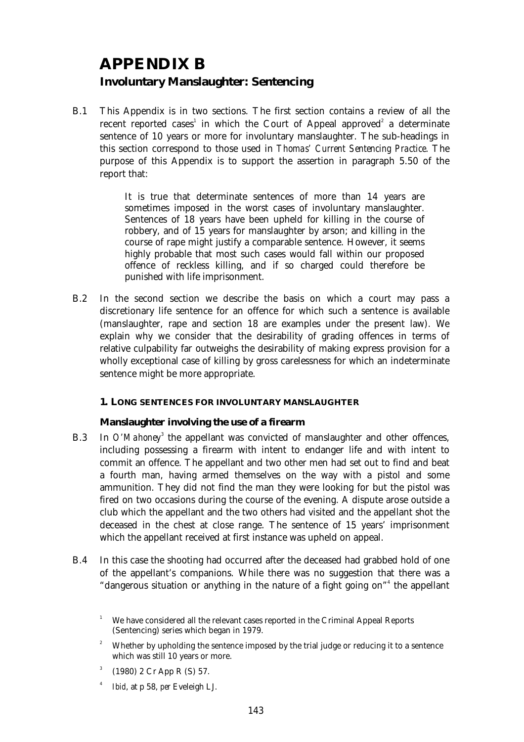# **APPENDIX B Involuntary Manslaughter: Sentencing**

 B.1 This Appendix is in two sections. The first section contains a review of all the recent reported cases<sup>1</sup> in which the Court of Appeal approved<sup>2</sup> a determinate sentence of 10 years or more for involuntary manslaughter. The sub-headings in this section correspond to those used in *Thomas' Current Sentencing Practice*. The purpose of this Appendix is to support the assertion in paragraph 5.50 of the report that:

> It is true that determinate sentences of more than 14 years are sometimes imposed in the worst cases of involuntary manslaughter. Sentences of 18 years have been upheld for killing in the course of robbery, and of 15 years for manslaughter by arson; and killing in the course of rape might justify a comparable sentence. However, it seems highly probable that most such cases would fall within our proposed offence of reckless killing, and if so charged could therefore be punished with life imprisonment.

 B.2 In the second section we describe the basis on which a court may pass a discretionary life sentence for an offence for which such a sentence is available (manslaughter, rape and section 18 are examples under the present law). We explain why we consider that the desirability of grading offences in terms of relative culpability far outweighs the desirability of making express provision for a wholly exceptional case of killing by gross carelessness for which an indeterminate sentence might be more appropriate.

## **1. LONG SENTENCES FOR INVOLUNTARY MANSLAUGHTER**

## **Manslaughter involving the use of a firearm**

- B.3 In *O'Mahoney*<sup>3</sup> the appellant was convicted of manslaughter and other offences, including possessing a firearm with intent to endanger life and with intent to commit an offence. The appellant and two other men had set out to find and beat a fourth man, having armed themselves on the way with a pistol and some ammunition. They did not find the man they were looking for but the pistol was fired on two occasions during the course of the evening. A dispute arose outside a club which the appellant and the two others had visited and the appellant shot the deceased in the chest at close range. The sentence of 15 years' imprisonment which the appellant received at first instance was upheld on appeal.
	- B.4 In this case the shooting had occurred after the deceased had grabbed hold of one of the appellant's companions. While there was no suggestion that there was a "dangerous situation or anything in the nature of a fight going on"<sup>4</sup> the appellant
		- <sup>1</sup> We have considered all the relevant cases reported in the Criminal Appeal Reports (Sentencing) series which began in 1979.
		- <sup>2</sup> Whether by upholding the sentence imposed by the trial judge or reducing it to a sentence which was still 10 years or more.
		- 3 (1980) 2 Cr App R (S) 57.
		- 4 *Ibid*, at p 58, *per* Eveleigh LJ.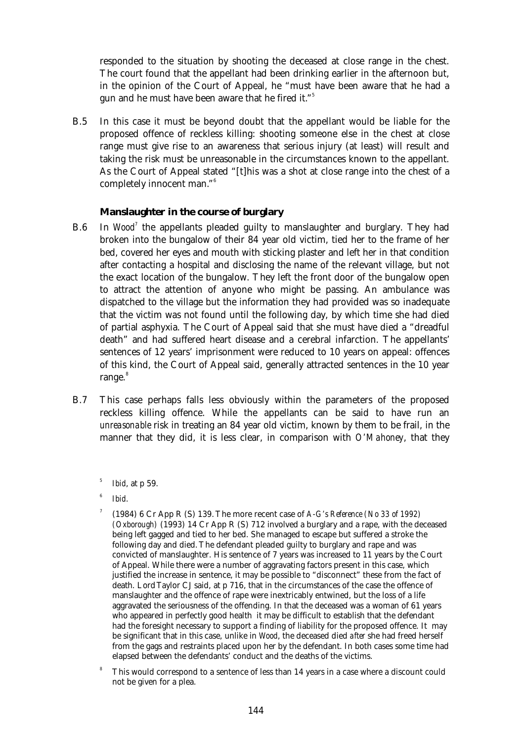responded to the situation by shooting the deceased at close range in the chest. The court found that the appellant had been drinking earlier in the afternoon but, in the opinion of the Court of Appeal, he "must have been aware that he had a gun and he must have been aware that he fired it." $^{\mathrm{5}}$ 

 B.5 In this case it must be beyond doubt that the appellant would be liable for the proposed offence of reckless killing: shooting someone else in the chest at close range must give rise to an awareness that serious injury (at least) will result and taking the risk must be unreasonable in the circumstances known to the appellant. As the Court of Appeal stated "[t]his was a shot at close range into the chest of a completely innocent man." 6

#### **Manslaughter in the course of burglary**

- B.6 In *Wood* the appellants pleaded guilty to manslaughter and burglary. They had broken into the bungalow of their 84 year old victim, tied her to the frame of her bed, covered her eyes and mouth with sticking plaster and left her in that condition after contacting a hospital and disclosing the name of the relevant village, but not the exact location of the bungalow. They left the front door of the bungalow open to attract the attention of anyone who might be passing. An ambulance was dispatched to the village but the information they had provided was so inadequate that the victim was not found until the following day, by which time she had died of partial asphyxia. The Court of Appeal said that she must have died a "dreadful death" and had suffered heart disease and a cerebral infarction. The appellants' sentences of 12 years' imprisonment were reduced to 10 years on appeal: offences of this kind, the Court of Appeal said, generally attracted sentences in the 10 year range.<sup>8</sup>
	- B.7 This case perhaps falls less obviously within the parameters of the proposed reckless killing offence. While the appellants can be said to have run an *unreasonable* risk in treating an 84 year old victim, known by them to be frail, in the manner that they did, it is less clear, in comparison with *O'Mahoney*, that they

- 6 *Ibid*.
- 7 (1984) 6 Cr App R (S) 139. The more recent case of *A-G's Reference (No 33 of 1992) (Oxborough)* (1993) 14 Cr App R (S) 712 involved a burglary and a rape, with the deceased being left gagged and tied to her bed. She managed to escape but suffered a stroke the following day and died. The defendant pleaded guilty to burglary and rape and was convicted of manslaughter. His sentence of 7 years was increased to 11 years by the Court of Appeal. While there were a number of aggravating factors present in this case, which justified the increase in sentence, it may be possible to "disconnect" these from the fact of death. Lord Taylor CJ said, at p 716, that in the circumstances of the case the offence of manslaughter and the offence of rape were inextricably entwined, but the loss of a life aggravated the seriousness of the offending. In that the deceased was a woman of 61 years who appeared in perfectly good health it may be difficult to establish that the defendant had the foresight necessary to support a finding of liability for the proposed offence. It may be significant that in this case, unlike in *Wood*, the deceased died *after* she had freed herself from the gags and restraints placed upon her by the defendant. In both cases some time had elapsed between the defendants' conduct and the deaths of the victims.
- This would correspond to a sentence of less than 14 years in a case where a discount could not be given for a plea.

<sup>5</sup> *Ibid*, at p 59.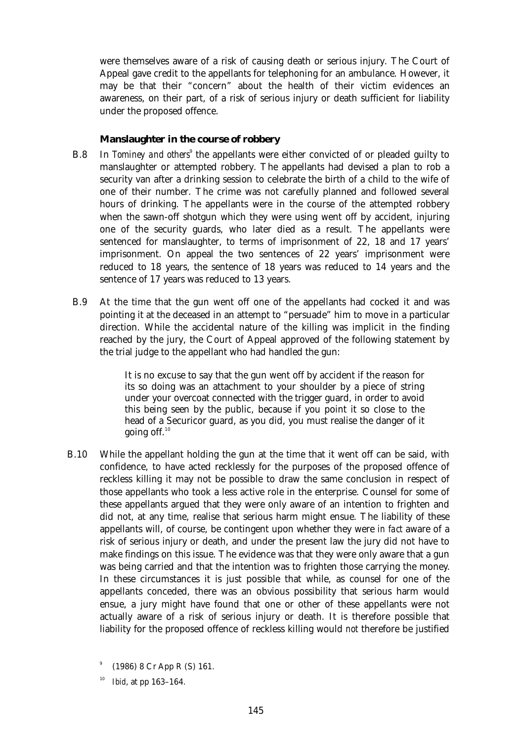were themselves aware of a risk of causing death or serious injury. The Court of Appeal gave credit to the appellants for telephoning for an ambulance. However, it may be that their "concern" about the health of their victim evidences an awareness, on their part, of a risk of serious injury or death sufficient for liability under the proposed offence.

#### **Manslaughter in the course of robbery**

- B.8 In *Tominey and others*<sup>9</sup> the appellants were either convicted of or pleaded guilty to manslaughter or attempted robbery. The appellants had devised a plan to rob a security van after a drinking session to celebrate the birth of a child to the wife of one of their number. The crime was not carefully planned and followed several hours of drinking. The appellants were in the course of the attempted robbery when the sawn-off shotgun which they were using went off by accident, injuring one of the security guards, who later died as a result. The appellants were sentenced for manslaughter, to terms of imprisonment of 22, 18 and 17 years' imprisonment. On appeal the two sentences of 22 years' imprisonment were reduced to 18 years, the sentence of 18 years was reduced to 14 years and the sentence of 17 years was reduced to 13 years.
	- B.9 At the time that the gun went off one of the appellants had cocked it and was pointing it at the deceased in an attempt to "persuade" him to move in a particular direction. While the accidental nature of the killing was implicit in the finding reached by the jury, the Court of Appeal approved of the following statement by the trial judge to the appellant who had handled the gun:

It is no excuse to say that the gun went off by accident if the reason for its so doing was an attachment to your shoulder by a piece of string under your overcoat connected with the trigger guard, in order to avoid this being seen by the public, because if you point it so close to the head of a Securicor guard, as you did, you must realise the danger of it going off. $10$ 

 B.10 While the appellant holding the gun at the time that it went off can be said, with confidence, to have acted recklessly for the purposes of the proposed offence of reckless killing it may not be possible to draw the same conclusion in respect of those appellants who took a less active role in the enterprise. Counsel for some of these appellants argued that they were only aware of an intention to frighten and did not, at any time, realise that serious harm might ensue. The liability of these appellants will, of course, be contingent upon whether they were *in fact* aware of a risk of serious injury or death, and under the present law the jury did not have to make findings on this issue. The evidence was that they were only aware that a gun was being carried and that the intention was to frighten those carrying the money. In these circumstances it is just possible that while, as counsel for one of the appellants conceded, there was an obvious possibility that serious harm would ensue, a jury might have found that one or other of these appellants were not actually aware of a risk of serious injury or death. It is therefore possible that liability for the proposed offence of reckless killing would *not* therefore be justified

<sup>9</sup> (1986) 8 Cr App R (S) 161.

<sup>10</sup> *Ibid*, at pp 163–164.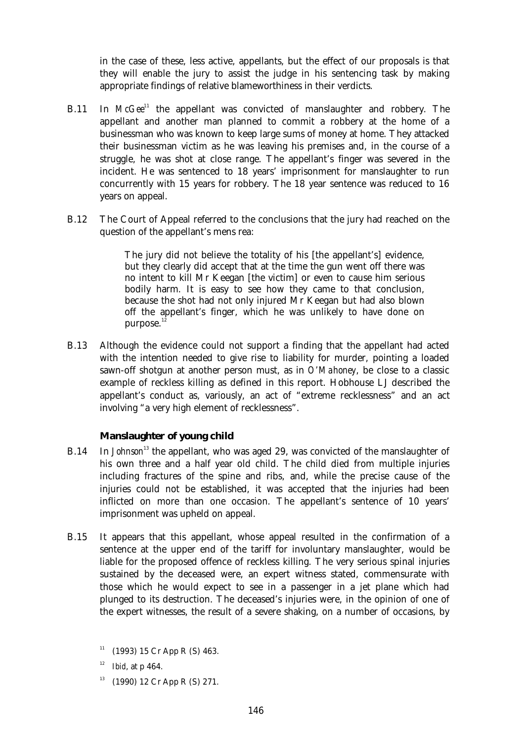in the case of these, less active, appellants, but the effect of our proposals is that they will enable the jury to assist the judge in his sentencing task by making appropriate findings of relative blameworthiness in their verdicts.

- B.11 In *McGee*<sup>11</sup> the appellant was convicted of manslaughter and robbery. The appellant and another man planned to commit a robbery at the home of a businessman who was known to keep large sums of money at home. They attacked their businessman victim as he was leaving his premises and, in the course of a struggle, he was shot at close range. The appellant's finger was severed in the incident. He was sentenced to 18 years' imprisonment for manslaughter to run concurrently with 15 years for robbery. The 18 year sentence was reduced to 16 years on appeal.
- B.12 The Court of Appeal referred to the conclusions that the jury had reached on the question of the appellant's mens rea:

The jury did not believe the totality of his [the appellant's] evidence, but they clearly did accept that at the time the gun went off there was no intent to kill Mr Keegan [the victim] or even to cause him serious bodily harm. It is easy to see how they came to that conclusion, because the shot had not only injured Mr Keegan but had also blown off the appellant's finger, which he was unlikely to have done on purpose.<sup>12</sup>

 B.13 Although the evidence could not support a finding that the appellant had acted with the intention needed to give rise to liability for murder, pointing a loaded sawn-off shotgun at another person must, as in *O'Mahoney*, be close to a classic example of reckless killing as defined in this report. Hobhouse LJ described the appellant's conduct as, variously, an act of "extreme recklessness" and an act involving "a very high element of recklessness".

## **Manslaughter of young child**

- B.14 In *Johnson*<sup>13</sup> the appellant, who was aged 29, was convicted of the manslaughter of his own three and a half year old child. The child died from multiple injuries including fractures of the spine and ribs, and, while the precise cause of the injuries could not be established, it was accepted that the injuries had been inflicted on more than one occasion. The appellant's sentence of 10 years' imprisonment was upheld on appeal.
- B.15 It appears that this appellant, whose appeal resulted in the confirmation of a sentence at the upper end of the tariff for involuntary manslaughter, would be liable for the proposed offence of reckless killing. The very serious spinal injuries sustained by the deceased were, an expert witness stated, commensurate with those which he would expect to see in a passenger in a jet plane which had plunged to its destruction. The deceased's injuries were, in the opinion of one of the expert witnesses, the result of a severe shaking, on a number of occasions, by

 $13$  (1990) 12 Cr App R (S) 271.

 $11$  (1993) 15 Cr App R (S) 463.

 $12$  *Ibid*, at p 464.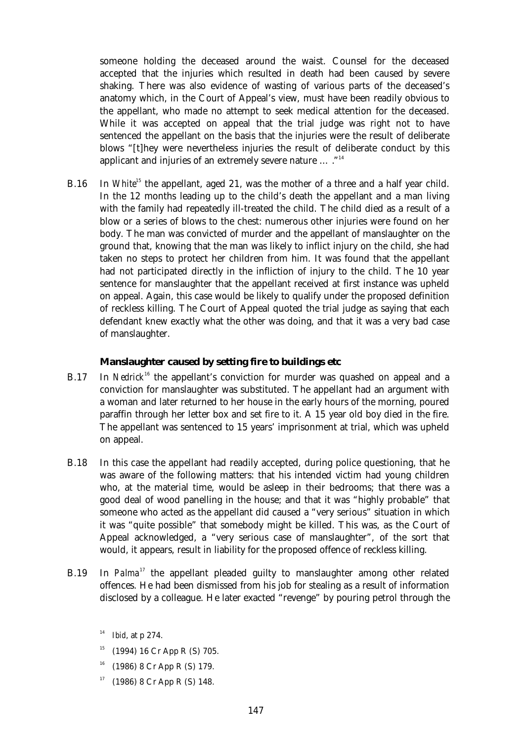someone holding the deceased around the waist. Counsel for the deceased accepted that the injuries which resulted in death had been caused by severe shaking. There was also evidence of wasting of various parts of the deceased's anatomy which, in the Court of Appeal's view, must have been readily obvious to the appellant, who made no attempt to seek medical attention for the deceased. While it was accepted on appeal that the trial judge was right not to have sentenced the appellant on the basis that the injuries were the result of deliberate blows "[t]hey were nevertheless injuries the result of deliberate conduct by this applicant and injuries of an extremely severe nature  $\ldots$  ."<sup>14</sup>

B.16 In *White*<sup>15</sup> the appellant, aged 21, was the mother of a three and a half year child. In the 12 months leading up to the child's death the appellant and a man living with the family had repeatedly ill-treated the child. The child died as a result of a blow or a series of blows to the chest: numerous other injuries were found on her body. The man was convicted of murder and the appellant of manslaughter on the ground that, knowing that the man was likely to inflict injury on the child, she had taken no steps to protect her children from him. It was found that the appellant had not participated directly in the infliction of injury to the child. The 10 year sentence for manslaughter that the appellant received at first instance was upheld on appeal. Again, this case would be likely to qualify under the proposed definition of reckless killing. The Court of Appeal quoted the trial judge as saying that each defendant knew exactly what the other was doing, and that it was a very bad case of manslaughter.

#### **Manslaughter caused by setting fire to buildings etc**

- B.17 In *Nedrick*<sup>16</sup> the appellant's conviction for murder was quashed on appeal and a conviction for manslaughter was substituted. The appellant had an argument with a woman and later returned to her house in the early hours of the morning, poured paraffin through her letter box and set fire to it. A 15 year old boy died in the fire. The appellant was sentenced to 15 years' imprisonment at trial, which was upheld on appeal.
- B.18 In this case the appellant had readily accepted, during police questioning, that he was aware of the following matters: that his intended victim had young children who, at the material time, would be asleep in their bedrooms; that there was a good deal of wood panelling in the house; and that it was "highly probable" that someone who acted as the appellant did caused a "very serious" situation in which it was "quite possible" that somebody might be killed. This was, as the Court of Appeal acknowledged, a "very serious case of manslaughter", of the sort that would, it appears, result in liability for the proposed offence of reckless killing.
- B.19 In *Palma*<sup>17</sup> the appellant pleaded guilty to manslaughter among other related offences. He had been dismissed from his job for stealing as a result of information disclosed by a colleague. He later exacted "revenge" by pouring petrol through the
	- <sup>14</sup> *Ibid*, at p 274.
	- $15$  (1994) 16 Cr App R (S) 705.
	- $16$  (1986) 8 Cr App R (S) 179.
	- <sup>17</sup> (1986) 8 Cr App R (S) 148.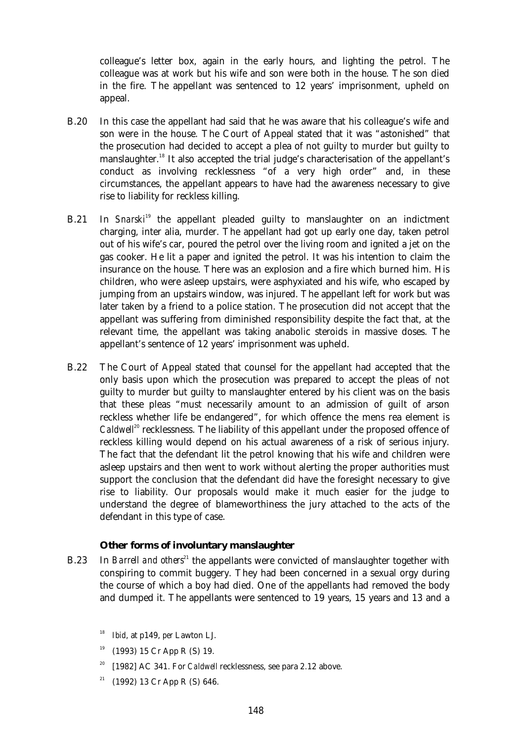colleague's letter box, again in the early hours, and lighting the petrol. The colleague was at work but his wife and son were both in the house. The son died in the fire. The appellant was sentenced to 12 years' imprisonment, upheld on appeal.

- B.20 In this case the appellant had said that he was aware that his colleague's wife and son were in the house. The Court of Appeal stated that it was "astonished" that the prosecution had decided to accept a plea of not guilty to murder but guilty to manslaughter.<sup>18</sup> It also accepted the trial judge's characterisation of the appellant's conduct as involving recklessness "of a very high order" and, in these circumstances, the appellant appears to have had the awareness necessary to give rise to liability for reckless killing.
- B.21 In *Snarski*<sup>19</sup> the appellant pleaded guilty to manslaughter on an indictment charging, inter alia, murder. The appellant had got up early one day, taken petrol out of his wife's car, poured the petrol over the living room and ignited a jet on the gas cooker. He lit a paper and ignited the petrol. It was his intention to claim the insurance on the house. There was an explosion and a fire which burned him. His children, who were asleep upstairs, were asphyxiated and his wife, who escaped by jumping from an upstairs window, was injured. The appellant left for work but was later taken by a friend to a police station. The prosecution did not accept that the appellant was suffering from diminished responsibility despite the fact that, at the relevant time, the appellant was taking anabolic steroids in massive doses. The appellant's sentence of 12 years' imprisonment was upheld.
- B.22 The Court of Appeal stated that counsel for the appellant had accepted that the only basis upon which the prosecution was prepared to accept the pleas of not guilty to murder but guilty to manslaughter entered by his client was on the basis that these pleas "must necessarily amount to an admission of guilt of arson reckless whether life be endangered", for which offence the mens rea element is *Caldwell*<sup><sup>o</sup> recklessness. The liability of this appellant under the proposed offence of</sup> reckless killing would depend on his actual awareness of a risk of serious injury. The fact that the defendant lit the petrol knowing that his wife and children were asleep upstairs and then went to work without alerting the proper authorities must support the conclusion that the defendant *did* have the foresight necessary to give rise to liability. Our proposals would make it much easier for the judge to understand the degree of blameworthiness the jury attached to the acts of the defendant in this type of case.

#### **Other forms of involuntary manslaughter**

- B.23 In *Barrell and others*<sup>21</sup> the appellants were convicted of manslaughter together with conspiring to commit buggery. They had been concerned in a sexual orgy during the course of which a boy had died. One of the appellants had removed the body and dumped it. The appellants were sentenced to 19 years, 15 years and 13 and a
	- <sup>18</sup> *Ibid*, at p149, *per* Lawton LJ.
	- $19$  (1993) 15 Cr App R (S) 19.
	- <sup>20</sup> [1982] AC 341. For *Caldwell* recklessness, see para 2.12 above.
	- <sup>21</sup> (1992) 13 Cr App R (S) 646.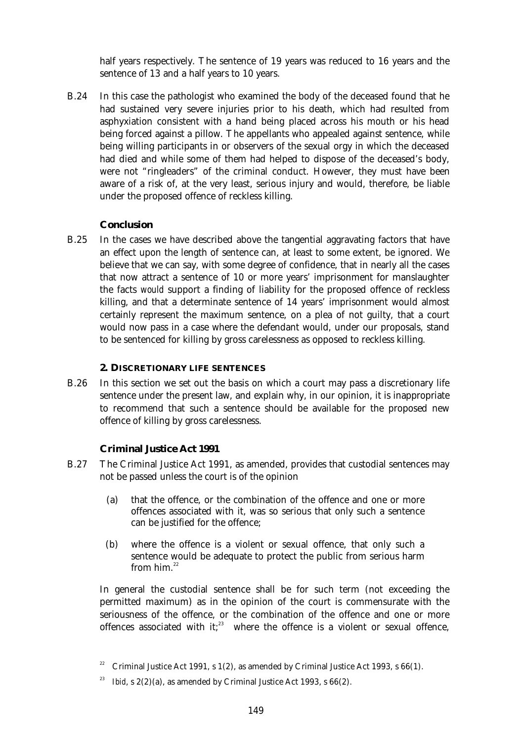half years respectively. The sentence of 19 years was reduced to 16 years and the sentence of 13 and a half years to 10 years.

 B.24 In this case the pathologist who examined the body of the deceased found that he had sustained very severe injuries prior to his death, which had resulted from asphyxiation consistent with a hand being placed across his mouth or his head being forced against a pillow. The appellants who appealed against sentence, while being willing participants in or observers of the sexual orgy in which the deceased had died and while some of them had helped to dispose of the deceased's body, were not "ringleaders" of the criminal conduct. However, they must have been aware of a risk of, at the very least, serious injury and would, therefore, be liable under the proposed offence of reckless killing.

## **Conclusion**

 B.25 In the cases we have described above the tangential aggravating factors that have an effect upon the length of sentence can, at least to some extent, be ignored. We believe that we can say, with some degree of confidence, that in nearly all the cases that now attract a sentence of 10 or more years' imprisonment for manslaughter the facts *would* support a finding of liability for the proposed offence of reckless killing, and that a determinate sentence of 14 years' imprisonment would almost certainly represent the maximum sentence, on a plea of not guilty, that a court would now pass in a case where the defendant would, under our proposals, stand to be sentenced for killing by gross carelessness as opposed to reckless killing.

#### **2. DISCRETIONARY LIFE SENTENCES**

 B.26 In this section we set out the basis on which a court may pass a discretionary life sentence under the present law, and explain why, in our opinion, it is inappropriate to recommend that such a sentence should be available for the proposed new offence of killing by gross carelessness.

## **Criminal Justice Act 1991**

- B.27 The Criminal Justice Act 1991, as amended, provides that custodial sentences may not be passed unless the court is of the opinion
	- (a) that the offence, or the combination of the offence and one or more offences associated with it, was so serious that only such a sentence can be justified for the offence;
	- (b) where the offence is a violent or sexual offence, that only such a sentence would be adequate to protect the public from serious harm from  $\lim_{z \to 2}$

In general the custodial sentence shall be for such term (not exceeding the permitted maximum) as in the opinion of the court is commensurate with the seriousness of the offence, or the combination of the offence and one or more offences associated with it;<sup>23</sup> where the offence is a violent or sexual offence,

<sup>&</sup>lt;sup>22</sup> Criminal Justice Act 1991, s 1(2), as amended by Criminal Justice Act 1993, s 66(1).

<sup>&</sup>lt;sup>23</sup> *Ibid,* s  $2(2)(a)$ , as amended by Criminal Justice Act 1993, s  $66(2)$ .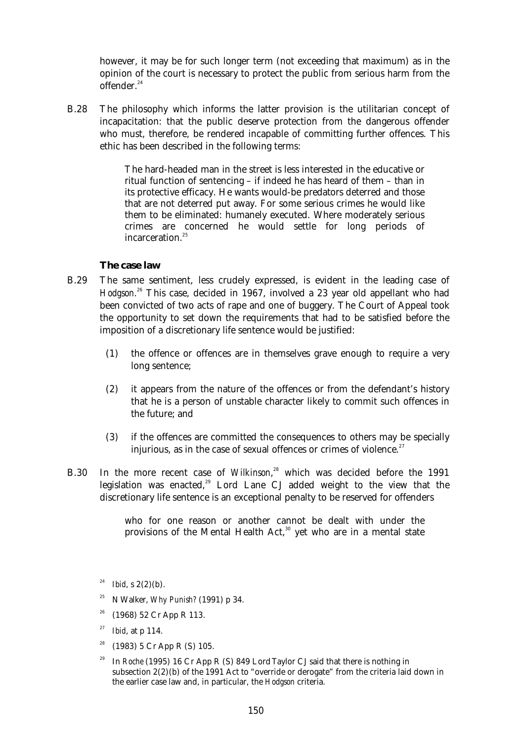however, it may be for such longer term (not exceeding that maximum) as in the opinion of the court is necessary to protect the public from serious harm from the offender.<sup>24</sup>

 B.28 The philosophy which informs the latter provision is the utilitarian concept of incapacitation: that the public deserve protection from the dangerous offender who must, therefore, be rendered incapable of committing further offences. This ethic has been described in the following terms:

> The hard-headed man in the street is less interested in the educative or ritual function of sentencing – if indeed he has heard of them – than in its protective efficacy. He wants would-be predators deterred and those that are not deterred put away. For some serious crimes he would like them to be eliminated: humanely executed. Where moderately serious crimes are concerned he would settle for long periods of incarceration.<sup>25</sup>

#### **The case law**

- B.29 The same sentiment, less crudely expressed, is evident in the leading case of *Hodgson*. <sup>26</sup> This case, decided in 1967, involved a 23 year old appellant who had been convicted of two acts of rape and one of buggery. The Court of Appeal took the opportunity to set down the requirements that had to be satisfied before the imposition of a discretionary life sentence would be justified:
	- (1) the offence or offences are in themselves grave enough to require a very long sentence;
	- (2) it appears from the nature of the offences or from the defendant's history that he is a person of unstable character likely to commit such offences in the future; and
	- (3) if the offences are committed the consequences to others may be specially injurious, as in the case of sexual offences or crimes of violence. $27$
- B.30 In the more recent case of *Wilkinson*,<sup>28</sup> which was decided before the 1991 legislation was enacted, $29$  Lord Lane CJ added weight to the view that the discretionary life sentence is an exceptional penalty to be reserved for offenders

who for one reason or another cannot be dealt with under the provisions of the Mental Health Act,<sup>30</sup> yet who are in a mental state

<sup>24</sup> *Ibid*, s 2(2)(b).

- <sup>25</sup> N Walker, *Why Punish?* (1991) p 34.
- $26$  (1968) 52 Cr App R 113.
- <sup>27</sup> *Ibid*, at p 114.
- <sup>28</sup> (1983) 5 Cr App R (S) 105.
- <sup>29</sup> In *Roche* (1995) 16 Cr App R (S) 849 Lord Taylor CJ said that there is nothing in subsection  $2(2)(b)$  of the 1991 Act to "override or derogate" from the criteria laid down in the earlier case law and, in particular, the *Hodgson* criteria.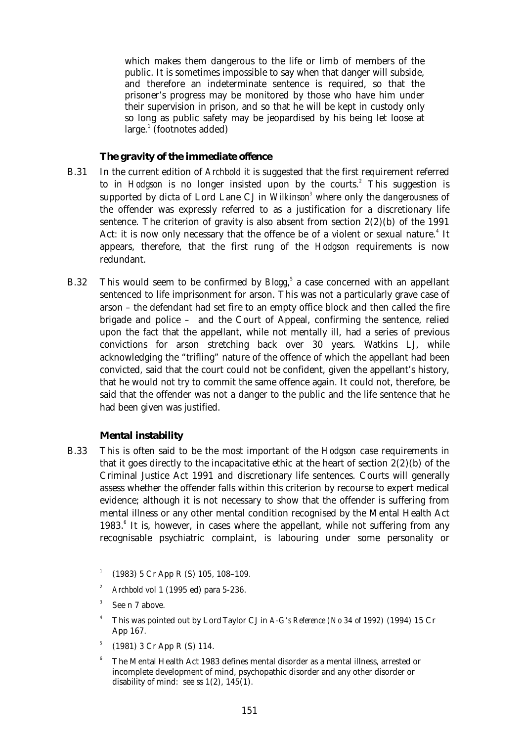which makes them dangerous to the life or limb of members of the public. It is sometimes impossible to say when that danger will subside, and therefore an indeterminate sentence is required, so that the prisoner's progress may be monitored by those who have him under their supervision in prison, and so that he will be kept in custody only so long as public safety may be jeopardised by his being let loose at  $large<sup>1</sup>$  (footnotes added)

#### *The gravity of the immediate offence*

- B.31 In the current edition of *Archbold* it is suggested that the first requirement referred to in *Hodgson* is no longer insisted upon by the courts.<sup>2</sup> This suggestion is supported by dicta of Lord Lane CJ in *Wilkinson<sup>3</sup>* where only the *dangerousness* of the offender was expressly referred to as a justification for a discretionary life sentence. The criterion of gravity is also absent from section  $2(2)(b)$  of the 1991 Act: it is now only necessary that the offence be of a violent or sexual nature.<sup>4</sup> It appears, therefore, that the first rung of the *Hodgson* requirements is now redundant.
- B.32 This would seem to be confirmed by *Blogg*,<sup>5</sup> a case concerned with an appellant sentenced to life imprisonment for arson. This was not a particularly grave case of arson – the defendant had set fire to an empty office block and then called the fire brigade and police – and the Court of Appeal, confirming the sentence, relied upon the fact that the appellant, while not mentally ill, had a series of previous convictions for arson stretching back over 30 years. Watkins LJ, while acknowledging the "trifling" nature of the offence of which the appellant had been convicted, said that the court could not be confident, given the appellant's history, that he would not try to commit the same offence again. It could not, therefore, be said that the offender was not a danger to the public and the life sentence that he had been given was justified.

## *Mental instability*

- B.33 This is often said to be the most important of the *Hodgson* case requirements in that it goes directly to the incapacitative ethic at the heart of section 2(2)(b) of the Criminal Justice Act 1991 and discretionary life sentences. Courts will generally assess whether the offender falls within this criterion by recourse to expert medical evidence; although it is not necessary to show that the offender is suffering from mental illness or any other mental condition recognised by the Mental Health Act 1983.<sup>6</sup> It is, however, in cases where the appellant, while not suffering from any recognisable psychiatric complaint, is labouring under some personality or
	- 1 (1983) 5 Cr App R (S) 105, 108–109.
	- <sup>2</sup> *Archbold* vol 1 (1995 ed) para 5-236.
	- 3 See n 7 above.
	- <sup>4</sup> This was pointed out by Lord Taylor CJ in *A-G's Reference (No 34 of 1992)* (1994) 15 Cr App 167.
	- 5 (1981) 3 Cr App R (S) 114.
	- <sup>6</sup> The Mental Health Act 1983 defines mental disorder as a mental illness, arrested or incomplete development of mind, psychopathic disorder and any other disorder or disability of mind: see ss  $1(2)$ ,  $145(1)$ .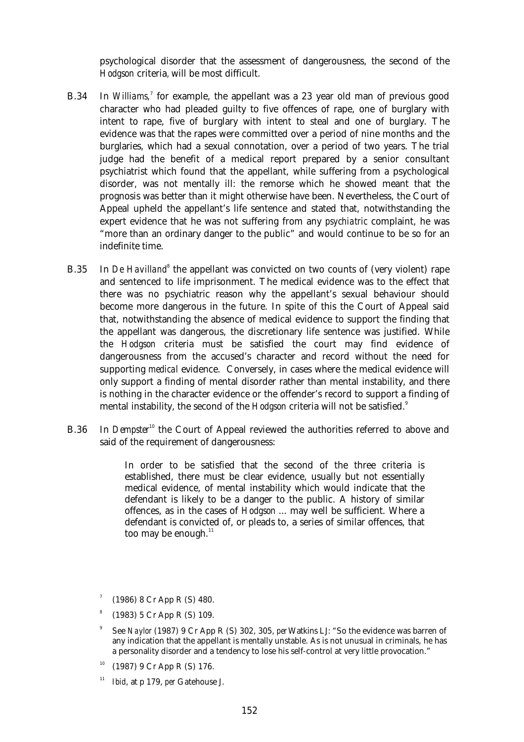psychological disorder that the assessment of dangerousness, the second of the *Hodgson* criteria*,* will be most difficult.

- B.34 In *Williams*,<sup>7</sup> for example, the appellant was a 23 year old man of previous good character who had pleaded guilty to five offences of rape, one of burglary with intent to rape, five of burglary with intent to steal and one of burglary. The evidence was that the rapes were committed over a period of nine months and the burglaries, which had a sexual connotation, over a period of two years. The trial judge had the benefit of a medical report prepared by a senior consultant psychiatrist which found that the appellant, while suffering from a psychological disorder, was not mentally ill: the remorse which he showed meant that the prognosis was better than it might otherwise have been. Nevertheless, the Court of Appeal upheld the appellant's life sentence and stated that, notwithstanding the expert evidence that he was not suffering from any *psychiatric* complaint, he was "more than an ordinary danger to the public" and would continue to be so for an indefinite time.
- B.35 In *De Havilland*<sup>8</sup> the appellant was convicted on two counts of (very violent) rape and sentenced to life imprisonment. The medical evidence was to the effect that there was no psychiatric reason why the appellant's sexual behaviour should become more dangerous in the future. In spite of this the Court of Appeal said that, notwithstanding the absence of medical evidence to support the finding that the appellant was dangerous, the discretionary life sentence was justified. While the *Hodgson* criteria must be satisfied the court may find evidence of dangerousness from the accused's character and record without the need for supporting *medical* evidence. Conversely, in cases where the medical evidence will only support a finding of mental disorder rather than mental instability, and there is nothing in the character evidence or the offender's record to support a finding of mental instability, the second of the *Hodgson* criteria will not be satisfied.<sup>9</sup>
	- B.36 In *Dempster*<sup>10</sup> the Court of Appeal reviewed the authorities referred to above and said of the requirement of dangerousness:

In order to be satisfied that the second of the three criteria is established, there must be clear evidence, usually but not essentially medical evidence, of mental instability which would indicate that the defendant is likely to be a danger to the public. A history of similar offences, as in the cases of *Hodgson* ... may well be sufficient. Where a defendant is convicted of, or pleads to, a series of similar offences, that too may be enough. $^{11}$ 

- 7 (1986) 8 Cr App R (S) 480.
- 8 (1983) 5 Cr App R (S) 109.
- 9 See *Naylor* (1987) 9 Cr App R (S) 302, 305, *per* Watkins LJ: "So the evidence was barren of any indication that the appellant is mentally unstable. As is not unusual in criminals, he has a personality disorder and a tendency to lose his self-control at very little provocation."
- $10$  (1987) 9 Cr App R (S) 176.
- <sup>11</sup> *Ibid*, at p 179, *per* Gatehouse J.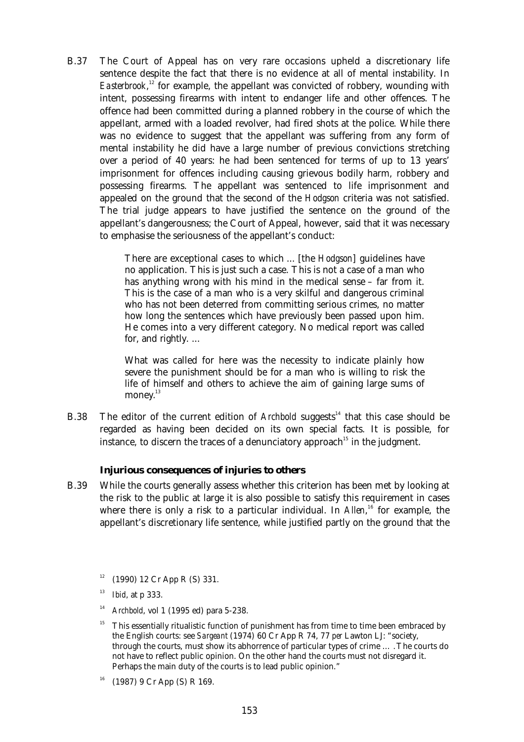B.37 The Court of Appeal has on very rare occasions upheld a discretionary life sentence despite the fact that there is no evidence at all of mental instability. In *Easterbrook*,<sup>12</sup> for example, the appellant was convicted of robbery, wounding with intent, possessing firearms with intent to endanger life and other offences. The offence had been committed during a planned robbery in the course of which the appellant, armed with a loaded revolver, had fired shots at the police. While there was no evidence to suggest that the appellant was suffering from any form of mental instability he did have a large number of previous convictions stretching over a period of 40 years: he had been sentenced for terms of up to 13 years' imprisonment for offences including causing grievous bodily harm, robbery and possessing firearms. The appellant was sentenced to life imprisonment and appealed on the ground that the second of the *Hodgson* criteria was not satisfied. The trial judge appears to have justified the sentence on the ground of the appellant's dangerousness; the Court of Appeal, however, said that it was necessary to emphasise the seriousness of the appellant's conduct:

> There are exceptional cases to which ... [the *Hodgson*] guidelines have no application. This is just such a case. This is not a case of a man who has anything wrong with his mind in the medical sense – far from it. This is the case of a man who is a very skilful and dangerous criminal who has not been deterred from committing serious crimes, no matter how long the sentences which have previously been passed upon him. He comes into a very different category. No medical report was called for, and rightly. ...

> What was called for here was the necessity to indicate plainly how severe the punishment should be for a man who is willing to risk the life of himself and others to achieve the aim of gaining large sums of money. 13

B.38 The editor of the current edition of *Archbold* suggests<sup>14</sup> that this case should be regarded as having been decided on its own special facts. It is possible, for instance, to discern the traces of a denunciatory approach<sup>15</sup> in the judgment.

## *Injurious consequences of injuries to others*

- B.39 While the courts generally assess whether this criterion has been met by looking at the risk to the public at large it is also possible to satisfy this requirement in cases where there is only a risk to a particular individual. In *Allen*, <sup>16</sup> for example, the appellant's discretionary life sentence, while justified partly on the ground that the
	- $12$  (1990) 12 Cr App R (S) 331.
	- <sup>13</sup> *Ibid*, at p 333.
	- <sup>14</sup> *Archbold*, vol 1 (1995 ed) para 5-238.
	- <sup>15</sup> This essentially ritualistic function of punishment has from time to time been embraced by the English courts: see *Sargeant* (1974) 60 Cr App R 74, 77 *per* Lawton LJ: "society, through the courts, must show its abhorrence of particular types of crime … . The courts do not have to reflect public opinion. On the other hand the courts must not disregard it. Perhaps the main duty of the courts is to lead public opinion."
	- $16$  (1987) 9 Cr App (S) R 169.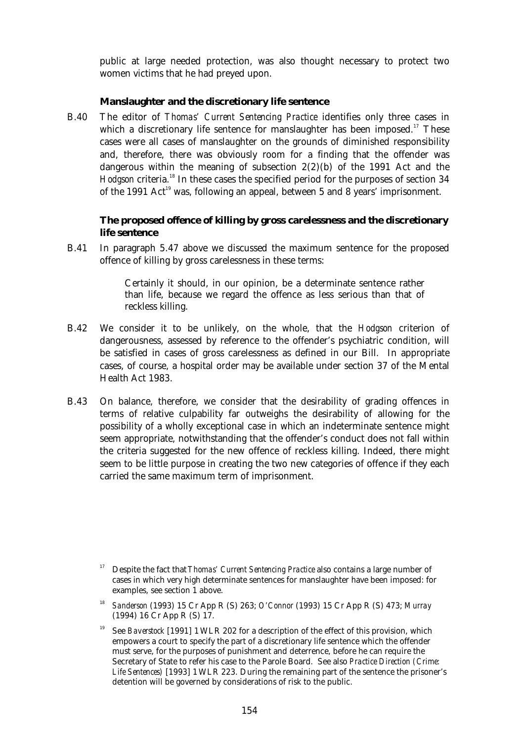public at large needed protection, was also thought necessary to protect two women victims that he had preyed upon.

#### **Manslaughter and the discretionary life sentence**

 B.40 The editor of *Thomas' Current Sentencing Practice* identifies only three cases in which a discretionary life sentence for manslaughter has been imposed.<sup>17</sup> These cases were all cases of manslaughter on the grounds of diminished responsibility and, therefore, there was obviously room for a finding that the offender was dangerous within the meaning of subsection  $2(2)(b)$  of the 1991 Act and the *Hodgson* criteria.<sup>18</sup> In these cases the specified period for the purposes of section 34 of the 1991 Act<sup>19</sup> was, following an appeal, between 5 and 8 years' imprisonment.

## **The proposed offence of killing by gross carelessness and the discretionary life sentence**

 B.41 In paragraph 5.47 above we discussed the maximum sentence for the proposed offence of killing by gross carelessness in these terms:

> Certainly it should, in our opinion, be a determinate sentence rather than life, because we regard the offence as less serious than that of reckless killing.

- B.42 We consider it to be unlikely, on the whole, that the *Hodgson* criterion of dangerousness, assessed by reference to the offender's psychiatric condition, will be satisfied in cases of gross carelessness as defined in our Bill. In appropriate cases, of course, a hospital order may be available under section 37 of the Mental Health Act 1983.
- B.43 On balance, therefore, we consider that the desirability of grading offences in terms of relative culpability far outweighs the desirability of allowing for the possibility of a wholly exceptional case in which an indeterminate sentence might seem appropriate, notwithstanding that the offender's conduct does not fall within the criteria suggested for the new offence of reckless killing. Indeed, there might seem to be little purpose in creating the two new categories of offence if they each carried the same maximum term of imprisonment.

<sup>&</sup>lt;sup>17</sup> Despite the fact that *Thomas' Current Sentencing Practice* also contains a large number of cases in which very high determinate sentences for manslaughter have been imposed: for examples, see section 1 above.

<sup>18</sup> *Sanderson* (1993) 15 Cr App R (S) 263; *O'Connor* (1993) 15 Cr App R (S) 473; *Murray* (1994) 16 Cr App R (S) 17.

<sup>19</sup> See *Baverstock* [1991] 1 WLR 202 for a description of the effect of this provision, which empowers a court to specify the part of a discretionary life sentence which the offender must serve, for the purposes of punishment and deterrence, before he can require the Secretary of State to refer his case to the Parole Board. See also *Practice Direction (Crime: Life Sentences)* [1993] 1 WLR 223. During the remaining part of the sentence the prisoner's detention will be governed by considerations of risk to the public.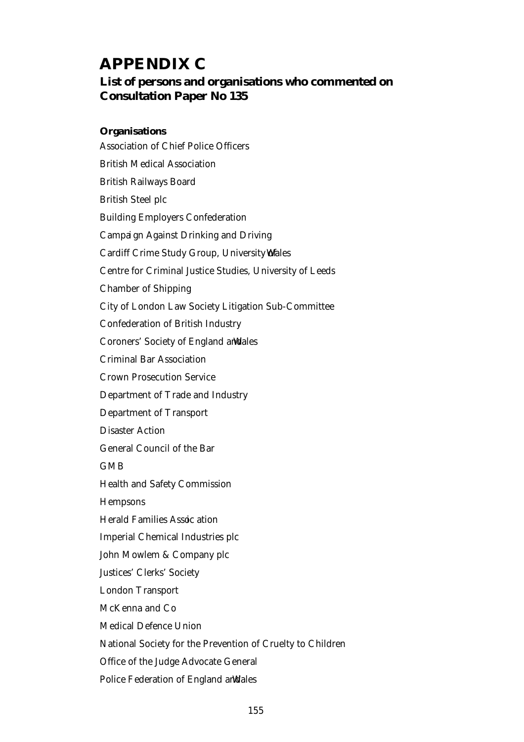# **APPENDIX C**

## **List of persons and organisations who commented on Consultation Paper No 135**

#### **Organisations**

Association of Chief Police Officers British Medical Association British Railways Board British Steel plc Building Employers Confederation Campai gn Against Drinking and Driving Cardiff Crime Study Group, University Wales Centre for Criminal Justice Studies, University of Leeds Chamber of Shipping City of London Law Society Litigation Sub-Committee Confederation of British Industry Coroners' Society of England and ales Criminal Bar Association Crown Prosecution Service Department of Trade and Industry Department of Transport Disaster Action General Council of the Bar GMB Health and Safety Commission Hempsons Herald Families Assoc ation Imperial Chemical Industries plc John Mowlem & Company plc Justices' Clerks' Society London Transport McKenna and Co Medical Defence Union National Society for the Prevention of Cruelty to Children Office of the Judge Advocate General Police Federation of England and Vales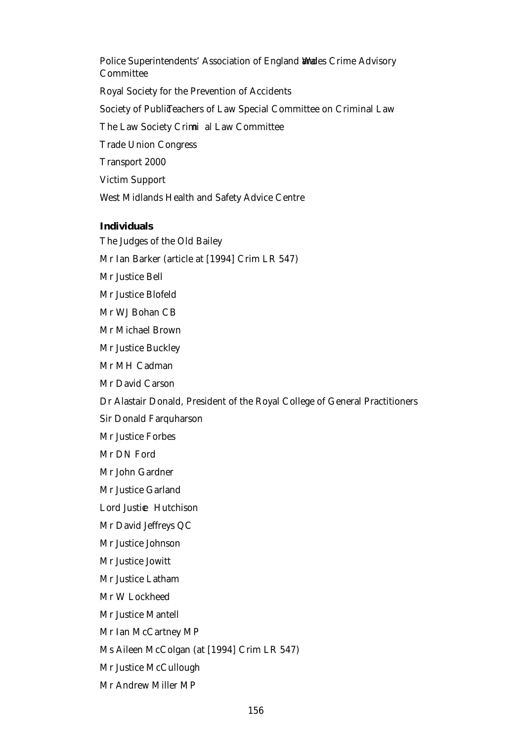Police Superintendents' Association of England Wales Crime Advisory **Committee** Royal Society for the Prevention of Accidents Society of Publideachers of Law Special Committee on Criminal Law The Law Society Crimi al Law Committee Trade Union Congress Transport 2000 Victim Support West Midlands Health and Safety Advice Centre **Individuals** The Judges of the Old Bailey

Mr Ian Barker (article at [1994] Crim LR 547) Mr Justice Bell Mr Justice Blofeld Mr WJ Bohan CB Mr Michael Brown Mr Justice Buckley Mr MH Cadman Mr David Carson Dr Alastair Donald, President of the Royal College of General Practitioners Sir Donald Farquharson Mr Justice Forbes Mr DN Ford Mr John Gardner Mr Justice Garland Lord Justic Hutchison Mr David Jeffreys QC Mr Justice Johnson Mr Justice Jowitt Mr Justice Latham Mr W Lockheed Mr Justice Mantell Mr Ian McCartney MP Ms Aileen McColgan (at [1994] Crim LR 547) Mr Justice McCullough Mr Andrew Miller MP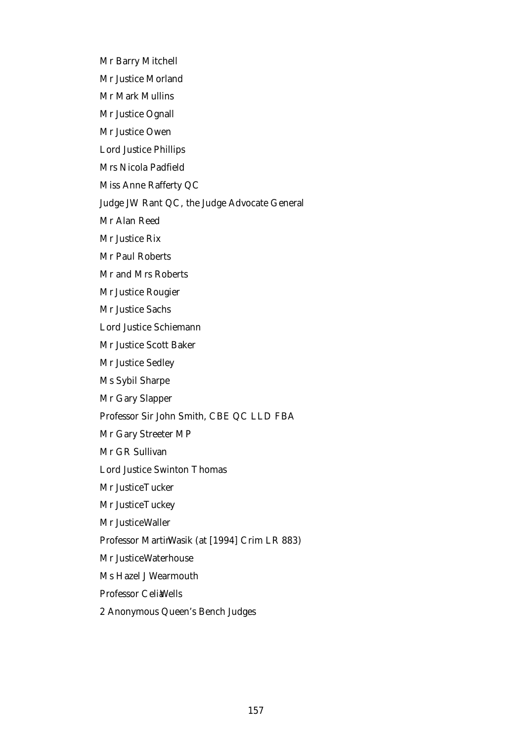Mr Barry Mitchell

Mr Justice Morland

Mr Mark Mullins

Mr Justice Ognall

Mr Justice Owen

Lord Justice Phillips

Mrs Nicola Padfield

Miss Anne Rafferty QC

Judge JW Rant QC, the Judge Advocate General

Mr Alan Reed

Mr Justice Rix

Mr Paul Roberts

Mr and Mrs Roberts

Mr Justice Rougier

Mr Justice Sachs

Lord Justice Schiemann

Mr Justice Scott Baker

Mr Justice Sedley

Ms Sybil Sharpe

Mr Gary Slapper

Professor Sir John Smith, CBE QC LLD FBA

Mr Gary Streeter MP

Mr GR Sullivan

Lord Justice Swinton Thomas

Mr Justice Tucker

Mr Justice Tuckey

Mr Justice Waller

Professor Martin Wasik (at [1994] Crim LR 883)

Mr Justice Waterhouse

Ms Hazel J Wearmouth

Professor Celia Wells

2 Anonymous Queen's Bench Judges